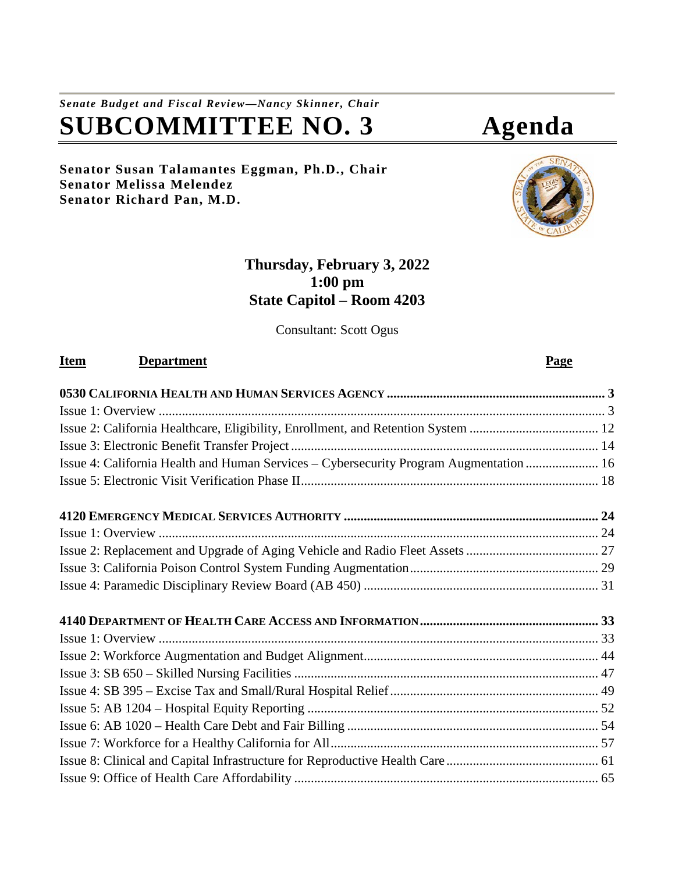# *Senate Budget and Fiscal Review—Nancy Skinner, Chair* **SUBCOMMITTEE NO. 3 Agenda**

**Senator Susan Talamantes Eggman, Ph.D., Chair Senator Melissa Melendez Senator Richard Pan, M.D.**

## **Thursday, February 3, 2022 1:00 pm State Capitol – Room 4203**

Consultant: Scott Ogus

## **Item Department Page**

| Issue 4: California Health and Human Services - Cybersecurity Program Augmentation  16 |  |
|----------------------------------------------------------------------------------------|--|
|                                                                                        |  |
|                                                                                        |  |
|                                                                                        |  |
|                                                                                        |  |
|                                                                                        |  |
|                                                                                        |  |
|                                                                                        |  |
|                                                                                        |  |
|                                                                                        |  |
|                                                                                        |  |
|                                                                                        |  |
|                                                                                        |  |
|                                                                                        |  |
|                                                                                        |  |
|                                                                                        |  |
|                                                                                        |  |



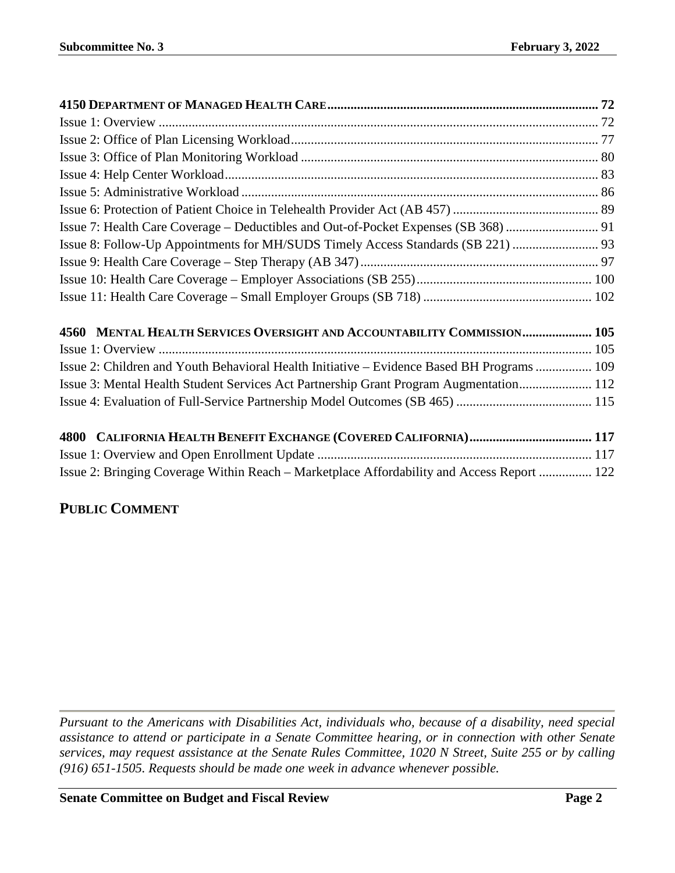| Issue 7: Health Care Coverage - Deductibles and Out-of-Pocket Expenses (SB 368)  91        |  |
|--------------------------------------------------------------------------------------------|--|
|                                                                                            |  |
|                                                                                            |  |
|                                                                                            |  |
|                                                                                            |  |
| 4560 MENTAL HEALTH SERVICES OVERSIGHT AND ACCOUNTABILITY COMMISSION 105                    |  |
|                                                                                            |  |
| Issue 2: Children and Youth Behavioral Health Initiative – Evidence Based BH Programs  109 |  |
| Issue 3: Mental Health Student Services Act Partnership Grant Program Augmentation 112     |  |
|                                                                                            |  |
|                                                                                            |  |
|                                                                                            |  |
| Issue 2: Bringing Coverage Within Reach – Marketplace Affordability and Access Report  122 |  |

## **PUBLIC COMMENT**

*Pursuant to the Americans with Disabilities Act, individuals who, because of a disability, need special assistance to attend or participate in a Senate Committee hearing, or in connection with other Senate services, may request assistance at the Senate Rules Committee, 1020 N Street, Suite 255 or by calling (916) 651-1505. Requests should be made one week in advance whenever possible.*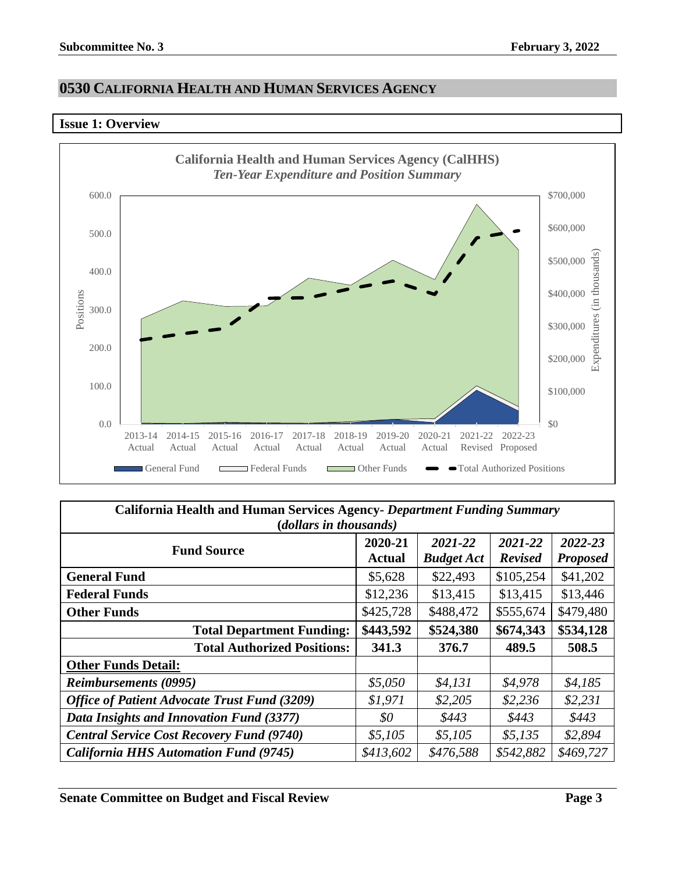## <span id="page-2-0"></span>**0530 CALIFORNIA HEALTH AND HUMAN SERVICES AGENCY**

#### <span id="page-2-1"></span>**Issue 1: Overview**



| California Health and Human Services Agency- Department Funding Summary<br>(dollars in thousands) |                          |                              |                           |                            |  |  |
|---------------------------------------------------------------------------------------------------|--------------------------|------------------------------|---------------------------|----------------------------|--|--|
| <b>Fund Source</b>                                                                                | 2020-21<br><b>Actual</b> | 2021-22<br><b>Budget Act</b> | 2021-22<br><b>Revised</b> | 2022-23<br><b>Proposed</b> |  |  |
| <b>General Fund</b>                                                                               | \$5,628                  | \$22,493                     | \$105,254                 | \$41,202                   |  |  |
| <b>Federal Funds</b>                                                                              | \$12,236                 | \$13,415                     | \$13,415                  | \$13,446                   |  |  |
| <b>Other Funds</b>                                                                                | \$425,728                | \$488,472                    | \$555,674                 | \$479,480                  |  |  |
| <b>Total Department Funding:</b>                                                                  | \$443,592                | \$524,380                    | \$674,343                 | \$534,128                  |  |  |
| <b>Total Authorized Positions:</b>                                                                | 341.3                    | 376.7                        | 489.5                     | 508.5                      |  |  |
| <b>Other Funds Detail:</b>                                                                        |                          |                              |                           |                            |  |  |
| <b>Reimbursements (0995)</b>                                                                      | \$5,050                  | \$4,131                      | \$4,978                   | \$4,185                    |  |  |
| <b>Office of Patient Advocate Trust Fund (3209)</b>                                               | \$1,971                  | \$2,205                      | \$2,236                   | \$2,231                    |  |  |
| Data Insights and Innovation Fund (3377)                                                          | 80                       | \$443                        | \$443                     | \$443                      |  |  |
| <b>Central Service Cost Recovery Fund (9740)</b>                                                  | \$5,105                  | \$5,105                      | \$5,135                   | \$2,894                    |  |  |
| <b>California HHS Automation Fund (9745)</b>                                                      | \$413,602                | \$476,588                    | \$542,882                 | \$469,727                  |  |  |

**Senate Committee on Budget and Fiscal Review <b>Page 3 Page 3**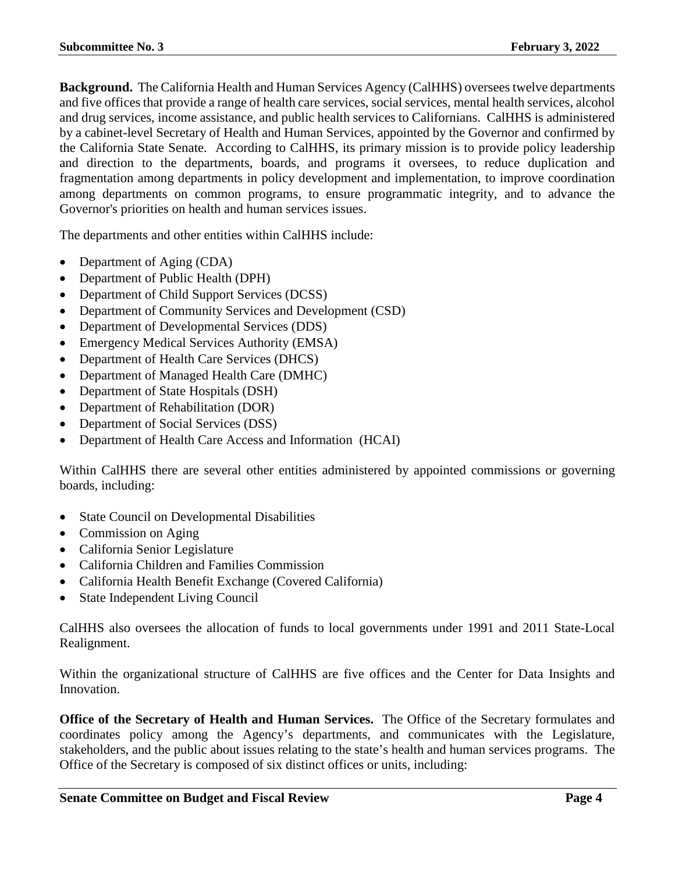**Background.** The California Health and Human Services Agency (CalHHS) oversees twelve departments and five offices that provide a range of health care services, social services, mental health services, alcohol and drug services, income assistance, and public health services to Californians. CalHHS is administered by a cabinet-level Secretary of Health and Human Services, appointed by the Governor and confirmed by the California State Senate. According to CalHHS, its primary mission is to provide policy leadership and direction to the departments, boards, and programs it oversees, to reduce duplication and fragmentation among departments in policy development and implementation, to improve coordination among departments on common programs, to ensure programmatic integrity, and to advance the Governor's priorities on health and human services issues.

The departments and other entities within CalHHS include:

- Department of Aging (CDA)
- Department of Public Health (DPH)
- Department of Child Support Services (DCSS)
- Department of Community Services and Development (CSD)
- Department of Developmental Services (DDS)
- Emergency Medical Services Authority (EMSA)
- Department of Health Care Services (DHCS)
- Department of Managed Health Care (DMHC)
- Department of State Hospitals (DSH)
- Department of Rehabilitation (DOR)
- Department of Social Services (DSS)
- Department of Health Care Access and Information (HCAI)

Within CalHHS there are several other entities administered by appointed commissions or governing boards, including:

- State Council on Developmental Disabilities
- Commission on Aging
- California Senior Legislature
- California Children and Families Commission
- California Health Benefit Exchange (Covered California)
- State Independent Living Council

CalHHS also oversees the allocation of funds to local governments under 1991 and 2011 State-Local Realignment.

Within the organizational structure of CalHHS are five offices and the Center for Data Insights and Innovation.

**Office of the Secretary of Health and Human Services.** The Office of the Secretary formulates and coordinates policy among the Agency's departments, and communicates with the Legislature, stakeholders, and the public about issues relating to the state's health and human services programs. The Office of the Secretary is composed of six distinct offices or units, including: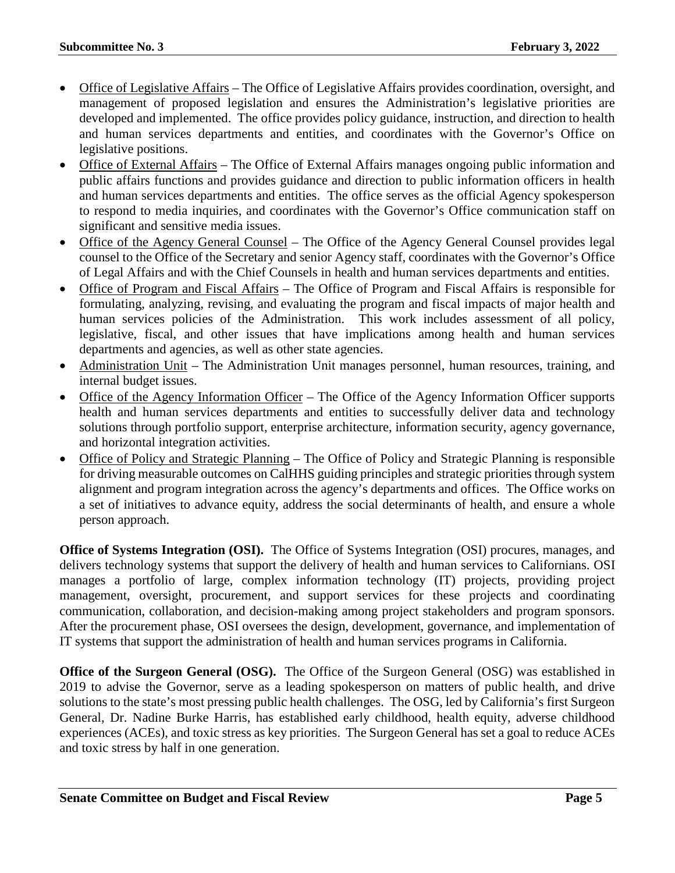- Office of Legislative Affairs The Office of Legislative Affairs provides coordination, oversight, and management of proposed legislation and ensures the Administration's legislative priorities are developed and implemented. The office provides policy guidance, instruction, and direction to health and human services departments and entities, and coordinates with the Governor's Office on legislative positions.
- Office of External Affairs The Office of External Affairs manages ongoing public information and public affairs functions and provides guidance and direction to public information officers in health and human services departments and entities. The office serves as the official Agency spokesperson to respond to media inquiries, and coordinates with the Governor's Office communication staff on significant and sensitive media issues.
- Office of the Agency General Counsel The Office of the Agency General Counsel provides legal counsel to the Office of the Secretary and senior Agency staff, coordinates with the Governor's Office of Legal Affairs and with the Chief Counsels in health and human services departments and entities.
- Office of Program and Fiscal Affairs The Office of Program and Fiscal Affairs is responsible for formulating, analyzing, revising, and evaluating the program and fiscal impacts of major health and human services policies of the Administration. This work includes assessment of all policy, legislative, fiscal, and other issues that have implications among health and human services departments and agencies, as well as other state agencies.
- Administration Unit The Administration Unit manages personnel, human resources, training, and internal budget issues.
- Office of the Agency Information Officer The Office of the Agency Information Officer supports health and human services departments and entities to successfully deliver data and technology solutions through portfolio support, enterprise architecture, information security, agency governance, and horizontal integration activities.
- Office of Policy and Strategic Planning The Office of Policy and Strategic Planning is responsible for driving measurable outcomes on CalHHS guiding principles and strategic priorities through system alignment and program integration across the agency's departments and offices. The Office works on a set of initiatives to advance equity, address the social determinants of health, and ensure a whole person approach.

**Office of Systems Integration (OSI).** The Office of Systems Integration (OSI) procures, manages, and delivers technology systems that support the delivery of health and human services to Californians. OSI manages a portfolio of large, complex information technology (IT) projects, providing project management, oversight, procurement, and support services for these projects and coordinating communication, collaboration, and decision-making among project stakeholders and program sponsors. After the procurement phase, OSI oversees the design, development, governance, and implementation of IT systems that support the administration of health and human services programs in California.

**Office of the Surgeon General (OSG).** The Office of the Surgeon General (OSG) was established in 2019 to advise the Governor, serve as a leading spokesperson on matters of public health, and drive solutions to the state's most pressing public health challenges. The OSG, led by California's first Surgeon General, Dr. Nadine Burke Harris, has established early childhood, health equity, adverse childhood experiences (ACEs), and toxic stress as key priorities. The Surgeon General has set a goal to reduce ACEs and toxic stress by half in one generation.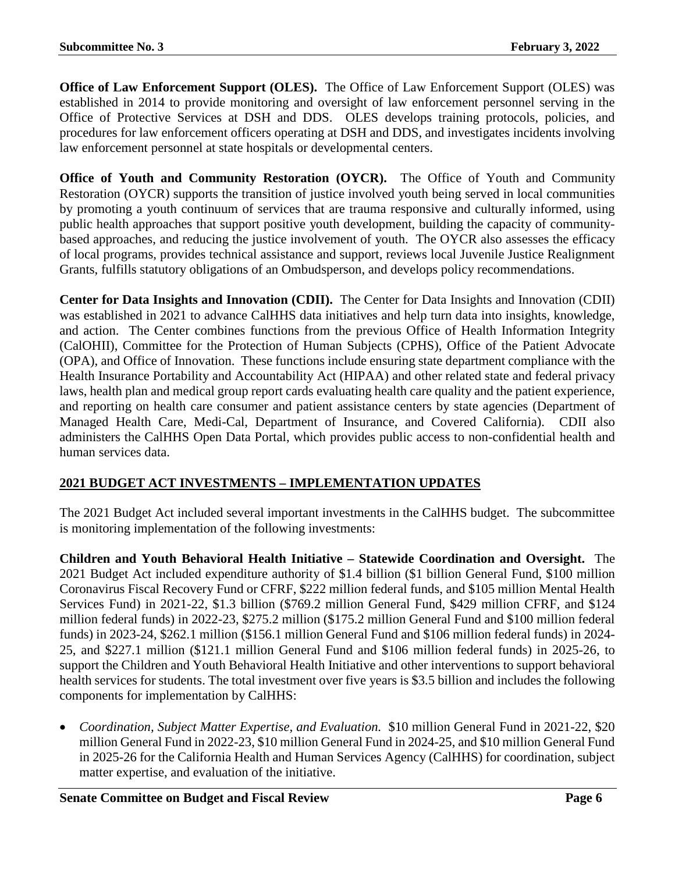**Office of Law Enforcement Support (OLES).** The Office of Law Enforcement Support (OLES) was established in 2014 to provide monitoring and oversight of law enforcement personnel serving in the Office of Protective Services at DSH and DDS. OLES develops training protocols, policies, and procedures for law enforcement officers operating at DSH and DDS, and investigates incidents involving law enforcement personnel at state hospitals or developmental centers.

**Office of Youth and Community Restoration (OYCR).** The Office of Youth and Community Restoration (OYCR) supports the transition of justice involved youth being served in local communities by promoting a youth continuum of services that are trauma responsive and culturally informed, using public health approaches that support positive youth development, building the capacity of communitybased approaches, and reducing the justice involvement of youth. The OYCR also assesses the efficacy of local programs, provides technical assistance and support, reviews local Juvenile Justice Realignment Grants, fulfills statutory obligations of an Ombudsperson, and develops policy recommendations.

**Center for Data Insights and Innovation (CDII).** The Center for Data Insights and Innovation (CDII) was established in 2021 to advance CalHHS data initiatives and help turn data into insights, knowledge, and action. The Center combines functions from the previous Office of Health Information Integrity (CalOHII), Committee for the Protection of Human Subjects (CPHS), Office of the Patient Advocate (OPA), and Office of Innovation. These functions include ensuring state department compliance with the Health Insurance Portability and Accountability Act (HIPAA) and other related state and federal privacy laws, health plan and medical group report cards evaluating health care quality and the patient experience, and reporting on health care consumer and patient assistance centers by state agencies (Department of Managed Health Care, Medi-Cal, Department of Insurance, and Covered California). CDII also administers the CalHHS Open Data Portal, which provides public access to non-confidential health and human services data.

## **2021 BUDGET ACT INVESTMENTS – IMPLEMENTATION UPDATES**

The 2021 Budget Act included several important investments in the CalHHS budget. The subcommittee is monitoring implementation of the following investments:

**Children and Youth Behavioral Health Initiative – Statewide Coordination and Oversight.** The 2021 Budget Act included expenditure authority of \$1.4 billion (\$1 billion General Fund, \$100 million Coronavirus Fiscal Recovery Fund or CFRF, \$222 million federal funds, and \$105 million Mental Health Services Fund) in 2021-22, \$1.3 billion (\$769.2 million General Fund, \$429 million CFRF, and \$124 million federal funds) in 2022-23, \$275.2 million (\$175.2 million General Fund and \$100 million federal funds) in 2023-24, \$262.1 million (\$156.1 million General Fund and \$106 million federal funds) in 2024- 25, and \$227.1 million (\$121.1 million General Fund and \$106 million federal funds) in 2025-26, to support the Children and Youth Behavioral Health Initiative and other interventions to support behavioral health services for students. The total investment over five years is \$3.5 billion and includes the following components for implementation by CalHHS:

• *Coordination, Subject Matter Expertise, and Evaluation.* \$10 million General Fund in 2021-22, \$20 million General Fund in 2022-23, \$10 million General Fund in 2024-25, and \$10 million General Fund in 2025-26 for the California Health and Human Services Agency (CalHHS) for coordination, subject matter expertise, and evaluation of the initiative.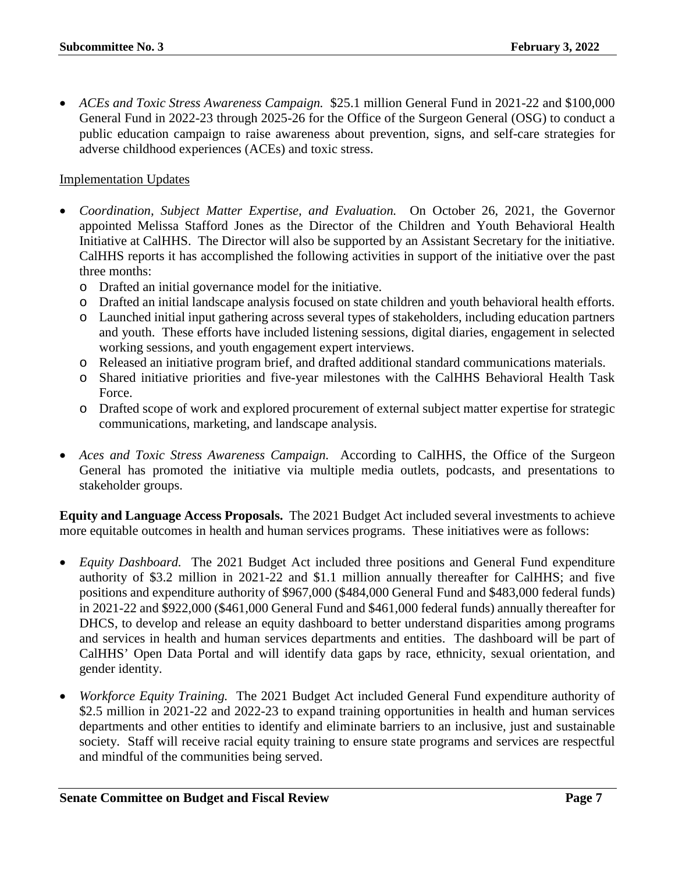• *ACEs and Toxic Stress Awareness Campaign.* \$25.1 million General Fund in 2021-22 and \$100,000 General Fund in 2022-23 through 2025-26 for the Office of the Surgeon General (OSG) to conduct a public education campaign to raise awareness about prevention, signs, and self-care strategies for adverse childhood experiences (ACEs) and toxic stress.

#### Implementation Updates

- *Coordination, Subject Matter Expertise, and Evaluation.* On October 26, 2021, the Governor appointed Melissa Stafford Jones as the Director of the Children and Youth Behavioral Health Initiative at CalHHS. The Director will also be supported by an Assistant Secretary for the initiative. CalHHS reports it has accomplished the following activities in support of the initiative over the past three months:
	- o Drafted an initial governance model for the initiative.
	- o Drafted an initial landscape analysis focused on state children and youth behavioral health efforts.
	- o Launched initial input gathering across several types of stakeholders, including education partners and youth. These efforts have included listening sessions, digital diaries, engagement in selected working sessions, and youth engagement expert interviews.
	- o Released an initiative program brief, and drafted additional standard communications materials.
	- o Shared initiative priorities and five-year milestones with the CalHHS Behavioral Health Task Force.
	- o Drafted scope of work and explored procurement of external subject matter expertise for strategic communications, marketing, and landscape analysis.
- *Aces and Toxic Stress Awareness Campaign.* According to CalHHS, the Office of the Surgeon General has promoted the initiative via multiple media outlets, podcasts, and presentations to stakeholder groups.

**Equity and Language Access Proposals.** The 2021 Budget Act included several investments to achieve more equitable outcomes in health and human services programs. These initiatives were as follows:

- *Equity Dashboard.*The 2021 Budget Act included three positions and General Fund expenditure authority of \$3.2 million in 2021-22 and \$1.1 million annually thereafter for CalHHS; and five positions and expenditure authority of \$967,000 (\$484,000 General Fund and \$483,000 federal funds) in 2021-22 and \$922,000 (\$461,000 General Fund and \$461,000 federal funds) annually thereafter for DHCS, to develop and release an equity dashboard to better understand disparities among programs and services in health and human services departments and entities. The dashboard will be part of CalHHS' Open Data Portal and will identify data gaps by race, ethnicity, sexual orientation, and gender identity.
- *Workforce Equity Training.* The 2021 Budget Act included General Fund expenditure authority of \$2.5 million in 2021-22 and 2022-23 to expand training opportunities in health and human services departments and other entities to identify and eliminate barriers to an inclusive, just and sustainable society. Staff will receive racial equity training to ensure state programs and services are respectful and mindful of the communities being served.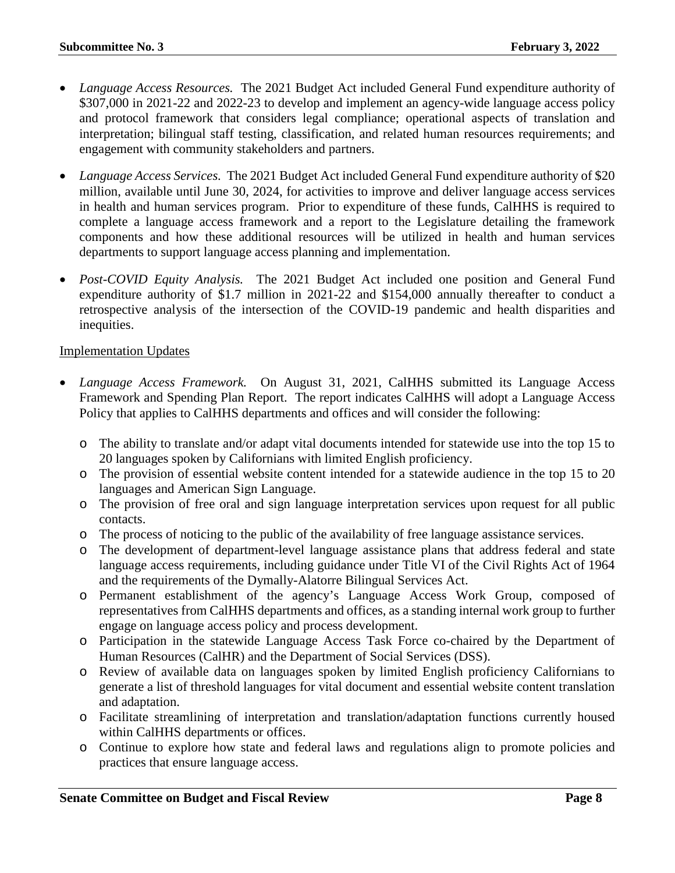- *Language Access Resources.* The 2021 Budget Act included General Fund expenditure authority of \$307,000 in 2021-22 and 2022-23 to develop and implement an agency-wide language access policy and protocol framework that considers legal compliance; operational aspects of translation and interpretation; bilingual staff testing, classification, and related human resources requirements; and engagement with community stakeholders and partners.
- *Language Access Services.* The 2021 Budget Act included General Fund expenditure authority of \$20 million, available until June 30, 2024, for activities to improve and deliver language access services in health and human services program. Prior to expenditure of these funds, CalHHS is required to complete a language access framework and a report to the Legislature detailing the framework components and how these additional resources will be utilized in health and human services departments to support language access planning and implementation.
- *Post-COVID Equity Analysis.* The 2021 Budget Act included one position and General Fund expenditure authority of \$1.7 million in 2021-22 and \$154,000 annually thereafter to conduct a retrospective analysis of the intersection of the COVID-19 pandemic and health disparities and inequities.

#### Implementation Updates

- *Language Access Framework.* On August 31, 2021, CalHHS submitted its Language Access Framework and Spending Plan Report. The report indicates CalHHS will adopt a Language Access Policy that applies to CalHHS departments and offices and will consider the following:
	- o The ability to translate and/or adapt vital documents intended for statewide use into the top 15 to 20 languages spoken by Californians with limited English proficiency.
	- o The provision of essential website content intended for a statewide audience in the top 15 to 20 languages and American Sign Language.
	- o The provision of free oral and sign language interpretation services upon request for all public contacts.
	- o The process of noticing to the public of the availability of free language assistance services.
	- o The development of department-level language assistance plans that address federal and state language access requirements, including guidance under Title VI of the Civil Rights Act of 1964 and the requirements of the Dymally-Alatorre Bilingual Services Act.
	- o Permanent establishment of the agency's Language Access Work Group, composed of representatives from CalHHS departments and offices, as a standing internal work group to further engage on language access policy and process development.
	- o Participation in the statewide Language Access Task Force co-chaired by the Department of Human Resources (CalHR) and the Department of Social Services (DSS).
	- o Review of available data on languages spoken by limited English proficiency Californians to generate a list of threshold languages for vital document and essential website content translation and adaptation.
	- o Facilitate streamlining of interpretation and translation/adaptation functions currently housed within CalHHS departments or offices.
	- o Continue to explore how state and federal laws and regulations align to promote policies and practices that ensure language access.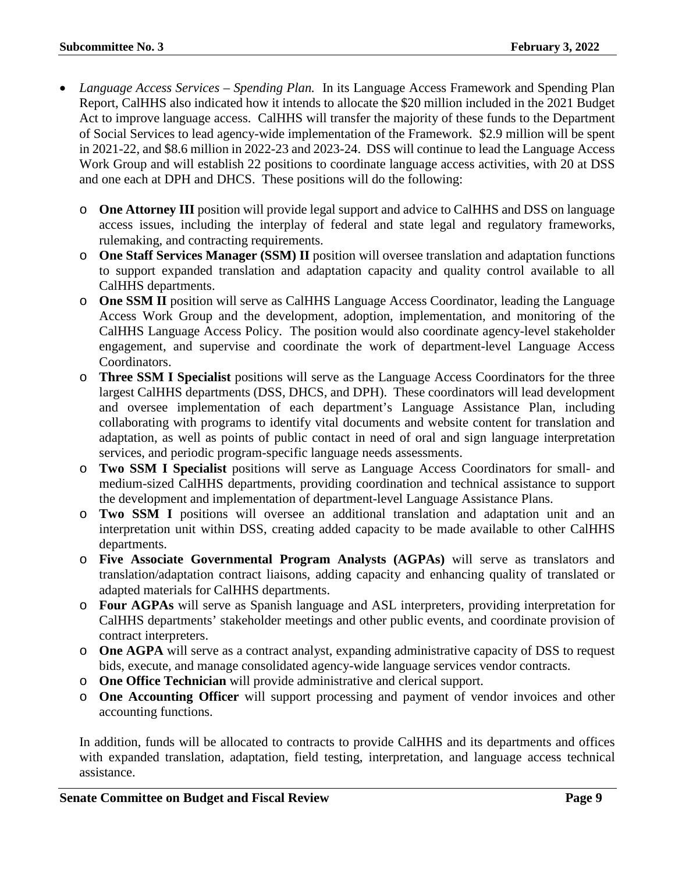- *Language Access Services – Spending Plan.* In its Language Access Framework and Spending Plan Report, CalHHS also indicated how it intends to allocate the \$20 million included in the 2021 Budget Act to improve language access. CalHHS will transfer the majority of these funds to the Department of Social Services to lead agency-wide implementation of the Framework. \$2.9 million will be spent in 2021-22, and \$8.6 million in 2022-23 and 2023-24. DSS will continue to lead the Language Access Work Group and will establish 22 positions to coordinate language access activities, with 20 at DSS and one each at DPH and DHCS. These positions will do the following:
	- o **One Attorney III** position will provide legal support and advice to CalHHS and DSS on language access issues, including the interplay of federal and state legal and regulatory frameworks, rulemaking, and contracting requirements.
	- o **One Staff Services Manager (SSM) II** position will oversee translation and adaptation functions to support expanded translation and adaptation capacity and quality control available to all CalHHS departments.
	- o **One SSM II** position will serve as CalHHS Language Access Coordinator, leading the Language Access Work Group and the development, adoption, implementation, and monitoring of the CalHHS Language Access Policy. The position would also coordinate agency-level stakeholder engagement, and supervise and coordinate the work of department-level Language Access Coordinators.
	- o **Three SSM I Specialist** positions will serve as the Language Access Coordinators for the three largest CalHHS departments (DSS, DHCS, and DPH). These coordinators will lead development and oversee implementation of each department's Language Assistance Plan, including collaborating with programs to identify vital documents and website content for translation and adaptation, as well as points of public contact in need of oral and sign language interpretation services, and periodic program-specific language needs assessments.
	- o **Two SSM I Specialist** positions will serve as Language Access Coordinators for small- and medium-sized CalHHS departments, providing coordination and technical assistance to support the development and implementation of department-level Language Assistance Plans.
	- o **Two SSM I** positions will oversee an additional translation and adaptation unit and an interpretation unit within DSS, creating added capacity to be made available to other CalHHS departments.
	- o **Five Associate Governmental Program Analysts (AGPAs)** will serve as translators and translation/adaptation contract liaisons, adding capacity and enhancing quality of translated or adapted materials for CalHHS departments.
	- o **Four AGPAs** will serve as Spanish language and ASL interpreters, providing interpretation for CalHHS departments' stakeholder meetings and other public events, and coordinate provision of contract interpreters.
	- o **One AGPA** will serve as a contract analyst, expanding administrative capacity of DSS to request bids, execute, and manage consolidated agency-wide language services vendor contracts.
	- o **One Office Technician** will provide administrative and clerical support.
	- o **One Accounting Officer** will support processing and payment of vendor invoices and other accounting functions.

In addition, funds will be allocated to contracts to provide CalHHS and its departments and offices with expanded translation, adaptation, field testing, interpretation, and language access technical assistance.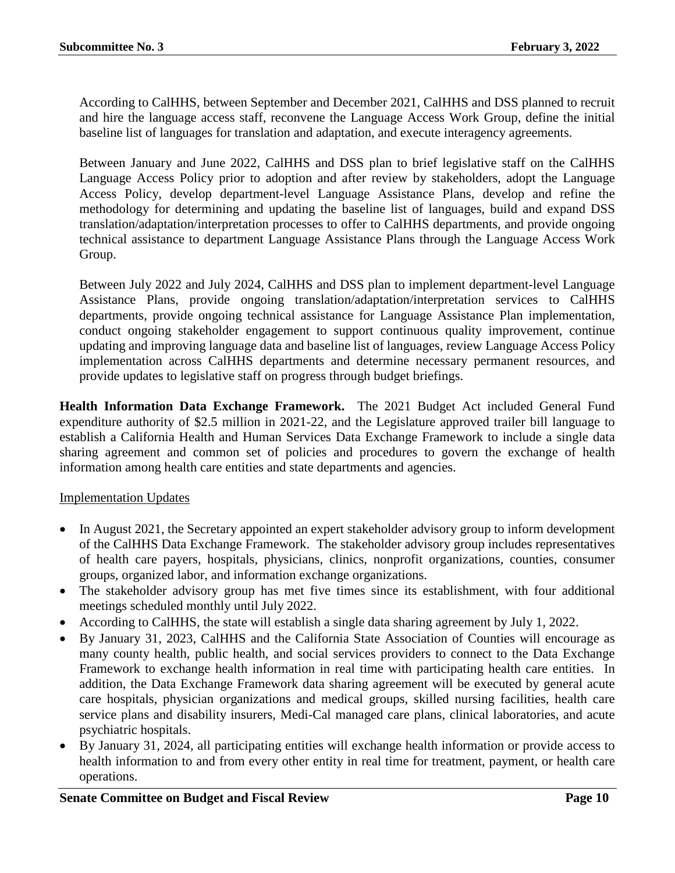According to CalHHS, between September and December 2021, CalHHS and DSS planned to recruit and hire the language access staff, reconvene the Language Access Work Group, define the initial baseline list of languages for translation and adaptation, and execute interagency agreements.

Between January and June 2022, CalHHS and DSS plan to brief legislative staff on the CalHHS Language Access Policy prior to adoption and after review by stakeholders, adopt the Language Access Policy, develop department-level Language Assistance Plans, develop and refine the methodology for determining and updating the baseline list of languages, build and expand DSS translation/adaptation/interpretation processes to offer to CalHHS departments, and provide ongoing technical assistance to department Language Assistance Plans through the Language Access Work Group.

Between July 2022 and July 2024, CalHHS and DSS plan to implement department-level Language Assistance Plans, provide ongoing translation/adaptation/interpretation services to CalHHS departments, provide ongoing technical assistance for Language Assistance Plan implementation, conduct ongoing stakeholder engagement to support continuous quality improvement, continue updating and improving language data and baseline list of languages, review Language Access Policy implementation across CalHHS departments and determine necessary permanent resources, and provide updates to legislative staff on progress through budget briefings.

**Health Information Data Exchange Framework.** The 2021 Budget Act included General Fund expenditure authority of \$2.5 million in 2021-22, and the Legislature approved trailer bill language to establish a California Health and Human Services Data Exchange Framework to include a single data sharing agreement and common set of policies and procedures to govern the exchange of health information among health care entities and state departments and agencies.

#### Implementation Updates

- In August 2021, the Secretary appointed an expert stakeholder advisory group to inform development of the CalHHS Data Exchange Framework. The stakeholder advisory group includes representatives of health care payers, hospitals, physicians, clinics, nonprofit organizations, counties, consumer groups, organized labor, and information exchange organizations.
- The stakeholder advisory group has met five times since its establishment, with four additional meetings scheduled monthly until July 2022.
- According to CalHHS, the state will establish a single data sharing agreement by July 1, 2022.
- By January 31, 2023, CalHHS and the California State Association of Counties will encourage as many county health, public health, and social services providers to connect to the Data Exchange Framework to exchange health information in real time with participating health care entities. In addition, the Data Exchange Framework data sharing agreement will be executed by general acute care hospitals, physician organizations and medical groups, skilled nursing facilities, health care service plans and disability insurers, Medi-Cal managed care plans, clinical laboratories, and acute psychiatric hospitals.
- By January 31, 2024, all participating entities will exchange health information or provide access to health information to and from every other entity in real time for treatment, payment, or health care operations.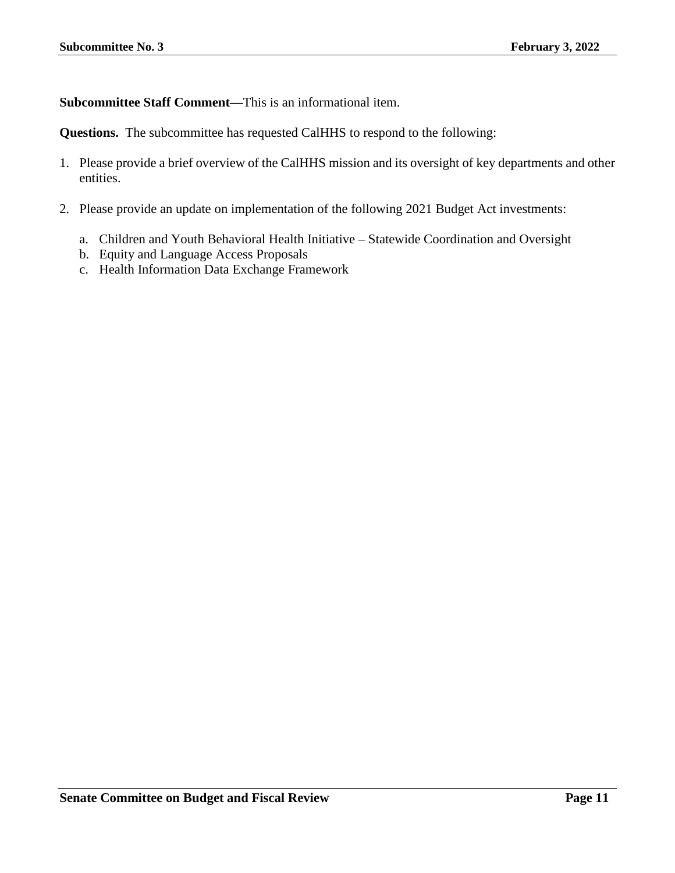**Subcommittee Staff Comment—**This is an informational item.

**Questions.** The subcommittee has requested CalHHS to respond to the following:

- 1. Please provide a brief overview of the CalHHS mission and its oversight of key departments and other entities.
- 2. Please provide an update on implementation of the following 2021 Budget Act investments:
	- a. Children and Youth Behavioral Health Initiative Statewide Coordination and Oversight
	- b. Equity and Language Access Proposals
	- c. Health Information Data Exchange Framework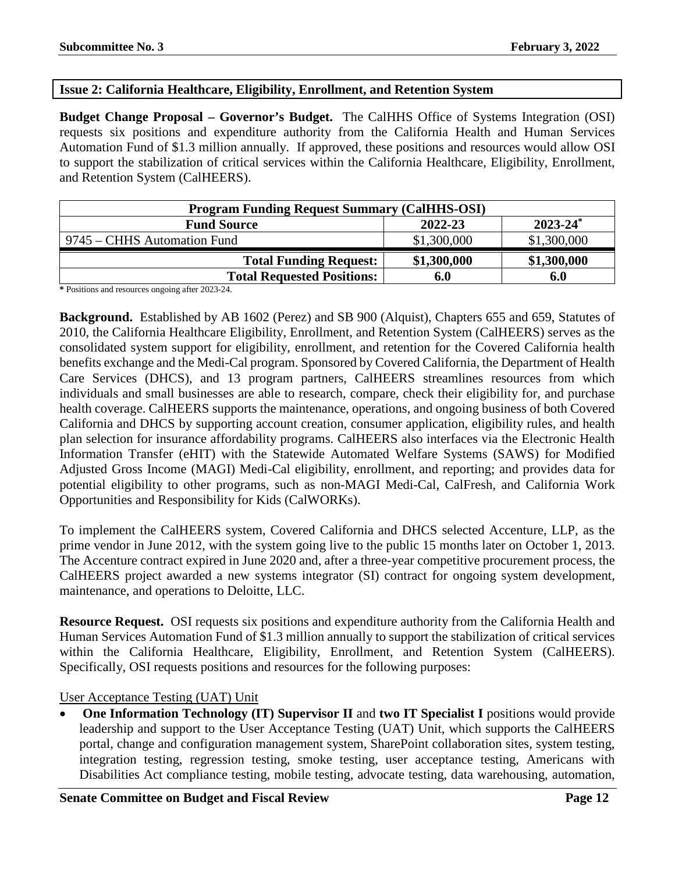#### <span id="page-11-0"></span>**Issue 2: California Healthcare, Eligibility, Enrollment, and Retention System**

**Budget Change Proposal – Governor's Budget.** The CalHHS Office of Systems Integration (OSI) requests six positions and expenditure authority from the California Health and Human Services Automation Fund of \$1.3 million annually. If approved, these positions and resources would allow OSI to support the stabilization of critical services within the California Healthcare, Eligibility, Enrollment, and Retention System (CalHEERS).

| <b>Program Funding Request Summary (CalHHS-OSI)</b> |             |               |  |  |
|-----------------------------------------------------|-------------|---------------|--|--|
| <b>Fund Source</b>                                  | 2022-23     | $2023 - 24^*$ |  |  |
| 9745 – CHHS Automation Fund                         | \$1,300,000 | \$1,300,000   |  |  |
| <b>Total Funding Request:</b>                       | \$1,300,000 | \$1,300,000   |  |  |
| <b>Total Requested Positions:</b>                   | 6.0         | 6.0           |  |  |

**\*** Positions and resources ongoing after 2023-24.

**Background.** Established by AB 1602 (Perez) and SB 900 (Alquist), Chapters 655 and 659, Statutes of 2010, the California Healthcare Eligibility, Enrollment, and Retention System (CalHEERS) serves as the consolidated system support for eligibility, enrollment, and retention for the Covered California health benefits exchange and the Medi-Cal program. Sponsored by Covered California, the Department of Health Care Services (DHCS), and 13 program partners, CalHEERS streamlines resources from which individuals and small businesses are able to research, compare, check their eligibility for, and purchase health coverage. CalHEERS supports the maintenance, operations, and ongoing business of both Covered California and DHCS by supporting account creation, consumer application, eligibility rules, and health plan selection for insurance affordability programs. CalHEERS also interfaces via the Electronic Health Information Transfer (eHIT) with the Statewide Automated Welfare Systems (SAWS) for Modified Adjusted Gross Income (MAGI) Medi-Cal eligibility, enrollment, and reporting; and provides data for potential eligibility to other programs, such as non-MAGI Medi-Cal, CalFresh, and California Work Opportunities and Responsibility for Kids (CalWORKs).

To implement the CalHEERS system, Covered California and DHCS selected Accenture, LLP, as the prime vendor in June 2012, with the system going live to the public 15 months later on October 1, 2013. The Accenture contract expired in June 2020 and, after a three-year competitive procurement process, the CalHEERS project awarded a new systems integrator (SI) contract for ongoing system development, maintenance, and operations to Deloitte, LLC.

**Resource Request.** OSI requests six positions and expenditure authority from the California Health and Human Services Automation Fund of \$1.3 million annually to support the stabilization of critical services within the California Healthcare, Eligibility, Enrollment, and Retention System (CalHEERS). Specifically, OSI requests positions and resources for the following purposes:

User Acceptance Testing (UAT) Unit

• **One Information Technology (IT) Supervisor II** and **two IT Specialist I** positions would provide leadership and support to the User Acceptance Testing (UAT) Unit, which supports the CalHEERS portal, change and configuration management system, SharePoint collaboration sites, system testing, integration testing, regression testing, smoke testing, user acceptance testing, Americans with Disabilities Act compliance testing, mobile testing, advocate testing, data warehousing, automation,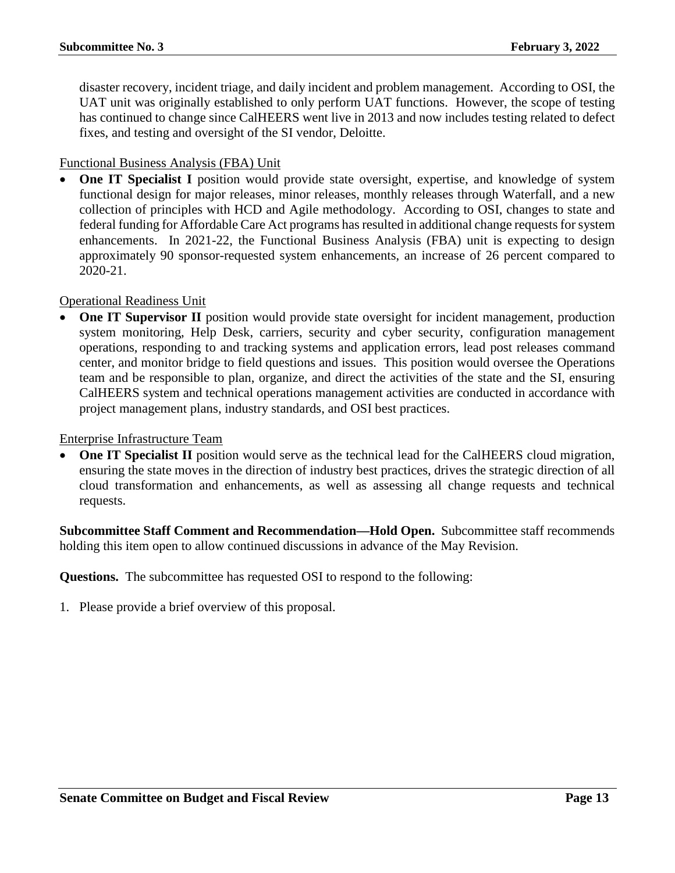disaster recovery, incident triage, and daily incident and problem management. According to OSI, the UAT unit was originally established to only perform UAT functions. However, the scope of testing has continued to change since CalHEERS went live in 2013 and now includes testing related to defect fixes, and testing and oversight of the SI vendor, Deloitte.

#### Functional Business Analysis (FBA) Unit

• **One IT Specialist I** position would provide state oversight, expertise, and knowledge of system functional design for major releases, minor releases, monthly releases through Waterfall, and a new collection of principles with HCD and Agile methodology. According to OSI, changes to state and federal funding for Affordable Care Act programs has resulted in additional change requests for system enhancements. In 2021-22, the Functional Business Analysis (FBA) unit is expecting to design approximately 90 sponsor-requested system enhancements, an increase of 26 percent compared to 2020-21.

#### Operational Readiness Unit

**One IT Supervisor II** position would provide state oversight for incident management, production system monitoring, Help Desk, carriers, security and cyber security, configuration management operations, responding to and tracking systems and application errors, lead post releases command center, and monitor bridge to field questions and issues. This position would oversee the Operations team and be responsible to plan, organize, and direct the activities of the state and the SI, ensuring CalHEERS system and technical operations management activities are conducted in accordance with project management plans, industry standards, and OSI best practices.

#### Enterprise Infrastructure Team

**One IT Specialist II** position would serve as the technical lead for the CalHEERS cloud migration, ensuring the state moves in the direction of industry best practices, drives the strategic direction of all cloud transformation and enhancements, as well as assessing all change requests and technical requests.

**Subcommittee Staff Comment and Recommendation—Hold Open.** Subcommittee staff recommends holding this item open to allow continued discussions in advance of the May Revision.

**Questions.** The subcommittee has requested OSI to respond to the following: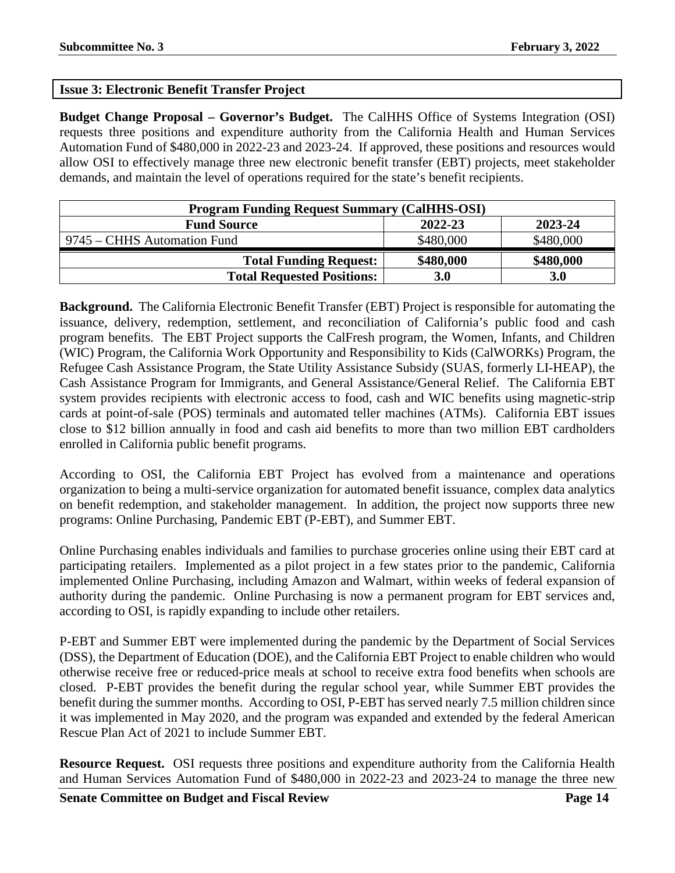#### <span id="page-13-0"></span>**Issue 3: Electronic Benefit Transfer Project**

**Budget Change Proposal – Governor's Budget.** The CalHHS Office of Systems Integration (OSI) requests three positions and expenditure authority from the California Health and Human Services Automation Fund of \$480,000 in 2022-23 and 2023-24. If approved, these positions and resources would allow OSI to effectively manage three new electronic benefit transfer (EBT) projects, meet stakeholder demands, and maintain the level of operations required for the state's benefit recipients.

| <b>Program Funding Request Summary (CalHHS-OSI)</b> |           |            |  |  |  |
|-----------------------------------------------------|-----------|------------|--|--|--|
| 2023-24<br>2022-23<br><b>Fund Source</b>            |           |            |  |  |  |
| 9745 – CHHS Automation Fund                         | \$480,000 | \$480,000  |  |  |  |
| <b>Total Funding Request:</b>                       | \$480,000 | \$480,000  |  |  |  |
| <b>Total Requested Positions:</b>                   | 3.0       | <b>3.0</b> |  |  |  |

**Background.** The California Electronic Benefit Transfer (EBT) Project is responsible for automating the issuance, delivery, redemption, settlement, and reconciliation of California's public food and cash program benefits. The EBT Project supports the CalFresh program, the Women, Infants, and Children (WIC) Program, the California Work Opportunity and Responsibility to Kids (CalWORKs) Program, the Refugee Cash Assistance Program, the State Utility Assistance Subsidy (SUAS, formerly LI-HEAP), the Cash Assistance Program for Immigrants, and General Assistance/General Relief. The California EBT system provides recipients with electronic access to food, cash and WIC benefits using magnetic-strip cards at point-of-sale (POS) terminals and automated teller machines (ATMs). California EBT issues close to \$12 billion annually in food and cash aid benefits to more than two million EBT cardholders enrolled in California public benefit programs.

According to OSI, the California EBT Project has evolved from a maintenance and operations organization to being a multi-service organization for automated benefit issuance, complex data analytics on benefit redemption, and stakeholder management. In addition, the project now supports three new programs: Online Purchasing, Pandemic EBT (P-EBT), and Summer EBT.

Online Purchasing enables individuals and families to purchase groceries online using their EBT card at participating retailers. Implemented as a pilot project in a few states prior to the pandemic, California implemented Online Purchasing, including Amazon and Walmart, within weeks of federal expansion of authority during the pandemic. Online Purchasing is now a permanent program for EBT services and, according to OSI, is rapidly expanding to include other retailers.

P-EBT and Summer EBT were implemented during the pandemic by the Department of Social Services (DSS), the Department of Education (DOE), and the California EBT Project to enable children who would otherwise receive free or reduced-price meals at school to receive extra food benefits when schools are closed. P-EBT provides the benefit during the regular school year, while Summer EBT provides the benefit during the summer months. According to OSI, P-EBT has served nearly 7.5 million children since it was implemented in May 2020, and the program was expanded and extended by the federal American Rescue Plan Act of 2021 to include Summer EBT.

**Resource Request.** OSI requests three positions and expenditure authority from the California Health and Human Services Automation Fund of \$480,000 in 2022-23 and 2023-24 to manage the three new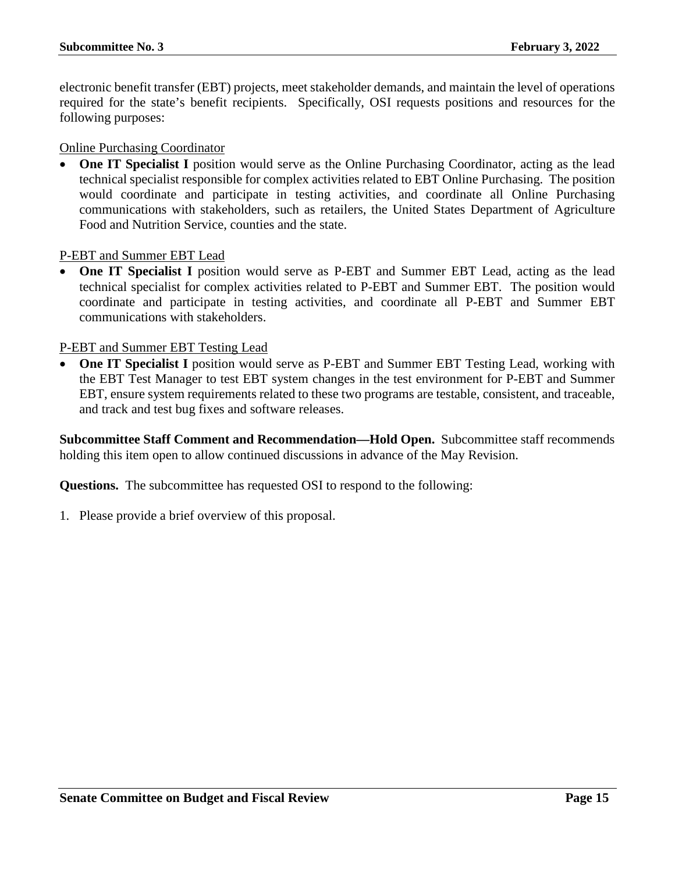electronic benefit transfer (EBT) projects, meet stakeholder demands, and maintain the level of operations required for the state's benefit recipients. Specifically, OSI requests positions and resources for the following purposes:

Online Purchasing Coordinator

**One IT Specialist I** position would serve as the Online Purchasing Coordinator, acting as the lead technical specialist responsible for complex activities related to EBT Online Purchasing. The position would coordinate and participate in testing activities, and coordinate all Online Purchasing communications with stakeholders, such as retailers, the United States Department of Agriculture Food and Nutrition Service, counties and the state.

P-EBT and Summer EBT Lead

• **One IT Specialist I** position would serve as P-EBT and Summer EBT Lead, acting as the lead technical specialist for complex activities related to P-EBT and Summer EBT. The position would coordinate and participate in testing activities, and coordinate all P-EBT and Summer EBT communications with stakeholders.

#### P-EBT and Summer EBT Testing Lead

• **One IT Specialist I** position would serve as P-EBT and Summer EBT Testing Lead, working with the EBT Test Manager to test EBT system changes in the test environment for P-EBT and Summer EBT, ensure system requirements related to these two programs are testable, consistent, and traceable, and track and test bug fixes and software releases.

**Subcommittee Staff Comment and Recommendation—Hold Open.** Subcommittee staff recommends holding this item open to allow continued discussions in advance of the May Revision.

**Questions.** The subcommittee has requested OSI to respond to the following: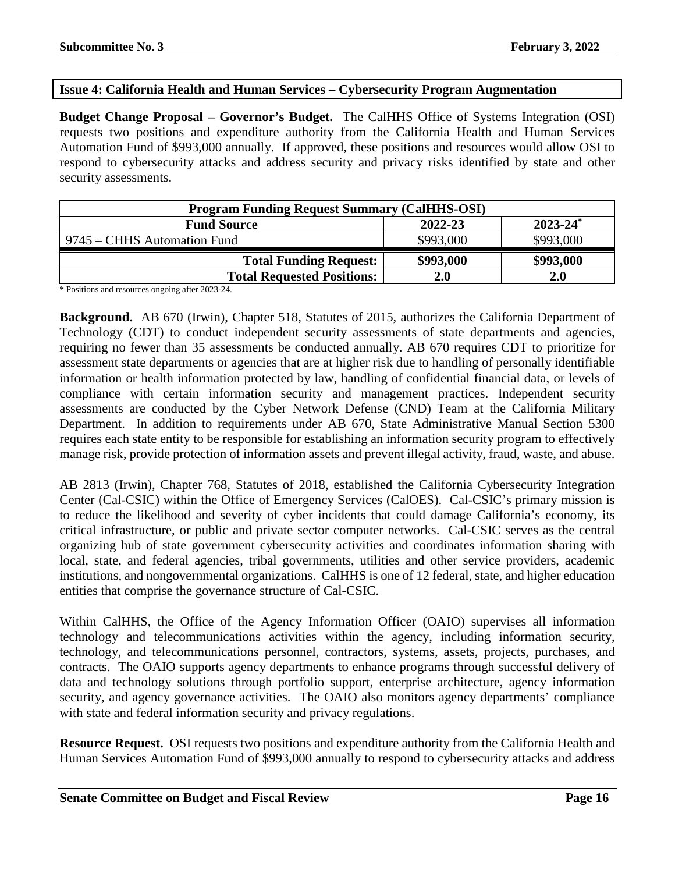#### <span id="page-15-0"></span>**Issue 4: California Health and Human Services – Cybersecurity Program Augmentation**

**Budget Change Proposal – Governor's Budget.** The CalHHS Office of Systems Integration (OSI) requests two positions and expenditure authority from the California Health and Human Services Automation Fund of \$993,000 annually. If approved, these positions and resources would allow OSI to respond to cybersecurity attacks and address security and privacy risks identified by state and other security assessments.

| <b>Program Funding Request Summary (CalHHS-OSI)</b> |            |            |  |  |  |
|-----------------------------------------------------|------------|------------|--|--|--|
| $2023 - 24^*$<br><b>Fund Source</b><br>2022-23      |            |            |  |  |  |
| 9745 – CHHS Automation Fund                         | \$993,000  | \$993,000  |  |  |  |
| <b>Total Funding Request:</b>                       | \$993,000  | \$993,000  |  |  |  |
| <b>Total Requested Positions:</b>                   | <b>2.0</b> | <b>2.0</b> |  |  |  |

**\*** Positions and resources ongoing after 2023-24.

**Background.** AB 670 (Irwin), Chapter 518, Statutes of 2015, authorizes the California Department of Technology (CDT) to conduct independent security assessments of state departments and agencies, requiring no fewer than 35 assessments be conducted annually. AB 670 requires CDT to prioritize for assessment state departments or agencies that are at higher risk due to handling of personally identifiable information or health information protected by law, handling of confidential financial data, or levels of compliance with certain information security and management practices. Independent security assessments are conducted by the Cyber Network Defense (CND) Team at the California Military Department. In addition to requirements under AB 670, State Administrative Manual Section 5300 requires each state entity to be responsible for establishing an information security program to effectively manage risk, provide protection of information assets and prevent illegal activity, fraud, waste, and abuse.

AB 2813 (Irwin), Chapter 768, Statutes of 2018, established the California Cybersecurity Integration Center (Cal-CSIC) within the Office of Emergency Services (CalOES). Cal-CSIC's primary mission is to reduce the likelihood and severity of cyber incidents that could damage California's economy, its critical infrastructure, or public and private sector computer networks. Cal-CSIC serves as the central organizing hub of state government cybersecurity activities and coordinates information sharing with local, state, and federal agencies, tribal governments, utilities and other service providers, academic institutions, and nongovernmental organizations. CalHHS is one of 12 federal, state, and higher education entities that comprise the governance structure of Cal-CSIC.

Within CalHHS, the Office of the Agency Information Officer (OAIO) supervises all information technology and telecommunications activities within the agency, including information security, technology, and telecommunications personnel, contractors, systems, assets, projects, purchases, and contracts. The OAIO supports agency departments to enhance programs through successful delivery of data and technology solutions through portfolio support, enterprise architecture, agency information security, and agency governance activities. The OAIO also monitors agency departments' compliance with state and federal information security and privacy regulations.

**Resource Request.** OSI requests two positions and expenditure authority from the California Health and Human Services Automation Fund of \$993,000 annually to respond to cybersecurity attacks and address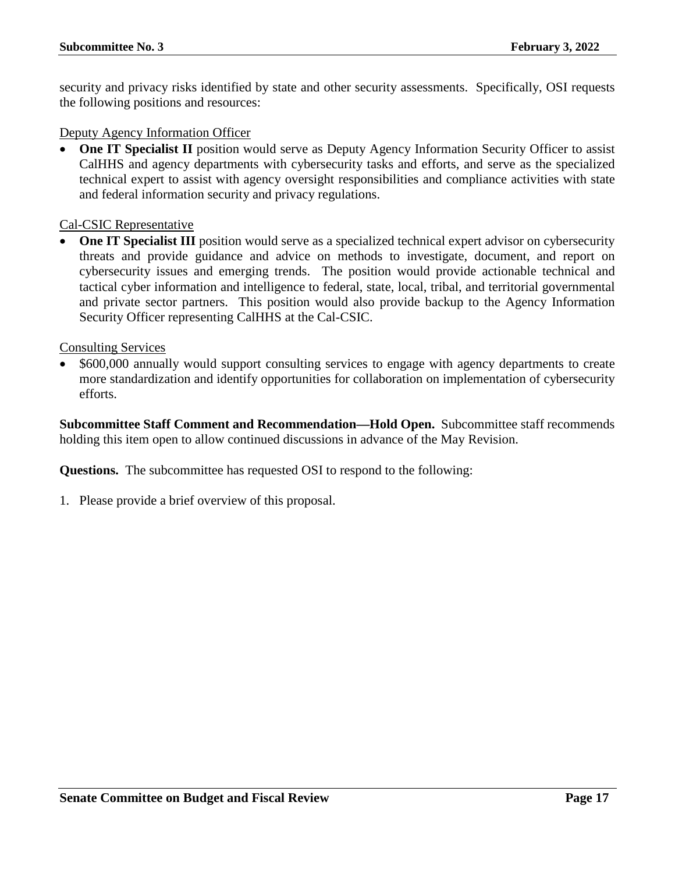security and privacy risks identified by state and other security assessments. Specifically, OSI requests the following positions and resources:

Deputy Agency Information Officer

**One IT Specialist II** position would serve as Deputy Agency Information Security Officer to assist CalHHS and agency departments with cybersecurity tasks and efforts, and serve as the specialized technical expert to assist with agency oversight responsibilities and compliance activities with state and federal information security and privacy regulations.

Cal-CSIC Representative

• **One IT Specialist III** position would serve as a specialized technical expert advisor on cybersecurity threats and provide guidance and advice on methods to investigate, document, and report on cybersecurity issues and emerging trends. The position would provide actionable technical and tactical cyber information and intelligence to federal, state, local, tribal, and territorial governmental and private sector partners. This position would also provide backup to the Agency Information Security Officer representing CalHHS at the Cal-CSIC.

Consulting Services

• \$600,000 annually would support consulting services to engage with agency departments to create more standardization and identify opportunities for collaboration on implementation of cybersecurity efforts.

**Subcommittee Staff Comment and Recommendation—Hold Open.** Subcommittee staff recommends holding this item open to allow continued discussions in advance of the May Revision.

**Questions.** The subcommittee has requested OSI to respond to the following: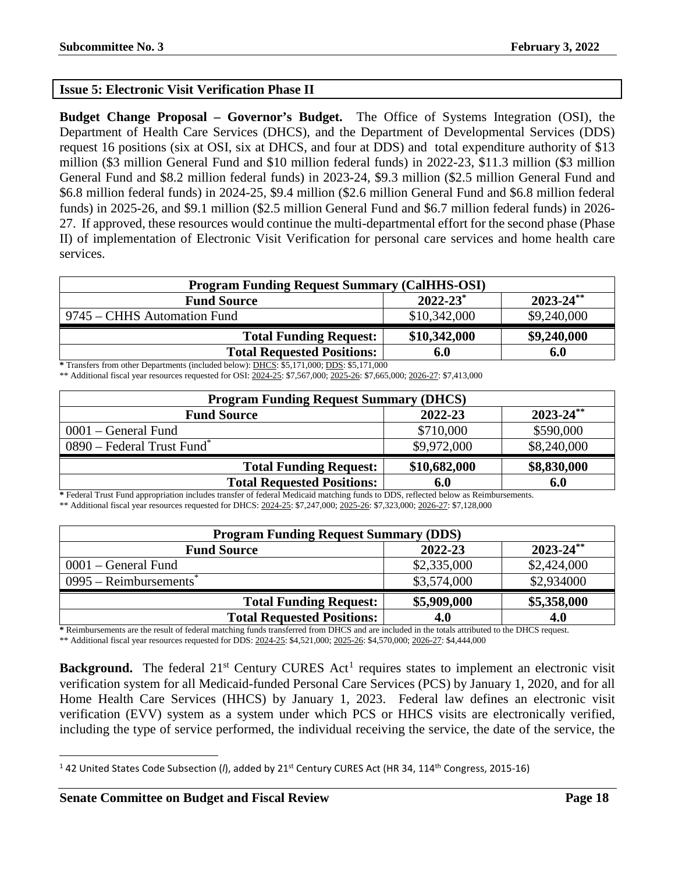#### <span id="page-17-0"></span>**Issue 5: Electronic Visit Verification Phase II**

**Budget Change Proposal – Governor's Budget.** The Office of Systems Integration (OSI), the Department of Health Care Services (DHCS), and the Department of Developmental Services (DDS) request 16 positions (six at OSI, six at DHCS, and four at DDS) and total expenditure authority of \$13 million (\$3 million General Fund and \$10 million federal funds) in 2022-23, \$11.3 million (\$3 million General Fund and \$8.2 million federal funds) in 2023-24, \$9.3 million (\$2.5 million General Fund and \$6.8 million federal funds) in 2024-25, \$9.4 million (\$2.6 million General Fund and \$6.8 million federal funds) in 2025-26, and \$9.1 million (\$2.5 million General Fund and \$6.7 million federal funds) in 2026- 27. If approved, these resources would continue the multi-departmental effort for the second phase (Phase II) of implementation of Electronic Visit Verification for personal care services and home health care services.

| <b>Program Funding Request Summary (CalHHS-OSI)</b>   |              |             |  |  |  |
|-------------------------------------------------------|--------------|-------------|--|--|--|
| $2022 - 23^*$<br>$2023 - 24$ **<br><b>Fund Source</b> |              |             |  |  |  |
| 9745 – CHHS Automation Fund                           | \$10,342,000 | \$9,240,000 |  |  |  |
| <b>Total Funding Request:</b>                         | \$10,342,000 | \$9,240,000 |  |  |  |
| <b>Total Requested Positions:</b>                     | 6.0          | 6.0         |  |  |  |

**\*** Transfers from other Departments (included below): DHCS: \$5,171,000; DDS: \$5,171,000

\*\* Additional fiscal year resources requested for OSI: 2024-25: \$7,567,000; 2025-26: \$7,665,000; 2026-27: \$7,413,000

| <b>Program Funding Request Summary (DHCS)</b>                                                                                                                                                                                                                                                                                                                                  |              |                |  |  |
|--------------------------------------------------------------------------------------------------------------------------------------------------------------------------------------------------------------------------------------------------------------------------------------------------------------------------------------------------------------------------------|--------------|----------------|--|--|
| <b>Fund Source</b>                                                                                                                                                                                                                                                                                                                                                             | 2022-23      | $2023 - 24$ ** |  |  |
| $0001$ – General Fund                                                                                                                                                                                                                                                                                                                                                          | \$710,000    | \$590,000      |  |  |
| 0890 – Federal Trust Fund <sup>*</sup>                                                                                                                                                                                                                                                                                                                                         | \$9,972,000  | \$8,240,000    |  |  |
| <b>Total Funding Request:</b>                                                                                                                                                                                                                                                                                                                                                  | \$10,682,000 | \$8,830,000    |  |  |
| <b>Total Requested Positions:</b><br>$\mathbf{r}$ , $\mathbf{r}$ , $\mathbf{r}$ , $\mathbf{r}$ , $\mathbf{r}$ , $\mathbf{r}$ , $\mathbf{r}$ , $\mathbf{r}$ , $\mathbf{r}$ , $\mathbf{r}$ , $\mathbf{r}$ , $\mathbf{r}$ , $\mathbf{r}$ , $\mathbf{r}$ , $\mathbf{r}$ , $\mathbf{r}$ , $\mathbf{r}$ , $\mathbf{r}$ , $\mathbf{r}$ , $\mathbf{r}$ ,<br>$\cdots$ $\cdots$ $\cdots$ | 6.0          | 6.0            |  |  |

**\*** Federal Trust Fund appropriation includes transfer of federal Medicaid matching funds to DDS, reflected below as Reimbursements. \*\* Additional fiscal year resources requested for DHCS: 2024-25: \$7,247,000; 2025-26: \$7,323,000; 2026-27: \$7,128,000

| <b>Program Funding Request Summary (DDS)</b>    |             |             |  |  |  |
|-------------------------------------------------|-------------|-------------|--|--|--|
| $2023 - 24$ **<br>2022-23<br><b>Fund Source</b> |             |             |  |  |  |
| $0001$ – General Fund                           | \$2,335,000 | \$2,424,000 |  |  |  |
| $0995 -$ Reimbursements <sup>*</sup>            | \$3,574,000 | \$2,934000  |  |  |  |
| <b>Total Funding Request:</b>                   | \$5,909,000 | \$5,358,000 |  |  |  |
| <b>Total Requested Positions:</b>               | 4.0         | 4.0         |  |  |  |

**\*** Reimbursements are the result of federal matching funds transferred from DHCS and are included in the totals attributed to the DHCS request.

\*\* Additional fiscal year resources requested for DDS: 2024-25: \$4,521,000; 2025-26: \$4,570,000; 2026-27: \$4,444,000

**Background.** The federal  $21<sup>st</sup>$  $21<sup>st</sup>$  $21<sup>st</sup>$  Century CURES Act<sup>1</sup> requires states to implement an electronic visit verification system for all Medicaid-funded Personal Care Services (PCS) by January 1, 2020, and for all Home Health Care Services (HHCS) by January 1, 2023. Federal law defines an electronic visit verification (EVV) system as a system under which PCS or HHCS visits are electronically verified, including the type of service performed, the individual receiving the service, the date of the service, the

<span id="page-17-1"></span><sup>&</sup>lt;sup>1</sup> 42 United States Code Subsection (/), added by 21<sup>st</sup> Century CURES Act (HR 34, 114<sup>th</sup> Congress, 2015-16)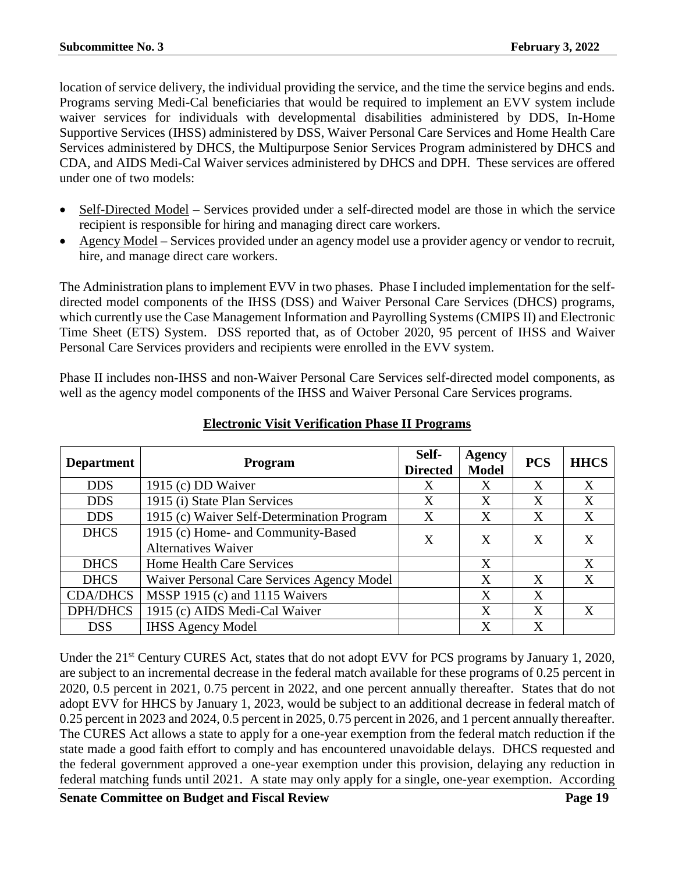location of service delivery, the individual providing the service, and the time the service begins and ends. Programs serving Medi-Cal beneficiaries that would be required to implement an EVV system include waiver services for individuals with developmental disabilities administered by DDS, In-Home Supportive Services (IHSS) administered by DSS, Waiver Personal Care Services and Home Health Care Services administered by DHCS, the Multipurpose Senior Services Program administered by DHCS and CDA, and AIDS Medi-Cal Waiver services administered by DHCS and DPH. These services are offered under one of two models:

- Self-Directed Model Services provided under a self-directed model are those in which the service recipient is responsible for hiring and managing direct care workers.
- Agency Model Services provided under an agency model use a provider agency or vendor to recruit, hire, and manage direct care workers.

The Administration plans to implement EVV in two phases. Phase I included implementation for the selfdirected model components of the IHSS (DSS) and Waiver Personal Care Services (DHCS) programs, which currently use the Case Management Information and Payrolling Systems (CMIPS II) and Electronic Time Sheet (ETS) System. DSS reported that, as of October 2020, 95 percent of IHSS and Waiver Personal Care Services providers and recipients were enrolled in the EVV system.

Phase II includes non-IHSS and non-Waiver Personal Care Services self-directed model components, as well as the agency model components of the IHSS and Waiver Personal Care Services programs.

| <b>Department</b>                                 | <b>Program</b>                                                        |   | Agency<br><b>Model</b> | <b>PCS</b>   | <b>HHCS</b> |
|---------------------------------------------------|-----------------------------------------------------------------------|---|------------------------|--------------|-------------|
| <b>DDS</b>                                        | 1915 (c) DD Waiver                                                    | Χ | Χ                      | Χ            | X           |
| <b>DDS</b>                                        | 1915 (i) State Plan Services                                          | X | X                      | X            | X           |
| <b>DDS</b>                                        | 1915 (c) Waiver Self-Determination Program                            | X | X                      | X            | X           |
| <b>DHCS</b>                                       | 1915 (c) Home- and Community-Based<br>X<br><b>Alternatives Waiver</b> |   | X                      | $\mathbf{X}$ | X           |
| <b>DHCS</b>                                       | Home Health Care Services                                             |   | X                      |              | X           |
| <b>DHCS</b>                                       | Waiver Personal Care Services Agency Model                            |   | X                      | X            | X           |
| MSSP 1915 (c) and 1115 Waivers<br><b>CDA/DHCS</b> |                                                                       |   | X                      | X            |             |
| <b>DPH/DHCS</b>                                   | 1915 (c) AIDS Medi-Cal Waiver                                         |   | X                      | X            | X           |
| <b>DSS</b>                                        | <b>IHSS Agency Model</b>                                              |   | X                      | X            |             |

#### **Electronic Visit Verification Phase II Programs**

Under the 21<sup>st</sup> Century CURES Act, states that do not adopt EVV for PCS programs by January 1, 2020, are subject to an incremental decrease in the federal match available for these programs of 0.25 percent in 2020, 0.5 percent in 2021, 0.75 percent in 2022, and one percent annually thereafter. States that do not adopt EVV for HHCS by January 1, 2023, would be subject to an additional decrease in federal match of 0.25 percent in 2023 and 2024, 0.5 percent in 2025, 0.75 percent in 2026, and 1 percent annually thereafter. The CURES Act allows a state to apply for a one-year exemption from the federal match reduction if the state made a good faith effort to comply and has encountered unavoidable delays. DHCS requested and the federal government approved a one-year exemption under this provision, delaying any reduction in federal matching funds until 2021. A state may only apply for a single, one-year exemption. According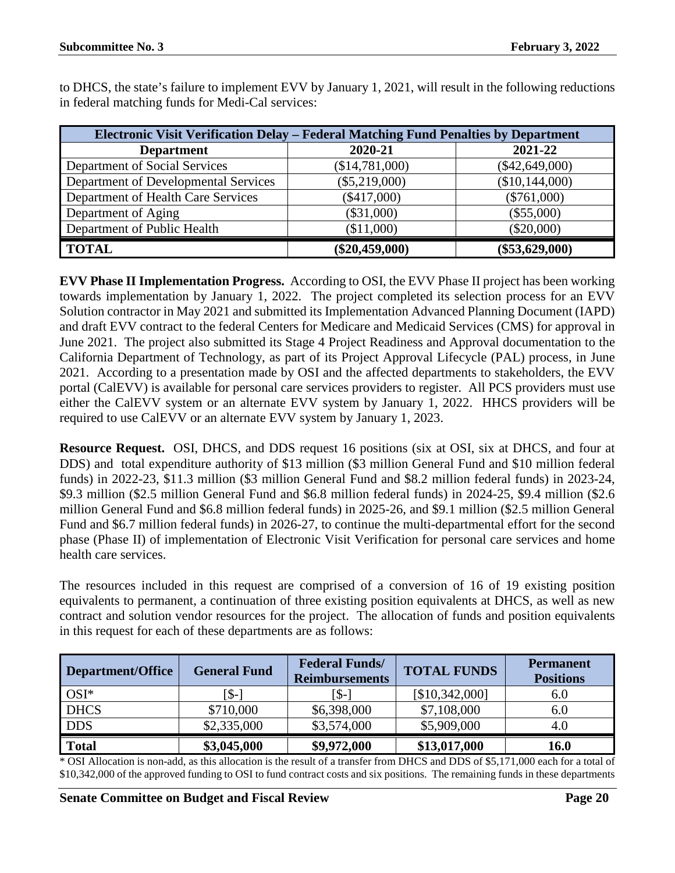to DHCS, the state's failure to implement EVV by January 1, 2021, will result in the following reductions in federal matching funds for Medi-Cal services:

| Electronic Visit Verification Delay – Federal Matching Fund Penalties by Department |                  |                  |  |  |
|-------------------------------------------------------------------------------------|------------------|------------------|--|--|
| <b>Department</b>                                                                   | 2020-21          | 2021-22          |  |  |
| Department of Social Services                                                       | (\$14,781,000)   | $(\$42,649,000)$ |  |  |
| Department of Developmental Services                                                | $(\$5,219,000)$  | (\$10,144,000)   |  |  |
| Department of Health Care Services                                                  | $(\$417,000)$    | $(\$761,000)$    |  |  |
| Department of Aging                                                                 | $(\$31,000)$     | $(\$55,000)$     |  |  |
| Department of Public Health                                                         | (\$11,000)       | $(\$20,000)$     |  |  |
| <b>TOTAL</b>                                                                        | $(\$20,459,000)$ | $(\$53,629,000)$ |  |  |

**EVV Phase II Implementation Progress.** According to OSI, the EVV Phase II project has been working towards implementation by January 1, 2022. The project completed its selection process for an EVV Solution contractor in May 2021 and submitted its Implementation Advanced Planning Document (IAPD) and draft EVV contract to the federal Centers for Medicare and Medicaid Services (CMS) for approval in June 2021. The project also submitted its Stage 4 Project Readiness and Approval documentation to the California Department of Technology, as part of its Project Approval Lifecycle (PAL) process, in June 2021. According to a presentation made by OSI and the affected departments to stakeholders, the EVV portal (CalEVV) is available for personal care services providers to register. All PCS providers must use either the CalEVV system or an alternate EVV system by January 1, 2022. HHCS providers will be required to use CalEVV or an alternate EVV system by January 1, 2023.

**Resource Request.** OSI, DHCS, and DDS request 16 positions (six at OSI, six at DHCS, and four at DDS) and total expenditure authority of \$13 million (\$3 million General Fund and \$10 million federal funds) in 2022-23, \$11.3 million (\$3 million General Fund and \$8.2 million federal funds) in 2023-24, \$9.3 million (\$2.5 million General Fund and \$6.8 million federal funds) in 2024-25, \$9.4 million (\$2.6 million General Fund and \$6.8 million federal funds) in 2025-26, and \$9.1 million (\$2.5 million General Fund and \$6.7 million federal funds) in 2026-27, to continue the multi-departmental effort for the second phase (Phase II) of implementation of Electronic Visit Verification for personal care services and home health care services.

The resources included in this request are comprised of a conversion of 16 of 19 existing position equivalents to permanent, a continuation of three existing position equivalents at DHCS, as well as new contract and solution vendor resources for the project. The allocation of funds and position equivalents in this request for each of these departments are as follows:

| Department/Office | <b>General Fund</b> | <b>Federal Funds/</b><br><b>Reimbursements</b> | <b>TOTAL FUNDS</b> | <b>Permanent</b><br><b>Positions</b> |
|-------------------|---------------------|------------------------------------------------|--------------------|--------------------------------------|
| $OSI^*$           | ™\$-                | [\$-]                                          | [\$10,342,000]     | 6.0                                  |
| <b>DHCS</b>       | \$710,000           | \$6,398,000                                    | \$7,108,000        | 6.0                                  |
| <b>DDS</b>        | \$2,335,000         | \$3,574,000                                    | \$5,909,000        | 4.0                                  |
| <b>Total</b>      | \$3,045,000         | \$9,972,000                                    | \$13,017,000       | 16.0                                 |

\* OSI Allocation is non-add, as this allocation is the result of a transfer from DHCS and DDS of \$5,171,000 each for a total of \$10,342,000 of the approved funding to OSI to fund contract costs and six positions. The remaining funds in these departments

#### **Senate Committee on Budget and Fiscal Review Page 20**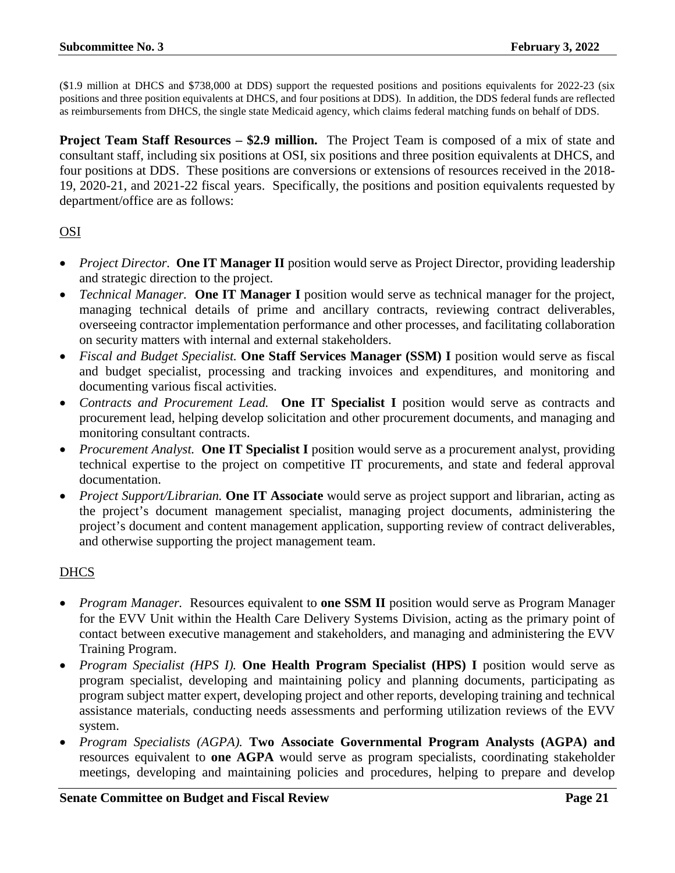(\$1.9 million at DHCS and \$738,000 at DDS) support the requested positions and positions equivalents for 2022-23 (six positions and three position equivalents at DHCS, and four positions at DDS). In addition, the DDS federal funds are reflected as reimbursements from DHCS, the single state Medicaid agency, which claims federal matching funds on behalf of DDS.

**Project Team Staff Resources – \$2.9 million.** The Project Team is composed of a mix of state and consultant staff, including six positions at OSI, six positions and three position equivalents at DHCS, and four positions at DDS. These positions are conversions or extensions of resources received in the 2018- 19, 2020-21, and 2021-22 fiscal years. Specifically, the positions and position equivalents requested by department/office are as follows:

### OSI

- *Project Director.* **One IT Manager II** position would serve as Project Director, providing leadership and strategic direction to the project.
- *Technical Manager.* **One IT Manager I** position would serve as technical manager for the project, managing technical details of prime and ancillary contracts, reviewing contract deliverables, overseeing contractor implementation performance and other processes, and facilitating collaboration on security matters with internal and external stakeholders.
- *Fiscal and Budget Specialist.* **One Staff Services Manager (SSM) I** position would serve as fiscal and budget specialist, processing and tracking invoices and expenditures, and monitoring and documenting various fiscal activities.
- *Contracts and Procurement Lead.* **One IT Specialist I** position would serve as contracts and procurement lead, helping develop solicitation and other procurement documents, and managing and monitoring consultant contracts.
- *Procurement Analyst.* **One IT Specialist I** position would serve as a procurement analyst, providing technical expertise to the project on competitive IT procurements, and state and federal approval documentation.
- *Project Support/Librarian.* **One IT Associate** would serve as project support and librarian, acting as the project's document management specialist, managing project documents, administering the project's document and content management application, supporting review of contract deliverables, and otherwise supporting the project management team.

#### DHCS

- *Program Manager.* Resources equivalent to **one SSM II** position would serve as Program Manager for the EVV Unit within the Health Care Delivery Systems Division, acting as the primary point of contact between executive management and stakeholders, and managing and administering the EVV Training Program.
- *Program Specialist (HPS I).* **One Health Program Specialist (HPS) I** position would serve as program specialist, developing and maintaining policy and planning documents, participating as program subject matter expert, developing project and other reports, developing training and technical assistance materials, conducting needs assessments and performing utilization reviews of the EVV system.
- *Program Specialists (AGPA).* **Two Associate Governmental Program Analysts (AGPA) and**  resources equivalent to **one AGPA** would serve as program specialists, coordinating stakeholder meetings, developing and maintaining policies and procedures, helping to prepare and develop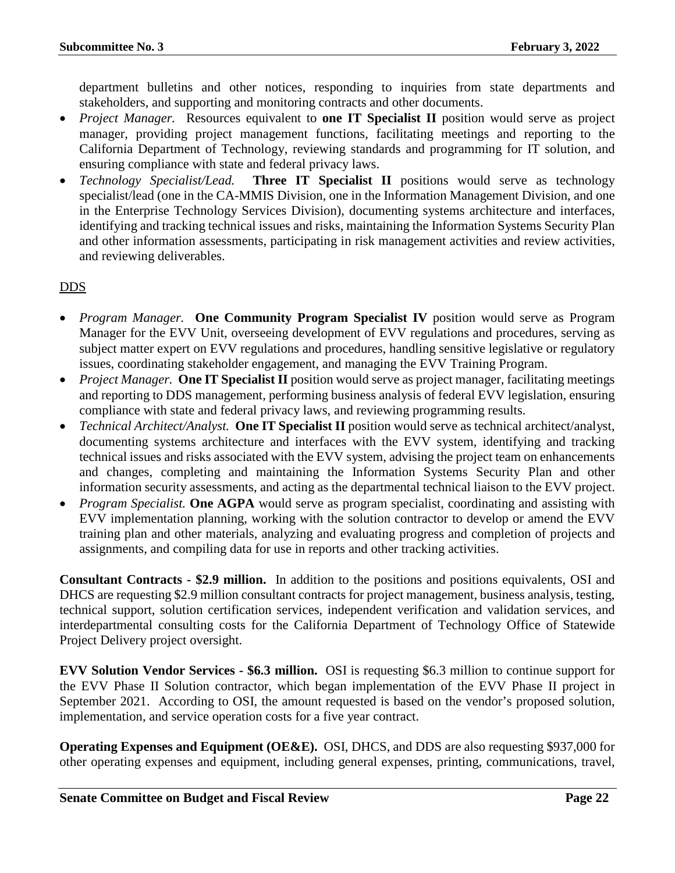department bulletins and other notices, responding to inquiries from state departments and stakeholders, and supporting and monitoring contracts and other documents.

- *Project Manager.* Resources equivalent to **one IT Specialist II** position would serve as project manager, providing project management functions, facilitating meetings and reporting to the California Department of Technology, reviewing standards and programming for IT solution, and ensuring compliance with state and federal privacy laws.
- *Technology Specialist/Lead.* **Three IT Specialist II** positions would serve as technology specialist/lead (one in the CA-MMIS Division, one in the Information Management Division, and one in the Enterprise Technology Services Division), documenting systems architecture and interfaces, identifying and tracking technical issues and risks, maintaining the Information Systems Security Plan and other information assessments, participating in risk management activities and review activities, and reviewing deliverables.

#### DDS

- *Program Manager.* **One Community Program Specialist IV** position would serve as Program Manager for the EVV Unit, overseeing development of EVV regulations and procedures, serving as subject matter expert on EVV regulations and procedures, handling sensitive legislative or regulatory issues, coordinating stakeholder engagement, and managing the EVV Training Program.
- *Project Manager.* **One IT Specialist II** position would serve as project manager, facilitating meetings and reporting to DDS management, performing business analysis of federal EVV legislation, ensuring compliance with state and federal privacy laws, and reviewing programming results.
- *Technical Architect/Analyst.* **One IT Specialist II** position would serve as technical architect/analyst, documenting systems architecture and interfaces with the EVV system, identifying and tracking technical issues and risks associated with the EVV system, advising the project team on enhancements and changes, completing and maintaining the Information Systems Security Plan and other information security assessments, and acting as the departmental technical liaison to the EVV project.
- *Program Specialist.* **One AGPA** would serve as program specialist, coordinating and assisting with EVV implementation planning, working with the solution contractor to develop or amend the EVV training plan and other materials, analyzing and evaluating progress and completion of projects and assignments, and compiling data for use in reports and other tracking activities.

**Consultant Contracts - \$2.9 million.** In addition to the positions and positions equivalents, OSI and DHCS are requesting \$2.9 million consultant contracts for project management, business analysis, testing, technical support, solution certification services, independent verification and validation services, and interdepartmental consulting costs for the California Department of Technology Office of Statewide Project Delivery project oversight.

**EVV Solution Vendor Services - \$6.3 million.** OSI is requesting \$6.3 million to continue support for the EVV Phase II Solution contractor, which began implementation of the EVV Phase II project in September 2021. According to OSI, the amount requested is based on the vendor's proposed solution, implementation, and service operation costs for a five year contract.

**Operating Expenses and Equipment (OE&E).** OSI, DHCS, and DDS are also requesting \$937,000 for other operating expenses and equipment, including general expenses, printing, communications, travel,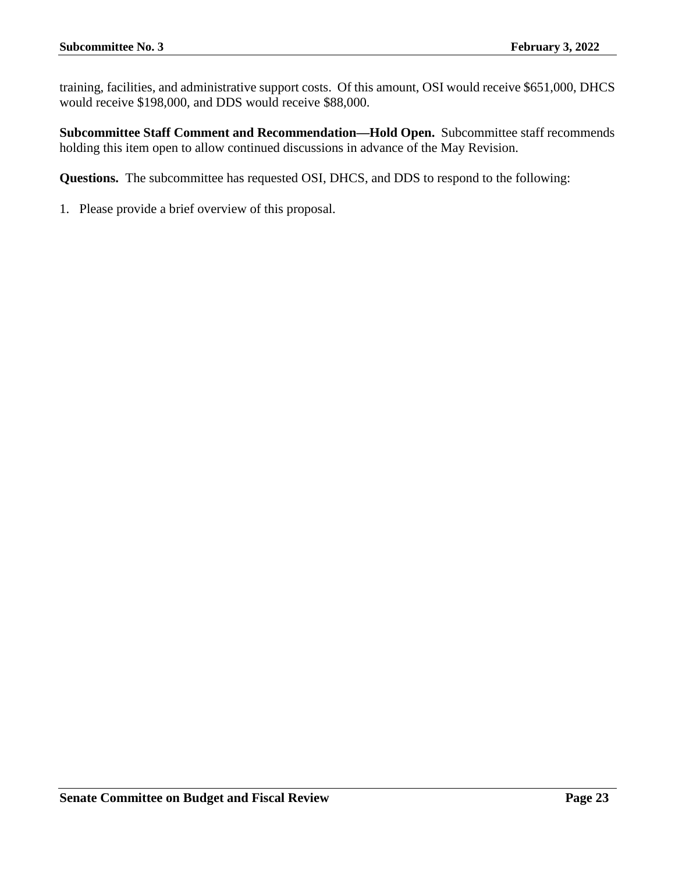training, facilities, and administrative support costs. Of this amount, OSI would receive \$651,000, DHCS would receive \$198,000, and DDS would receive \$88,000.

**Subcommittee Staff Comment and Recommendation—Hold Open.** Subcommittee staff recommends holding this item open to allow continued discussions in advance of the May Revision.

**Questions.** The subcommittee has requested OSI, DHCS, and DDS to respond to the following: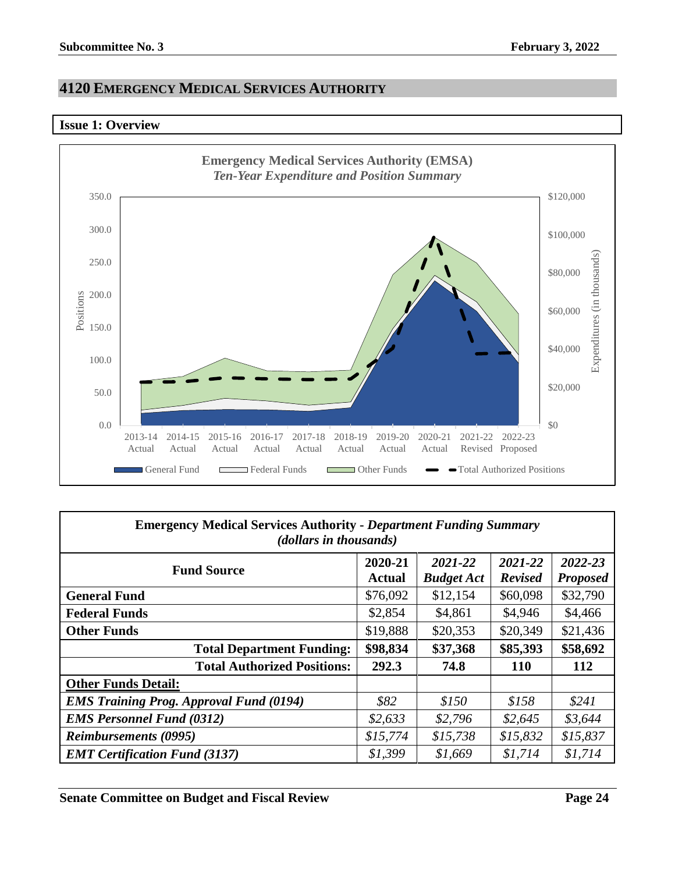## <span id="page-23-0"></span>**4120 EMERGENCY MEDICAL SERVICES AUTHORITY**

#### <span id="page-23-1"></span>**Issue 1: Overview**



| <b>Emergency Medical Services Authority - Department Funding Summary</b><br>(dollars in thousands) |                   |                              |                           |                            |  |  |
|----------------------------------------------------------------------------------------------------|-------------------|------------------------------|---------------------------|----------------------------|--|--|
| <b>Fund Source</b>                                                                                 | 2020-21<br>Actual | 2021-22<br><b>Budget Act</b> | 2021-22<br><b>Revised</b> | 2022-23<br><b>Proposed</b> |  |  |
| <b>General Fund</b>                                                                                | \$76,092          | \$12,154                     | \$60,098                  | \$32,790                   |  |  |
| <b>Federal Funds</b>                                                                               | \$2,854           | \$4,861                      | \$4,946                   | \$4,466                    |  |  |
| <b>Other Funds</b>                                                                                 | \$19,888          | \$20,353                     | \$20,349                  | \$21,436                   |  |  |
| <b>Total Department Funding:</b>                                                                   | \$98,834          | \$37,368                     | \$85,393                  | \$58,692                   |  |  |
| <b>Total Authorized Positions:</b>                                                                 | 292.3             | 74.8                         | <b>110</b>                | 112                        |  |  |
| <b>Other Funds Detail:</b>                                                                         |                   |                              |                           |                            |  |  |
| <b>EMS Training Prog. Approval Fund (0194)</b>                                                     | \$82              | \$150                        | \$158                     | \$241                      |  |  |
| <b>EMS Personnel Fund (0312)</b>                                                                   | \$2,633           | \$2,796                      | \$2,645                   | \$3,644                    |  |  |
| <b>Reimbursements (0995)</b>                                                                       | \$15,774          | \$15,738                     | \$15,832                  | \$15,837                   |  |  |
| <b>EMT Certification Fund (3137)</b>                                                               | \$1,399           | \$1,669                      | \$1,714                   | \$1,714                    |  |  |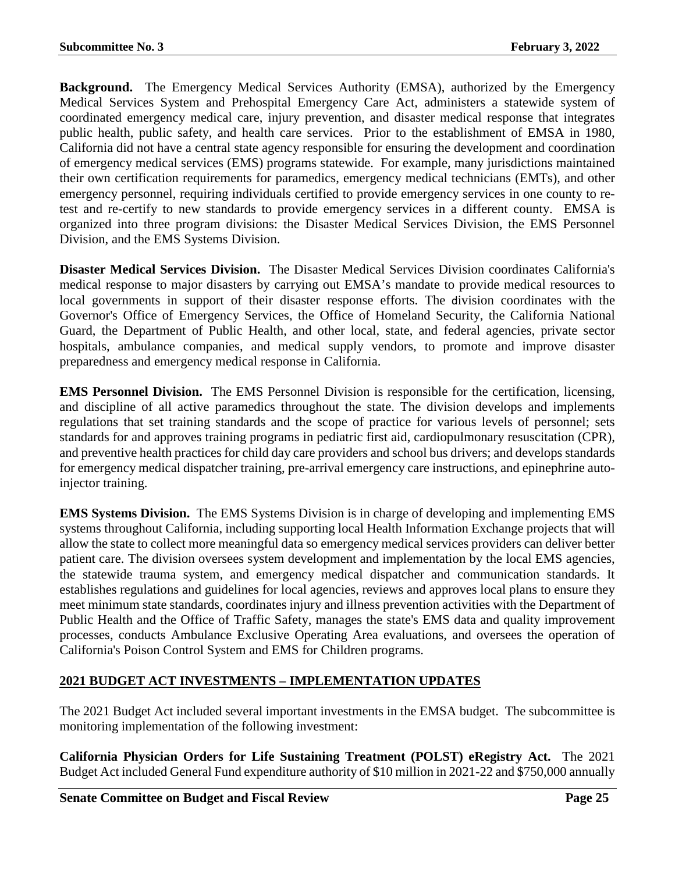**Background.** The Emergency Medical Services Authority (EMSA), authorized by the Emergency Medical Services System and Prehospital Emergency Care Act, administers a statewide system of coordinated emergency medical care, injury prevention, and disaster medical response that integrates public health, public safety, and health care services. Prior to the establishment of EMSA in 1980, California did not have a central state agency responsible for ensuring the development and coordination of emergency medical services (EMS) programs statewide. For example, many jurisdictions maintained their own certification requirements for paramedics, emergency medical technicians (EMTs), and other emergency personnel, requiring individuals certified to provide emergency services in one county to retest and re-certify to new standards to provide emergency services in a different county. EMSA is organized into three program divisions: the Disaster Medical Services Division, the EMS Personnel Division, and the EMS Systems Division.

**Disaster Medical Services Division.** The Disaster Medical Services Division coordinates California's medical response to major disasters by carrying out EMSA's mandate to provide medical resources to local governments in support of their disaster response efforts. The division coordinates with the Governor's Office of Emergency Services, the Office of Homeland Security, the California National Guard, the Department of Public Health, and other local, state, and federal agencies, private sector hospitals, ambulance companies, and medical supply vendors, to promote and improve disaster preparedness and emergency medical response in California.

**EMS Personnel Division.** The EMS Personnel Division is responsible for the certification, licensing, and discipline of all active paramedics throughout the state. The division develops and implements regulations that set training standards and the scope of practice for various levels of personnel; sets standards for and approves training programs in pediatric first aid, cardiopulmonary resuscitation (CPR), and preventive health practices for child day care providers and school bus drivers; and develops standards for emergency medical dispatcher training, pre-arrival emergency care instructions, and epinephrine autoinjector training.

**EMS Systems Division.** The EMS Systems Division is in charge of developing and implementing EMS systems throughout California, including supporting local Health Information Exchange projects that will allow the state to collect more meaningful data so emergency medical services providers can deliver better patient care. The division oversees system development and implementation by the local EMS agencies, the statewide trauma system, and emergency medical dispatcher and communication standards. It establishes regulations and guidelines for local agencies, reviews and approves local plans to ensure they meet minimum state standards, coordinates injury and illness prevention activities with the Department of Public Health and the Office of Traffic Safety, manages the state's EMS data and quality improvement processes, conducts Ambulance Exclusive Operating Area evaluations, and oversees the operation of California's Poison Control System and EMS for Children programs.

## **2021 BUDGET ACT INVESTMENTS – IMPLEMENTATION UPDATES**

The 2021 Budget Act included several important investments in the EMSA budget. The subcommittee is monitoring implementation of the following investment:

**California Physician Orders for Life Sustaining Treatment (POLST) eRegistry Act.** The 2021 Budget Act included General Fund expenditure authority of \$10 million in 2021-22 and \$750,000 annually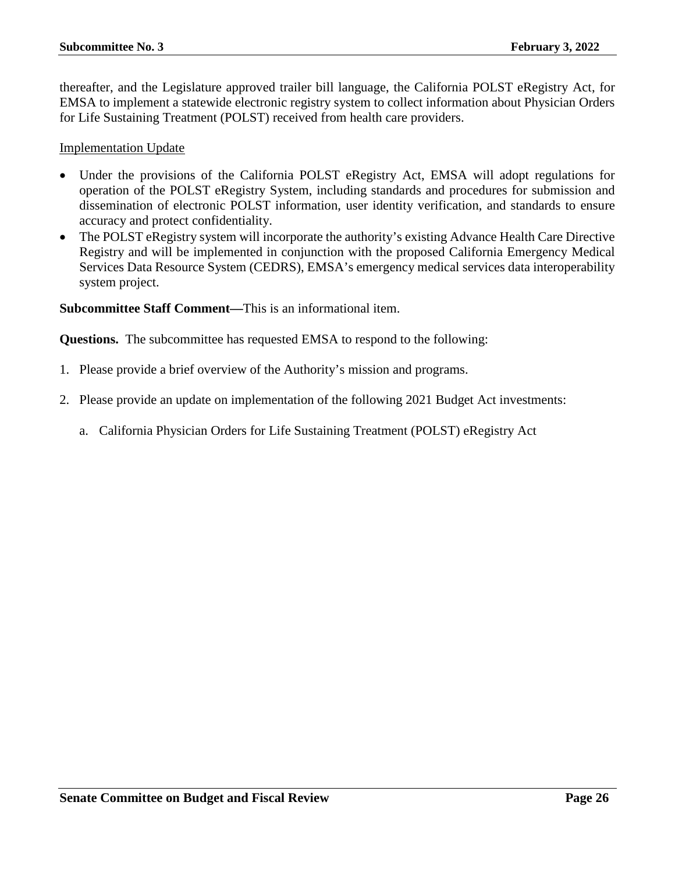thereafter, and the Legislature approved trailer bill language, the California POLST eRegistry Act, for EMSA to implement a statewide electronic registry system to collect information about Physician Orders for Life Sustaining Treatment (POLST) received from health care providers.

Implementation Update

- Under the provisions of the California POLST eRegistry Act, EMSA will adopt regulations for operation of the POLST eRegistry System, including standards and procedures for submission and dissemination of electronic POLST information, user identity verification, and standards to ensure accuracy and protect confidentiality.
- The POLST eRegistry system will incorporate the authority's existing Advance Health Care Directive Registry and will be implemented in conjunction with the proposed California Emergency Medical Services Data Resource System (CEDRS), EMSA's emergency medical services data interoperability system project.

**Subcommittee Staff Comment—**This is an informational item.

**Questions.** The subcommittee has requested EMSA to respond to the following:

- 1. Please provide a brief overview of the Authority's mission and programs.
- 2. Please provide an update on implementation of the following 2021 Budget Act investments:
	- a. California Physician Orders for Life Sustaining Treatment (POLST) eRegistry Act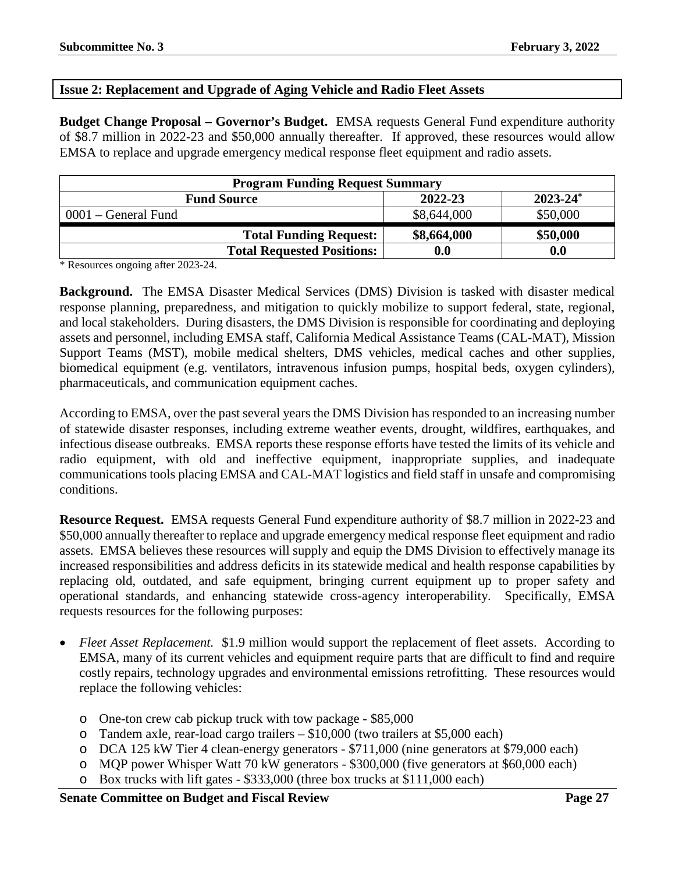#### <span id="page-26-0"></span>**Issue 2: Replacement and Upgrade of Aging Vehicle and Radio Fleet Assets**

**Budget Change Proposal – Governor's Budget.** EMSA requests General Fund expenditure authority of \$8.7 million in 2022-23 and \$50,000 annually thereafter. If approved, these resources would allow EMSA to replace and upgrade emergency medical response fleet equipment and radio assets.

| <b>Program Funding Request Summary</b> |                    |               |  |  |
|----------------------------------------|--------------------|---------------|--|--|
| <b>Fund Source</b>                     | 2022-23            | $2023 - 24^*$ |  |  |
| $0001$ – General Fund                  | \$8,644,000        | \$50,000      |  |  |
| <b>Total Funding Request:</b>          | \$8,664,000        | \$50,000      |  |  |
| <b>Total Requested Positions:</b>      | $\boldsymbol{0.0}$ | 0.0           |  |  |

\* Resources ongoing after 2023-24.

**Background.** The EMSA Disaster Medical Services (DMS) Division is tasked with disaster medical response planning, preparedness, and mitigation to quickly mobilize to support federal, state, regional, and local stakeholders. During disasters, the DMS Division is responsible for coordinating and deploying assets and personnel, including EMSA staff, California Medical Assistance Teams (CAL-MAT), Mission Support Teams (MST), mobile medical shelters, DMS vehicles, medical caches and other supplies, biomedical equipment (e.g. ventilators, intravenous infusion pumps, hospital beds, oxygen cylinders), pharmaceuticals, and communication equipment caches.

According to EMSA, over the past several years the DMS Division has responded to an increasing number of statewide disaster responses, including extreme weather events, drought, wildfires, earthquakes, and infectious disease outbreaks. EMSA reports these response efforts have tested the limits of its vehicle and radio equipment, with old and ineffective equipment, inappropriate supplies, and inadequate communications tools placing EMSA and CAL-MAT logistics and field staff in unsafe and compromising conditions.

**Resource Request.** EMSA requests General Fund expenditure authority of \$8.7 million in 2022-23 and \$50,000 annually thereafter to replace and upgrade emergency medical response fleet equipment and radio assets. EMSA believes these resources will supply and equip the DMS Division to effectively manage its increased responsibilities and address deficits in its statewide medical and health response capabilities by replacing old, outdated, and safe equipment, bringing current equipment up to proper safety and operational standards, and enhancing statewide cross-agency interoperability. Specifically, EMSA requests resources for the following purposes:

- *Fleet Asset Replacement.* \$1.9 million would support the replacement of fleet assets. According to EMSA, many of its current vehicles and equipment require parts that are difficult to find and require costly repairs, technology upgrades and environmental emissions retrofitting. These resources would replace the following vehicles:
	- o One-ton crew cab pickup truck with tow package \$85,000
	- o Tandem axle, rear-load cargo trailers \$10,000 (two trailers at \$5,000 each)
	- o DCA 125 kW Tier 4 clean-energy generators \$711,000 (nine generators at \$79,000 each)
	- o MQP power Whisper Watt 70 kW generators \$300,000 (five generators at \$60,000 each)
	- o Box trucks with lift gates \$333,000 (three box trucks at \$111,000 each)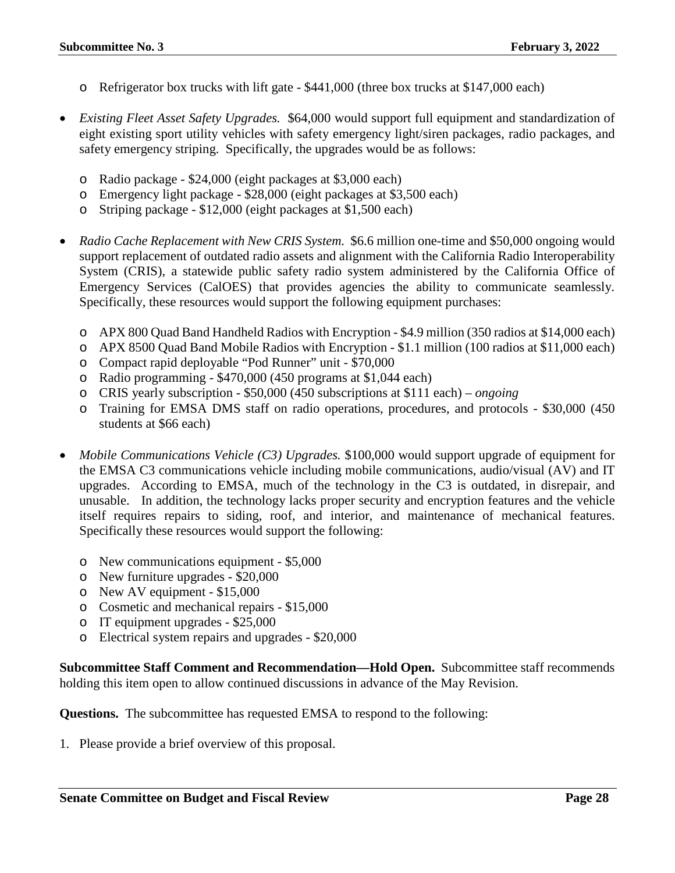- o Refrigerator box trucks with lift gate \$441,000 (three box trucks at \$147,000 each)
- *Existing Fleet Asset Safety Upgrades.* \$64,000 would support full equipment and standardization of eight existing sport utility vehicles with safety emergency light/siren packages, radio packages, and safety emergency striping. Specifically, the upgrades would be as follows:
	- o Radio package \$24,000 (eight packages at \$3,000 each)
	- o Emergency light package \$28,000 (eight packages at \$3,500 each)
	- o Striping package \$12,000 (eight packages at \$1,500 each)
- *Radio Cache Replacement with New CRIS System.* \$6.6 million one-time and \$50,000 ongoing would support replacement of outdated radio assets and alignment with the California Radio Interoperability System (CRIS), a statewide public safety radio system administered by the California Office of Emergency Services (CalOES) that provides agencies the ability to communicate seamlessly. Specifically, these resources would support the following equipment purchases:
	- o APX 800 Quad Band Handheld Radios with Encryption \$4.9 million (350 radios at \$14,000 each)
	- o APX 8500 Quad Band Mobile Radios with Encryption \$1.1 million (100 radios at \$11,000 each)
	- o Compact rapid deployable "Pod Runner" unit \$70,000
	- o Radio programming \$470,000 (450 programs at \$1,044 each)
	- o CRIS yearly subscription \$50,000 (450 subscriptions at \$111 each) *ongoing*
	- o Training for EMSA DMS staff on radio operations, procedures, and protocols \$30,000 (450 students at \$66 each)
- *Mobile Communications Vehicle (C3) Upgrades.* \$100,000 would support upgrade of equipment for the EMSA C3 communications vehicle including mobile communications, audio/visual (AV) and IT upgrades. According to EMSA, much of the technology in the C3 is outdated, in disrepair, and unusable. In addition, the technology lacks proper security and encryption features and the vehicle itself requires repairs to siding, roof, and interior, and maintenance of mechanical features. Specifically these resources would support the following:
	- o New communications equipment \$5,000
	- o New furniture upgrades \$20,000
	- o New AV equipment \$15,000
	- o Cosmetic and mechanical repairs \$15,000
	- o IT equipment upgrades \$25,000
	- o Electrical system repairs and upgrades \$20,000

**Subcommittee Staff Comment and Recommendation—Hold Open.** Subcommittee staff recommends holding this item open to allow continued discussions in advance of the May Revision.

**Questions.** The subcommittee has requested EMSA to respond to the following: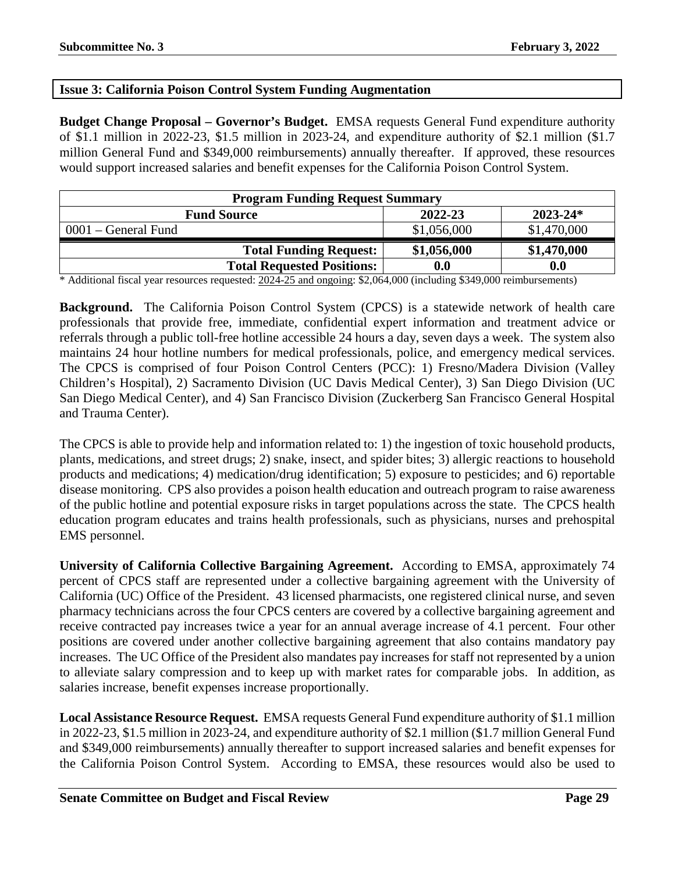#### <span id="page-28-0"></span>**Issue 3: California Poison Control System Funding Augmentation**

**Budget Change Proposal – Governor's Budget.** EMSA requests General Fund expenditure authority of \$1.1 million in 2022-23, \$1.5 million in 2023-24, and expenditure authority of \$2.1 million (\$1.7 million General Fund and \$349,000 reimbursements) annually thereafter. If approved, these resources would support increased salaries and benefit expenses for the California Poison Control System.

| <b>Program Funding Request Summary</b> |                    |              |  |  |  |
|----------------------------------------|--------------------|--------------|--|--|--|
| <b>Fund Source</b>                     | 2022-23            | $2023 - 24*$ |  |  |  |
| 0001 – General Fund                    | \$1,056,000        | \$1,470,000  |  |  |  |
| <b>Total Funding Request:</b>          | \$1,056,000        | \$1,470,000  |  |  |  |
| <b>Total Requested Positions:</b>      | $\boldsymbol{0.0}$ | 0.0          |  |  |  |

\* Additional fiscal year resources requested: 2024-25 and ongoing: \$2,064,000 (including \$349,000 reimbursements)

**Background.** The California Poison Control System (CPCS) is a statewide network of health care professionals that provide free, immediate, confidential expert information and treatment advice or referrals through a public toll-free hotline accessible 24 hours a day, seven days a week. The system also maintains 24 hour hotline numbers for medical professionals, police, and emergency medical services. The CPCS is comprised of four Poison Control Centers (PCC): 1) Fresno/Madera Division (Valley Children's Hospital), 2) Sacramento Division (UC Davis Medical Center), 3) San Diego Division (UC San Diego Medical Center), and 4) San Francisco Division (Zuckerberg San Francisco General Hospital and Trauma Center).

The CPCS is able to provide help and information related to: 1) the ingestion of toxic household products, plants, medications, and street drugs; 2) snake, insect, and spider bites; 3) allergic reactions to household products and medications; 4) medication/drug identification; 5) exposure to pesticides; and 6) reportable disease monitoring. CPS also provides a poison health education and outreach program to raise awareness of the public hotline and potential exposure risks in target populations across the state. The CPCS health education program educates and trains health professionals, such as physicians, nurses and prehospital EMS personnel.

**University of California Collective Bargaining Agreement.** According to EMSA, approximately 74 percent of CPCS staff are represented under a collective bargaining agreement with the University of California (UC) Office of the President. 43 licensed pharmacists, one registered clinical nurse, and seven pharmacy technicians across the four CPCS centers are covered by a collective bargaining agreement and receive contracted pay increases twice a year for an annual average increase of 4.1 percent. Four other positions are covered under another collective bargaining agreement that also contains mandatory pay increases. The UC Office of the President also mandates pay increases for staff not represented by a union to alleviate salary compression and to keep up with market rates for comparable jobs. In addition, as salaries increase, benefit expenses increase proportionally.

**Local Assistance Resource Request.** EMSA requests General Fund expenditure authority of \$1.1 million in 2022-23, \$1.5 million in 2023-24, and expenditure authority of \$2.1 million (\$1.7 million General Fund and \$349,000 reimbursements) annually thereafter to support increased salaries and benefit expenses for the California Poison Control System. According to EMSA, these resources would also be used to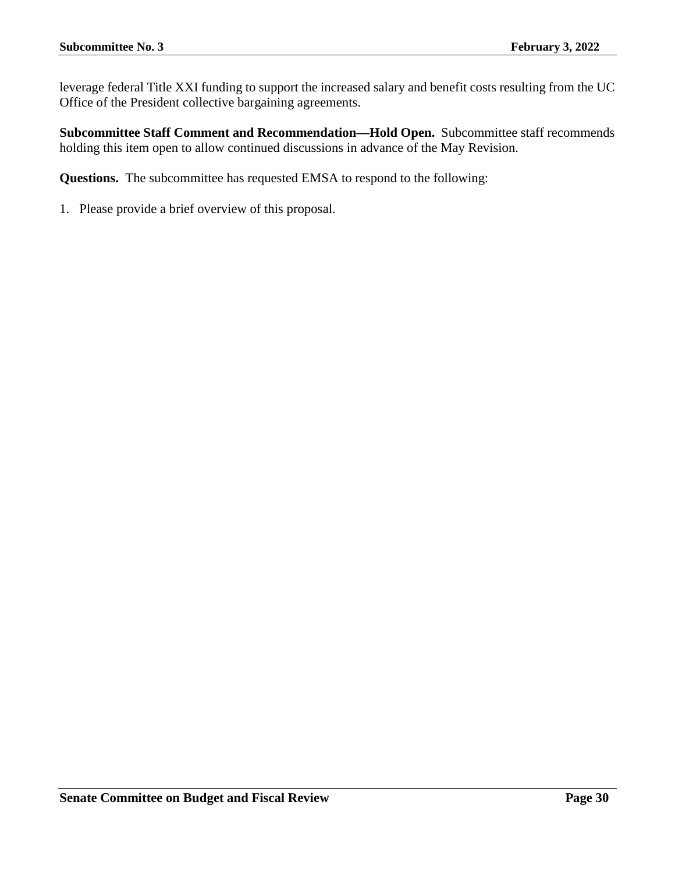leverage federal Title XXI funding to support the increased salary and benefit costs resulting from the UC Office of the President collective bargaining agreements.

**Subcommittee Staff Comment and Recommendation—Hold Open.** Subcommittee staff recommends holding this item open to allow continued discussions in advance of the May Revision.

**Questions.** The subcommittee has requested EMSA to respond to the following: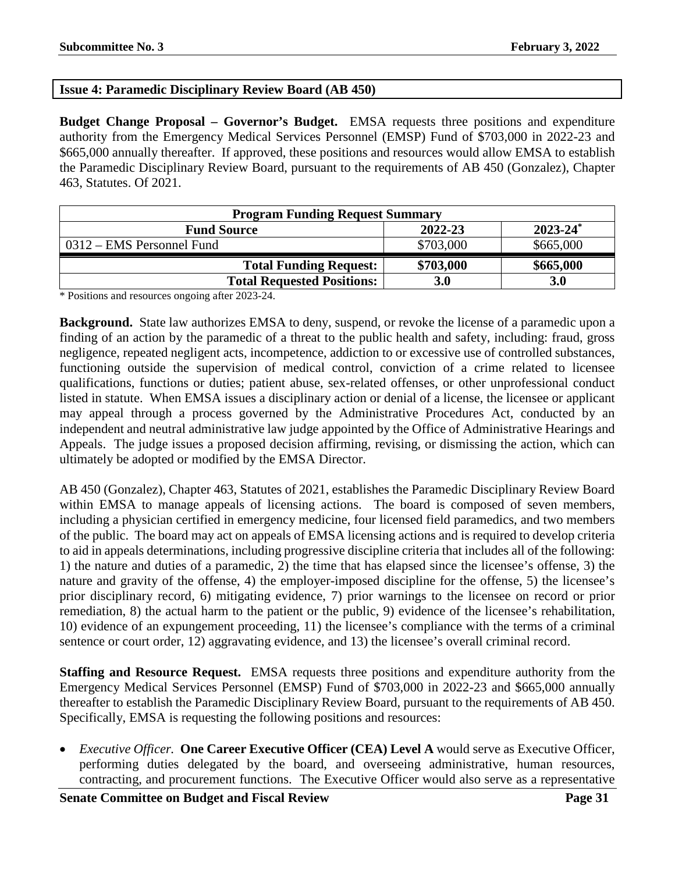#### <span id="page-30-0"></span>**Issue 4: Paramedic Disciplinary Review Board (AB 450)**

**Budget Change Proposal – Governor's Budget.** EMSA requests three positions and expenditure authority from the Emergency Medical Services Personnel (EMSP) Fund of \$703,000 in 2022-23 and \$665,000 annually thereafter. If approved, these positions and resources would allow EMSA to establish the Paramedic Disciplinary Review Board, pursuant to the requirements of AB 450 (Gonzalez), Chapter 463, Statutes. Of 2021.

| <b>Program Funding Request Summary</b> |           |               |  |  |  |
|----------------------------------------|-----------|---------------|--|--|--|
| <b>Fund Source</b>                     | 2022-23   | $2023 - 24^*$ |  |  |  |
| 0312 – EMS Personnel Fund              | \$703,000 | \$665,000     |  |  |  |
| <b>Total Funding Request:</b>          | \$703,000 | \$665,000     |  |  |  |
| <b>Total Requested Positions:</b>      | 3.0       | <b>3.0</b>    |  |  |  |

\* Positions and resources ongoing after 2023-24.

**Background.** State law authorizes EMSA to deny, suspend, or revoke the license of a paramedic upon a finding of an action by the paramedic of a threat to the public health and safety, including: fraud, gross negligence, repeated negligent acts, incompetence, addiction to or excessive use of controlled substances, functioning outside the supervision of medical control, conviction of a crime related to licensee qualifications, functions or duties; patient abuse, sex-related offenses, or other unprofessional conduct listed in statute. When EMSA issues a disciplinary action or denial of a license, the licensee or applicant may appeal through a process governed by the Administrative Procedures Act, conducted by an independent and neutral administrative law judge appointed by the Office of Administrative Hearings and Appeals. The judge issues a proposed decision affirming, revising, or dismissing the action, which can ultimately be adopted or modified by the EMSA Director.

AB 450 (Gonzalez), Chapter 463, Statutes of 2021, establishes the Paramedic Disciplinary Review Board within EMSA to manage appeals of licensing actions. The board is composed of seven members, including a physician certified in emergency medicine, four licensed field paramedics, and two members of the public. The board may act on appeals of EMSA licensing actions and is required to develop criteria to aid in appeals determinations, including progressive discipline criteria that includes all of the following: 1) the nature and duties of a paramedic, 2) the time that has elapsed since the licensee's offense, 3) the nature and gravity of the offense, 4) the employer-imposed discipline for the offense, 5) the licensee's prior disciplinary record, 6) mitigating evidence, 7) prior warnings to the licensee on record or prior remediation, 8) the actual harm to the patient or the public, 9) evidence of the licensee's rehabilitation, 10) evidence of an expungement proceeding, 11) the licensee's compliance with the terms of a criminal sentence or court order, 12) aggravating evidence, and 13) the licensee's overall criminal record.

**Staffing and Resource Request.** EMSA requests three positions and expenditure authority from the Emergency Medical Services Personnel (EMSP) Fund of \$703,000 in 2022-23 and \$665,000 annually thereafter to establish the Paramedic Disciplinary Review Board, pursuant to the requirements of AB 450. Specifically, EMSA is requesting the following positions and resources:

• *Executive Officer.* **One Career Executive Officer (CEA) Level A** would serve as Executive Officer, performing duties delegated by the board, and overseeing administrative, human resources, contracting, and procurement functions. The Executive Officer would also serve as a representative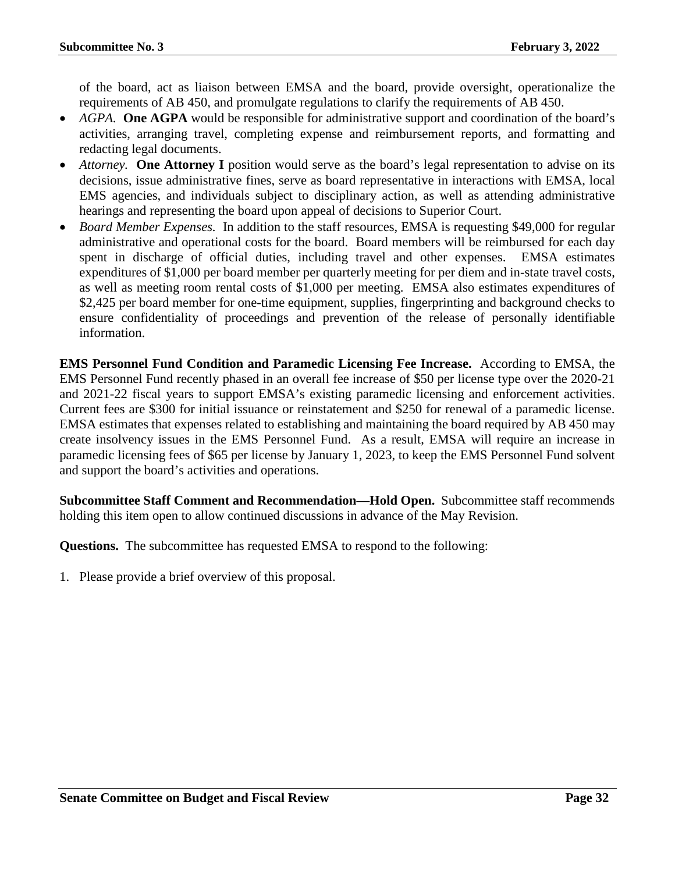of the board, act as liaison between EMSA and the board, provide oversight, operationalize the requirements of AB 450, and promulgate regulations to clarify the requirements of AB 450.

- *AGPA*. **One AGPA** would be responsible for administrative support and coordination of the board's activities, arranging travel, completing expense and reimbursement reports, and formatting and redacting legal documents.
- *Attorney.* **One Attorney I** position would serve as the board's legal representation to advise on its decisions, issue administrative fines, serve as board representative in interactions with EMSA, local EMS agencies, and individuals subject to disciplinary action, as well as attending administrative hearings and representing the board upon appeal of decisions to Superior Court.
- *Board Member Expenses.* In addition to the staff resources, EMSA is requesting \$49,000 for regular administrative and operational costs for the board. Board members will be reimbursed for each day spent in discharge of official duties, including travel and other expenses. EMSA estimates expenditures of \$1,000 per board member per quarterly meeting for per diem and in-state travel costs, as well as meeting room rental costs of \$1,000 per meeting. EMSA also estimates expenditures of \$2,425 per board member for one-time equipment, supplies, fingerprinting and background checks to ensure confidentiality of proceedings and prevention of the release of personally identifiable information.

**EMS Personnel Fund Condition and Paramedic Licensing Fee Increase.** According to EMSA, the EMS Personnel Fund recently phased in an overall fee increase of \$50 per license type over the 2020-21 and 2021-22 fiscal years to support EMSA's existing paramedic licensing and enforcement activities. Current fees are \$300 for initial issuance or reinstatement and \$250 for renewal of a paramedic license. EMSA estimates that expenses related to establishing and maintaining the board required by AB 450 may create insolvency issues in the EMS Personnel Fund. As a result, EMSA will require an increase in paramedic licensing fees of \$65 per license by January 1, 2023, to keep the EMS Personnel Fund solvent and support the board's activities and operations.

**Subcommittee Staff Comment and Recommendation—Hold Open.** Subcommittee staff recommends holding this item open to allow continued discussions in advance of the May Revision.

**Questions.** The subcommittee has requested EMSA to respond to the following: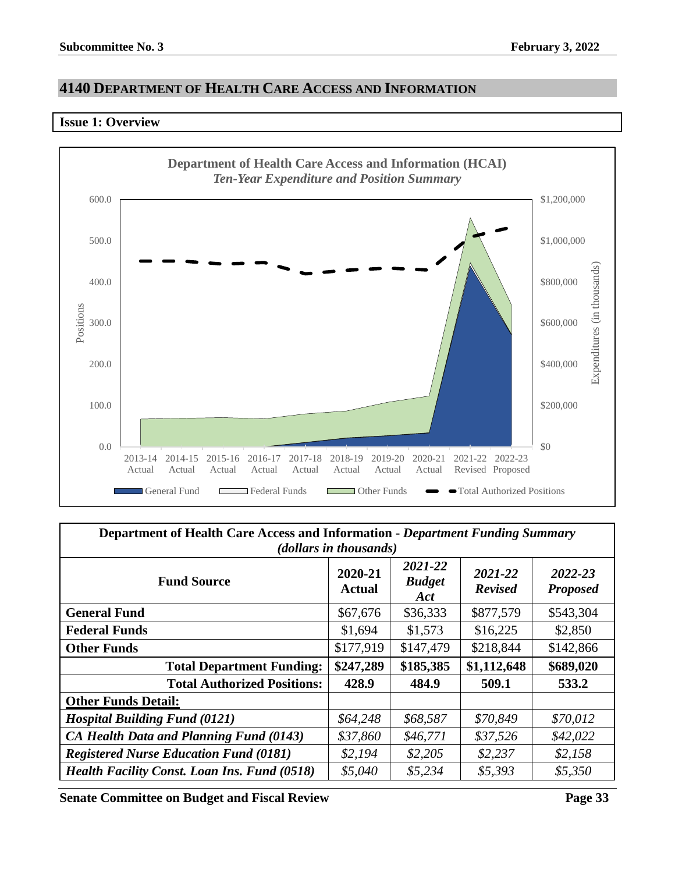## <span id="page-32-0"></span>**4140 DEPARTMENT OF HEALTH CARE ACCESS AND INFORMATION**

#### <span id="page-32-1"></span>**Issue 1: Overview**



| <b>Department of Health Care Access and Information - Department Funding Summary</b><br>( <i>dollars in thousands</i> ) |                   |                                 |                           |                            |  |  |  |
|-------------------------------------------------------------------------------------------------------------------------|-------------------|---------------------------------|---------------------------|----------------------------|--|--|--|
| <b>Fund Source</b>                                                                                                      | 2020-21<br>Actual | 2021-22<br><b>Budget</b><br>Act | 2021-22<br><b>Revised</b> | 2022-23<br><b>Proposed</b> |  |  |  |
| <b>General Fund</b>                                                                                                     | \$67,676          | \$36,333                        | \$877,579                 | \$543,304                  |  |  |  |
| <b>Federal Funds</b>                                                                                                    | \$1,694           | \$1,573                         | \$16,225                  | \$2,850                    |  |  |  |
| <b>Other Funds</b>                                                                                                      | \$177,919         | \$147,479                       | \$218,844                 | \$142,866                  |  |  |  |
| <b>Total Department Funding:</b>                                                                                        | \$247,289         | \$185,385                       | \$1,112,648               | \$689,020                  |  |  |  |
| <b>Total Authorized Positions:</b>                                                                                      | 428.9             | 484.9                           | 509.1                     | 533.2                      |  |  |  |
| <b>Other Funds Detail:</b>                                                                                              |                   |                                 |                           |                            |  |  |  |
| <b>Hospital Building Fund (0121)</b>                                                                                    | \$64,248          | \$68,587                        | \$70,849                  | \$70,012                   |  |  |  |
| CA Health Data and Planning Fund (0143)                                                                                 | \$37,860          | \$46,771                        | \$37,526                  | \$42,022                   |  |  |  |
| <b>Registered Nurse Education Fund (0181)</b>                                                                           | \$2,194           | \$2,205                         | \$2,237                   | \$2,158                    |  |  |  |
| <b>Health Facility Const. Loan Ins. Fund (0518)</b>                                                                     | \$5,040           | \$5,234                         | \$5,393                   | \$5,350                    |  |  |  |

**Senate Committee on Budget and Fiscal Review Page 33**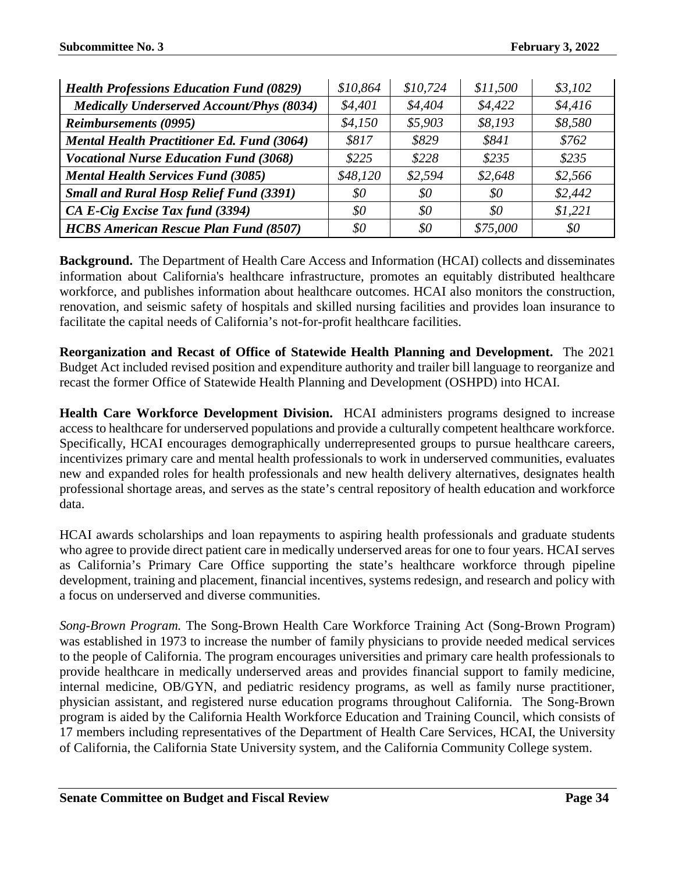| <b>Health Professions Education Fund (0829)</b>   | \$10,864 | \$10,724 | \$11,500 | \$3,102 |
|---------------------------------------------------|----------|----------|----------|---------|
| <b>Medically Underserved Account/Phys (8034)</b>  | \$4,401  | \$4,404  | \$4,422  | \$4,416 |
| <b>Reimbursements (0995)</b>                      | \$4,150  | \$5,903  | \$8,193  | \$8,580 |
| <b>Mental Health Practitioner Ed. Fund (3064)</b> | \$817    | \$829    | \$841    | \$762   |
| <b>Vocational Nurse Education Fund (3068)</b>     | \$225    | \$228    | \$235    | \$235   |
| <b>Mental Health Services Fund (3085)</b>         | \$48,120 | \$2,594  | \$2,648  | \$2,566 |
| <b>Small and Rural Hosp Relief Fund (3391)</b>    | \$0      | \$0      | \$0      | \$2,442 |
| CA E-Cig Excise Tax fund (3394)                   | 80       | \$0      | \$0      | \$1,221 |
| <b>HCBS American Rescue Plan Fund (8507)</b>      | 80       | $\$0$    | \$75,000 | \$0     |

**Background.** The Department of Health Care Access and Information (HCAI) collects and disseminates information about California's healthcare infrastructure, promotes an equitably distributed healthcare workforce, and publishes information about healthcare outcomes. HCAI also monitors the construction, renovation, and seismic safety of hospitals and skilled nursing facilities and provides loan insurance to facilitate the capital needs of California's not-for-profit healthcare facilities.

**Reorganization and Recast of Office of Statewide Health Planning and Development.** The 2021 Budget Act included revised position and expenditure authority and trailer bill language to reorganize and recast the former Office of Statewide Health Planning and Development (OSHPD) into HCAI.

**Health Care Workforce Development Division.** HCAI administers programs designed to increase access to healthcare for underserved populations and provide a culturally competent healthcare workforce. Specifically, HCAI encourages demographically underrepresented groups to pursue healthcare careers, incentivizes primary care and mental health professionals to work in underserved communities, evaluates new and expanded roles for health professionals and new health delivery alternatives, designates health professional shortage areas, and serves as the state's central repository of health education and workforce data.

HCAI awards scholarships and loan repayments to aspiring health professionals and graduate students who agree to provide direct patient care in medically underserved areas for one to four years. HCAI serves as California's Primary Care Office supporting the state's healthcare workforce through pipeline development, training and placement, financial incentives, systems redesign, and research and policy with a focus on underserved and diverse communities.

*Song-Brown Program.* The Song-Brown Health Care Workforce Training Act (Song-Brown Program) was established in 1973 to increase the number of family physicians to provide needed medical services to the people of California. The program encourages universities and primary care health professionals to provide healthcare in medically underserved areas and provides financial support to family medicine, internal medicine, OB/GYN, and pediatric residency programs, as well as family nurse practitioner, physician assistant, and registered nurse education programs throughout California. The Song-Brown program is aided by the California Health Workforce Education and Training Council, which consists of 17 members including representatives of the Department of Health Care Services, HCAI, the University of California, the California State University system, and the California Community College system.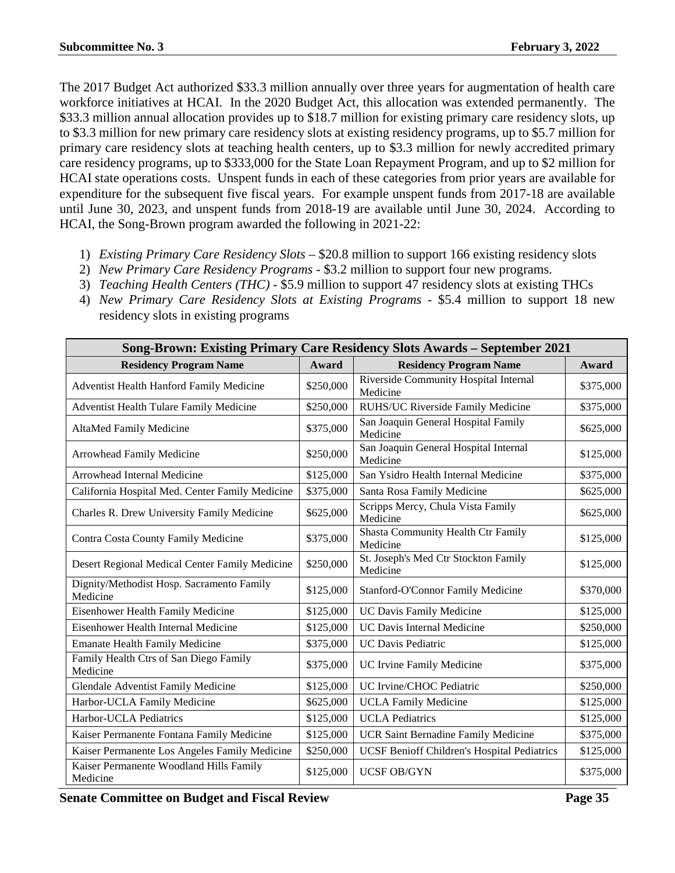The 2017 Budget Act authorized \$33.3 million annually over three years for augmentation of health care workforce initiatives at HCAI. In the 2020 Budget Act, this allocation was extended permanently. The \$33.3 million annual allocation provides up to \$18.7 million for existing primary care residency slots, up to \$3.3 million for new primary care residency slots at existing residency programs, up to \$5.7 million for primary care residency slots at teaching health centers, up to \$3.3 million for newly accredited primary care residency programs, up to \$333,000 for the State Loan Repayment Program, and up to \$2 million for HCAI state operations costs. Unspent funds in each of these categories from prior years are available for expenditure for the subsequent five fiscal years. For example unspent funds from 2017-18 are available until June 30, 2023, and unspent funds from 2018-19 are available until June 30, 2024. According to HCAI, the Song-Brown program awarded the following in 2021-22:

- 1) *Existing Primary Care Residency Slots* \$20.8 million to support 166 existing residency slots
- 2) *New Primary Care Residency Programs* \$3.2 million to support four new programs.
- 3) *Teaching Health Centers (THC)* \$5.9 million to support 47 residency slots at existing THCs
- 4) *New Primary Care Residency Slots at Existing Programs* \$5.4 million to support 18 new residency slots in existing programs

| Song-Brown: Existing Primary Care Residency Slots Awards - September 2021 |           |                                                    |           |  |
|---------------------------------------------------------------------------|-----------|----------------------------------------------------|-----------|--|
| <b>Residency Program Name</b>                                             | Award     | <b>Residency Program Name</b>                      | Award     |  |
| Adventist Health Hanford Family Medicine                                  | \$250,000 | Riverside Community Hospital Internal<br>Medicine  | \$375,000 |  |
| Adventist Health Tulare Family Medicine                                   | \$250,000 | RUHS/UC Riverside Family Medicine                  | \$375,000 |  |
| AltaMed Family Medicine                                                   | \$375,000 | San Joaquin General Hospital Family<br>Medicine    | \$625,000 |  |
| Arrowhead Family Medicine                                                 | \$250,000 | San Joaquin General Hospital Internal<br>Medicine  | \$125,000 |  |
| Arrowhead Internal Medicine                                               | \$125,000 | San Ysidro Health Internal Medicine                | \$375,000 |  |
| California Hospital Med. Center Family Medicine                           | \$375,000 | Santa Rosa Family Medicine                         | \$625,000 |  |
| Charles R. Drew University Family Medicine                                | \$625,000 | Scripps Mercy, Chula Vista Family<br>Medicine      | \$625,000 |  |
| Contra Costa County Family Medicine                                       | \$375,000 | Shasta Community Health Ctr Family<br>Medicine     | \$125,000 |  |
| Desert Regional Medical Center Family Medicine                            | \$250,000 | St. Joseph's Med Ctr Stockton Family<br>Medicine   | \$125,000 |  |
| Dignity/Methodist Hosp. Sacramento Family<br>Medicine                     | \$125,000 | Stanford-O'Connor Family Medicine                  | \$370,000 |  |
| Eisenhower Health Family Medicine                                         | \$125,000 | <b>UC Davis Family Medicine</b>                    | \$125,000 |  |
| Eisenhower Health Internal Medicine                                       | \$125,000 | <b>UC Davis Internal Medicine</b>                  | \$250,000 |  |
| <b>Emanate Health Family Medicine</b>                                     | \$375,000 | <b>UC Davis Pediatric</b>                          | \$125,000 |  |
| Family Health Ctrs of San Diego Family<br>Medicine                        | \$375,000 | UC Irvine Family Medicine                          | \$375,000 |  |
| Glendale Adventist Family Medicine                                        | \$125,000 | UC Irvine/CHOC Pediatric                           | \$250,000 |  |
| Harbor-UCLA Family Medicine                                               | \$625,000 | <b>UCLA Family Medicine</b>                        | \$125,000 |  |
| Harbor-UCLA Pediatrics                                                    | \$125,000 | <b>UCLA Pediatrics</b>                             | \$125,000 |  |
| Kaiser Permanente Fontana Family Medicine                                 | \$125,000 | <b>UCR Saint Bernadine Family Medicine</b>         | \$375,000 |  |
| Kaiser Permanente Los Angeles Family Medicine                             | \$250,000 | <b>UCSF Benioff Children's Hospital Pediatrics</b> | \$125,000 |  |
| Kaiser Permanente Woodland Hills Family<br>Medicine                       | \$125,000 | <b>UCSF OB/GYN</b>                                 | \$375,000 |  |

**Senate Committee on Budget and Fiscal Review Page 35**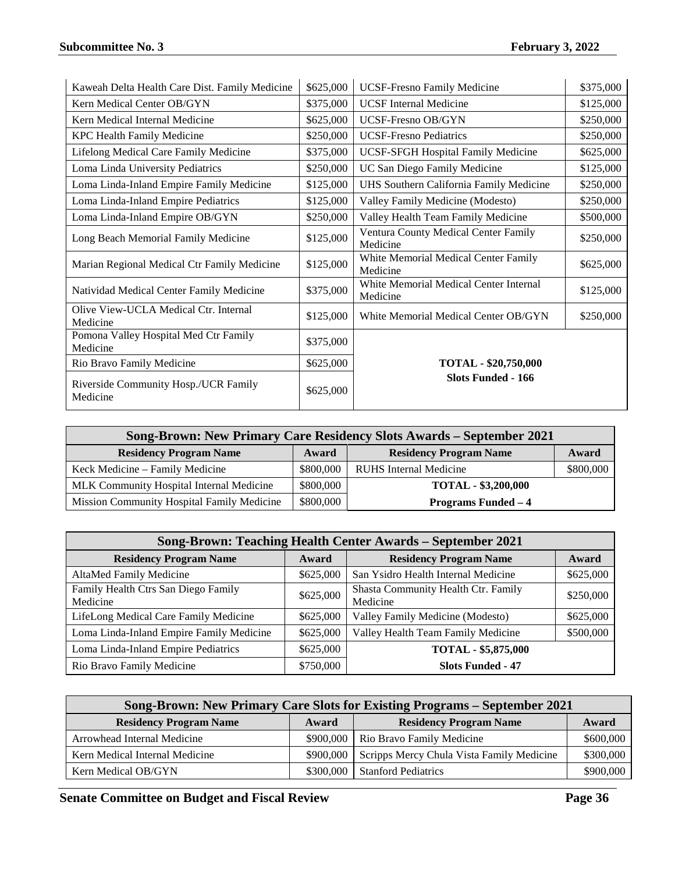| Kaweah Delta Health Care Dist. Family Medicine    | \$625,000 | <b>UCSF-Fresno Family Medicine</b>                 | \$375,000 |
|---------------------------------------------------|-----------|----------------------------------------------------|-----------|
| Kern Medical Center OB/GYN                        | \$375,000 | <b>UCSF</b> Internal Medicine                      | \$125,000 |
| Kern Medical Internal Medicine                    | \$625,000 | <b>UCSF-Fresno OB/GYN</b>                          | \$250,000 |
| <b>KPC Health Family Medicine</b>                 | \$250,000 | <b>UCSF-Fresno Pediatrics</b>                      | \$250,000 |
| Lifelong Medical Care Family Medicine             | \$375,000 | UCSF-SFGH Hospital Family Medicine                 | \$625,000 |
| Loma Linda University Pediatrics                  | \$250,000 | UC San Diego Family Medicine                       | \$125,000 |
| Loma Linda-Inland Empire Family Medicine          | \$125,000 | UHS Southern California Family Medicine            | \$250,000 |
| Loma Linda-Inland Empire Pediatrics               | \$125,000 | Valley Family Medicine (Modesto)                   | \$250,000 |
| Loma Linda-Inland Empire OB/GYN                   | \$250,000 | Valley Health Team Family Medicine                 | \$500,000 |
| Long Beach Memorial Family Medicine               | \$125,000 | Ventura County Medical Center Family<br>Medicine   | \$250,000 |
| Marian Regional Medical Ctr Family Medicine       | \$125,000 | White Memorial Medical Center Family<br>Medicine   | \$625,000 |
| Natividad Medical Center Family Medicine          | \$375,000 | White Memorial Medical Center Internal<br>Medicine | \$125,000 |
| Olive View-UCLA Medical Ctr. Internal<br>Medicine | \$125,000 | White Memorial Medical Center OB/GYN               | \$250,000 |
| Pomona Valley Hospital Med Ctr Family<br>Medicine | \$375,000 |                                                    |           |
| Rio Bravo Family Medicine                         | \$625,000 | <b>TOTAL - \$20,750,000</b>                        |           |
| Riverside Community Hosp./UCR Family<br>Medicine  | \$625,000 | <b>Slots Funded - 166</b>                          |           |

| Song-Brown: New Primary Care Residency Slots Awards – September 2021 |           |                               |           |
|----------------------------------------------------------------------|-----------|-------------------------------|-----------|
| <b>Residency Program Name</b>                                        | Award     | <b>Residency Program Name</b> | Award     |
| Keck Medicine - Family Medicine                                      | \$800,000 | <b>RUHS</b> Internal Medicine | \$800,000 |
| MLK Community Hospital Internal Medicine                             | \$800,000 | <b>TOTAL - \$3,200,000</b>    |           |
| Mission Community Hospital Family Medicine                           | \$800,000 | <b>Programs Funded – 4</b>    |           |

| Song-Brown: Teaching Health Center Awards - September 2021 |           |                                                 |           |  |
|------------------------------------------------------------|-----------|-------------------------------------------------|-----------|--|
| <b>Residency Program Name</b>                              | Award     | <b>Residency Program Name</b>                   | Award     |  |
| AltaMed Family Medicine                                    | \$625,000 | San Ysidro Health Internal Medicine             | \$625,000 |  |
| Family Health Ctrs San Diego Family<br>Medicine            | \$625,000 | Shasta Community Health Ctr. Family<br>Medicine | \$250,000 |  |
| LifeLong Medical Care Family Medicine                      | \$625,000 | Valley Family Medicine (Modesto)                | \$625,000 |  |
| Loma Linda-Inland Empire Family Medicine                   | \$625,000 | Valley Health Team Family Medicine              | \$500,000 |  |
| Loma Linda-Inland Empire Pediatrics                        | \$625,000 | TOTAL - \$5,875,000                             |           |  |
| Rio Bravo Family Medicine                                  | \$750,000 | <b>Slots Funded - 47</b>                        |           |  |

| Song-Brown: New Primary Care Slots for Existing Programs – September 2021 |           |                                           |           |  |
|---------------------------------------------------------------------------|-----------|-------------------------------------------|-----------|--|
| <b>Residency Program Name</b>                                             | Award     | <b>Residency Program Name</b>             | Award     |  |
| Arrowhead Internal Medicine                                               | \$900,000 | Rio Bravo Family Medicine                 | \$600,000 |  |
| Kern Medical Internal Medicine                                            | \$900,000 | Scripps Mercy Chula Vista Family Medicine | \$300,000 |  |
| Kern Medical OB/GYN                                                       | \$300,000 | <b>Stanford Pediatrics</b>                | \$900,000 |  |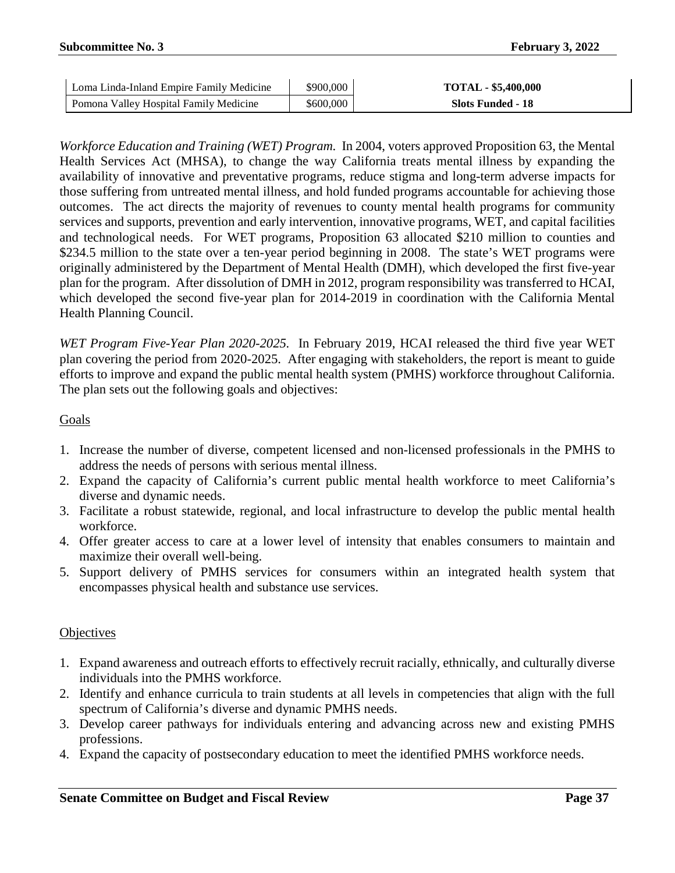| Loma Linda-Inland Empire Family Medicine | \$900,000 | <b>TOTAL - \$5,400,000</b> |
|------------------------------------------|-----------|----------------------------|
| Pomona Valley Hospital Family Medicine   | \$600,000 | Slots Funded - 18          |

*Workforce Education and Training (WET) Program.* In 2004, voters approved Proposition 63, the Mental Health Services Act (MHSA), to change the way California treats mental illness by expanding the availability of innovative and preventative programs, reduce stigma and long-term adverse impacts for those suffering from untreated mental illness, and hold funded programs accountable for achieving those outcomes. The act directs the majority of revenues to county mental health programs for community services and supports, prevention and early intervention, innovative programs, WET, and capital facilities and technological needs. For WET programs, Proposition 63 allocated \$210 million to counties and \$234.5 million to the state over a ten-year period beginning in 2008. The state's WET programs were originally administered by the Department of Mental Health (DMH), which developed the first five-year plan for the program. After dissolution of DMH in 2012, program responsibility was transferred to HCAI, which developed the second five-year plan for 2014-2019 in coordination with the California Mental Health Planning Council.

*WET Program Five-Year Plan 2020-2025.* In February 2019, HCAI released the third five year WET plan covering the period from 2020-2025. After engaging with stakeholders, the report is meant to guide efforts to improve and expand the public mental health system (PMHS) workforce throughout California. The plan sets out the following goals and objectives:

### Goals

- 1. Increase the number of diverse, competent licensed and non-licensed professionals in the PMHS to address the needs of persons with serious mental illness.
- 2. Expand the capacity of California's current public mental health workforce to meet California's diverse and dynamic needs.
- 3. Facilitate a robust statewide, regional, and local infrastructure to develop the public mental health workforce.
- 4. Offer greater access to care at a lower level of intensity that enables consumers to maintain and maximize their overall well-being.
- 5. Support delivery of PMHS services for consumers within an integrated health system that encompasses physical health and substance use services.

### **Objectives**

- 1. Expand awareness and outreach efforts to effectively recruit racially, ethnically, and culturally diverse individuals into the PMHS workforce.
- 2. Identify and enhance curricula to train students at all levels in competencies that align with the full spectrum of California's diverse and dynamic PMHS needs.
- 3. Develop career pathways for individuals entering and advancing across new and existing PMHS professions.
- 4. Expand the capacity of postsecondary education to meet the identified PMHS workforce needs.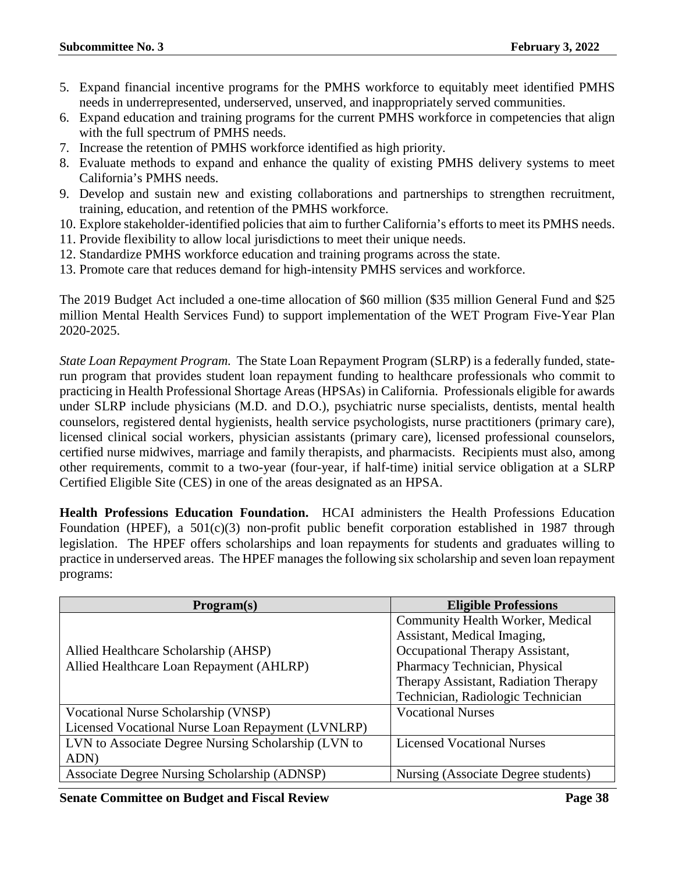- 5. Expand financial incentive programs for the PMHS workforce to equitably meet identified PMHS needs in underrepresented, underserved, unserved, and inappropriately served communities.
- 6. Expand education and training programs for the current PMHS workforce in competencies that align with the full spectrum of PMHS needs.
- 7. Increase the retention of PMHS workforce identified as high priority.
- 8. Evaluate methods to expand and enhance the quality of existing PMHS delivery systems to meet California's PMHS needs.
- 9. Develop and sustain new and existing collaborations and partnerships to strengthen recruitment, training, education, and retention of the PMHS workforce.
- 10. Explore stakeholder-identified policies that aim to further California's efforts to meet its PMHS needs.
- 11. Provide flexibility to allow local jurisdictions to meet their unique needs.
- 12. Standardize PMHS workforce education and training programs across the state.
- 13. Promote care that reduces demand for high-intensity PMHS services and workforce.

The 2019 Budget Act included a one-time allocation of \$60 million (\$35 million General Fund and \$25 million Mental Health Services Fund) to support implementation of the WET Program Five-Year Plan 2020-2025.

*State Loan Repayment Program.* The State Loan Repayment Program (SLRP) is a federally funded, staterun program that provides student loan repayment funding to healthcare professionals who commit to practicing in Health Professional Shortage Areas (HPSAs) in California. Professionals eligible for awards under SLRP include physicians (M.D. and D.O.), psychiatric nurse specialists, dentists, mental health counselors, registered dental hygienists, health service psychologists, nurse practitioners (primary care), licensed clinical social workers, physician assistants (primary care), licensed professional counselors, certified nurse midwives, marriage and family therapists, and pharmacists. Recipients must also, among other requirements, commit to a two-year (four-year, if half-time) initial service obligation at a SLRP Certified Eligible Site (CES) in one of the areas designated as an HPSA.

**Health Professions Education Foundation.** HCAI administers the Health Professions Education Foundation (HPEF), a  $501(c)(3)$  non-profit public benefit corporation established in 1987 through legislation. The HPEF offers scholarships and loan repayments for students and graduates willing to practice in underserved areas. The HPEF manages the following six scholarship and seven loan repayment programs:

| Program(s)                                          | <b>Eligible Professions</b>          |
|-----------------------------------------------------|--------------------------------------|
|                                                     | Community Health Worker, Medical     |
|                                                     | Assistant, Medical Imaging,          |
| Allied Healthcare Scholarship (AHSP)                | Occupational Therapy Assistant,      |
| Allied Healthcare Loan Repayment (AHLRP)            | Pharmacy Technician, Physical        |
|                                                     | Therapy Assistant, Radiation Therapy |
|                                                     | Technician, Radiologic Technician    |
| Vocational Nurse Scholarship (VNSP)                 | <b>Vocational Nurses</b>             |
| Licensed Vocational Nurse Loan Repayment (LVNLRP)   |                                      |
| LVN to Associate Degree Nursing Scholarship (LVN to | <b>Licensed Vocational Nurses</b>    |
| ADN)                                                |                                      |
| Associate Degree Nursing Scholarship (ADNSP)        | Nursing (Associate Degree students)  |

**Senate Committee on Budget and Fiscal Review Page 38**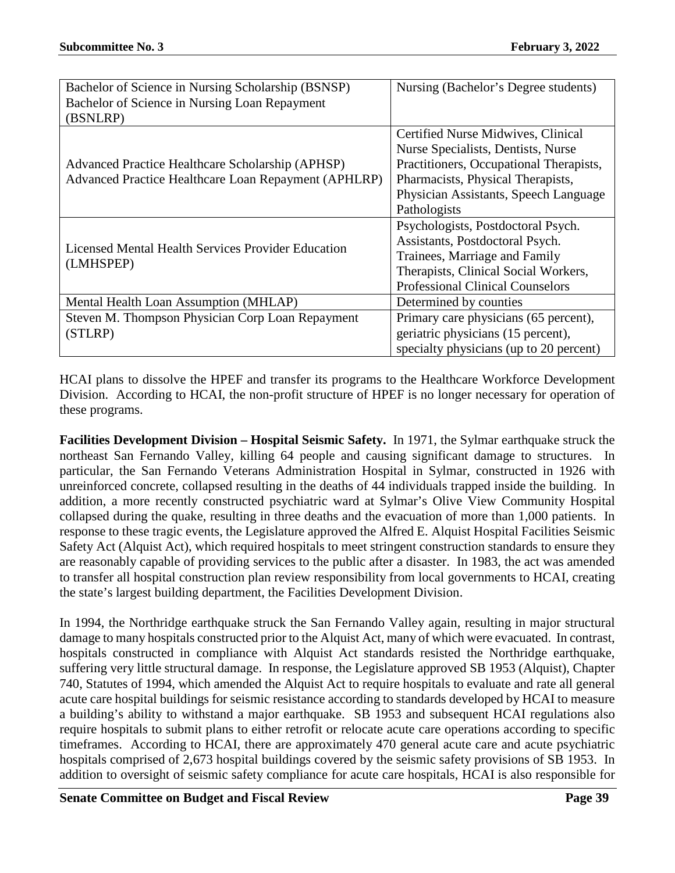| Bachelor of Science in Nursing Scholarship (BSNSP)<br>Bachelor of Science in Nursing Loan Repayment<br>(BSNLRP) | Nursing (Bachelor's Degree students)                                                                                                                                                                              |
|-----------------------------------------------------------------------------------------------------------------|-------------------------------------------------------------------------------------------------------------------------------------------------------------------------------------------------------------------|
| Advanced Practice Healthcare Scholarship (APHSP)<br>Advanced Practice Healthcare Loan Repayment (APHLRP)        | Certified Nurse Midwives, Clinical<br>Nurse Specialists, Dentists, Nurse<br>Practitioners, Occupational Therapists,<br>Pharmacists, Physical Therapists,<br>Physician Assistants, Speech Language<br>Pathologists |
| Licensed Mental Health Services Provider Education<br>(LMHSPEP)                                                 | Psychologists, Postdoctoral Psych.<br>Assistants, Postdoctoral Psych.<br>Trainees, Marriage and Family<br>Therapists, Clinical Social Workers,<br><b>Professional Clinical Counselors</b>                         |
| Mental Health Loan Assumption (MHLAP)                                                                           | Determined by counties                                                                                                                                                                                            |
| Steven M. Thompson Physician Corp Loan Repayment<br>(STLRP)                                                     | Primary care physicians (65 percent),<br>geriatric physicians (15 percent),<br>specialty physicians (up to 20 percent)                                                                                            |

HCAI plans to dissolve the HPEF and transfer its programs to the Healthcare Workforce Development Division. According to HCAI, the non-profit structure of HPEF is no longer necessary for operation of these programs.

**Facilities Development Division – Hospital Seismic Safety.** In 1971, the Sylmar earthquake struck the northeast San Fernando Valley, killing 64 people and causing significant damage to structures. In particular, the San Fernando Veterans Administration Hospital in Sylmar, constructed in 1926 with unreinforced concrete, collapsed resulting in the deaths of 44 individuals trapped inside the building. In addition, a more recently constructed psychiatric ward at Sylmar's Olive View Community Hospital collapsed during the quake, resulting in three deaths and the evacuation of more than 1,000 patients. In response to these tragic events, the Legislature approved the Alfred E. Alquist Hospital Facilities Seismic Safety Act (Alquist Act), which required hospitals to meet stringent construction standards to ensure they are reasonably capable of providing services to the public after a disaster. In 1983, the act was amended to transfer all hospital construction plan review responsibility from local governments to HCAI, creating the state's largest building department, the Facilities Development Division.

In 1994, the Northridge earthquake struck the San Fernando Valley again, resulting in major structural damage to many hospitals constructed prior to the Alquist Act, many of which were evacuated. In contrast, hospitals constructed in compliance with Alquist Act standards resisted the Northridge earthquake, suffering very little structural damage. In response, the Legislature approved SB 1953 (Alquist), Chapter 740, Statutes of 1994, which amended the Alquist Act to require hospitals to evaluate and rate all general acute care hospital buildings for seismic resistance according to standards developed by HCAI to measure a building's ability to withstand a major earthquake. SB 1953 and subsequent HCAI regulations also require hospitals to submit plans to either retrofit or relocate acute care operations according to specific timeframes. According to HCAI, there are approximately 470 general acute care and acute psychiatric hospitals comprised of 2,673 hospital buildings covered by the seismic safety provisions of SB 1953. In addition to oversight of seismic safety compliance for acute care hospitals, HCAI is also responsible for

**Senate Committee on Budget and Fiscal Review Page 39**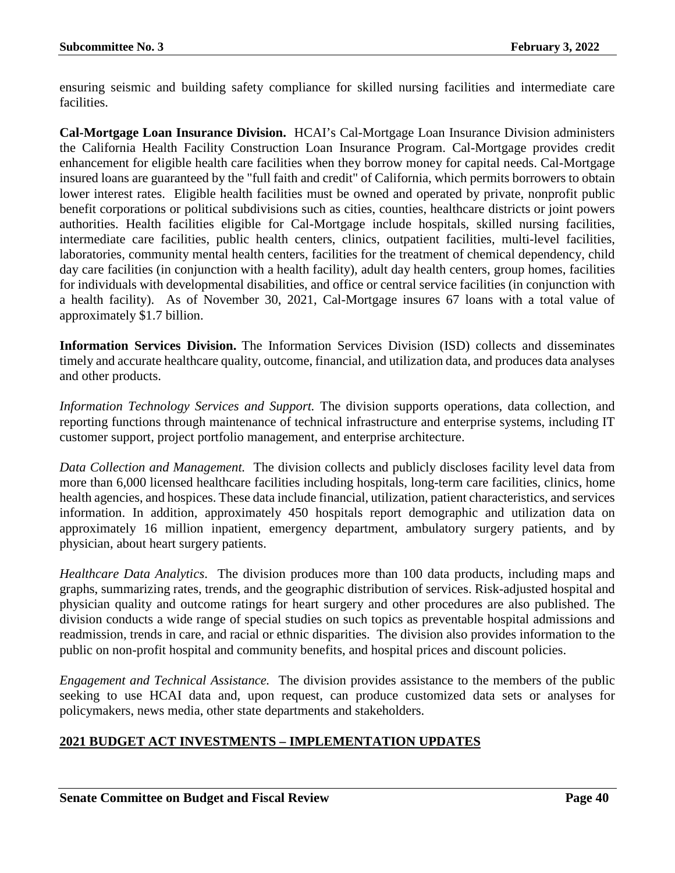ensuring seismic and building safety compliance for skilled nursing facilities and intermediate care facilities.

**Cal-Mortgage Loan Insurance Division.** HCAI's Cal-Mortgage Loan Insurance Division administers the California Health Facility Construction Loan Insurance Program. Cal-Mortgage provides credit enhancement for eligible health care facilities when they borrow money for capital needs. Cal-Mortgage insured loans are guaranteed by the "full faith and credit" of California, which permits borrowers to obtain lower interest rates. Eligible health facilities must be owned and operated by private, nonprofit public benefit corporations or political subdivisions such as cities, counties, healthcare districts or joint powers authorities. Health facilities eligible for Cal-Mortgage include hospitals, skilled nursing facilities, intermediate care facilities, public health centers, clinics, outpatient facilities, multi-level facilities, laboratories, community mental health centers, facilities for the treatment of chemical dependency, child day care facilities (in conjunction with a health facility), adult day health centers, group homes, facilities for individuals with developmental disabilities, and office or central service facilities (in conjunction with a health facility). As of November 30, 2021, Cal-Mortgage insures 67 loans with a total value of approximately \$1.7 billion.

**Information Services Division.** The Information Services Division (ISD) collects and disseminates timely and accurate healthcare quality, outcome, financial, and utilization data, and produces data analyses and other products.

*Information Technology Services and Support.* The division supports operations, data collection, and reporting functions through maintenance of technical infrastructure and enterprise systems, including IT customer support, project portfolio management, and enterprise architecture.

*Data Collection and Management.* The division collects and publicly discloses facility level data from more than 6,000 licensed healthcare facilities including hospitals, long-term care facilities, clinics, home health agencies, and hospices. These data include financial, utilization, patient characteristics, and services information. In addition, approximately 450 hospitals report demographic and utilization data on approximately 16 million inpatient, emergency department, ambulatory surgery patients, and by physician, about heart surgery patients.

*Healthcare Data Analytics*. The division produces more than 100 data products, including maps and graphs, summarizing rates, trends, and the geographic distribution of services. Risk-adjusted hospital and physician quality and outcome ratings for heart surgery and other procedures are also published. The division conducts a wide range of special studies on such topics as preventable hospital admissions and readmission, trends in care, and racial or ethnic disparities. The division also provides information to the public on non-profit hospital and community benefits, and hospital prices and discount policies.

*Engagement and Technical Assistance.* The division provides assistance to the members of the public seeking to use HCAI data and, upon request, can produce customized data sets or analyses for policymakers, news media, other state departments and stakeholders.

## **2021 BUDGET ACT INVESTMENTS – IMPLEMENTATION UPDATES**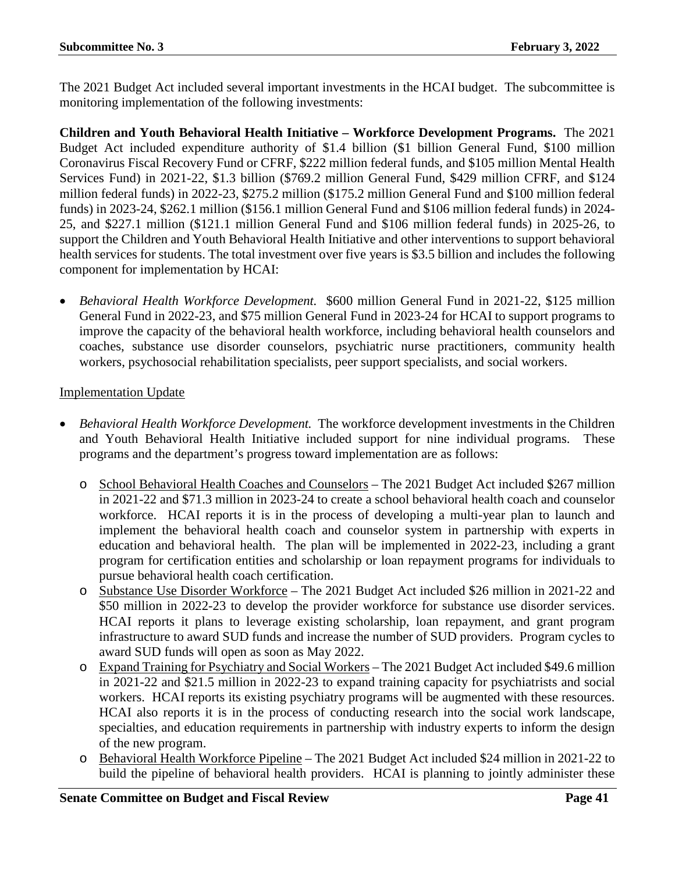The 2021 Budget Act included several important investments in the HCAI budget. The subcommittee is monitoring implementation of the following investments:

**Children and Youth Behavioral Health Initiative – Workforce Development Programs.** The 2021 Budget Act included expenditure authority of \$1.4 billion (\$1 billion General Fund, \$100 million Coronavirus Fiscal Recovery Fund or CFRF, \$222 million federal funds, and \$105 million Mental Health Services Fund) in 2021-22, \$1.3 billion (\$769.2 million General Fund, \$429 million CFRF, and \$124 million federal funds) in 2022-23, \$275.2 million (\$175.2 million General Fund and \$100 million federal funds) in 2023-24, \$262.1 million (\$156.1 million General Fund and \$106 million federal funds) in 2024- 25, and \$227.1 million (\$121.1 million General Fund and \$106 million federal funds) in 2025-26, to support the Children and Youth Behavioral Health Initiative and other interventions to support behavioral health services for students. The total investment over five years is \$3.5 billion and includes the following component for implementation by HCAI:

• *Behavioral Health Workforce Development.* \$600 million General Fund in 2021-22, \$125 million General Fund in 2022-23, and \$75 million General Fund in 2023-24 for HCAI to support programs to improve the capacity of the behavioral health workforce, including behavioral health counselors and coaches, substance use disorder counselors, psychiatric nurse practitioners, community health workers, psychosocial rehabilitation specialists, peer support specialists, and social workers.

### Implementation Update

- *Behavioral Health Workforce Development.* The workforce development investments in the Children and Youth Behavioral Health Initiative included support for nine individual programs. These programs and the department's progress toward implementation are as follows:
	- o School Behavioral Health Coaches and Counselors The 2021 Budget Act included \$267 million in 2021-22 and \$71.3 million in 2023-24 to create a school behavioral health coach and counselor workforce. HCAI reports it is in the process of developing a multi-year plan to launch and implement the behavioral health coach and counselor system in partnership with experts in education and behavioral health. The plan will be implemented in 2022-23, including a grant program for certification entities and scholarship or loan repayment programs for individuals to pursue behavioral health coach certification.
	- o Substance Use Disorder Workforce The 2021 Budget Act included \$26 million in 2021-22 and \$50 million in 2022-23 to develop the provider workforce for substance use disorder services. HCAI reports it plans to leverage existing scholarship, loan repayment, and grant program infrastructure to award SUD funds and increase the number of SUD providers. Program cycles to award SUD funds will open as soon as May 2022.
	- o Expand Training for Psychiatry and Social Workers The 2021 Budget Act included \$49.6 million in 2021-22 and \$21.5 million in 2022-23 to expand training capacity for psychiatrists and social workers. HCAI reports its existing psychiatry programs will be augmented with these resources. HCAI also reports it is in the process of conducting research into the social work landscape, specialties, and education requirements in partnership with industry experts to inform the design of the new program.
	- o Behavioral Health Workforce Pipeline The 2021 Budget Act included \$24 million in 2021-22 to build the pipeline of behavioral health providers. HCAI is planning to jointly administer these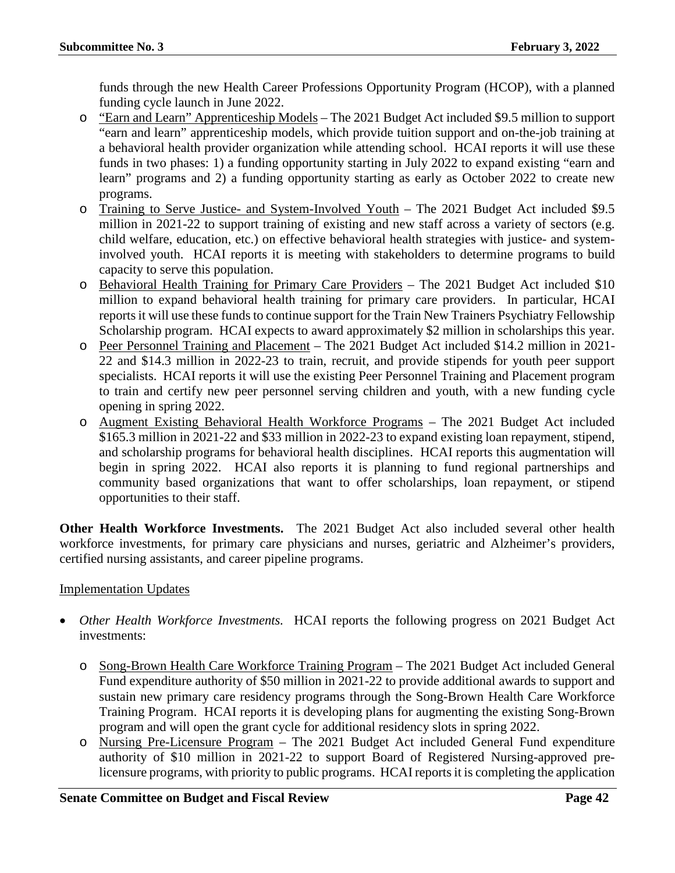funds through the new Health Career Professions Opportunity Program (HCOP), with a planned funding cycle launch in June 2022.

- o "Earn and Learn" Apprenticeship Models The 2021 Budget Act included \$9.5 million to support "earn and learn" apprenticeship models, which provide tuition support and on-the-job training at a behavioral health provider organization while attending school. HCAI reports it will use these funds in two phases: 1) a funding opportunity starting in July 2022 to expand existing "earn and learn" programs and 2) a funding opportunity starting as early as October 2022 to create new programs.
- o Training to Serve Justice- and System-Involved Youth The 2021 Budget Act included \$9.5 million in 2021-22 to support training of existing and new staff across a variety of sectors (e.g. child welfare, education, etc.) on effective behavioral health strategies with justice- and systeminvolved youth. HCAI reports it is meeting with stakeholders to determine programs to build capacity to serve this population.
- o Behavioral Health Training for Primary Care Providers The 2021 Budget Act included \$10 million to expand behavioral health training for primary care providers. In particular, HCAI reports it will use these funds to continue support for the Train New Trainers Psychiatry Fellowship Scholarship program. HCAI expects to award approximately \$2 million in scholarships this year.
- o Peer Personnel Training and Placement The 2021 Budget Act included \$14.2 million in 2021- 22 and \$14.3 million in 2022-23 to train, recruit, and provide stipends for youth peer support specialists. HCAI reports it will use the existing Peer Personnel Training and Placement program to train and certify new peer personnel serving children and youth, with a new funding cycle opening in spring 2022.
- o Augment Existing Behavioral Health Workforce Programs The 2021 Budget Act included \$165.3 million in 2021-22 and \$33 million in 2022-23 to expand existing loan repayment, stipend, and scholarship programs for behavioral health disciplines. HCAI reports this augmentation will begin in spring 2022. HCAI also reports it is planning to fund regional partnerships and community based organizations that want to offer scholarships, loan repayment, or stipend opportunities to their staff.

**Other Health Workforce Investments.** The 2021 Budget Act also included several other health workforce investments, for primary care physicians and nurses, geriatric and Alzheimer's providers, certified nursing assistants, and career pipeline programs.

## Implementation Updates

- *Other Health Workforce Investments.* HCAI reports the following progress on 2021 Budget Act investments:
	- o Song-Brown Health Care Workforce Training Program The 2021 Budget Act included General Fund expenditure authority of \$50 million in 2021-22 to provide additional awards to support and sustain new primary care residency programs through the Song-Brown Health Care Workforce Training Program. HCAI reports it is developing plans for augmenting the existing Song-Brown program and will open the grant cycle for additional residency slots in spring 2022.
	- o Nursing Pre-Licensure Program The 2021 Budget Act included General Fund expenditure authority of \$10 million in 2021-22 to support Board of Registered Nursing-approved prelicensure programs, with priority to public programs. HCAI reports it is completing the application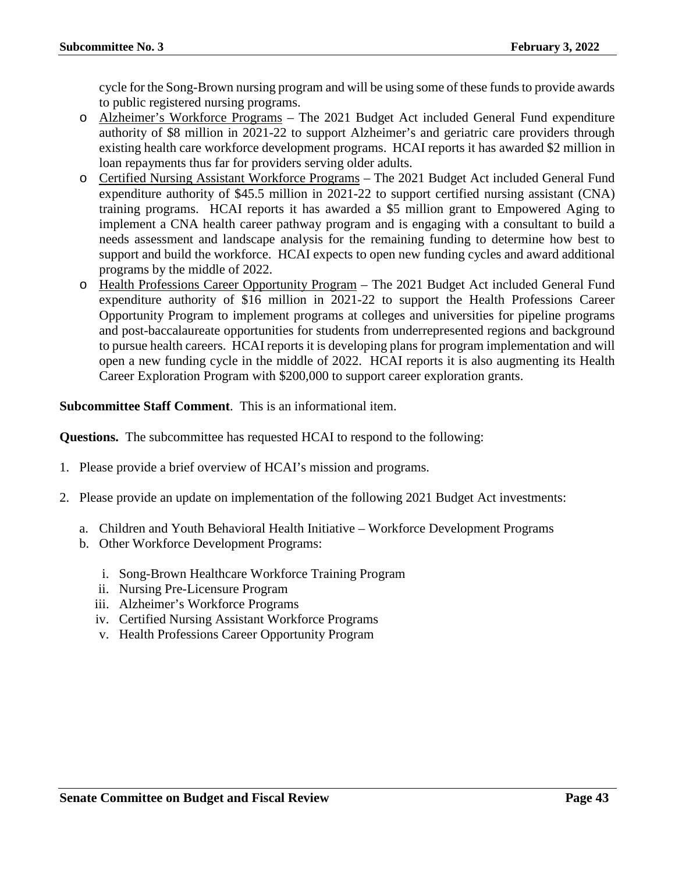cycle for the Song-Brown nursing program and will be using some of these funds to provide awards to public registered nursing programs.

- o Alzheimer's Workforce Programs The 2021 Budget Act included General Fund expenditure authority of \$8 million in 2021-22 to support Alzheimer's and geriatric care providers through existing health care workforce development programs. HCAI reports it has awarded \$2 million in loan repayments thus far for providers serving older adults.
- o Certified Nursing Assistant Workforce Programs The 2021 Budget Act included General Fund expenditure authority of \$45.5 million in 2021-22 to support certified nursing assistant (CNA) training programs. HCAI reports it has awarded a \$5 million grant to Empowered Aging to implement a CNA health career pathway program and is engaging with a consultant to build a needs assessment and landscape analysis for the remaining funding to determine how best to support and build the workforce. HCAI expects to open new funding cycles and award additional programs by the middle of 2022.
- o Health Professions Career Opportunity Program The 2021 Budget Act included General Fund expenditure authority of \$16 million in 2021-22 to support the Health Professions Career Opportunity Program to implement programs at colleges and universities for pipeline programs and post-baccalaureate opportunities for students from underrepresented regions and background to pursue health careers. HCAI reports it is developing plans for program implementation and will open a new funding cycle in the middle of 2022. HCAI reports it is also augmenting its Health Career Exploration Program with \$200,000 to support career exploration grants.

**Subcommittee Staff Comment**. This is an informational item.

**Questions.** The subcommittee has requested HCAI to respond to the following:

- 1. Please provide a brief overview of HCAI's mission and programs.
- 2. Please provide an update on implementation of the following 2021 Budget Act investments:
	- a. Children and Youth Behavioral Health Initiative Workforce Development Programs
	- b. Other Workforce Development Programs:
		- i. Song-Brown Healthcare Workforce Training Program
		- ii. Nursing Pre-Licensure Program
		- iii. Alzheimer's Workforce Programs
		- iv. Certified Nursing Assistant Workforce Programs
		- v. Health Professions Career Opportunity Program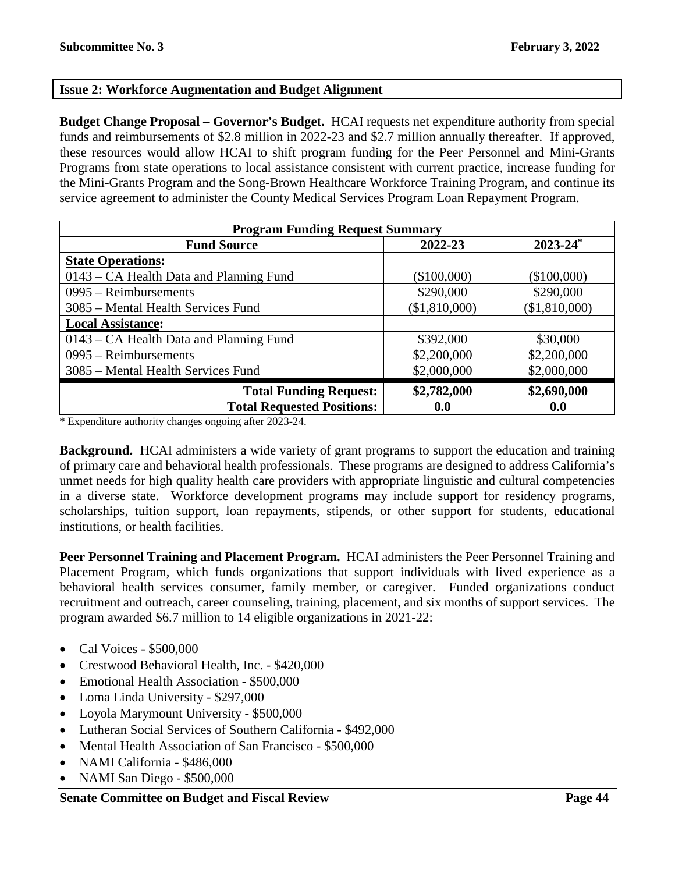### **Issue 2: Workforce Augmentation and Budget Alignment**

**Budget Change Proposal – Governor's Budget.** HCAI requests net expenditure authority from special funds and reimbursements of \$2.8 million in 2022-23 and \$2.7 million annually thereafter. If approved, these resources would allow HCAI to shift program funding for the Peer Personnel and Mini-Grants Programs from state operations to local assistance consistent with current practice, increase funding for the Mini-Grants Program and the Song-Brown Healthcare Workforce Training Program, and continue its service agreement to administer the County Medical Services Program Loan Repayment Program.

| <b>Program Funding Request Summary</b>  |               |                          |  |
|-----------------------------------------|---------------|--------------------------|--|
| <b>Fund Source</b>                      | 2022-23       | $2023 - 24$ <sup>*</sup> |  |
| <b>State Operations:</b>                |               |                          |  |
| 0143 – CA Health Data and Planning Fund | (\$100,000)   | (\$100,000)              |  |
| $0995 - Reimbursements$                 | \$290,000     | \$290,000                |  |
| 3085 – Mental Health Services Fund      | (\$1,810,000) | (\$1,810,000)            |  |
| <b>Local Assistance:</b>                |               |                          |  |
| 0143 – CA Health Data and Planning Fund | \$392,000     | \$30,000                 |  |
| $0995 - Reimbursements$                 | \$2,200,000   | \$2,200,000              |  |
| 3085 – Mental Health Services Fund      | \$2,000,000   | \$2,000,000              |  |
| <b>Total Funding Request:</b>           | \$2,782,000   | \$2,690,000              |  |
| <b>Total Requested Positions:</b>       | 0.0           | 0.0                      |  |

\* Expenditure authority changes ongoing after 2023-24.

**Background.** HCAI administers a wide variety of grant programs to support the education and training of primary care and behavioral health professionals. These programs are designed to address California's unmet needs for high quality health care providers with appropriate linguistic and cultural competencies in a diverse state. Workforce development programs may include support for residency programs, scholarships, tuition support, loan repayments, stipends, or other support for students, educational institutions, or health facilities.

**Peer Personnel Training and Placement Program.** HCAI administers the Peer Personnel Training and Placement Program, which funds organizations that support individuals with lived experience as a behavioral health services consumer, family member, or caregiver. Funded organizations conduct recruitment and outreach, career counseling, training, placement, and six months of support services. The program awarded \$6.7 million to 14 eligible organizations in 2021-22:

- Cal Voices \$500,000
- Crestwood Behavioral Health, Inc. \$420,000
- Emotional Health Association \$500,000
- Loma Linda University \$297,000
- Loyola Marymount University \$500,000
- Lutheran Social Services of Southern California \$492,000
- Mental Health Association of San Francisco \$500,000
- NAMI California \$486,000
- NAMI San Diego \$500,000

### **Senate Committee on Budget and Fiscal Review Page 44**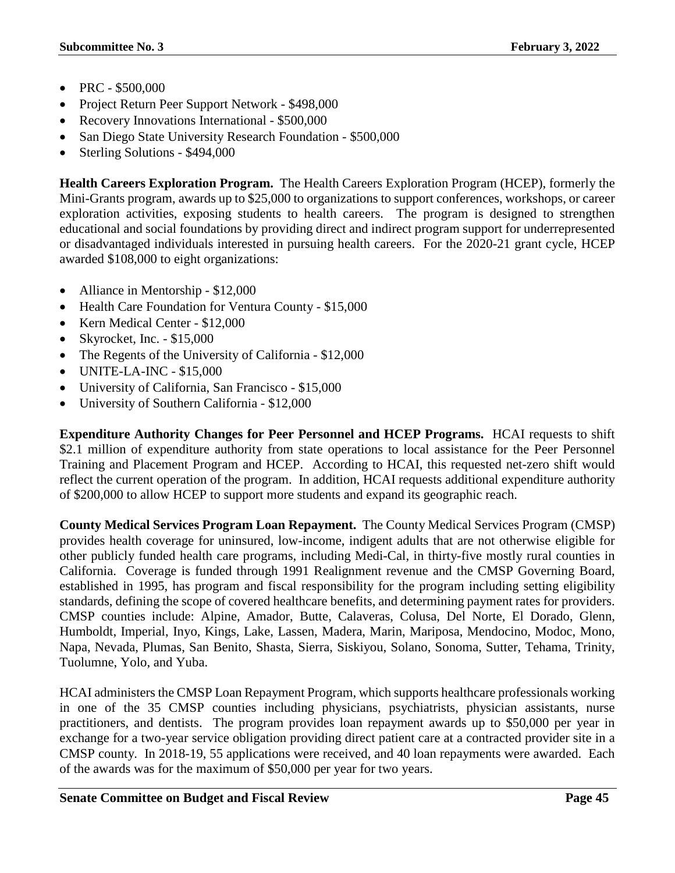- PRC \$500,000
- Project Return Peer Support Network \$498,000
- Recovery Innovations International \$500,000
- San Diego State University Research Foundation \$500,000
- Sterling Solutions \$494,000

**Health Careers Exploration Program.** The Health Careers Exploration Program (HCEP), formerly the Mini-Grants program, awards up to \$25,000 to organizations to support conferences, workshops, or career exploration activities, exposing students to health careers. The program is designed to strengthen educational and social foundations by providing direct and indirect program support for underrepresented or disadvantaged individuals interested in pursuing health careers. For the 2020-21 grant cycle, HCEP awarded \$108,000 to eight organizations:

- Alliance in Mentorship \$12,000
- Health Care Foundation for Ventura County \$15,000
- Kern Medical Center \$12,000
- Skyrocket, Inc. \$15,000
- The Regents of the University of California \$12,000
- UNITE-LA-INC \$15,000
- University of California, San Francisco \$15,000
- University of Southern California \$12,000

**Expenditure Authority Changes for Peer Personnel and HCEP Programs.** HCAI requests to shift \$2.1 million of expenditure authority from state operations to local assistance for the Peer Personnel Training and Placement Program and HCEP. According to HCAI, this requested net-zero shift would reflect the current operation of the program. In addition, HCAI requests additional expenditure authority of \$200,000 to allow HCEP to support more students and expand its geographic reach.

**County Medical Services Program Loan Repayment.** The County Medical Services Program (CMSP) provides health coverage for uninsured, low-income, indigent adults that are not otherwise eligible for other publicly funded health care programs, including Medi-Cal, in thirty-five mostly rural counties in California. Coverage is funded through 1991 Realignment revenue and the CMSP Governing Board, established in 1995, has program and fiscal responsibility for the program including setting eligibility standards, defining the scope of covered healthcare benefits, and determining payment rates for providers. CMSP counties include: Alpine, Amador, Butte, Calaveras, Colusa, Del Norte, El Dorado, Glenn, Humboldt, Imperial, Inyo, Kings, Lake, Lassen, Madera, Marin, Mariposa, Mendocino, Modoc, Mono, Napa, Nevada, Plumas, San Benito, Shasta, Sierra, Siskiyou, Solano, Sonoma, Sutter, Tehama, Trinity, Tuolumne, Yolo, and Yuba.

HCAI administers the CMSP Loan Repayment Program, which supports healthcare professionals working in one of the 35 CMSP counties including physicians, psychiatrists, physician assistants, nurse practitioners, and dentists. The program provides loan repayment awards up to \$50,000 per year in exchange for a two-year service obligation providing direct patient care at a contracted provider site in a CMSP county. In 2018-19, 55 applications were received, and 40 loan repayments were awarded. Each of the awards was for the maximum of \$50,000 per year for two years.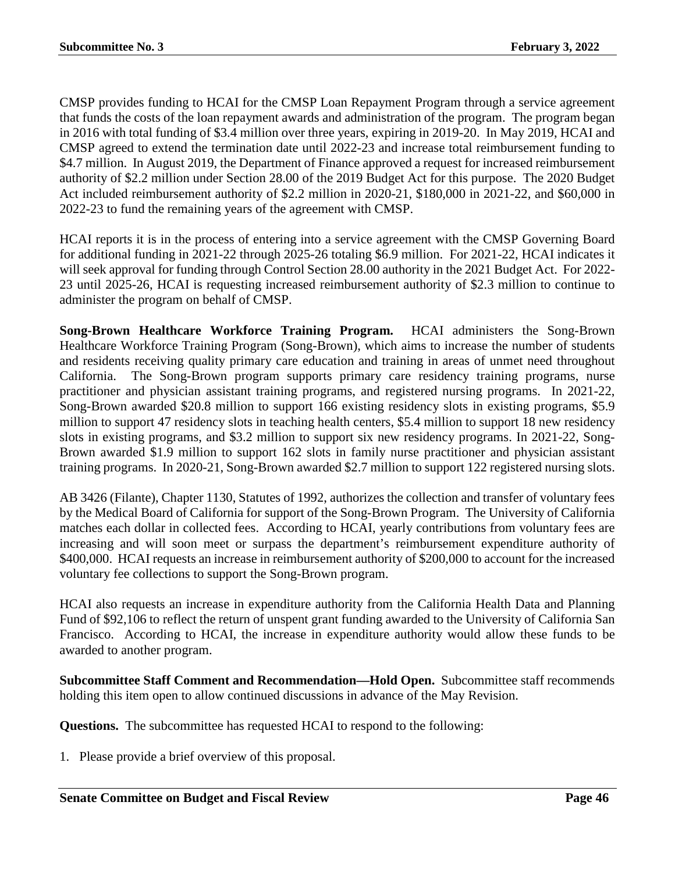CMSP provides funding to HCAI for the CMSP Loan Repayment Program through a service agreement that funds the costs of the loan repayment awards and administration of the program. The program began in 2016 with total funding of \$3.4 million over three years, expiring in 2019-20. In May 2019, HCAI and CMSP agreed to extend the termination date until 2022-23 and increase total reimbursement funding to \$4.7 million. In August 2019, the Department of Finance approved a request for increased reimbursement authority of \$2.2 million under Section 28.00 of the 2019 Budget Act for this purpose. The 2020 Budget Act included reimbursement authority of \$2.2 million in 2020-21, \$180,000 in 2021-22, and \$60,000 in 2022-23 to fund the remaining years of the agreement with CMSP.

HCAI reports it is in the process of entering into a service agreement with the CMSP Governing Board for additional funding in 2021-22 through 2025-26 totaling \$6.9 million. For 2021-22, HCAI indicates it will seek approval for funding through Control Section 28.00 authority in the 2021 Budget Act. For 2022- 23 until 2025-26, HCAI is requesting increased reimbursement authority of \$2.3 million to continue to administer the program on behalf of CMSP.

**Song-Brown Healthcare Workforce Training Program.** HCAI administers the Song-Brown Healthcare Workforce Training Program (Song-Brown), which aims to increase the number of students and residents receiving quality primary care education and training in areas of unmet need throughout California. The Song-Brown program supports primary care residency training programs, nurse practitioner and physician assistant training programs, and registered nursing programs. In 2021-22, Song-Brown awarded \$20.8 million to support 166 existing residency slots in existing programs, \$5.9 million to support 47 residency slots in teaching health centers, \$5.4 million to support 18 new residency slots in existing programs, and \$3.2 million to support six new residency programs. In 2021-22, Song-Brown awarded \$1.9 million to support 162 slots in family nurse practitioner and physician assistant training programs. In 2020-21, Song-Brown awarded \$2.7 million to support 122 registered nursing slots.

AB 3426 (Filante), Chapter 1130, Statutes of 1992, authorizes the collection and transfer of voluntary fees by the Medical Board of California for support of the Song-Brown Program. The University of California matches each dollar in collected fees. According to HCAI, yearly contributions from voluntary fees are increasing and will soon meet or surpass the department's reimbursement expenditure authority of \$400,000. HCAI requests an increase in reimbursement authority of \$200,000 to account for the increased voluntary fee collections to support the Song-Brown program.

HCAI also requests an increase in expenditure authority from the California Health Data and Planning Fund of \$92,106 to reflect the return of unspent grant funding awarded to the University of California San Francisco. According to HCAI, the increase in expenditure authority would allow these funds to be awarded to another program.

**Subcommittee Staff Comment and Recommendation—Hold Open.** Subcommittee staff recommends holding this item open to allow continued discussions in advance of the May Revision.

**Questions.** The subcommittee has requested HCAI to respond to the following: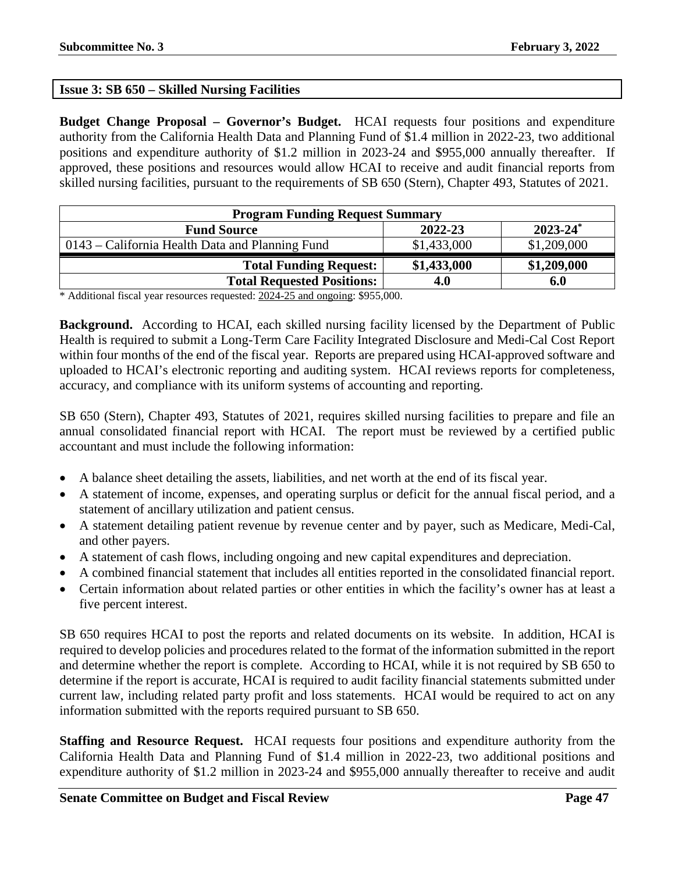# **Issue 3: SB 650 – Skilled Nursing Facilities**

**Budget Change Proposal – Governor's Budget.** HCAI requests four positions and expenditure authority from the California Health Data and Planning Fund of \$1.4 million in 2022-23, two additional positions and expenditure authority of \$1.2 million in 2023-24 and \$955,000 annually thereafter. If approved, these positions and resources would allow HCAI to receive and audit financial reports from skilled nursing facilities, pursuant to the requirements of SB 650 (Stern), Chapter 493, Statutes of 2021.

| <b>Program Funding Request Summary</b>          |             |             |  |  |
|-------------------------------------------------|-------------|-------------|--|--|
| $2023 - 24^*$<br>2022-23<br><b>Fund Source</b>  |             |             |  |  |
| 0143 – California Health Data and Planning Fund | \$1,433,000 | \$1,209,000 |  |  |
| <b>Total Funding Request:</b>                   | \$1,433,000 | \$1,209,000 |  |  |
| <b>Total Requested Positions:</b>               | 4.0         | 6.0         |  |  |

\* Additional fiscal year resources requested: 2024-25 and ongoing: \$955,000.

**Background.** According to HCAI, each skilled nursing facility licensed by the Department of Public Health is required to submit a Long-Term Care Facility Integrated Disclosure and Medi-Cal Cost Report within four months of the end of the fiscal year. Reports are prepared using HCAI-approved software and uploaded to HCAI's electronic reporting and auditing system. HCAI reviews reports for completeness, accuracy, and compliance with its uniform systems of accounting and reporting.

SB 650 (Stern), Chapter 493, Statutes of 2021, requires skilled nursing facilities to prepare and file an annual consolidated financial report with HCAI. The report must be reviewed by a certified public accountant and must include the following information:

- A balance sheet detailing the assets, liabilities, and net worth at the end of its fiscal year.
- A statement of income, expenses, and operating surplus or deficit for the annual fiscal period, and a statement of ancillary utilization and patient census.
- A statement detailing patient revenue by revenue center and by payer, such as Medicare, Medi-Cal, and other payers.
- A statement of cash flows, including ongoing and new capital expenditures and depreciation.
- A combined financial statement that includes all entities reported in the consolidated financial report.
- Certain information about related parties or other entities in which the facility's owner has at least a five percent interest.

SB 650 requires HCAI to post the reports and related documents on its website. In addition, HCAI is required to develop policies and procedures related to the format of the information submitted in the report and determine whether the report is complete. According to HCAI, while it is not required by SB 650 to determine if the report is accurate, HCAI is required to audit facility financial statements submitted under current law, including related party profit and loss statements. HCAI would be required to act on any information submitted with the reports required pursuant to SB 650.

**Staffing and Resource Request.** HCAI requests four positions and expenditure authority from the California Health Data and Planning Fund of \$1.4 million in 2022-23, two additional positions and expenditure authority of \$1.2 million in 2023-24 and \$955,000 annually thereafter to receive and audit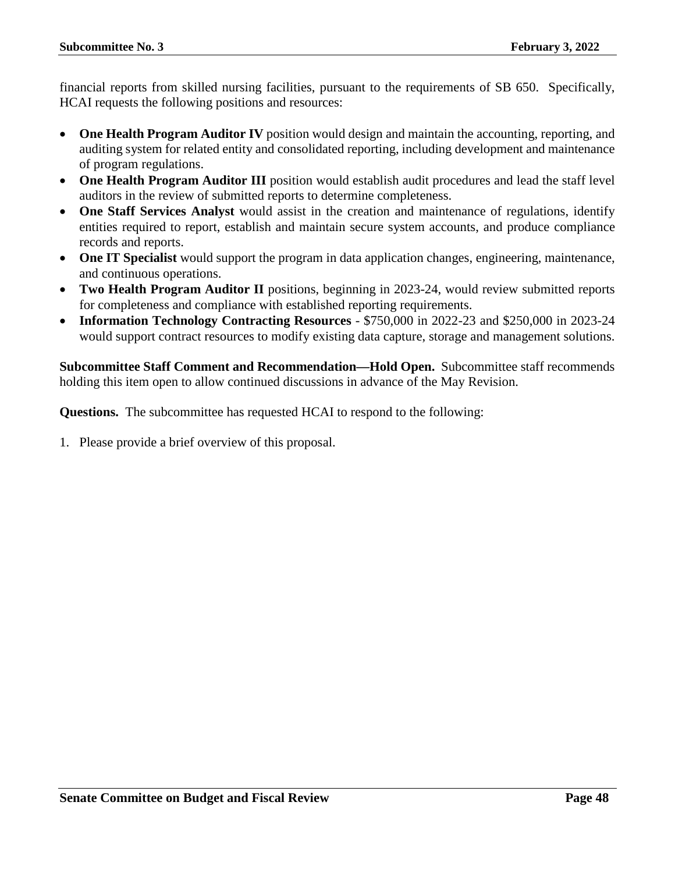financial reports from skilled nursing facilities, pursuant to the requirements of SB 650. Specifically, HCAI requests the following positions and resources:

- **One Health Program Auditor IV** position would design and maintain the accounting, reporting, and auditing system for related entity and consolidated reporting, including development and maintenance of program regulations.
- **One Health Program Auditor III** position would establish audit procedures and lead the staff level auditors in the review of submitted reports to determine completeness.
- **One Staff Services Analyst** would assist in the creation and maintenance of regulations, identify entities required to report, establish and maintain secure system accounts, and produce compliance records and reports.
- **One IT Specialist** would support the program in data application changes, engineering, maintenance, and continuous operations.
- **Two Health Program Auditor II** positions, beginning in 2023-24, would review submitted reports for completeness and compliance with established reporting requirements.
- **Information Technology Contracting Resources** \$750,000 in 2022-23 and \$250,000 in 2023-24 would support contract resources to modify existing data capture, storage and management solutions.

**Subcommittee Staff Comment and Recommendation—Hold Open.** Subcommittee staff recommends holding this item open to allow continued discussions in advance of the May Revision.

**Questions.** The subcommittee has requested HCAI to respond to the following: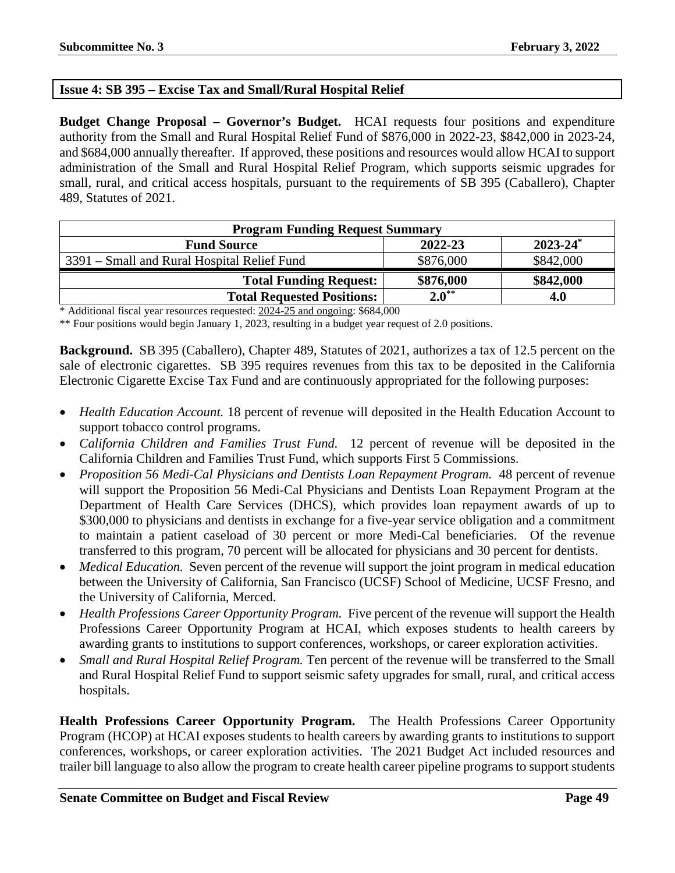## **Issue 4: SB 395 – Excise Tax and Small/Rural Hospital Relief**

**Budget Change Proposal – Governor's Budget.** HCAI requests four positions and expenditure authority from the Small and Rural Hospital Relief Fund of \$876,000 in 2022-23, \$842,000 in 2023-24, and \$684,000 annually thereafter. If approved, these positions and resources would allow HCAI to support administration of the Small and Rural Hospital Relief Program, which supports seismic upgrades for small, rural, and critical access hospitals, pursuant to the requirements of SB 395 (Caballero), Chapter 489, Statutes of 2021.

| <b>Program Funding Request Summary</b>                    |            |           |  |  |
|-----------------------------------------------------------|------------|-----------|--|--|
| $2023 - 24$ <sup>*</sup><br>2022-23<br><b>Fund Source</b> |            |           |  |  |
| 3391 – Small and Rural Hospital Relief Fund               | \$876,000  | \$842,000 |  |  |
| <b>Total Funding Request:</b>                             | \$876,000  | \$842,000 |  |  |
| <b>Total Requested Positions:</b>                         | $2.0^{**}$ | 4.0       |  |  |

\* Additional fiscal year resources requested: 2024-25 and ongoing: \$684,000

\*\* Four positions would begin January 1, 2023, resulting in a budget year request of 2.0 positions.

**Background.** SB 395 (Caballero), Chapter 489, Statutes of 2021, authorizes a tax of 12.5 percent on the sale of electronic cigarettes. SB 395 requires revenues from this tax to be deposited in the California Electronic Cigarette Excise Tax Fund and are continuously appropriated for the following purposes:

- *Health Education Account.* 18 percent of revenue will deposited in the Health Education Account to support tobacco control programs.
- *California Children and Families Trust Fund.* 12 percent of revenue will be deposited in the California Children and Families Trust Fund, which supports First 5 Commissions.
- *Proposition 56 Medi-Cal Physicians and Dentists Loan Repayment Program.* 48 percent of revenue will support the Proposition 56 Medi-Cal Physicians and Dentists Loan Repayment Program at the Department of Health Care Services (DHCS), which provides loan repayment awards of up to \$300,000 to physicians and dentists in exchange for a five-year service obligation and a commitment to maintain a patient caseload of 30 percent or more Medi-Cal beneficiaries. Of the revenue transferred to this program, 70 percent will be allocated for physicians and 30 percent for dentists.
- *Medical Education.* Seven percent of the revenue will support the joint program in medical education between the University of California, San Francisco (UCSF) School of Medicine, UCSF Fresno, and the University of California, Merced.
- *Health Professions Career Opportunity Program.* Five percent of the revenue will support the Health Professions Career Opportunity Program at HCAI, which exposes students to health careers by awarding grants to institutions to support conferences, workshops, or career exploration activities.
- *Small and Rural Hospital Relief Program.* Ten percent of the revenue will be transferred to the Small and Rural Hospital Relief Fund to support seismic safety upgrades for small, rural, and critical access hospitals.

**Health Professions Career Opportunity Program.** The Health Professions Career Opportunity Program (HCOP) at HCAI exposes students to health careers by awarding grants to institutions to support conferences, workshops, or career exploration activities. The 2021 Budget Act included resources and trailer bill language to also allow the program to create health career pipeline programs to support students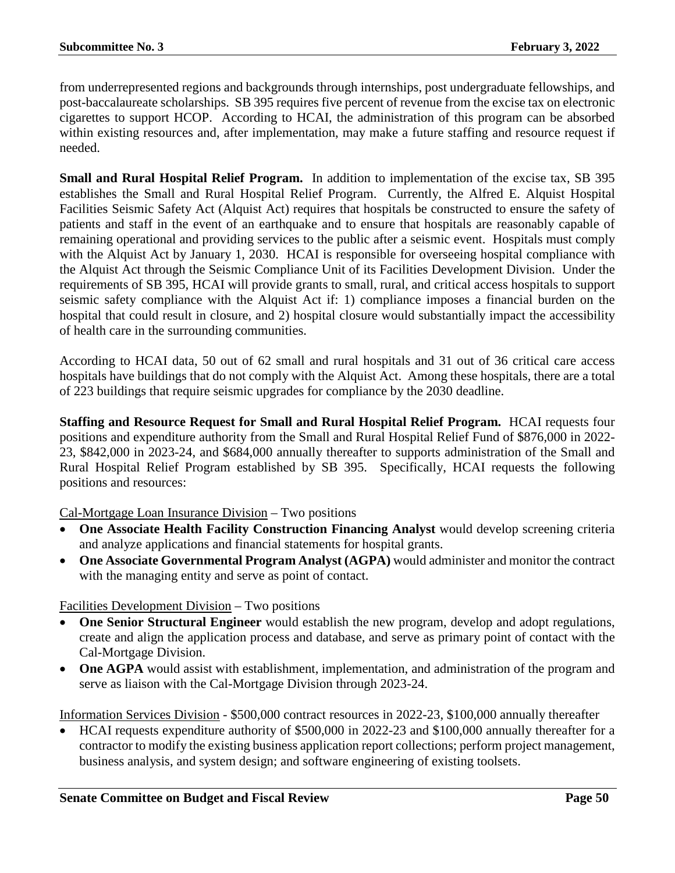from underrepresented regions and backgrounds through internships, post undergraduate fellowships, and post-baccalaureate scholarships. SB 395 requires five percent of revenue from the excise tax on electronic cigarettes to support HCOP. According to HCAI, the administration of this program can be absorbed within existing resources and, after implementation, may make a future staffing and resource request if needed.

**Small and Rural Hospital Relief Program.** In addition to implementation of the excise tax, SB 395 establishes the Small and Rural Hospital Relief Program. Currently, the Alfred E. Alquist Hospital Facilities Seismic Safety Act (Alquist Act) requires that hospitals be constructed to ensure the safety of patients and staff in the event of an earthquake and to ensure that hospitals are reasonably capable of remaining operational and providing services to the public after a seismic event. Hospitals must comply with the Alquist Act by January 1, 2030. HCAI is responsible for overseeing hospital compliance with the Alquist Act through the Seismic Compliance Unit of its Facilities Development Division. Under the requirements of SB 395, HCAI will provide grants to small, rural, and critical access hospitals to support seismic safety compliance with the Alquist Act if: 1) compliance imposes a financial burden on the hospital that could result in closure, and 2) hospital closure would substantially impact the accessibility of health care in the surrounding communities.

According to HCAI data, 50 out of 62 small and rural hospitals and 31 out of 36 critical care access hospitals have buildings that do not comply with the Alquist Act. Among these hospitals, there are a total of 223 buildings that require seismic upgrades for compliance by the 2030 deadline.

**Staffing and Resource Request for Small and Rural Hospital Relief Program.** HCAI requests four positions and expenditure authority from the Small and Rural Hospital Relief Fund of \$876,000 in 2022- 23, \$842,000 in 2023-24, and \$684,000 annually thereafter to supports administration of the Small and Rural Hospital Relief Program established by SB 395. Specifically, HCAI requests the following positions and resources:

Cal-Mortgage Loan Insurance Division – Two positions

- **One Associate Health Facility Construction Financing Analyst** would develop screening criteria and analyze applications and financial statements for hospital grants.
- **One Associate Governmental Program Analyst (AGPA)** would administer and monitor the contract with the managing entity and serve as point of contact.

## Facilities Development Division – Two positions

- **One Senior Structural Engineer** would establish the new program, develop and adopt regulations, create and align the application process and database, and serve as primary point of contact with the Cal-Mortgage Division.
- One AGPA would assist with establishment, implementation, and administration of the program and serve as liaison with the Cal-Mortgage Division through 2023-24.

Information Services Division - \$500,000 contract resources in 2022-23, \$100,000 annually thereafter

• HCAI requests expenditure authority of \$500,000 in 2022-23 and \$100,000 annually thereafter for a contractor to modify the existing business application report collections; perform project management, business analysis, and system design; and software engineering of existing toolsets.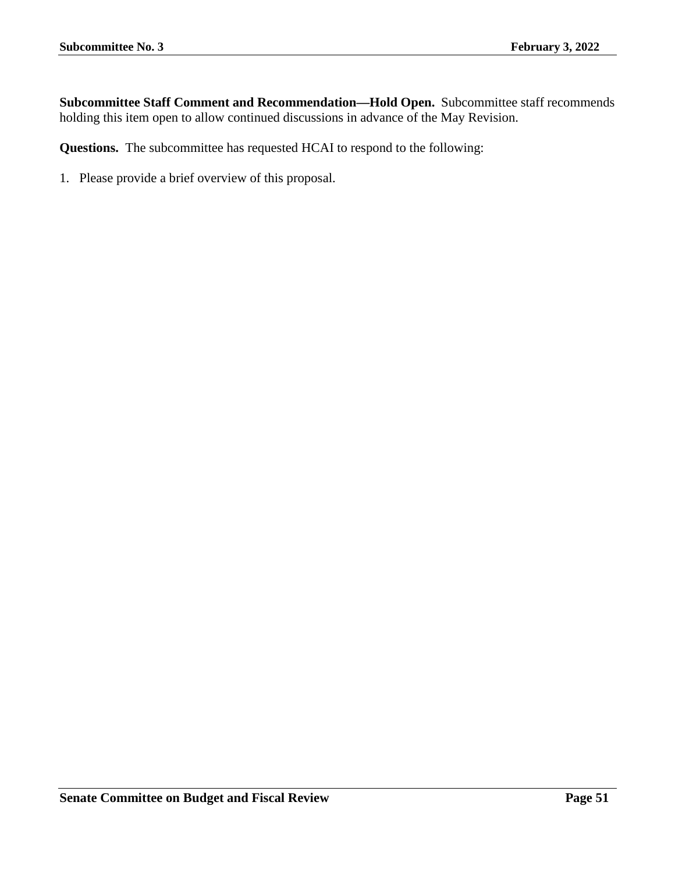**Subcommittee Staff Comment and Recommendation—Hold Open.** Subcommittee staff recommends holding this item open to allow continued discussions in advance of the May Revision.

**Questions.** The subcommittee has requested HCAI to respond to the following: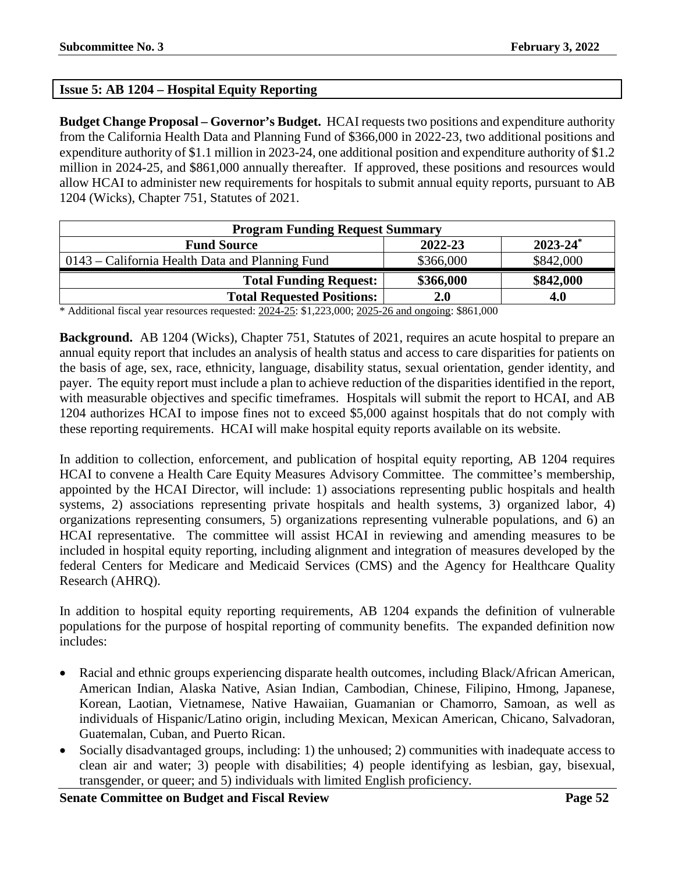# **Issue 5: AB 1204 – Hospital Equity Reporting**

**Budget Change Proposal – Governor's Budget.** HCAI requests two positions and expenditure authority from the California Health Data and Planning Fund of \$366,000 in 2022-23, two additional positions and expenditure authority of \$1.1 million in 2023-24, one additional position and expenditure authority of \$1.2 million in 2024-25, and \$861,000 annually thereafter. If approved, these positions and resources would allow HCAI to administer new requirements for hospitals to submit annual equity reports, pursuant to AB 1204 (Wicks), Chapter 751, Statutes of 2021.

| <b>Program Funding Request Summary</b>                    |           |           |  |  |
|-----------------------------------------------------------|-----------|-----------|--|--|
| $2023 - 24$ <sup>*</sup><br>2022-23<br><b>Fund Source</b> |           |           |  |  |
| 0143 – California Health Data and Planning Fund           | \$366,000 | \$842,000 |  |  |
| <b>Total Funding Request:</b>                             | \$366,000 | \$842,000 |  |  |
| <b>Total Requested Positions:</b>                         | 2.0       | 4.0       |  |  |

\* Additional fiscal year resources requested: 2024-25: \$1,223,000; 2025-26 and ongoing: \$861,000

**Background.** AB 1204 (Wicks), Chapter 751, Statutes of 2021, requires an acute hospital to prepare an annual equity report that includes an analysis of health status and access to care disparities for patients on the basis of age, sex, race, ethnicity, language, disability status, sexual orientation, gender identity, and payer. The equity report must include a plan to achieve reduction of the disparities identified in the report, with measurable objectives and specific timeframes. Hospitals will submit the report to HCAI, and AB 1204 authorizes HCAI to impose fines not to exceed \$5,000 against hospitals that do not comply with these reporting requirements. HCAI will make hospital equity reports available on its website.

In addition to collection, enforcement, and publication of hospital equity reporting, AB 1204 requires HCAI to convene a Health Care Equity Measures Advisory Committee. The committee's membership, appointed by the HCAI Director, will include: 1) associations representing public hospitals and health systems, 2) associations representing private hospitals and health systems, 3) organized labor, 4) organizations representing consumers, 5) organizations representing vulnerable populations, and 6) an HCAI representative. The committee will assist HCAI in reviewing and amending measures to be included in hospital equity reporting, including alignment and integration of measures developed by the federal Centers for Medicare and Medicaid Services (CMS) and the Agency for Healthcare Quality Research (AHRQ).

In addition to hospital equity reporting requirements, AB 1204 expands the definition of vulnerable populations for the purpose of hospital reporting of community benefits. The expanded definition now includes:

- Racial and ethnic groups experiencing disparate health outcomes, including Black/African American, American Indian, Alaska Native, Asian Indian, Cambodian, Chinese, Filipino, Hmong, Japanese, Korean, Laotian, Vietnamese, Native Hawaiian, Guamanian or Chamorro, Samoan, as well as individuals of Hispanic/Latino origin, including Mexican, Mexican American, Chicano, Salvadoran, Guatemalan, Cuban, and Puerto Rican.
- Socially disadvantaged groups, including: 1) the unhoused; 2) communities with inadequate access to clean air and water; 3) people with disabilities; 4) people identifying as lesbian, gay, bisexual, transgender, or queer; and 5) individuals with limited English proficiency.

**Senate Committee on Budget and Fiscal Review <b>Page 52 Page 52**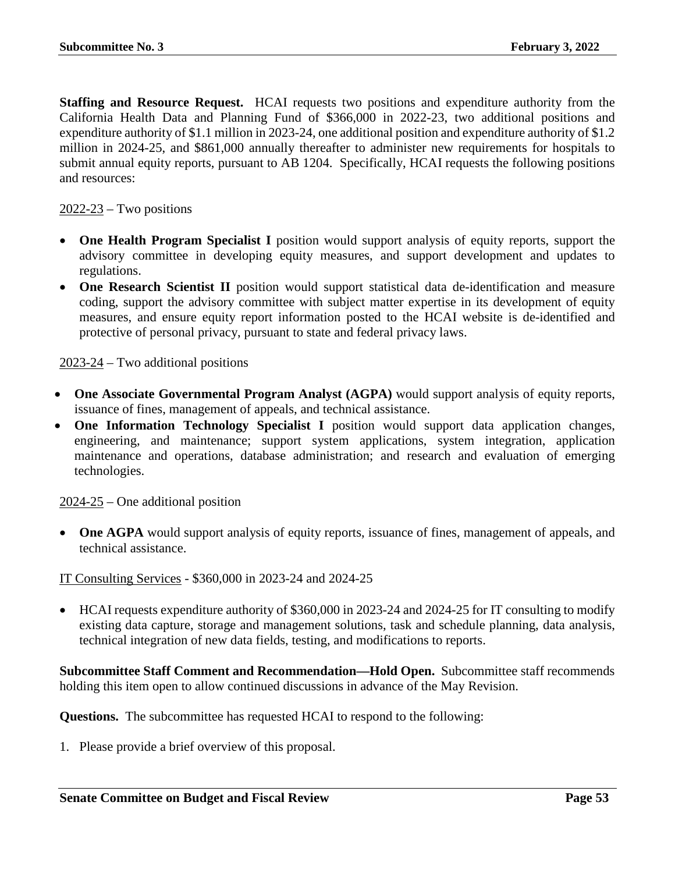**Staffing and Resource Request.** HCAI requests two positions and expenditure authority from the California Health Data and Planning Fund of \$366,000 in 2022-23, two additional positions and expenditure authority of \$1.1 million in 2023-24, one additional position and expenditure authority of \$1.2 million in 2024-25, and \$861,000 annually thereafter to administer new requirements for hospitals to submit annual equity reports, pursuant to AB 1204. Specifically, HCAI requests the following positions and resources:

### $2022-23$  – Two positions

- **One Health Program Specialist I** position would support analysis of equity reports, support the advisory committee in developing equity measures, and support development and updates to regulations.
- **One Research Scientist II** position would support statistical data de-identification and measure coding, support the advisory committee with subject matter expertise in its development of equity measures, and ensure equity report information posted to the HCAI website is de-identified and protective of personal privacy, pursuant to state and federal privacy laws.

 $2023-24$  – Two additional positions

- **One Associate Governmental Program Analyst (AGPA)** would support analysis of equity reports, issuance of fines, management of appeals, and technical assistance.
- **One Information Technology Specialist I** position would support data application changes, engineering, and maintenance; support system applications, system integration, application maintenance and operations, database administration; and research and evaluation of emerging technologies.

 $2024-25$  – One additional position

• One AGPA would support analysis of equity reports, issuance of fines, management of appeals, and technical assistance.

IT Consulting Services - \$360,000 in 2023-24 and 2024-25

• HCAI requests expenditure authority of \$360,000 in 2023-24 and 2024-25 for IT consulting to modify existing data capture, storage and management solutions, task and schedule planning, data analysis, technical integration of new data fields, testing, and modifications to reports.

**Subcommittee Staff Comment and Recommendation—Hold Open.** Subcommittee staff recommends holding this item open to allow continued discussions in advance of the May Revision.

**Questions.** The subcommittee has requested HCAI to respond to the following: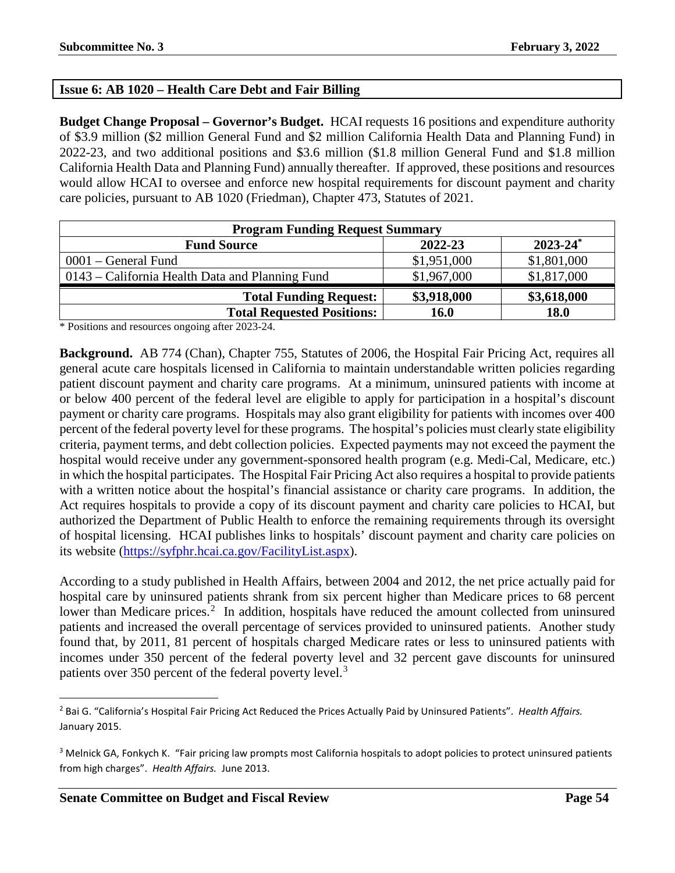# **Issue 6: AB 1020 – Health Care Debt and Fair Billing**

**Budget Change Proposal – Governor's Budget.** HCAI requests 16 positions and expenditure authority of \$3.9 million (\$2 million General Fund and \$2 million California Health Data and Planning Fund) in 2022-23, and two additional positions and \$3.6 million (\$1.8 million General Fund and \$1.8 million California Health Data and Planning Fund) annually thereafter. If approved, these positions and resources would allow HCAI to oversee and enforce new hospital requirements for discount payment and charity care policies, pursuant to AB 1020 (Friedman), Chapter 473, Statutes of 2021.

| <b>Program Funding Request Summary</b>          |             |               |  |
|-------------------------------------------------|-------------|---------------|--|
| <b>Fund Source</b>                              | 2022-23     | $2023 - 24^*$ |  |
| $0001$ – General Fund                           | \$1,951,000 | \$1,801,000   |  |
| 0143 – California Health Data and Planning Fund | \$1,967,000 | \$1,817,000   |  |
| <b>Total Funding Request:</b>                   | \$3,918,000 | \$3,618,000   |  |
| <b>Total Requested Positions:</b>               | <b>16.0</b> | <b>18.0</b>   |  |

\* Positions and resources ongoing after 2023-24.

**Background.** AB 774 (Chan), Chapter 755, Statutes of 2006, the Hospital Fair Pricing Act, requires all general acute care hospitals licensed in California to maintain understandable written policies regarding patient discount payment and charity care programs. At a minimum, uninsured patients with income at or below 400 percent of the federal level are eligible to apply for participation in a hospital's discount payment or charity care programs. Hospitals may also grant eligibility for patients with incomes over 400 percent of the federal poverty level for these programs. The hospital's policies must clearly state eligibility criteria, payment terms, and debt collection policies. Expected payments may not exceed the payment the hospital would receive under any government-sponsored health program (e.g. Medi-Cal, Medicare, etc.) in which the hospital participates. The Hospital Fair Pricing Act also requires a hospital to provide patients with a written notice about the hospital's financial assistance or charity care programs. In addition, the Act requires hospitals to provide a copy of its discount payment and charity care policies to HCAI, but authorized the Department of Public Health to enforce the remaining requirements through its oversight of hospital licensing. HCAI publishes links to hospitals' discount payment and charity care policies on its website [\(https://syfphr.hcai.ca.gov/FacilityList.aspx\)](https://syfphr.hcai.ca.gov/FacilityList.aspx).

According to a study published in Health Affairs, between 2004 and 2012, the net price actually paid for hospital care by uninsured patients shrank from six percent higher than Medicare prices to 68 percent lower than Medicare prices.<sup>[2](#page-53-0)</sup> In addition, hospitals have reduced the amount collected from uninsured patients and increased the overall percentage of services provided to uninsured patients. Another study found that, by 2011, 81 percent of hospitals charged Medicare rates or less to uninsured patients with incomes under 350 percent of the federal poverty level and 32 percent gave discounts for uninsured patients over [3](#page-53-1)50 percent of the federal poverty level.<sup>3</sup>

<span id="page-53-0"></span> <sup>2</sup> Bai G. "California's Hospital Fair Pricing Act Reduced the Prices Actually Paid by Uninsured Patients". *Health Affairs.* January 2015.

<span id="page-53-1"></span><sup>&</sup>lt;sup>3</sup> Melnick GA, Fonkych K. "Fair pricing law prompts most California hospitals to adopt policies to protect uninsured patients from high charges". *Health Affairs.* June 2013.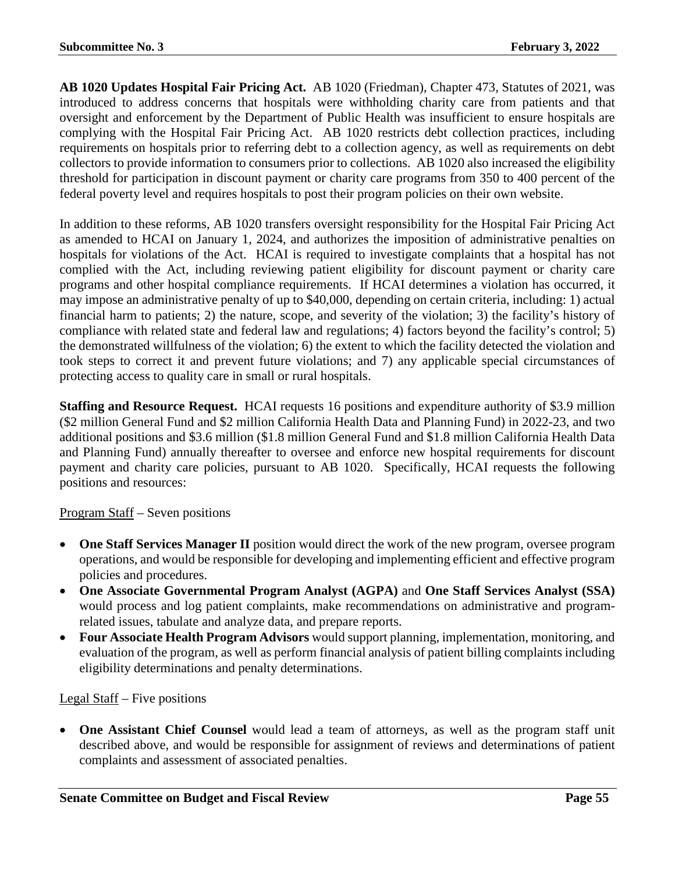**AB 1020 Updates Hospital Fair Pricing Act.** AB 1020 (Friedman), Chapter 473, Statutes of 2021, was introduced to address concerns that hospitals were withholding charity care from patients and that oversight and enforcement by the Department of Public Health was insufficient to ensure hospitals are complying with the Hospital Fair Pricing Act. AB 1020 restricts debt collection practices, including requirements on hospitals prior to referring debt to a collection agency, as well as requirements on debt collectors to provide information to consumers prior to collections. AB 1020 also increased the eligibility threshold for participation in discount payment or charity care programs from 350 to 400 percent of the federal poverty level and requires hospitals to post their program policies on their own website.

In addition to these reforms, AB 1020 transfers oversight responsibility for the Hospital Fair Pricing Act as amended to HCAI on January 1, 2024, and authorizes the imposition of administrative penalties on hospitals for violations of the Act. HCAI is required to investigate complaints that a hospital has not complied with the Act, including reviewing patient eligibility for discount payment or charity care programs and other hospital compliance requirements. If HCAI determines a violation has occurred, it may impose an administrative penalty of up to \$40,000, depending on certain criteria, including: 1) actual financial harm to patients; 2) the nature, scope, and severity of the violation; 3) the facility's history of compliance with related state and federal law and regulations; 4) factors beyond the facility's control; 5) the demonstrated willfulness of the violation; 6) the extent to which the facility detected the violation and took steps to correct it and prevent future violations; and 7) any applicable special circumstances of protecting access to quality care in small or rural hospitals.

**Staffing and Resource Request.** HCAI requests 16 positions and expenditure authority of \$3.9 million (\$2 million General Fund and \$2 million California Health Data and Planning Fund) in 2022-23, and two additional positions and \$3.6 million (\$1.8 million General Fund and \$1.8 million California Health Data and Planning Fund) annually thereafter to oversee and enforce new hospital requirements for discount payment and charity care policies, pursuant to AB 1020. Specifically, HCAI requests the following positions and resources:

## Program Staff – Seven positions

- **One Staff Services Manager II** position would direct the work of the new program, oversee program operations, and would be responsible for developing and implementing efficient and effective program policies and procedures.
- **One Associate Governmental Program Analyst (AGPA)** and **One Staff Services Analyst (SSA)**  would process and log patient complaints, make recommendations on administrative and programrelated issues, tabulate and analyze data, and prepare reports.
- **Four Associate Health Program Advisors** would support planning, implementation, monitoring, and evaluation of the program, as well as perform financial analysis of patient billing complaints including eligibility determinations and penalty determinations.

### Legal Staff – Five positions

• **One Assistant Chief Counsel** would lead a team of attorneys, as well as the program staff unit described above, and would be responsible for assignment of reviews and determinations of patient complaints and assessment of associated penalties.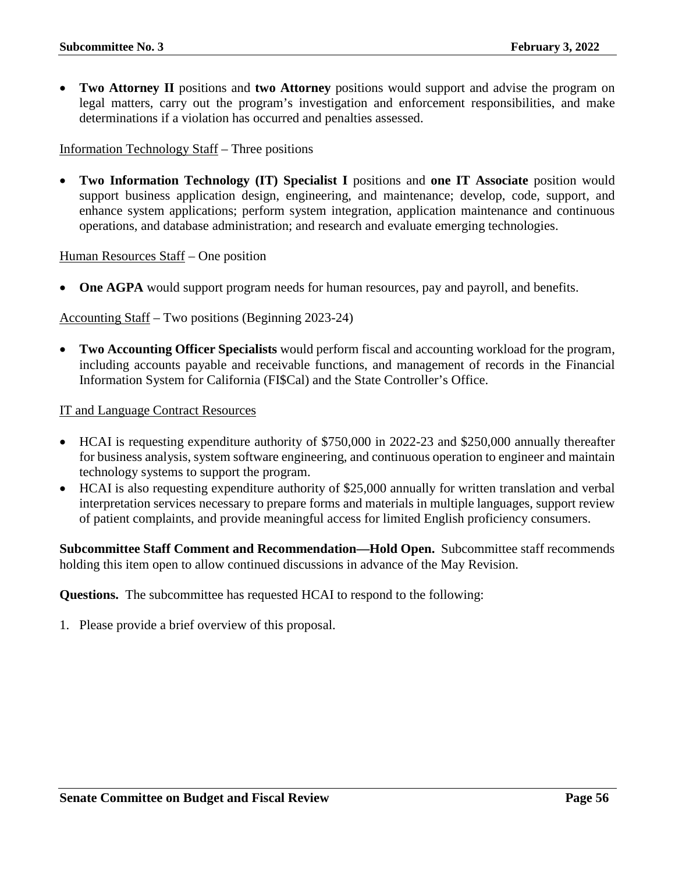• **Two Attorney II** positions and **two Attorney** positions would support and advise the program on legal matters, carry out the program's investigation and enforcement responsibilities, and make determinations if a violation has occurred and penalties assessed.

Information Technology Staff – Three positions

• **Two Information Technology (IT) Specialist I** positions and **one IT Associate** position would support business application design, engineering, and maintenance; develop, code, support, and enhance system applications; perform system integration, application maintenance and continuous operations, and database administration; and research and evaluate emerging technologies.

Human Resources Staff – One position

**One AGPA** would support program needs for human resources, pay and payroll, and benefits.

Accounting Staff – Two positions (Beginning 2023-24)

• **Two Accounting Officer Specialists** would perform fiscal and accounting workload for the program, including accounts payable and receivable functions, and management of records in the Financial Information System for California (FI\$Cal) and the State Controller's Office.

IT and Language Contract Resources

- HCAI is requesting expenditure authority of \$750,000 in 2022-23 and \$250,000 annually thereafter for business analysis, system software engineering, and continuous operation to engineer and maintain technology systems to support the program.
- HCAI is also requesting expenditure authority of \$25,000 annually for written translation and verbal interpretation services necessary to prepare forms and materials in multiple languages, support review of patient complaints, and provide meaningful access for limited English proficiency consumers.

**Subcommittee Staff Comment and Recommendation—Hold Open.** Subcommittee staff recommends holding this item open to allow continued discussions in advance of the May Revision.

**Questions.** The subcommittee has requested HCAI to respond to the following: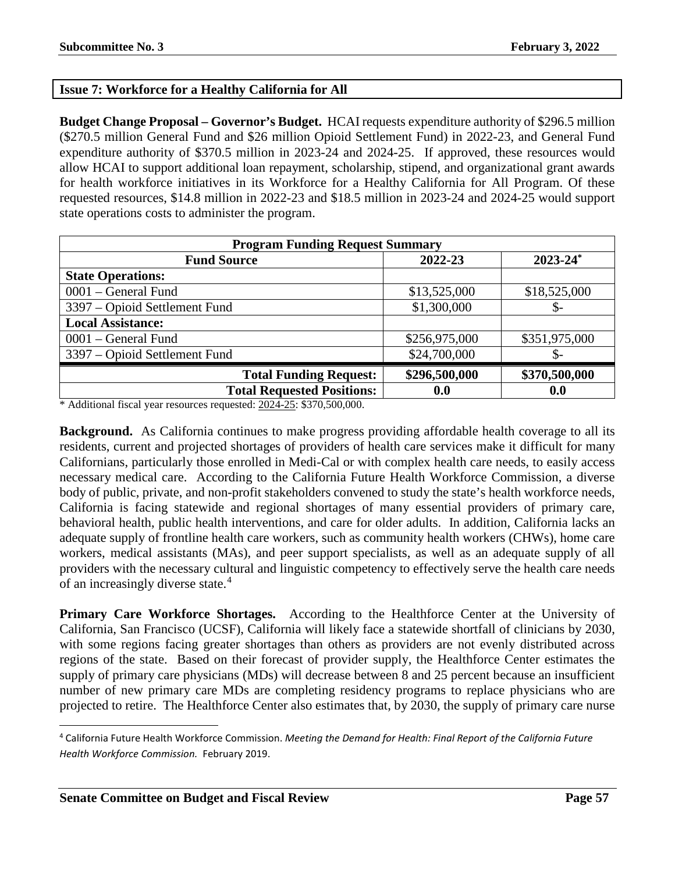## **Issue 7: Workforce for a Healthy California for All**

**Budget Change Proposal – Governor's Budget.** HCAI requests expenditure authority of \$296.5 million (\$270.5 million General Fund and \$26 million Opioid Settlement Fund) in 2022-23, and General Fund expenditure authority of \$370.5 million in 2023-24 and 2024-25. If approved, these resources would allow HCAI to support additional loan repayment, scholarship, stipend, and organizational grant awards for health workforce initiatives in its Workforce for a Healthy California for All Program. Of these requested resources, \$14.8 million in 2022-23 and \$18.5 million in 2023-24 and 2024-25 would support state operations costs to administer the program.

| <b>Program Funding Request Summary</b>                    |               |               |  |  |  |
|-----------------------------------------------------------|---------------|---------------|--|--|--|
| $2023 - 24$ <sup>*</sup><br><b>Fund Source</b><br>2022-23 |               |               |  |  |  |
| <b>State Operations:</b>                                  |               |               |  |  |  |
| 0001 – General Fund                                       | \$13,525,000  | \$18,525,000  |  |  |  |
| 3397 – Opioid Settlement Fund                             | \$1,300,000   | \$-           |  |  |  |
| <b>Local Assistance:</b>                                  |               |               |  |  |  |
| $0001$ – General Fund                                     | \$256,975,000 | \$351,975,000 |  |  |  |
| 3397 – Opioid Settlement Fund                             | \$24,700,000  | \$-           |  |  |  |
| <b>Total Funding Request:</b>                             | \$296,500,000 | \$370,500,000 |  |  |  |
| <b>Total Requested Positions:</b>                         | 0.0           | 0.0           |  |  |  |

\* Additional fiscal year resources requested: 2024-25: \$370,500,000.

**Background.** As California continues to make progress providing affordable health coverage to all its residents, current and projected shortages of providers of health care services make it difficult for many Californians, particularly those enrolled in Medi-Cal or with complex health care needs, to easily access necessary medical care. According to the California Future Health Workforce Commission, a diverse body of public, private, and non-profit stakeholders convened to study the state's health workforce needs, California is facing statewide and regional shortages of many essential providers of primary care, behavioral health, public health interventions, and care for older adults. In addition, California lacks an adequate supply of frontline health care workers, such as community health workers (CHWs), home care workers, medical assistants (MAs), and peer support specialists, as well as an adequate supply of all providers with the necessary cultural and linguistic competency to effectively serve the health care needs of an increasingly diverse state.<sup>[4](#page-56-0)</sup>

**Primary Care Workforce Shortages.** According to the Healthforce Center at the University of California, San Francisco (UCSF), California will likely face a statewide shortfall of clinicians by 2030, with some regions facing greater shortages than others as providers are not evenly distributed across regions of the state. Based on their forecast of provider supply, the Healthforce Center estimates the supply of primary care physicians (MDs) will decrease between 8 and 25 percent because an insufficient number of new primary care MDs are completing residency programs to replace physicians who are projected to retire. The Healthforce Center also estimates that, by 2030, the supply of primary care nurse

<span id="page-56-0"></span> <sup>4</sup> California Future Health Workforce Commission. *Meeting the Demand for Health: Final Report of the California Future Health Workforce Commission.* February 2019.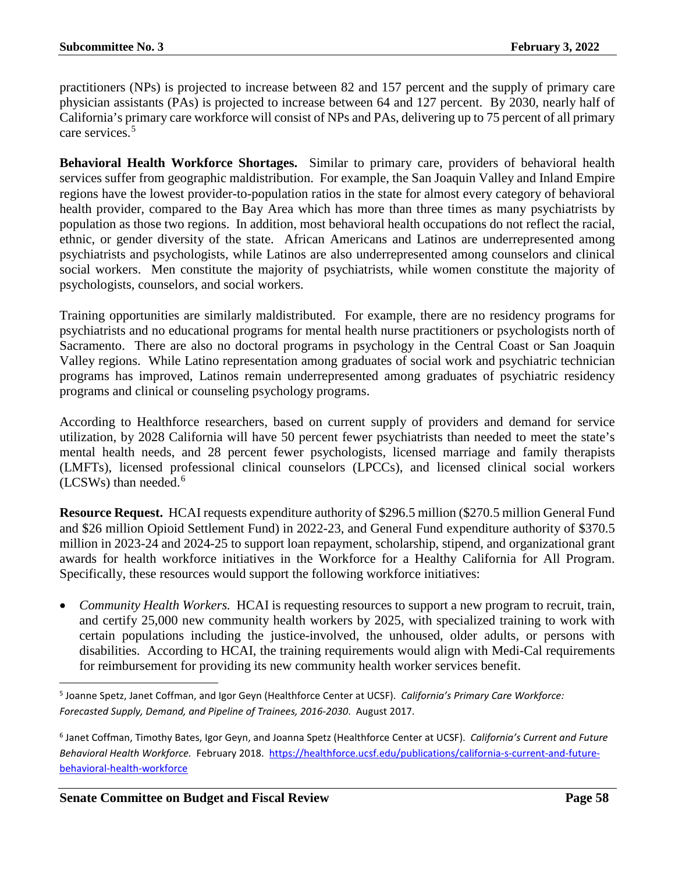practitioners (NPs) is projected to increase between 82 and 157 percent and the supply of primary care physician assistants (PAs) is projected to increase between 64 and 127 percent. By 2030, nearly half of California's primary care workforce will consist of NPs and PAs, delivering up to 75 percent of all primary care services.[5](#page-57-0)

**Behavioral Health Workforce Shortages.** Similar to primary care, providers of behavioral health services suffer from geographic maldistribution. For example, the San Joaquin Valley and Inland Empire regions have the lowest provider-to-population ratios in the state for almost every category of behavioral health provider, compared to the Bay Area which has more than three times as many psychiatrists by population as those two regions. In addition, most behavioral health occupations do not reflect the racial, ethnic, or gender diversity of the state. African Americans and Latinos are underrepresented among psychiatrists and psychologists, while Latinos are also underrepresented among counselors and clinical social workers. Men constitute the majority of psychiatrists, while women constitute the majority of psychologists, counselors, and social workers.

Training opportunities are similarly maldistributed. For example, there are no residency programs for psychiatrists and no educational programs for mental health nurse practitioners or psychologists north of Sacramento. There are also no doctoral programs in psychology in the Central Coast or San Joaquin Valley regions. While Latino representation among graduates of social work and psychiatric technician programs has improved, Latinos remain underrepresented among graduates of psychiatric residency programs and clinical or counseling psychology programs.

According to Healthforce researchers, based on current supply of providers and demand for service utilization, by 2028 California will have 50 percent fewer psychiatrists than needed to meet the state's mental health needs, and 28 percent fewer psychologists, licensed marriage and family therapists (LMFTs), licensed professional clinical counselors (LPCCs), and licensed clinical social workers  $(LCSWs)$  than needed.<sup>[6](#page-57-1)</sup>

**Resource Request.** HCAI requests expenditure authority of \$296.5 million (\$270.5 million General Fund and \$26 million Opioid Settlement Fund) in 2022-23, and General Fund expenditure authority of \$370.5 million in 2023-24 and 2024-25 to support loan repayment, scholarship, stipend, and organizational grant awards for health workforce initiatives in the Workforce for a Healthy California for All Program. Specifically, these resources would support the following workforce initiatives:

• *Community Health Workers.* HCAI is requesting resources to support a new program to recruit, train, and certify 25,000 new community health workers by 2025, with specialized training to work with certain populations including the justice-involved, the unhoused, older adults, or persons with disabilities. According to HCAI, the training requirements would align with Medi-Cal requirements for reimbursement for providing its new community health worker services benefit.

<span id="page-57-0"></span> <sup>5</sup> Joanne Spetz, Janet Coffman, and Igor Geyn (Healthforce Center at UCSF). *California's Primary Care Workforce: Forecasted Supply, Demand, and Pipeline of Trainees, 2016-2030*. August 2017.

<span id="page-57-1"></span><sup>6</sup> Janet Coffman, Timothy Bates, Igor Geyn, and Joanna Spetz (Healthforce Center at UCSF). *California's Current and Future Behavioral Health Workforce.* February 2018. [https://healthforce.ucsf.edu/publications/california-s-current-and-future](https://healthforce.ucsf.edu/publications/california-s-current-and-future-behavioral-health-workforce)[behavioral-health-workforce](https://healthforce.ucsf.edu/publications/california-s-current-and-future-behavioral-health-workforce)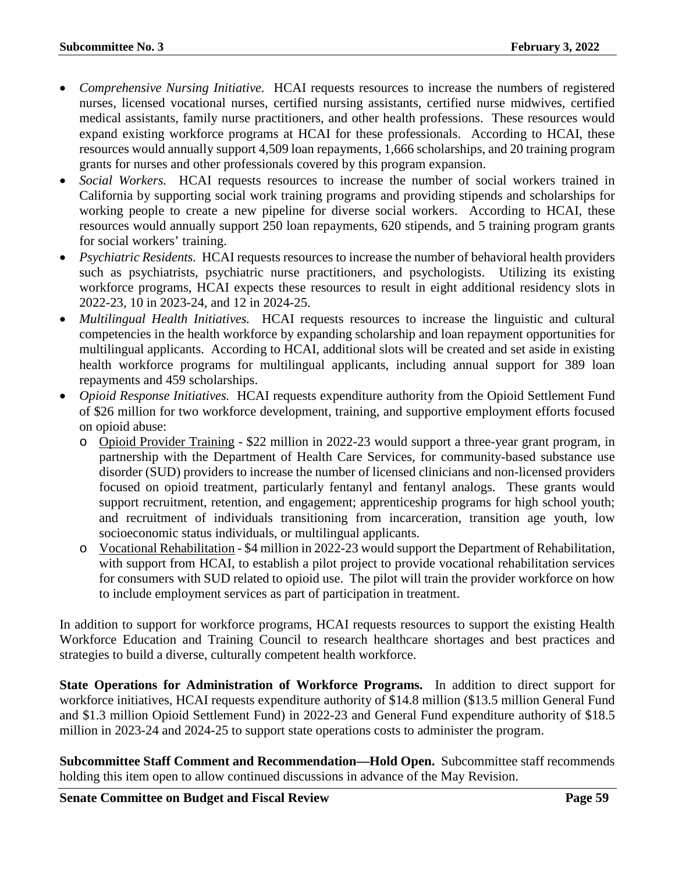- *Comprehensive Nursing Initiative.* HCAI requests resources to increase the numbers of registered nurses, licensed vocational nurses, certified nursing assistants, certified nurse midwives, certified medical assistants, family nurse practitioners, and other health professions. These resources would expand existing workforce programs at HCAI for these professionals. According to HCAI, these resources would annually support 4,509 loan repayments, 1,666 scholarships, and 20 training program grants for nurses and other professionals covered by this program expansion.
- *Social Workers.* HCAI requests resources to increase the number of social workers trained in California by supporting social work training programs and providing stipends and scholarships for working people to create a new pipeline for diverse social workers. According to HCAI, these resources would annually support 250 loan repayments, 620 stipends, and 5 training program grants for social workers' training.
- *Psychiatric Residents.* HCAI requests resources to increase the number of behavioral health providers such as psychiatrists, psychiatric nurse practitioners, and psychologists. Utilizing its existing workforce programs, HCAI expects these resources to result in eight additional residency slots in 2022-23, 10 in 2023-24, and 12 in 2024-25.
- *Multilingual Health Initiatives.* HCAI requests resources to increase the linguistic and cultural competencies in the health workforce by expanding scholarship and loan repayment opportunities for multilingual applicants. According to HCAI, additional slots will be created and set aside in existing health workforce programs for multilingual applicants, including annual support for 389 loan repayments and 459 scholarships.
- *Opioid Response Initiatives.* HCAI requests expenditure authority from the Opioid Settlement Fund of \$26 million for two workforce development, training, and supportive employment efforts focused on opioid abuse:
	- o Opioid Provider Training \$22 million in 2022-23 would support a three-year grant program, in partnership with the Department of Health Care Services, for community-based substance use disorder (SUD) providers to increase the number of licensed clinicians and non-licensed providers focused on opioid treatment, particularly fentanyl and fentanyl analogs. These grants would support recruitment, retention, and engagement; apprenticeship programs for high school youth; and recruitment of individuals transitioning from incarceration, transition age youth, low socioeconomic status individuals, or multilingual applicants.
	- o Vocational Rehabilitation \$4 million in 2022-23 would support the Department of Rehabilitation, with support from HCAI, to establish a pilot project to provide vocational rehabilitation services for consumers with SUD related to opioid use. The pilot will train the provider workforce on how to include employment services as part of participation in treatment.

In addition to support for workforce programs, HCAI requests resources to support the existing Health Workforce Education and Training Council to research healthcare shortages and best practices and strategies to build a diverse, culturally competent health workforce.

**State Operations for Administration of Workforce Programs.** In addition to direct support for workforce initiatives, HCAI requests expenditure authority of \$14.8 million (\$13.5 million General Fund and \$1.3 million Opioid Settlement Fund) in 2022-23 and General Fund expenditure authority of \$18.5 million in 2023-24 and 2024-25 to support state operations costs to administer the program.

**Subcommittee Staff Comment and Recommendation—Hold Open.** Subcommittee staff recommends holding this item open to allow continued discussions in advance of the May Revision.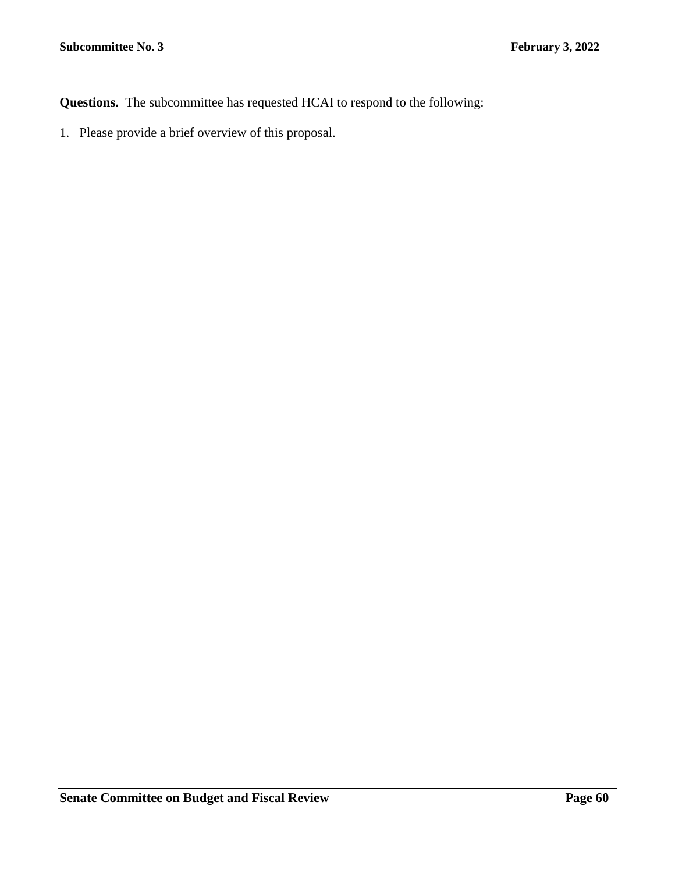**Questions.** The subcommittee has requested HCAI to respond to the following: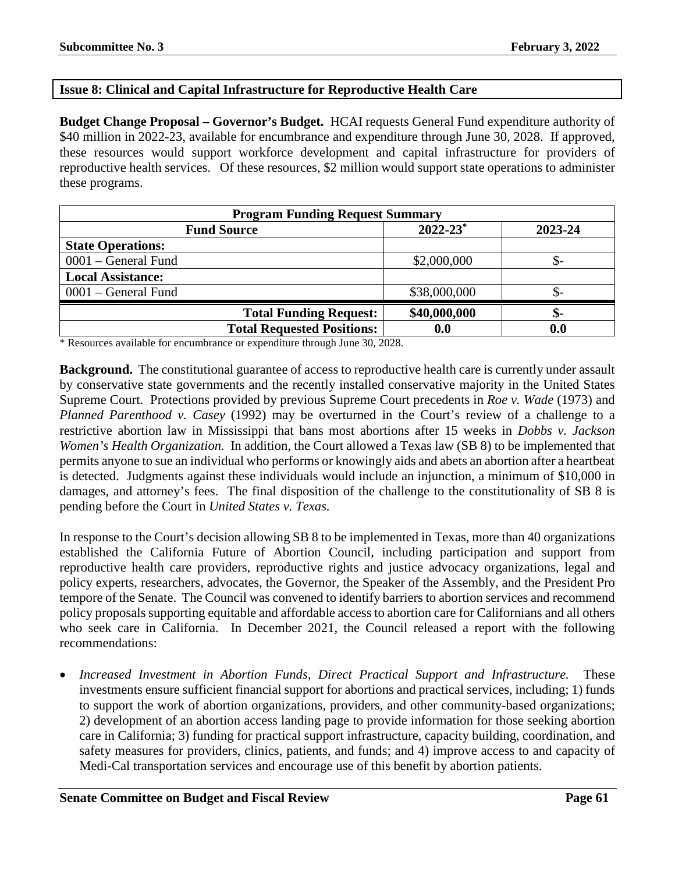## **Issue 8: Clinical and Capital Infrastructure for Reproductive Health Care**

**Budget Change Proposal – Governor's Budget.** HCAI requests General Fund expenditure authority of \$40 million in 2022-23, available for encumbrance and expenditure through June 30, 2028. If approved, these resources would support workforce development and capital infrastructure for providers of reproductive health services. Of these resources, \$2 million would support state operations to administer these programs.

| <b>Program Funding Request Summary</b> |                          |         |  |
|----------------------------------------|--------------------------|---------|--|
| <b>Fund Source</b>                     | $2022 - 23$ <sup>*</sup> | 2023-24 |  |
| <b>State Operations:</b>               |                          |         |  |
| 0001 – General Fund                    | \$2,000,000              |         |  |
| <b>Local Assistance:</b>               |                          |         |  |
| $0001$ – General Fund                  | \$38,000,000             | J) –    |  |
| <b>Total Funding Request:</b>          | \$40,000,000             | \$-     |  |
| <b>Total Requested Positions:</b>      | 0.0                      | 0.0     |  |

\* Resources available for encumbrance or expenditure through June 30, 2028.

**Background.** The constitutional guarantee of access to reproductive health care is currently under assault by conservative state governments and the recently installed conservative majority in the United States Supreme Court. Protections provided by previous Supreme Court precedents in *Roe v. Wade* (1973) and *Planned Parenthood v. Casey* (1992) may be overturned in the Court's review of a challenge to a restrictive abortion law in Mississippi that bans most abortions after 15 weeks in *Dobbs v. Jackson Women's Health Organization.* In addition, the Court allowed a Texas law (SB 8) to be implemented that permits anyone to sue an individual who performs or knowingly aids and abets an abortion after a heartbeat is detected. Judgments against these individuals would include an injunction, a minimum of \$10,000 in damages, and attorney's fees. The final disposition of the challenge to the constitutionality of SB 8 is pending before the Court in *United States v. Texas.*

In response to the Court's decision allowing SB 8 to be implemented in Texas, more than 40 organizations established the California Future of Abortion Council, including participation and support from reproductive health care providers, reproductive rights and justice advocacy organizations, legal and policy experts, researchers, advocates, the Governor, the Speaker of the Assembly, and the President Pro tempore of the Senate. The Council was convened to identify barriers to abortion services and recommend policy proposals supporting equitable and affordable access to abortion care for Californians and all others who seek care in California. In December 2021, the Council released a report with the following recommendations:

• *Increased Investment in Abortion Funds, Direct Practical Support and Infrastructure.* These investments ensure sufficient financial support for abortions and practical services, including; 1) funds to support the work of abortion organizations, providers, and other community-based organizations; 2) development of an abortion access landing page to provide information for those seeking abortion care in California; 3) funding for practical support infrastructure, capacity building, coordination, and safety measures for providers, clinics, patients, and funds; and 4) improve access to and capacity of Medi-Cal transportation services and encourage use of this benefit by abortion patients.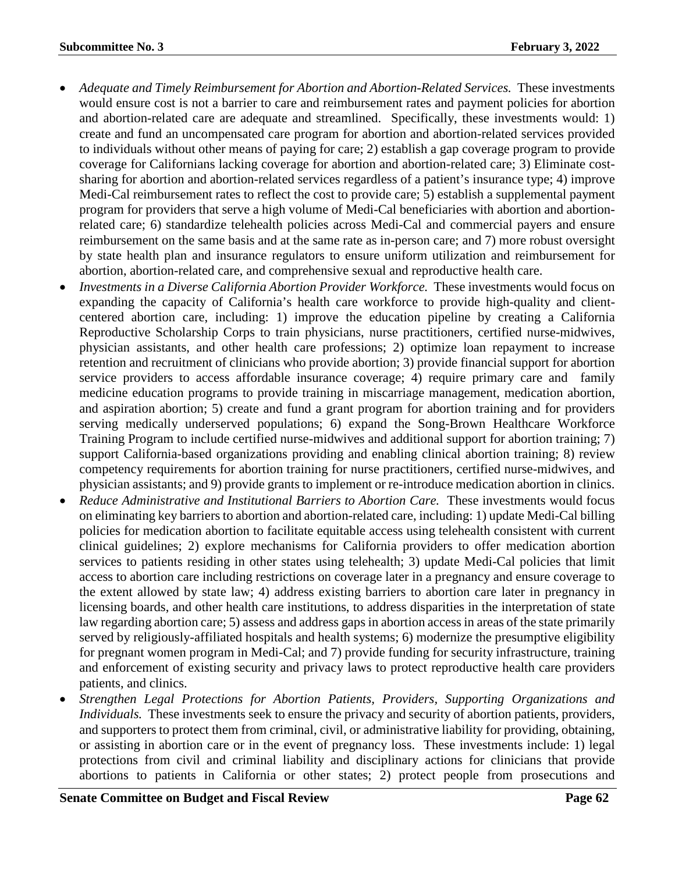- *Adequate and Timely Reimbursement for Abortion and Abortion-Related Services.* These investments would ensure cost is not a barrier to care and reimbursement rates and payment policies for abortion and abortion-related care are adequate and streamlined. Specifically, these investments would: 1) create and fund an uncompensated care program for abortion and abortion-related services provided to individuals without other means of paying for care; 2) establish a gap coverage program to provide coverage for Californians lacking coverage for abortion and abortion-related care; 3) Eliminate costsharing for abortion and abortion-related services regardless of a patient's insurance type; 4) improve Medi-Cal reimbursement rates to reflect the cost to provide care; 5) establish a supplemental payment program for providers that serve a high volume of Medi-Cal beneficiaries with abortion and abortionrelated care; 6) standardize telehealth policies across Medi-Cal and commercial payers and ensure reimbursement on the same basis and at the same rate as in-person care; and 7) more robust oversight by state health plan and insurance regulators to ensure uniform utilization and reimbursement for abortion, abortion-related care, and comprehensive sexual and reproductive health care.
- *Investments in a Diverse California Abortion Provider Workforce.* These investments would focus on expanding the capacity of California's health care workforce to provide high-quality and clientcentered abortion care, including: 1) improve the education pipeline by creating a California Reproductive Scholarship Corps to train physicians, nurse practitioners, certified nurse-midwives, physician assistants, and other health care professions; 2) optimize loan repayment to increase retention and recruitment of clinicians who provide abortion; 3) provide financial support for abortion service providers to access affordable insurance coverage; 4) require primary care and family medicine education programs to provide training in miscarriage management, medication abortion, and aspiration abortion; 5) create and fund a grant program for abortion training and for providers serving medically underserved populations; 6) expand the Song-Brown Healthcare Workforce Training Program to include certified nurse-midwives and additional support for abortion training; 7) support California-based organizations providing and enabling clinical abortion training; 8) review competency requirements for abortion training for nurse practitioners, certified nurse-midwives, and physician assistants; and 9) provide grants to implement or re-introduce medication abortion in clinics.
- *Reduce Administrative and Institutional Barriers to Abortion Care.* These investments would focus on eliminating key barriers to abortion and abortion-related care, including: 1) update Medi-Cal billing policies for medication abortion to facilitate equitable access using telehealth consistent with current clinical guidelines; 2) explore mechanisms for California providers to offer medication abortion services to patients residing in other states using telehealth; 3) update Medi-Cal policies that limit access to abortion care including restrictions on coverage later in a pregnancy and ensure coverage to the extent allowed by state law; 4) address existing barriers to abortion care later in pregnancy in licensing boards, and other health care institutions, to address disparities in the interpretation of state law regarding abortion care; 5) assess and address gaps in abortion access in areas of the state primarily served by religiously-affiliated hospitals and health systems; 6) modernize the presumptive eligibility for pregnant women program in Medi-Cal; and 7) provide funding for security infrastructure, training and enforcement of existing security and privacy laws to protect reproductive health care providers patients, and clinics.
- *Strengthen Legal Protections for Abortion Patients, Providers, Supporting Organizations and Individuals.* These investments seek to ensure the privacy and security of abortion patients, providers, and supporters to protect them from criminal, civil, or administrative liability for providing, obtaining, or assisting in abortion care or in the event of pregnancy loss. These investments include: 1) legal protections from civil and criminal liability and disciplinary actions for clinicians that provide abortions to patients in California or other states; 2) protect people from prosecutions and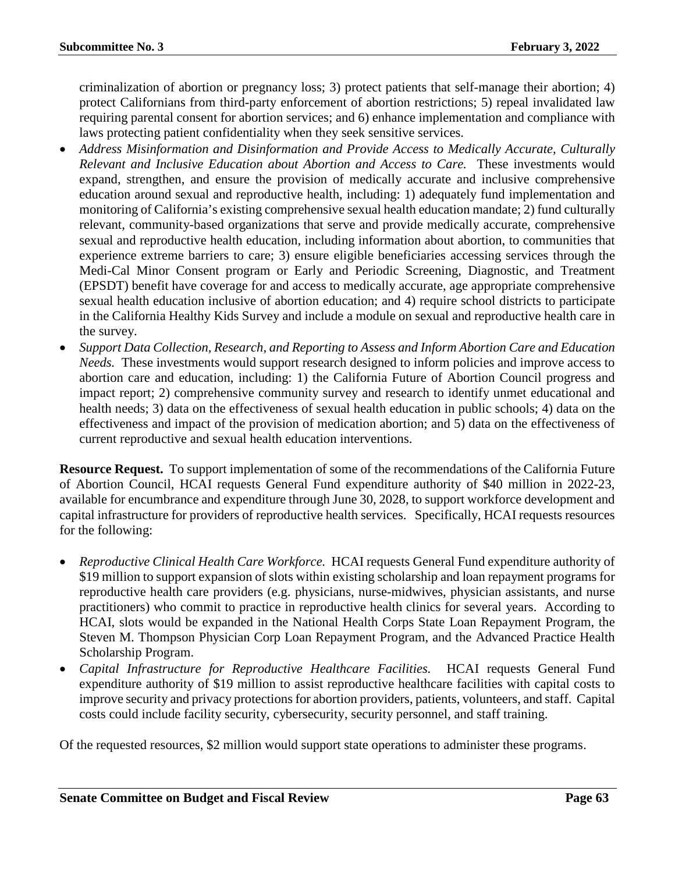criminalization of abortion or pregnancy loss; 3) protect patients that self-manage their abortion; 4) protect Californians from third-party enforcement of abortion restrictions; 5) repeal invalidated law requiring parental consent for abortion services; and 6) enhance implementation and compliance with laws protecting patient confidentiality when they seek sensitive services.

- *Address Misinformation and Disinformation and Provide Access to Medically Accurate, Culturally Relevant and Inclusive Education about Abortion and Access to Care.* These investments would expand, strengthen, and ensure the provision of medically accurate and inclusive comprehensive education around sexual and reproductive health, including: 1) adequately fund implementation and monitoring of California's existing comprehensive sexual health education mandate; 2) fund culturally relevant, community-based organizations that serve and provide medically accurate, comprehensive sexual and reproductive health education, including information about abortion, to communities that experience extreme barriers to care; 3) ensure eligible beneficiaries accessing services through the Medi-Cal Minor Consent program or Early and Periodic Screening, Diagnostic, and Treatment (EPSDT) benefit have coverage for and access to medically accurate, age appropriate comprehensive sexual health education inclusive of abortion education; and 4) require school districts to participate in the California Healthy Kids Survey and include a module on sexual and reproductive health care in the survey.
- *Support Data Collection, Research, and Reporting to Assess and Inform Abortion Care and Education Needs.* These investments would support research designed to inform policies and improve access to abortion care and education, including: 1) the California Future of Abortion Council progress and impact report; 2) comprehensive community survey and research to identify unmet educational and health needs; 3) data on the effectiveness of sexual health education in public schools; 4) data on the effectiveness and impact of the provision of medication abortion; and 5) data on the effectiveness of current reproductive and sexual health education interventions.

**Resource Request.** To support implementation of some of the recommendations of the California Future of Abortion Council, HCAI requests General Fund expenditure authority of \$40 million in 2022-23, available for encumbrance and expenditure through June 30, 2028, to support workforce development and capital infrastructure for providers of reproductive health services. Specifically, HCAI requests resources for the following:

- *Reproductive Clinical Health Care Workforce.* HCAI requests General Fund expenditure authority of \$19 million to support expansion of slots within existing scholarship and loan repayment programs for reproductive health care providers (e.g. physicians, nurse-midwives, physician assistants, and nurse practitioners) who commit to practice in reproductive health clinics for several years. According to HCAI, slots would be expanded in the National Health Corps State Loan Repayment Program, the Steven M. Thompson Physician Corp Loan Repayment Program, and the Advanced Practice Health Scholarship Program.
- *Capital Infrastructure for Reproductive Healthcare Facilities.* HCAI requests General Fund expenditure authority of \$19 million to assist reproductive healthcare facilities with capital costs to improve security and privacy protections for abortion providers, patients, volunteers, and staff. Capital costs could include facility security, cybersecurity, security personnel, and staff training.

Of the requested resources, \$2 million would support state operations to administer these programs.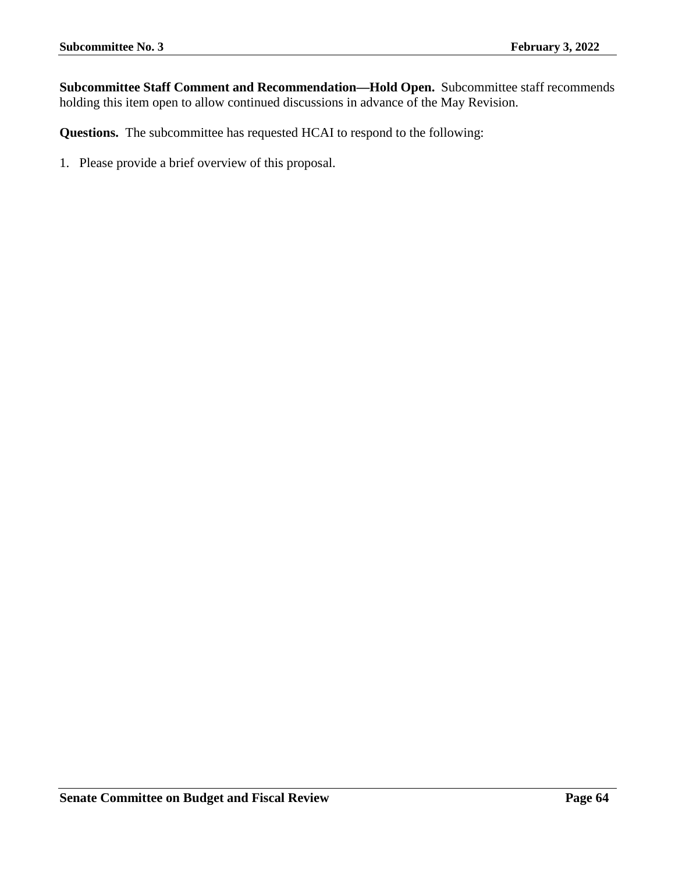**Subcommittee Staff Comment and Recommendation—Hold Open.** Subcommittee staff recommends holding this item open to allow continued discussions in advance of the May Revision.

**Questions.** The subcommittee has requested HCAI to respond to the following: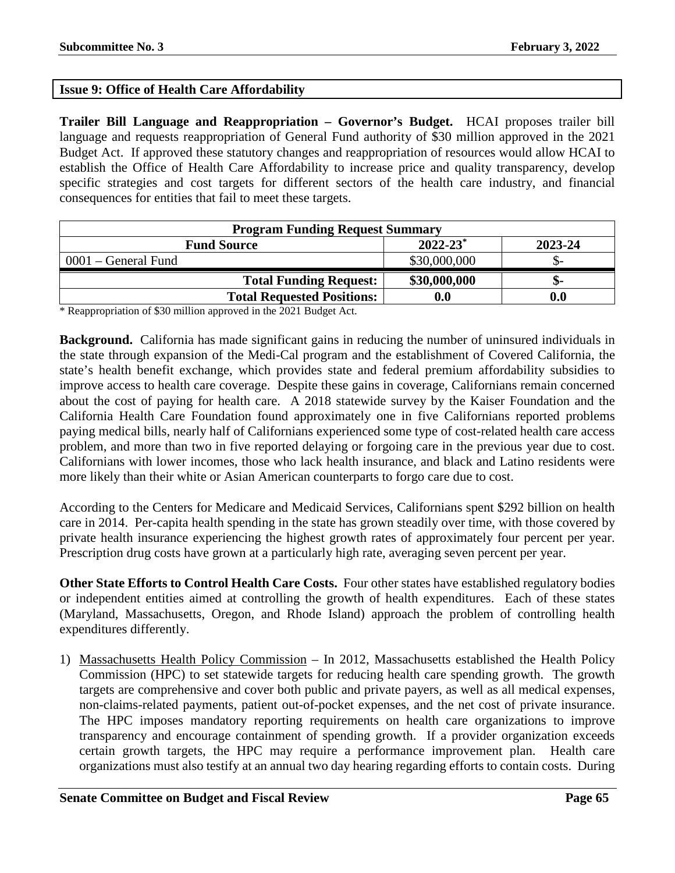## **Issue 9: Office of Health Care Affordability**

**Trailer Bill Language and Reappropriation – Governor's Budget.** HCAI proposes trailer bill language and requests reappropriation of General Fund authority of \$30 million approved in the 2021 Budget Act. If approved these statutory changes and reappropriation of resources would allow HCAI to establish the Office of Health Care Affordability to increase price and quality transparency, develop specific strategies and cost targets for different sectors of the health care industry, and financial consequences for entities that fail to meet these targets.

| <b>Program Funding Request Summary</b>                    |                    |     |  |  |
|-----------------------------------------------------------|--------------------|-----|--|--|
| $2022 - 23$ <sup>*</sup><br>2023-24<br><b>Fund Source</b> |                    |     |  |  |
| $0001$ – General Fund                                     | \$30,000,000       |     |  |  |
| <b>Total Funding Request:</b>                             | \$30,000,000       | -פ  |  |  |
| <b>Total Requested Positions:</b>                         | $\boldsymbol{0.0}$ | 0.0 |  |  |

\* Reappropriation of \$30 million approved in the 2021 Budget Act.

**Background.** California has made significant gains in reducing the number of uninsured individuals in the state through expansion of the Medi-Cal program and the establishment of Covered California, the state's health benefit exchange, which provides state and federal premium affordability subsidies to improve access to health care coverage. Despite these gains in coverage, Californians remain concerned about the cost of paying for health care. A 2018 statewide survey by the Kaiser Foundation and the California Health Care Foundation found approximately one in five Californians reported problems paying medical bills, nearly half of Californians experienced some type of cost-related health care access problem, and more than two in five reported delaying or forgoing care in the previous year due to cost. Californians with lower incomes, those who lack health insurance, and black and Latino residents were more likely than their white or Asian American counterparts to forgo care due to cost.

According to the Centers for Medicare and Medicaid Services, Californians spent \$292 billion on health care in 2014. Per-capita health spending in the state has grown steadily over time, with those covered by private health insurance experiencing the highest growth rates of approximately four percent per year. Prescription drug costs have grown at a particularly high rate, averaging seven percent per year.

**Other State Efforts to Control Health Care Costs.** Four other states have established regulatory bodies or independent entities aimed at controlling the growth of health expenditures. Each of these states (Maryland, Massachusetts, Oregon, and Rhode Island) approach the problem of controlling health expenditures differently.

1) Massachusetts Health Policy Commission – In 2012, Massachusetts established the Health Policy Commission (HPC) to set statewide targets for reducing health care spending growth. The growth targets are comprehensive and cover both public and private payers, as well as all medical expenses, non-claims-related payments, patient out-of-pocket expenses, and the net cost of private insurance. The HPC imposes mandatory reporting requirements on health care organizations to improve transparency and encourage containment of spending growth. If a provider organization exceeds certain growth targets, the HPC may require a performance improvement plan. Health care organizations must also testify at an annual two day hearing regarding efforts to contain costs. During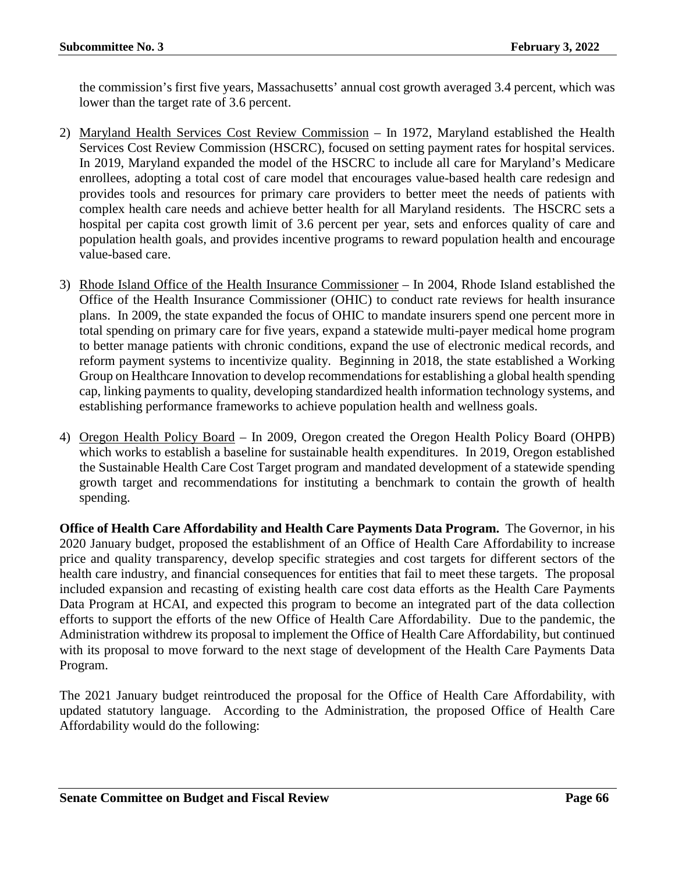the commission's first five years, Massachusetts' annual cost growth averaged 3.4 percent, which was lower than the target rate of 3.6 percent.

- 2) Maryland Health Services Cost Review Commission In 1972, Maryland established the Health Services Cost Review Commission (HSCRC), focused on setting payment rates for hospital services. In 2019, Maryland expanded the model of the HSCRC to include all care for Maryland's Medicare enrollees, adopting a total cost of care model that encourages value-based health care redesign and provides tools and resources for primary care providers to better meet the needs of patients with complex health care needs and achieve better health for all Maryland residents. The HSCRC sets a hospital per capita cost growth limit of 3.6 percent per year, sets and enforces quality of care and population health goals, and provides incentive programs to reward population health and encourage value-based care.
- 3) Rhode Island Office of the Health Insurance Commissioner In 2004, Rhode Island established the Office of the Health Insurance Commissioner (OHIC) to conduct rate reviews for health insurance plans. In 2009, the state expanded the focus of OHIC to mandate insurers spend one percent more in total spending on primary care for five years, expand a statewide multi-payer medical home program to better manage patients with chronic conditions, expand the use of electronic medical records, and reform payment systems to incentivize quality. Beginning in 2018, the state established a Working Group on Healthcare Innovation to develop recommendations for establishing a global health spending cap, linking payments to quality, developing standardized health information technology systems, and establishing performance frameworks to achieve population health and wellness goals.
- 4) Oregon Health Policy Board In 2009, Oregon created the Oregon Health Policy Board (OHPB) which works to establish a baseline for sustainable health expenditures. In 2019, Oregon established the Sustainable Health Care Cost Target program and mandated development of a statewide spending growth target and recommendations for instituting a benchmark to contain the growth of health spending.

**Office of Health Care Affordability and Health Care Payments Data Program.** The Governor, in his 2020 January budget, proposed the establishment of an Office of Health Care Affordability to increase price and quality transparency, develop specific strategies and cost targets for different sectors of the health care industry, and financial consequences for entities that fail to meet these targets. The proposal included expansion and recasting of existing health care cost data efforts as the Health Care Payments Data Program at HCAI, and expected this program to become an integrated part of the data collection efforts to support the efforts of the new Office of Health Care Affordability. Due to the pandemic, the Administration withdrew its proposal to implement the Office of Health Care Affordability, but continued with its proposal to move forward to the next stage of development of the Health Care Payments Data Program.

The 2021 January budget reintroduced the proposal for the Office of Health Care Affordability, with updated statutory language. According to the Administration, the proposed Office of Health Care Affordability would do the following: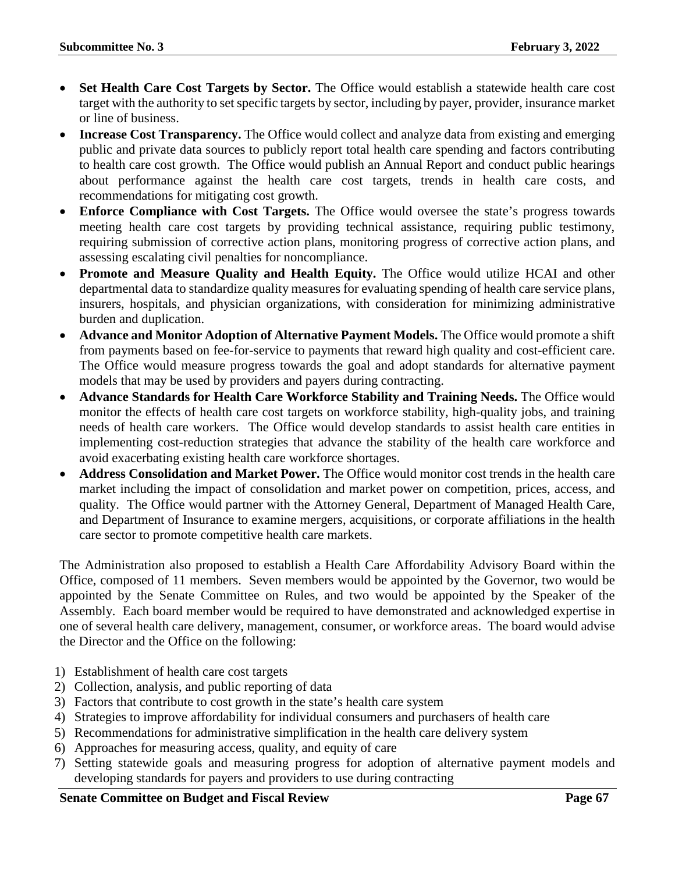- **Set Health Care Cost Targets by Sector.** The Office would establish a statewide health care cost target with the authority to set specific targets by sector, including by payer, provider, insurance market or line of business.
- **Increase Cost Transparency.** The Office would collect and analyze data from existing and emerging public and private data sources to publicly report total health care spending and factors contributing to health care cost growth. The Office would publish an Annual Report and conduct public hearings about performance against the health care cost targets, trends in health care costs, and recommendations for mitigating cost growth.
- **Enforce Compliance with Cost Targets.** The Office would oversee the state's progress towards meeting health care cost targets by providing technical assistance, requiring public testimony, requiring submission of corrective action plans, monitoring progress of corrective action plans, and assessing escalating civil penalties for noncompliance.
- **Promote and Measure Quality and Health Equity.** The Office would utilize HCAI and other departmental data to standardize quality measures for evaluating spending of health care service plans, insurers, hospitals, and physician organizations, with consideration for minimizing administrative burden and duplication.
- **Advance and Monitor Adoption of Alternative Payment Models.** The Office would promote a shift from payments based on fee-for-service to payments that reward high quality and cost-efficient care. The Office would measure progress towards the goal and adopt standards for alternative payment models that may be used by providers and payers during contracting.
- **Advance Standards for Health Care Workforce Stability and Training Needs.** The Office would monitor the effects of health care cost targets on workforce stability, high-quality jobs, and training needs of health care workers. The Office would develop standards to assist health care entities in implementing cost-reduction strategies that advance the stability of the health care workforce and avoid exacerbating existing health care workforce shortages.
- **Address Consolidation and Market Power.** The Office would monitor cost trends in the health care market including the impact of consolidation and market power on competition, prices, access, and quality. The Office would partner with the Attorney General, Department of Managed Health Care, and Department of Insurance to examine mergers, acquisitions, or corporate affiliations in the health care sector to promote competitive health care markets.

The Administration also proposed to establish a Health Care Affordability Advisory Board within the Office, composed of 11 members. Seven members would be appointed by the Governor, two would be appointed by the Senate Committee on Rules, and two would be appointed by the Speaker of the Assembly. Each board member would be required to have demonstrated and acknowledged expertise in one of several health care delivery, management, consumer, or workforce areas. The board would advise the Director and the Office on the following:

- 1) Establishment of health care cost targets
- 2) Collection, analysis, and public reporting of data
- 3) Factors that contribute to cost growth in the state's health care system
- 4) Strategies to improve affordability for individual consumers and purchasers of health care
- 5) Recommendations for administrative simplification in the health care delivery system
- 6) Approaches for measuring access, quality, and equity of care
- 7) Setting statewide goals and measuring progress for adoption of alternative payment models and developing standards for payers and providers to use during contracting

**Senate Committee on Budget and Fiscal Review <b>Page 67 Page 67**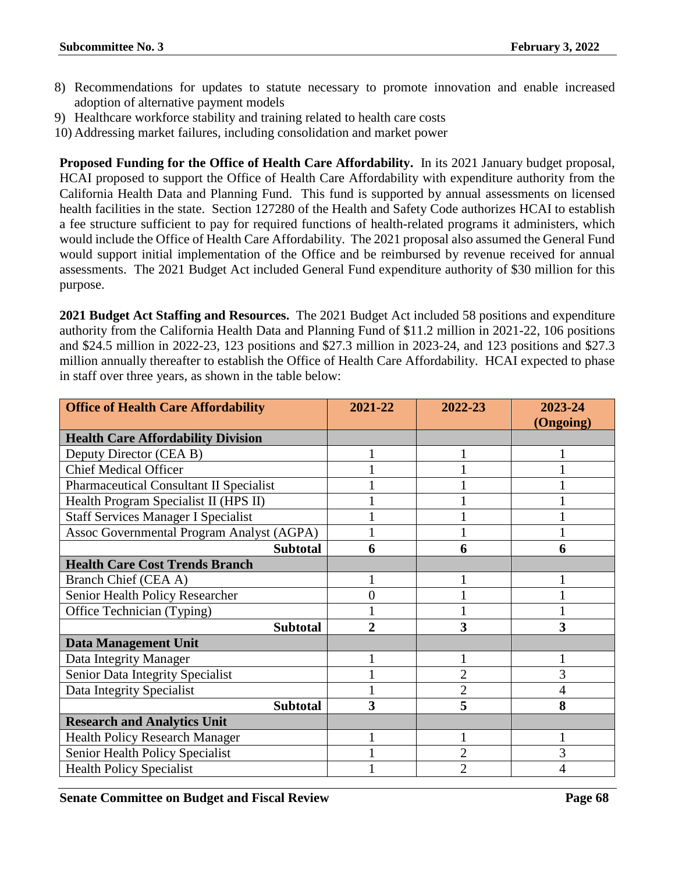- 8) Recommendations for updates to statute necessary to promote innovation and enable increased adoption of alternative payment models
- 9) Healthcare workforce stability and training related to health care costs
- 10) Addressing market failures, including consolidation and market power

**Proposed Funding for the Office of Health Care Affordability.** In its 2021 January budget proposal, HCAI proposed to support the Office of Health Care Affordability with expenditure authority from the California Health Data and Planning Fund. This fund is supported by annual assessments on licensed health facilities in the state. Section 127280 of the Health and Safety Code authorizes HCAI to establish a fee structure sufficient to pay for required functions of health-related programs it administers, which would include the Office of Health Care Affordability. The 2021 proposal also assumed the General Fund would support initial implementation of the Office and be reimbursed by revenue received for annual assessments. The 2021 Budget Act included General Fund expenditure authority of \$30 million for this purpose.

**2021 Budget Act Staffing and Resources.** The 2021 Budget Act included 58 positions and expenditure authority from the California Health Data and Planning Fund of \$11.2 million in 2021-22, 106 positions and \$24.5 million in 2022-23, 123 positions and \$27.3 million in 2023-24, and 123 positions and \$27.3 million annually thereafter to establish the Office of Health Care Affordability. HCAI expected to phase in staff over three years, as shown in the table below:

| <b>Office of Health Care Affordability</b>     | 2021-22        | 2022-23        | 2023-24<br>(Ongoing) |
|------------------------------------------------|----------------|----------------|----------------------|
| <b>Health Care Affordability Division</b>      |                |                |                      |
| Deputy Director (CEA B)                        |                |                |                      |
| <b>Chief Medical Officer</b>                   |                |                |                      |
| <b>Pharmaceutical Consultant II Specialist</b> |                |                |                      |
| Health Program Specialist II (HPS II)          |                |                |                      |
| <b>Staff Services Manager I Specialist</b>     |                |                |                      |
| Assoc Governmental Program Analyst (AGPA)      |                |                |                      |
| <b>Subtotal</b>                                | 6              | 6              | 6                    |
| <b>Health Care Cost Trends Branch</b>          |                |                |                      |
| Branch Chief (CEA A)                           |                |                |                      |
| Senior Health Policy Researcher                | 0              |                |                      |
| Office Technician (Typing)                     |                |                |                      |
| <b>Subtotal</b>                                | $\overline{2}$ | 3              | 3                    |
| <b>Data Management Unit</b>                    |                |                |                      |
| Data Integrity Manager                         |                |                |                      |
| Senior Data Integrity Specialist               |                | $\overline{2}$ | 3                    |
| Data Integrity Specialist                      |                | $\overline{c}$ | 4                    |
| <b>Subtotal</b>                                | 3              | 5              | 8                    |
| <b>Research and Analytics Unit</b>             |                |                |                      |
| <b>Health Policy Research Manager</b>          |                |                |                      |
| Senior Health Policy Specialist                |                | $\overline{c}$ | 3                    |
| <b>Health Policy Specialist</b>                |                | $\overline{2}$ | 4                    |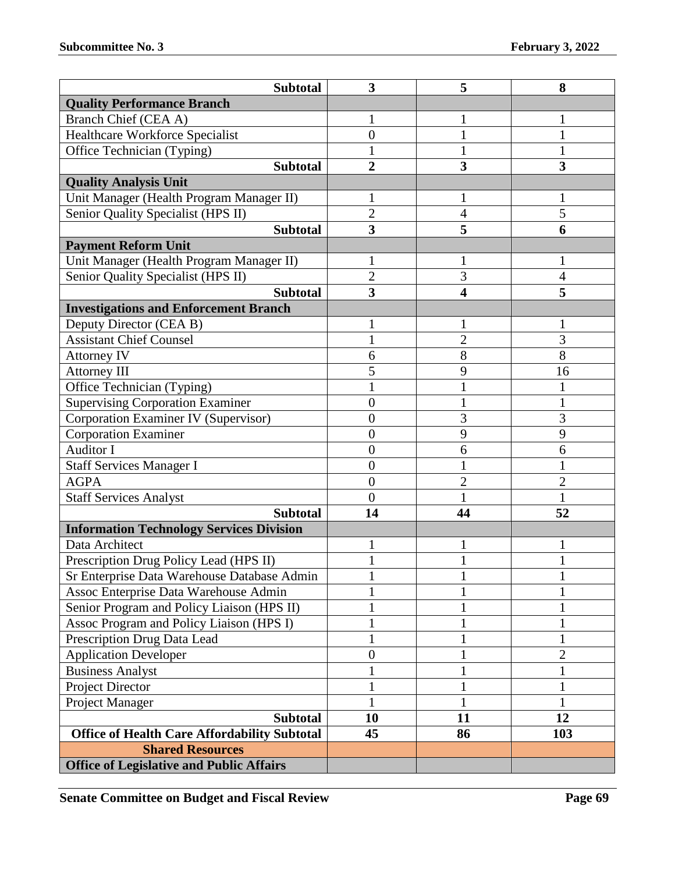| <b>Subtotal</b>                                     | $\overline{\mathbf{3}}$ | 5              | 8              |
|-----------------------------------------------------|-------------------------|----------------|----------------|
| <b>Quality Performance Branch</b>                   |                         |                |                |
| Branch Chief (CEA A)                                | 1                       | 1              | 1              |
| Healthcare Workforce Specialist                     | $\overline{0}$          | 1              | 1              |
| Office Technician (Typing)                          | 1                       | $\mathbf{1}$   |                |
| <b>Subtotal</b>                                     | $\overline{2}$          | 3              | 3              |
| <b>Quality Analysis Unit</b>                        |                         |                |                |
| Unit Manager (Health Program Manager II)            | 1                       | 1              | 1              |
| Senior Quality Specialist (HPS II)                  | $\overline{2}$          | 4              | 5              |
| <b>Subtotal</b>                                     | $\overline{\mathbf{3}}$ | 5              | 6              |
| <b>Payment Reform Unit</b>                          |                         |                |                |
| Unit Manager (Health Program Manager II)            | 1                       | 1              |                |
| Senior Quality Specialist (HPS II)                  | $\overline{c}$          | 3              | 4              |
| <b>Subtotal</b>                                     | $\overline{\mathbf{3}}$ | 4              | 5              |
| <b>Investigations and Enforcement Branch</b>        |                         |                |                |
| Deputy Director (CEA B)                             | 1                       | 1              | 1              |
| <b>Assistant Chief Counsel</b>                      | 1                       | $\overline{2}$ | 3              |
| Attorney IV                                         | 6                       | 8              | 8              |
| <b>Attorney III</b>                                 | 5                       | 9              | 16             |
| Office Technician (Typing)                          | $\mathbf{1}$            | $\mathbf{1}$   |                |
| <b>Supervising Corporation Examiner</b>             | $\overline{0}$          | $\mathbf{1}$   | 1              |
| Corporation Examiner IV (Supervisor)                | $\boldsymbol{0}$        | 3              | 3              |
| <b>Corporation Examiner</b>                         | $\boldsymbol{0}$        | 9              | 9              |
| <b>Auditor I</b>                                    | $\boldsymbol{0}$        | 6              | 6              |
| <b>Staff Services Manager I</b>                     | $\overline{0}$          |                |                |
| <b>AGPA</b>                                         | $\overline{0}$          | $\overline{c}$ | $\overline{2}$ |
| <b>Staff Services Analyst</b>                       | $\overline{0}$          |                |                |
| <b>Subtotal</b>                                     | 14                      | 44             | 52             |
| <b>Information Technology Services Division</b>     |                         |                |                |
| Data Architect                                      |                         | 1              | 1              |
| Prescription Drug Policy Lead (HPS II)              | 1                       |                |                |
| Sr Enterprise Data Warehouse Database Admin         | 1                       | T              | 1              |
| Assoc Enterprise Data Warehouse Admin               | 1                       |                |                |
| Senior Program and Policy Liaison (HPS II)          | 1                       | $\mathbf{1}$   |                |
| Assoc Program and Policy Liaison (HPS I)            |                         |                |                |
| Prescription Drug Data Lead                         | 1                       | 1              | 1              |
| <b>Application Developer</b>                        | $\boldsymbol{0}$        | 1              | $\overline{2}$ |
| <b>Business Analyst</b>                             | $\mathbf{1}$            |                |                |
| Project Director                                    | 1                       | 1              |                |
| Project Manager                                     |                         |                |                |
| <b>Subtotal</b>                                     | 10                      | 11             | 12             |
| <b>Office of Health Care Affordability Subtotal</b> | 45                      | 86             | 103            |
| <b>Shared Resources</b>                             |                         |                |                |
| <b>Office of Legislative and Public Affairs</b>     |                         |                |                |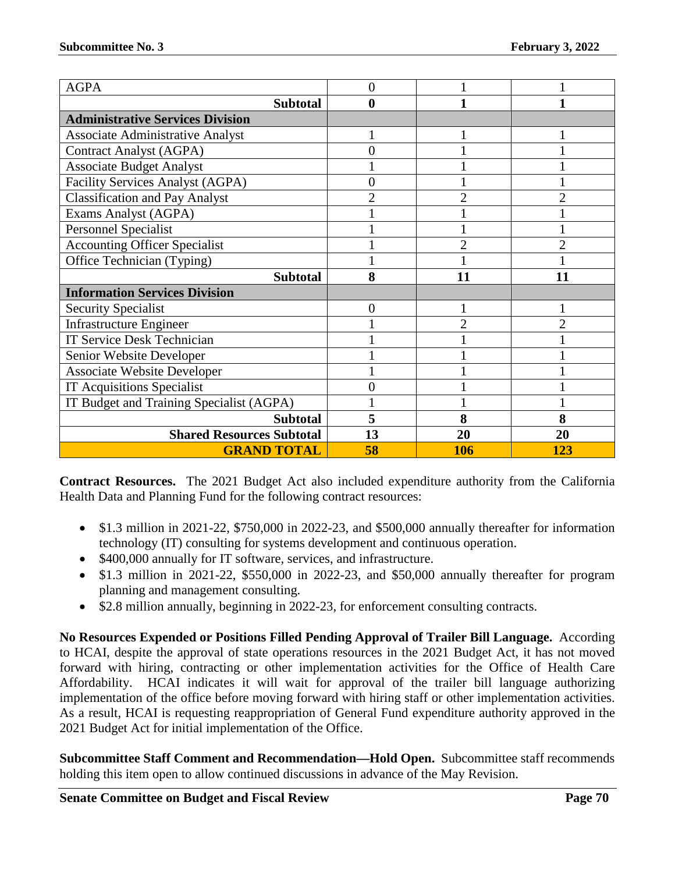| <b>AGPA</b>                              | 0              |                |                             |  |
|------------------------------------------|----------------|----------------|-----------------------------|--|
| <b>Subtotal</b>                          | 0              |                |                             |  |
| <b>Administrative Services Division</b>  |                |                |                             |  |
| <b>Associate Administrative Analyst</b>  |                |                |                             |  |
| <b>Contract Analyst (AGPA)</b>           | 0              |                |                             |  |
| <b>Associate Budget Analyst</b>          |                |                |                             |  |
| <b>Facility Services Analyst (AGPA)</b>  | 0              |                |                             |  |
| <b>Classification and Pay Analyst</b>    | $\overline{2}$ | $\overline{2}$ |                             |  |
| Exams Analyst (AGPA)                     |                |                |                             |  |
| <b>Personnel Specialist</b>              |                |                |                             |  |
| <b>Accounting Officer Specialist</b>     |                | $\overline{2}$ |                             |  |
| Office Technician (Typing)               |                |                |                             |  |
| <b>Subtotal</b>                          | 8              | 11             | 11                          |  |
| <b>Information Services Division</b>     |                |                |                             |  |
| <b>Security Specialist</b>               | 0              |                |                             |  |
| <b>Infrastructure Engineer</b>           |                | $\mathfrak{D}$ | $\mathcal{D}_{\mathcal{A}}$ |  |
| <b>IT Service Desk Technician</b>        |                |                |                             |  |
| Senior Website Developer                 |                |                |                             |  |
| <b>Associate Website Developer</b>       |                |                |                             |  |
| <b>IT Acquisitions Specialist</b>        |                |                |                             |  |
| IT Budget and Training Specialist (AGPA) |                |                |                             |  |
| <b>Subtotal</b>                          | 5              | 8              | 8                           |  |
| <b>Shared Resources Subtotal</b>         | 13             | 20             | 20                          |  |
| <b>GRAND TOTAL</b>                       | 58             | 106            | 123                         |  |

**Contract Resources.** The 2021 Budget Act also included expenditure authority from the California Health Data and Planning Fund for the following contract resources:

- \$1.3 million in 2021-22, \$750,000 in 2022-23, and \$500,000 annually thereafter for information technology (IT) consulting for systems development and continuous operation.
- \$400,000 annually for IT software, services, and infrastructure.
- \$1.3 million in 2021-22, \$550,000 in 2022-23, and \$50,000 annually thereafter for program planning and management consulting.
- \$2.8 million annually, beginning in 2022-23, for enforcement consulting contracts.

**No Resources Expended or Positions Filled Pending Approval of Trailer Bill Language.** According to HCAI, despite the approval of state operations resources in the 2021 Budget Act, it has not moved forward with hiring, contracting or other implementation activities for the Office of Health Care Affordability. HCAI indicates it will wait for approval of the trailer bill language authorizing implementation of the office before moving forward with hiring staff or other implementation activities. As a result, HCAI is requesting reappropriation of General Fund expenditure authority approved in the 2021 Budget Act for initial implementation of the Office.

**Subcommittee Staff Comment and Recommendation—Hold Open.** Subcommittee staff recommends holding this item open to allow continued discussions in advance of the May Revision.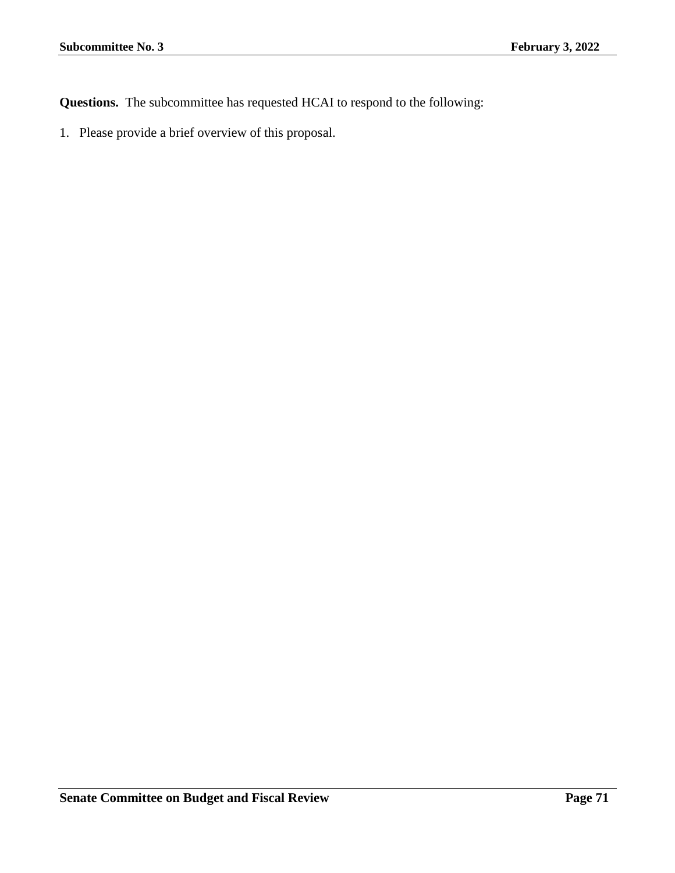**Questions.** The subcommittee has requested HCAI to respond to the following: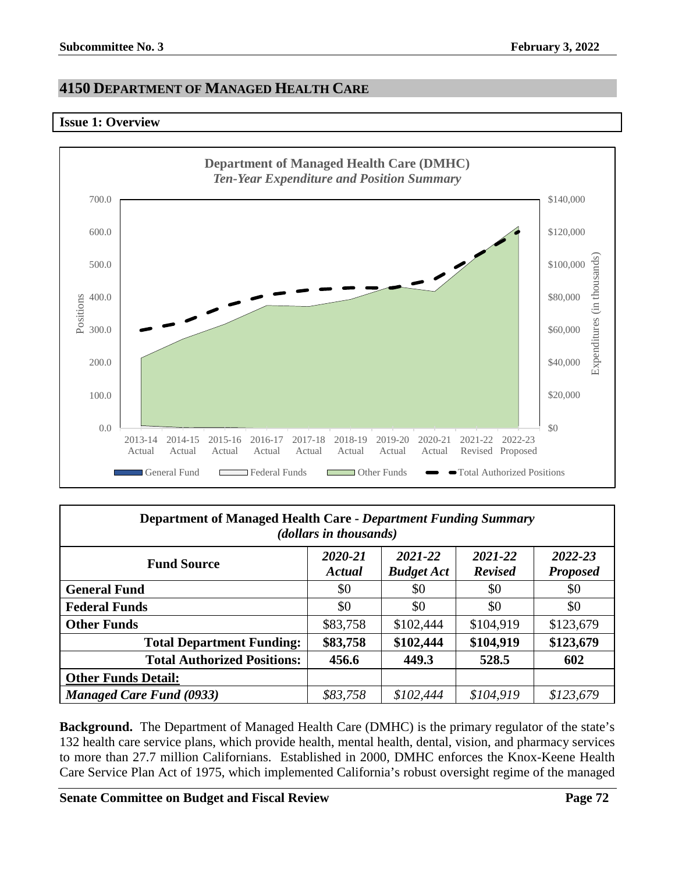# **4150 DEPARTMENT OF MANAGED HEALTH CARE**

### **Issue 1: Overview**



| Department of Managed Health Care - Department Funding Summary<br>(dollars in thousands) |                   |                              |                           |                            |  |  |
|------------------------------------------------------------------------------------------|-------------------|------------------------------|---------------------------|----------------------------|--|--|
| <b>Fund Source</b>                                                                       | 2020-21<br>Actual | 2021-22<br><b>Budget Act</b> | 2021-22<br><b>Revised</b> | 2022-23<br><b>Proposed</b> |  |  |
| <b>General Fund</b>                                                                      | \$0               | \$0                          | \$0                       | \$0                        |  |  |
| <b>Federal Funds</b>                                                                     | \$0               | \$0                          | \$0                       | \$0                        |  |  |
| <b>Other Funds</b>                                                                       | \$83,758          | \$102,444                    | \$104,919                 | \$123,679                  |  |  |
| <b>Total Department Funding:</b>                                                         | \$83,758          | \$102,444                    | \$104,919                 | \$123,679                  |  |  |
| <b>Total Authorized Positions:</b>                                                       | 456.6             | 449.3                        | 528.5                     | 602                        |  |  |
| <b>Other Funds Detail:</b>                                                               |                   |                              |                           |                            |  |  |
| <b>Managed Care Fund (0933)</b>                                                          | \$83,758          | \$102,444                    | \$104,919                 | \$123,679                  |  |  |

**Background.** The Department of Managed Health Care (DMHC) is the primary regulator of the state's 132 health care service plans, which provide health, mental health, dental, vision, and pharmacy services to more than 27.7 million Californians. Established in 2000, DMHC enforces the Knox-Keene Health Care Service Plan Act of 1975, which implemented California's robust oversight regime of the managed

**Senate Committee on Budget and Fiscal Review <b>Page 72 Page 72**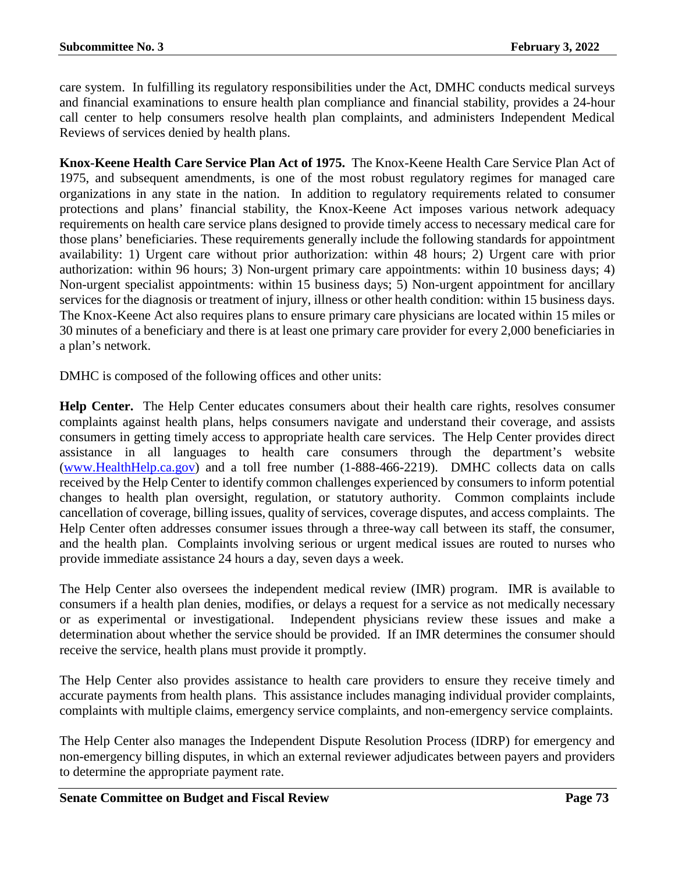care system. In fulfilling its regulatory responsibilities under the Act, DMHC conducts medical surveys and financial examinations to ensure health plan compliance and financial stability, provides a 24-hour call center to help consumers resolve health plan complaints, and administers Independent Medical Reviews of services denied by health plans.

**Knox-Keene Health Care Service Plan Act of 1975.** The Knox-Keene Health Care Service Plan Act of 1975, and subsequent amendments, is one of the most robust regulatory regimes for managed care organizations in any state in the nation. In addition to regulatory requirements related to consumer protections and plans' financial stability, the Knox-Keene Act imposes various network adequacy requirements on health care service plans designed to provide timely access to necessary medical care for those plans' beneficiaries. These requirements generally include the following standards for appointment availability: 1) Urgent care without prior authorization: within 48 hours; 2) Urgent care with prior authorization: within 96 hours; 3) Non-urgent primary care appointments: within 10 business days; 4) Non-urgent specialist appointments: within 15 business days; 5) Non-urgent appointment for ancillary services for the diagnosis or treatment of injury, illness or other health condition: within 15 business days. The Knox-Keene Act also requires plans to ensure primary care physicians are located within 15 miles or 30 minutes of a beneficiary and there is at least one primary care provider for every 2,000 beneficiaries in a plan's network.

DMHC is composed of the following offices and other units:

**Help Center.** The Help Center educates consumers about their health care rights, resolves consumer complaints against health plans, helps consumers navigate and understand their coverage, and assists consumers in getting timely access to appropriate health care services. The Help Center provides direct assistance in all languages to health care consumers through the department's website [\(www.HealthHelp.ca.gov\)](http://www.healthhelp.ca.gov/) and a toll free number (1-888-466-2219). DMHC collects data on calls received by the Help Center to identify common challenges experienced by consumers to inform potential changes to health plan oversight, regulation, or statutory authority. Common complaints include cancellation of coverage, billing issues, quality of services, coverage disputes, and access complaints. The Help Center often addresses consumer issues through a three-way call between its staff, the consumer, and the health plan. Complaints involving serious or urgent medical issues are routed to nurses who provide immediate assistance 24 hours a day, seven days a week.

The Help Center also oversees the independent medical review (IMR) program. IMR is available to consumers if a health plan denies, modifies, or delays a request for a service as not medically necessary or as experimental or investigational. Independent physicians review these issues and make a determination about whether the service should be provided. If an IMR determines the consumer should receive the service, health plans must provide it promptly.

The Help Center also provides assistance to health care providers to ensure they receive timely and accurate payments from health plans. This assistance includes managing individual provider complaints, complaints with multiple claims, emergency service complaints, and non-emergency service complaints.

The Help Center also manages the Independent Dispute Resolution Process (IDRP) for emergency and non-emergency billing disputes, in which an external reviewer adjudicates between payers and providers to determine the appropriate payment rate.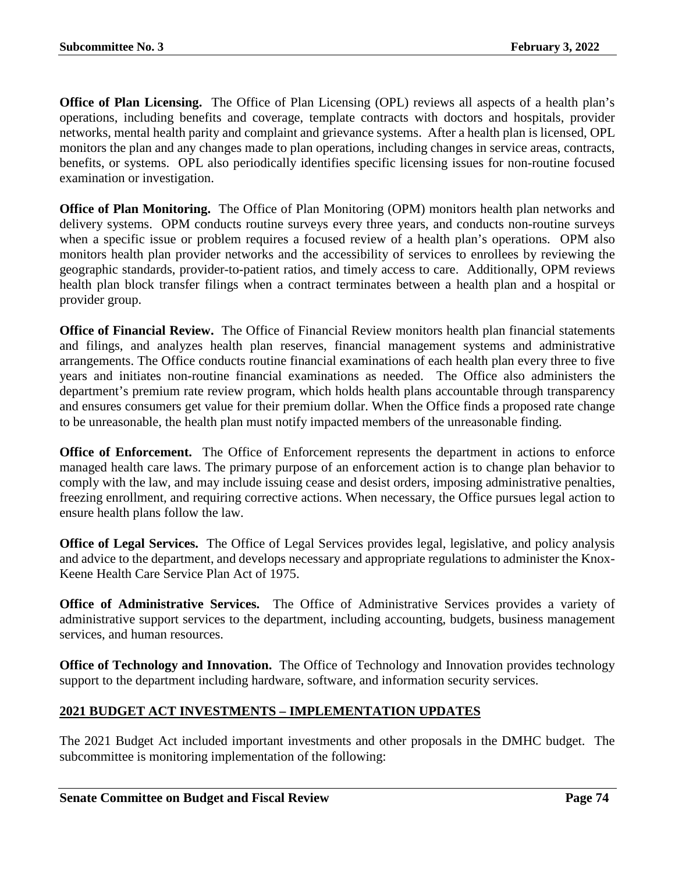**Office of Plan Licensing.** The Office of Plan Licensing (OPL) reviews all aspects of a health plan's operations, including benefits and coverage, template contracts with doctors and hospitals, provider networks, mental health parity and complaint and grievance systems. After a health plan is licensed, OPL monitors the plan and any changes made to plan operations, including changes in service areas, contracts, benefits, or systems. OPL also periodically identifies specific licensing issues for non-routine focused examination or investigation.

**Office of Plan Monitoring.** The Office of Plan Monitoring (OPM) monitors health plan networks and delivery systems. OPM conducts routine surveys every three years, and conducts non-routine surveys when a specific issue or problem requires a focused review of a health plan's operations. OPM also monitors health plan provider networks and the accessibility of services to enrollees by reviewing the geographic standards, provider-to-patient ratios, and timely access to care. Additionally, OPM reviews health plan block transfer filings when a contract terminates between a health plan and a hospital or provider group.

**Office of Financial Review.** The Office of Financial Review monitors health plan financial statements and filings, and analyzes health plan reserves, financial management systems and administrative arrangements. The Office conducts routine financial examinations of each health plan every three to five years and initiates non-routine financial examinations as needed. The Office also administers the department's premium rate review program, which holds health plans accountable through transparency and ensures consumers get value for their premium dollar. When the Office finds a proposed rate change to be unreasonable, the health plan must notify impacted members of the unreasonable finding.

**Office of Enforcement.** The Office of Enforcement represents the department in actions to enforce managed health care laws. The primary purpose of an enforcement action is to change plan behavior to comply with the law, and may include issuing cease and desist orders, imposing administrative penalties, freezing enrollment, and requiring corrective actions. When necessary, the Office pursues legal action to ensure health plans follow the law.

**Office of Legal Services.** The Office of Legal Services provides legal, legislative, and policy analysis and advice to the department, and develops necessary and appropriate regulations to administer the Knox-Keene Health Care Service Plan Act of 1975.

**Office of Administrative Services.** The Office of Administrative Services provides a variety of administrative support services to the department, including accounting, budgets, business management services, and human resources.

**Office of Technology and Innovation.** The Office of Technology and Innovation provides technology support to the department including hardware, software, and information security services.

# **2021 BUDGET ACT INVESTMENTS – IMPLEMENTATION UPDATES**

The 2021 Budget Act included important investments and other proposals in the DMHC budget. The subcommittee is monitoring implementation of the following: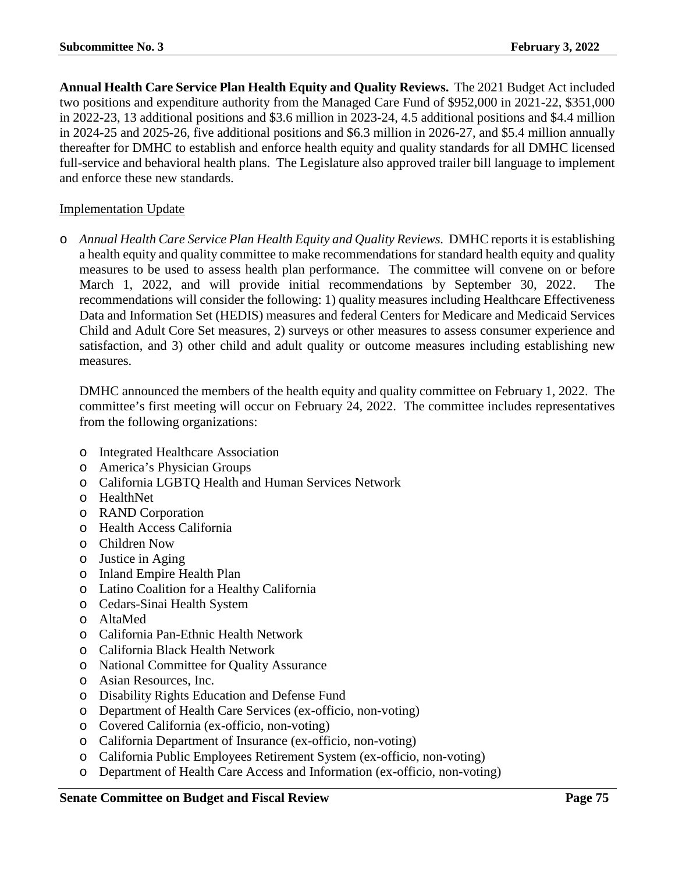**Annual Health Care Service Plan Health Equity and Quality Reviews.** The 2021 Budget Act included two positions and expenditure authority from the Managed Care Fund of \$952,000 in 2021-22, \$351,000 in 2022-23, 13 additional positions and \$3.6 million in 2023-24, 4.5 additional positions and \$4.4 million in 2024-25 and 2025-26, five additional positions and \$6.3 million in 2026-27, and \$5.4 million annually thereafter for DMHC to establish and enforce health equity and quality standards for all DMHC licensed full-service and behavioral health plans. The Legislature also approved trailer bill language to implement and enforce these new standards.

### Implementation Update

o *Annual Health Care Service Plan Health Equity and Quality Reviews.* DMHC reports it is establishing a health equity and quality committee to make recommendations for standard health equity and quality measures to be used to assess health plan performance. The committee will convene on or before March 1, 2022, and will provide initial recommendations by September 30, 2022. The recommendations will consider the following: 1) quality measures including Healthcare Effectiveness Data and Information Set (HEDIS) measures and federal Centers for Medicare and Medicaid Services Child and Adult Core Set measures, 2) surveys or other measures to assess consumer experience and satisfaction, and 3) other child and adult quality or outcome measures including establishing new measures.

DMHC announced the members of the health equity and quality committee on February 1, 2022. The committee's first meeting will occur on February 24, 2022. The committee includes representatives from the following organizations:

- o Integrated Healthcare Association
- o America's Physician Groups
- o California LGBTQ Health and Human Services Network
- o HealthNet
- o RAND Corporation
- o Health Access California
- o Children Now
- o Justice in Aging
- o Inland Empire Health Plan
- o Latino Coalition for a Healthy California
- o Cedars-Sinai Health System
- o AltaMed
- o California Pan-Ethnic Health Network
- o California Black Health Network
- o National Committee for Quality Assurance
- o Asian Resources, Inc.
- o Disability Rights Education and Defense Fund
- o Department of Health Care Services (ex-officio, non-voting)
- o Covered California (ex-officio, non-voting)
- o California Department of Insurance (ex-officio, non-voting)
- o California Public Employees Retirement System (ex-officio, non-voting)
- o Department of Health Care Access and Information (ex-officio, non-voting)

#### **Senate Committee on Budget and Fiscal Review <b>Page 75 Page 75**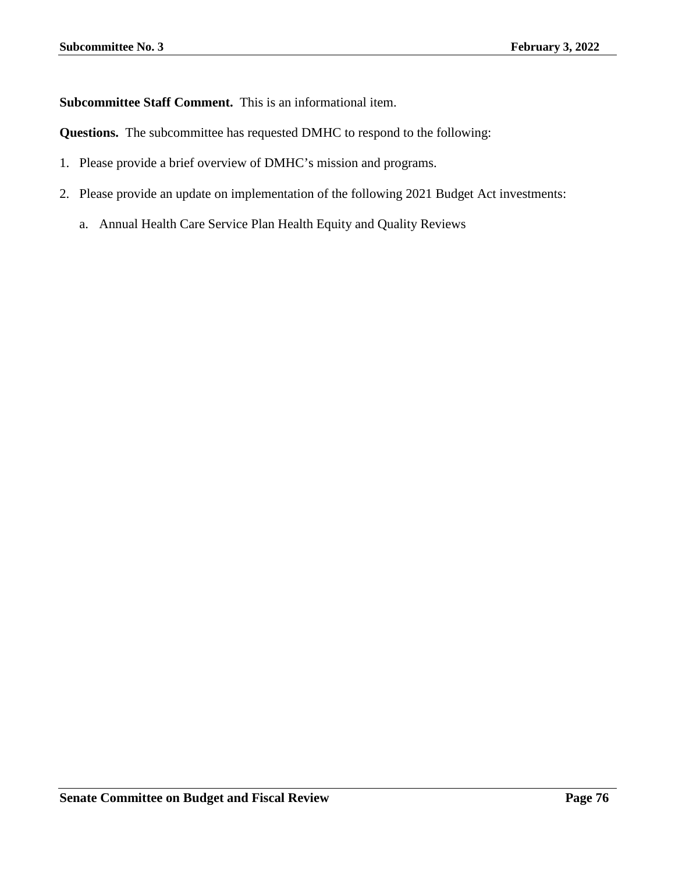**Subcommittee Staff Comment.** This is an informational item.

**Questions.** The subcommittee has requested DMHC to respond to the following:

- 1. Please provide a brief overview of DMHC's mission and programs.
- 2. Please provide an update on implementation of the following 2021 Budget Act investments:
	- a. Annual Health Care Service Plan Health Equity and Quality Reviews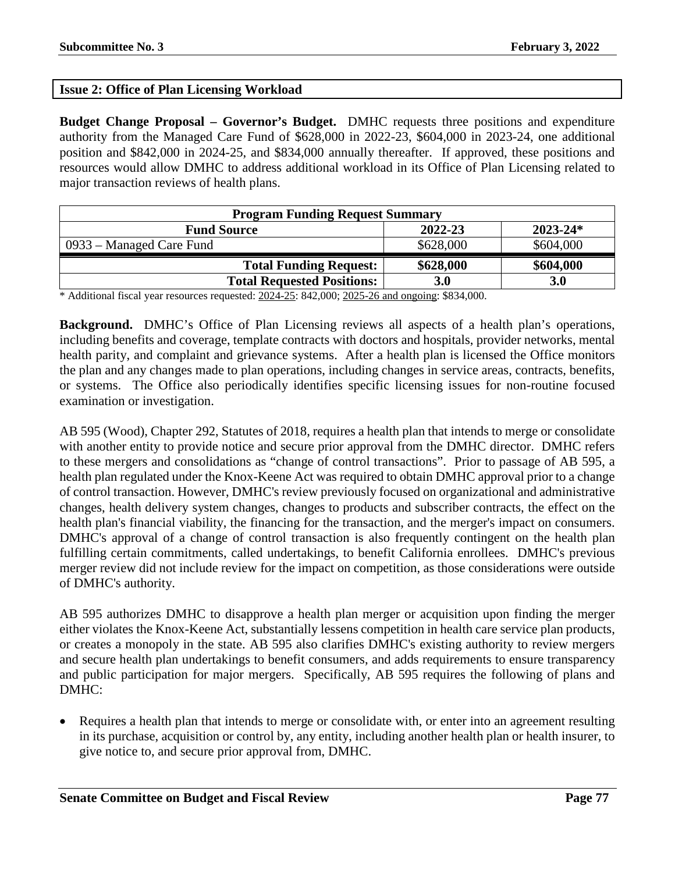## **Issue 2: Office of Plan Licensing Workload**

**Budget Change Proposal – Governor's Budget.** DMHC requests three positions and expenditure authority from the Managed Care Fund of \$628,000 in 2022-23, \$604,000 in 2023-24, one additional position and \$842,000 in 2024-25, and \$834,000 annually thereafter. If approved, these positions and resources would allow DMHC to address additional workload in its Office of Plan Licensing related to major transaction reviews of health plans.

| <b>Program Funding Request Summary</b>        |                                              |           |  |  |  |
|-----------------------------------------------|----------------------------------------------|-----------|--|--|--|
| $2023 - 24*$<br>2022-23<br><b>Fund Source</b> |                                              |           |  |  |  |
| 0933 – Managed Care Fund                      | \$628,000                                    | \$604,000 |  |  |  |
| <b>Total Funding Request:</b>                 | \$628,000                                    | \$604,000 |  |  |  |
| <b>Total Requested Positions:</b>             | 3.0                                          | 3.0       |  |  |  |
| $\sim$                                        | $\wedge$ $\wedge$ $\wedge$ $\wedge$ $\wedge$ |           |  |  |  |

\* Additional fiscal year resources requested: 2024-25: 842,000; 2025-26 and ongoing: \$834,000.

**Background.** DMHC's Office of Plan Licensing reviews all aspects of a health plan's operations, including benefits and coverage, template contracts with doctors and hospitals, provider networks, mental health parity, and complaint and grievance systems. After a health plan is licensed the Office monitors the plan and any changes made to plan operations, including changes in service areas, contracts, benefits, or systems. The Office also periodically identifies specific licensing issues for non-routine focused examination or investigation.

AB 595 (Wood), Chapter 292, Statutes of 2018, requires a health plan that intends to merge or consolidate with another entity to provide notice and secure prior approval from the DMHC director. DMHC refers to these mergers and consolidations as "change of control transactions". Prior to passage of AB 595, a health plan regulated under the Knox-Keene Act was required to obtain DMHC approval prior to a change of control transaction. However, DMHC's review previously focused on organizational and administrative changes, health delivery system changes, changes to products and subscriber contracts, the effect on the health plan's financial viability, the financing for the transaction, and the merger's impact on consumers. DMHC's approval of a change of control transaction is also frequently contingent on the health plan fulfilling certain commitments, called undertakings, to benefit California enrollees. DMHC's previous merger review did not include review for the impact on competition, as those considerations were outside of DMHC's authority.

AB 595 authorizes DMHC to disapprove a health plan merger or acquisition upon finding the merger either violates the Knox-Keene Act, substantially lessens competition in health care service plan products, or creates a monopoly in the state. AB 595 also clarifies DMHC's existing authority to review mergers and secure health plan undertakings to benefit consumers, and adds requirements to ensure transparency and public participation for major mergers. Specifically, AB 595 requires the following of plans and DMHC:

• Requires a health plan that intends to merge or consolidate with, or enter into an agreement resulting in its purchase, acquisition or control by, any entity, including another health plan or health insurer, to give notice to, and secure prior approval from, DMHC.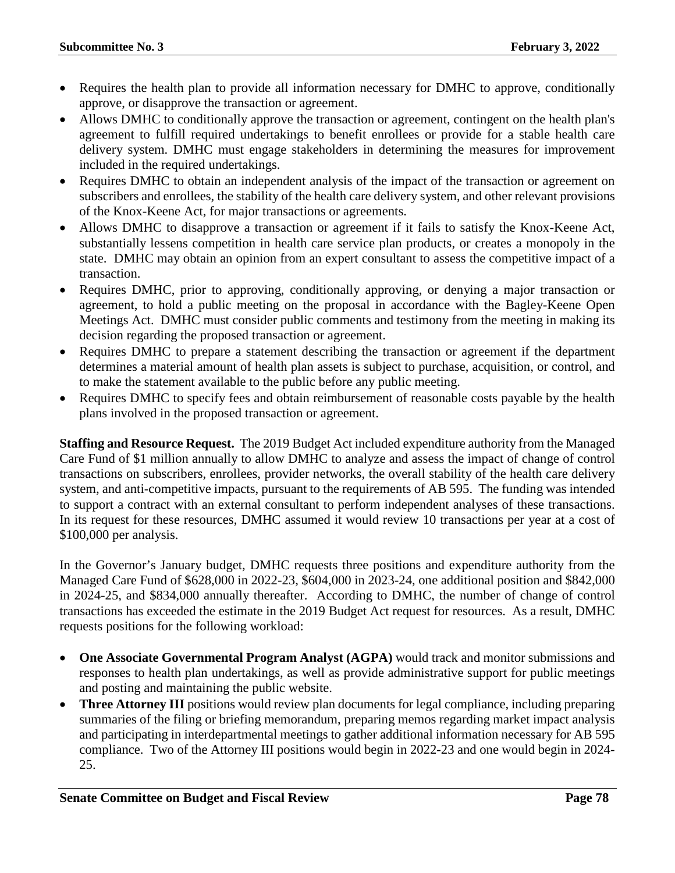- Requires the health plan to provide all information necessary for DMHC to approve, conditionally approve, or disapprove the transaction or agreement.
- Allows DMHC to conditionally approve the transaction or agreement, contingent on the health plan's agreement to fulfill required undertakings to benefit enrollees or provide for a stable health care delivery system. DMHC must engage stakeholders in determining the measures for improvement included in the required undertakings.
- Requires DMHC to obtain an independent analysis of the impact of the transaction or agreement on subscribers and enrollees, the stability of the health care delivery system, and other relevant provisions of the Knox-Keene Act, for major transactions or agreements.
- Allows DMHC to disapprove a transaction or agreement if it fails to satisfy the Knox-Keene Act, substantially lessens competition in health care service plan products, or creates a monopoly in the state. DMHC may obtain an opinion from an expert consultant to assess the competitive impact of a transaction.
- Requires DMHC, prior to approving, conditionally approving, or denying a major transaction or agreement, to hold a public meeting on the proposal in accordance with the Bagley-Keene Open Meetings Act. DMHC must consider public comments and testimony from the meeting in making its decision regarding the proposed transaction or agreement.
- Requires DMHC to prepare a statement describing the transaction or agreement if the department determines a material amount of health plan assets is subject to purchase, acquisition, or control, and to make the statement available to the public before any public meeting.
- Requires DMHC to specify fees and obtain reimbursement of reasonable costs payable by the health plans involved in the proposed transaction or agreement.

**Staffing and Resource Request.** The 2019 Budget Act included expenditure authority from the Managed Care Fund of \$1 million annually to allow DMHC to analyze and assess the impact of change of control transactions on subscribers, enrollees, provider networks, the overall stability of the health care delivery system, and anti-competitive impacts, pursuant to the requirements of AB 595. The funding was intended to support a contract with an external consultant to perform independent analyses of these transactions. In its request for these resources, DMHC assumed it would review 10 transactions per year at a cost of \$100,000 per analysis.

In the Governor's January budget, DMHC requests three positions and expenditure authority from the Managed Care Fund of \$628,000 in 2022-23, \$604,000 in 2023-24, one additional position and \$842,000 in 2024-25, and \$834,000 annually thereafter. According to DMHC, the number of change of control transactions has exceeded the estimate in the 2019 Budget Act request for resources. As a result, DMHC requests positions for the following workload:

- **One Associate Governmental Program Analyst (AGPA)** would track and monitor submissions and responses to health plan undertakings, as well as provide administrative support for public meetings and posting and maintaining the public website.
- **Three Attorney III** positions would review plan documents for legal compliance, including preparing summaries of the filing or briefing memorandum, preparing memos regarding market impact analysis and participating in interdepartmental meetings to gather additional information necessary for AB 595 compliance. Two of the Attorney III positions would begin in 2022-23 and one would begin in 2024- 25.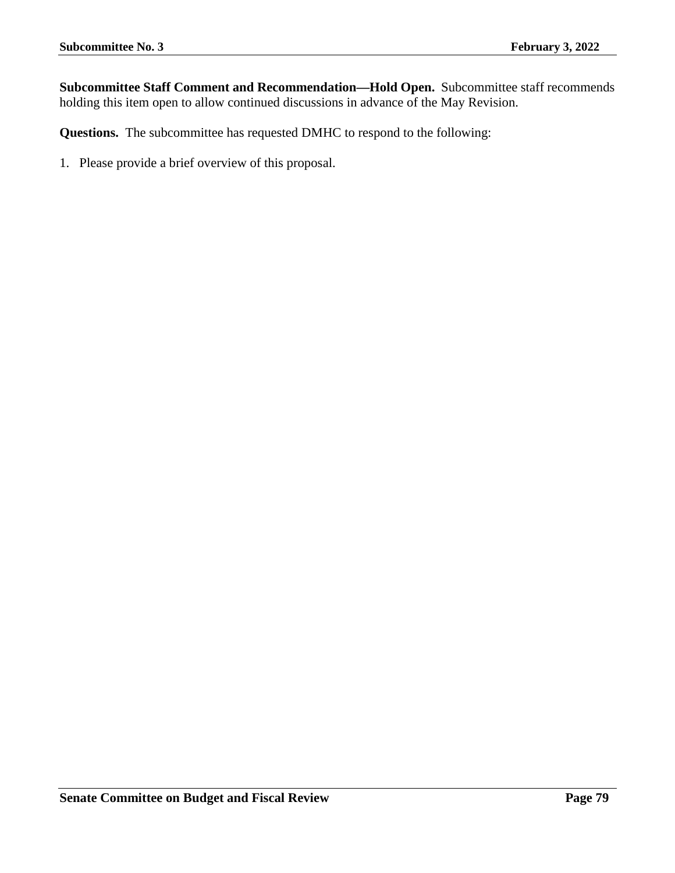**Subcommittee Staff Comment and Recommendation—Hold Open.** Subcommittee staff recommends holding this item open to allow continued discussions in advance of the May Revision.

**Questions.** The subcommittee has requested DMHC to respond to the following: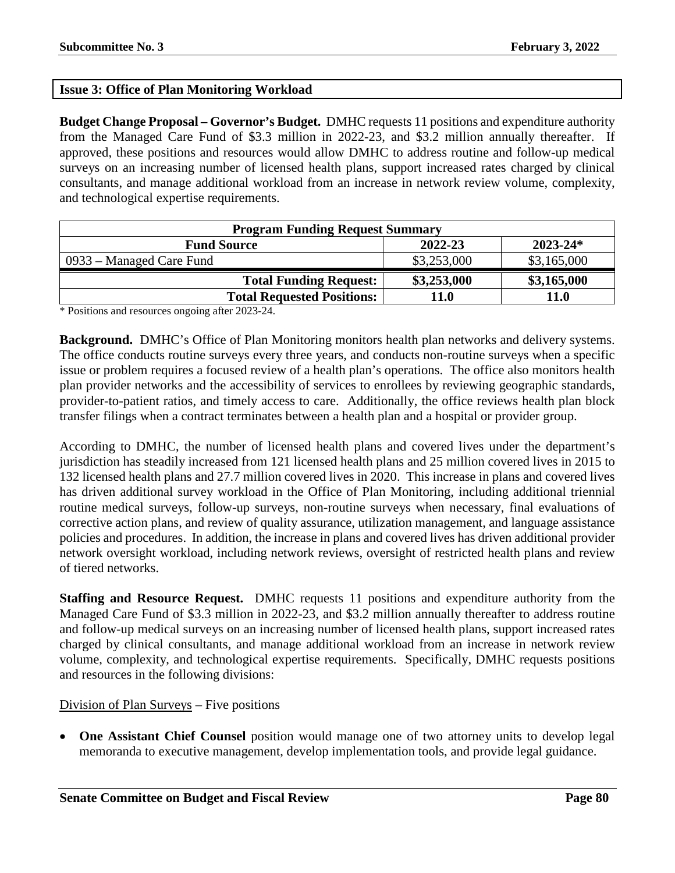## **Issue 3: Office of Plan Monitoring Workload**

**Budget Change Proposal – Governor's Budget.** DMHC requests 11 positions and expenditure authority from the Managed Care Fund of \$3.3 million in 2022-23, and \$3.2 million annually thereafter. If approved, these positions and resources would allow DMHC to address routine and follow-up medical surveys on an increasing number of licensed health plans, support increased rates charged by clinical consultants, and manage additional workload from an increase in network review volume, complexity, and technological expertise requirements.

| <b>Program Funding Request Summary</b>        |             |             |  |  |  |
|-----------------------------------------------|-------------|-------------|--|--|--|
| 2022-23<br>$2023 - 24*$<br><b>Fund Source</b> |             |             |  |  |  |
| 0933 – Managed Care Fund                      | \$3,253,000 | \$3,165,000 |  |  |  |
| <b>Total Funding Request:</b>                 | \$3,253,000 | \$3,165,000 |  |  |  |
| <b>Total Requested Positions:</b>             | 11.0        | <b>11.0</b> |  |  |  |

\* Positions and resources ongoing after 2023-24.

**Background.** DMHC's Office of Plan Monitoring monitors health plan networks and delivery systems. The office conducts routine surveys every three years, and conducts non-routine surveys when a specific issue or problem requires a focused review of a health plan's operations. The office also monitors health plan provider networks and the accessibility of services to enrollees by reviewing geographic standards, provider-to-patient ratios, and timely access to care. Additionally, the office reviews health plan block transfer filings when a contract terminates between a health plan and a hospital or provider group.

According to DMHC, the number of licensed health plans and covered lives under the department's jurisdiction has steadily increased from 121 licensed health plans and 25 million covered lives in 2015 to 132 licensed health plans and 27.7 million covered lives in 2020. This increase in plans and covered lives has driven additional survey workload in the Office of Plan Monitoring, including additional triennial routine medical surveys, follow-up surveys, non-routine surveys when necessary, final evaluations of corrective action plans, and review of quality assurance, utilization management, and language assistance policies and procedures. In addition, the increase in plans and covered lives has driven additional provider network oversight workload, including network reviews, oversight of restricted health plans and review of tiered networks.

**Staffing and Resource Request.** DMHC requests 11 positions and expenditure authority from the Managed Care Fund of \$3.3 million in 2022-23, and \$3.2 million annually thereafter to address routine and follow-up medical surveys on an increasing number of licensed health plans, support increased rates charged by clinical consultants, and manage additional workload from an increase in network review volume, complexity, and technological expertise requirements. Specifically, DMHC requests positions and resources in the following divisions:

## Division of Plan Surveys – Five positions

• One Assistant Chief Counsel position would manage one of two attorney units to develop legal memoranda to executive management, develop implementation tools, and provide legal guidance.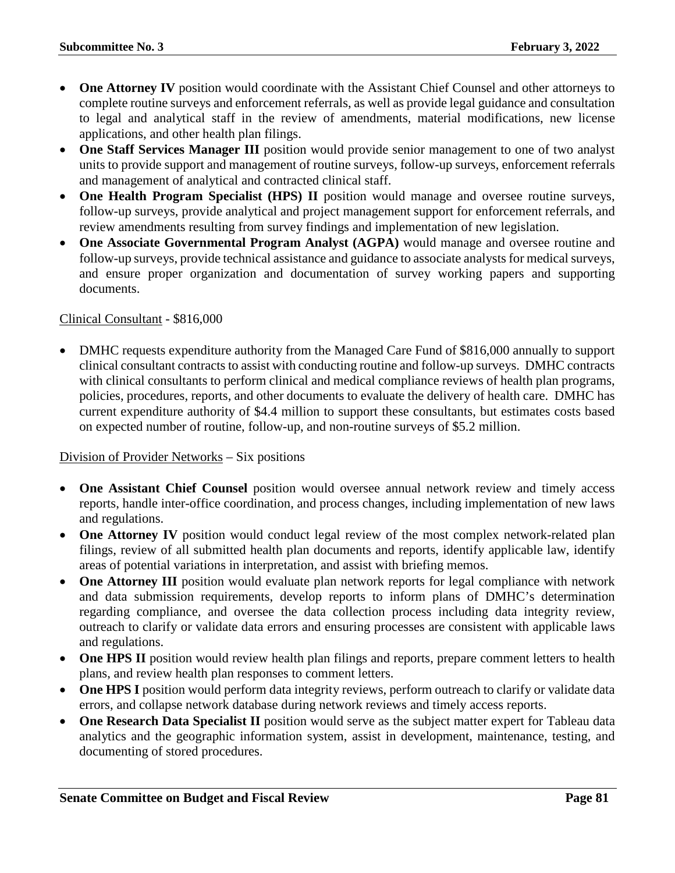- **One Attorney IV** position would coordinate with the Assistant Chief Counsel and other attorneys to complete routine surveys and enforcement referrals, as well as provide legal guidance and consultation to legal and analytical staff in the review of amendments, material modifications, new license applications, and other health plan filings.
- **One Staff Services Manager III** position would provide senior management to one of two analyst units to provide support and management of routine surveys, follow-up surveys, enforcement referrals and management of analytical and contracted clinical staff.
- **One Health Program Specialist (HPS) II** position would manage and oversee routine surveys, follow-up surveys, provide analytical and project management support for enforcement referrals, and review amendments resulting from survey findings and implementation of new legislation.
- **One Associate Governmental Program Analyst (AGPA)** would manage and oversee routine and follow-up surveys, provide technical assistance and guidance to associate analysts for medical surveys, and ensure proper organization and documentation of survey working papers and supporting documents.

## Clinical Consultant - \$816,000

• DMHC requests expenditure authority from the Managed Care Fund of \$816,000 annually to support clinical consultant contracts to assist with conducting routine and follow-up surveys. DMHC contracts with clinical consultants to perform clinical and medical compliance reviews of health plan programs, policies, procedures, reports, and other documents to evaluate the delivery of health care. DMHC has current expenditure authority of \$4.4 million to support these consultants, but estimates costs based on expected number of routine, follow-up, and non-routine surveys of \$5.2 million.

### Division of Provider Networks – Six positions

- **One Assistant Chief Counsel** position would oversee annual network review and timely access reports, handle inter-office coordination, and process changes, including implementation of new laws and regulations.
- One Attorney IV position would conduct legal review of the most complex network-related plan filings, review of all submitted health plan documents and reports, identify applicable law, identify areas of potential variations in interpretation, and assist with briefing memos.
- **One Attorney III** position would evaluate plan network reports for legal compliance with network and data submission requirements, develop reports to inform plans of DMHC's determination regarding compliance, and oversee the data collection process including data integrity review, outreach to clarify or validate data errors and ensuring processes are consistent with applicable laws and regulations.
- One HPS II position would review health plan filings and reports, prepare comment letters to health plans, and review health plan responses to comment letters.
- One HPS I position would perform data integrity reviews, perform outreach to clarify or validate data errors, and collapse network database during network reviews and timely access reports.
- **One Research Data Specialist II** position would serve as the subject matter expert for Tableau data analytics and the geographic information system, assist in development, maintenance, testing, and documenting of stored procedures.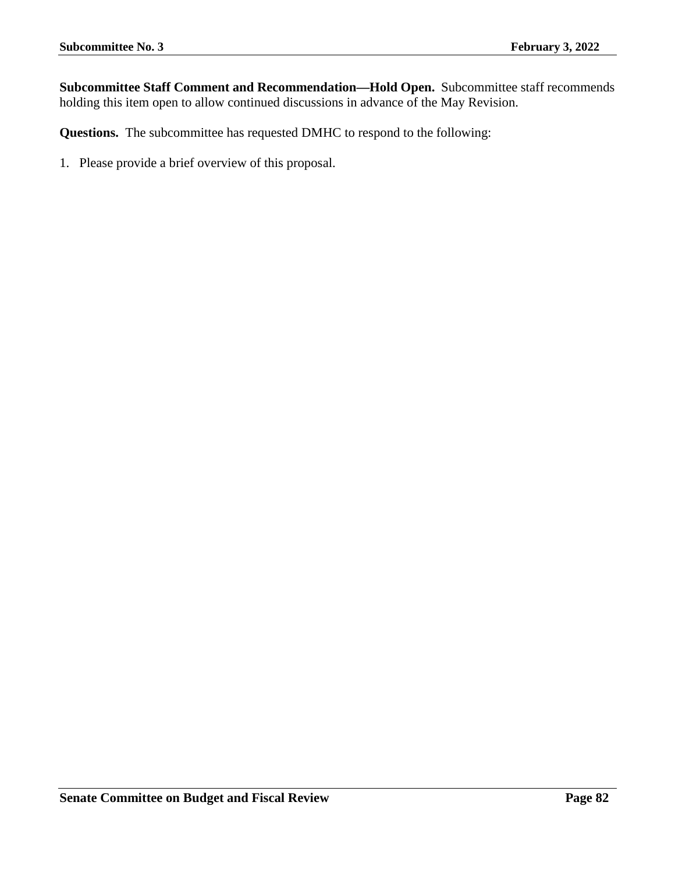**Subcommittee Staff Comment and Recommendation—Hold Open.** Subcommittee staff recommends holding this item open to allow continued discussions in advance of the May Revision.

**Questions.** The subcommittee has requested DMHC to respond to the following: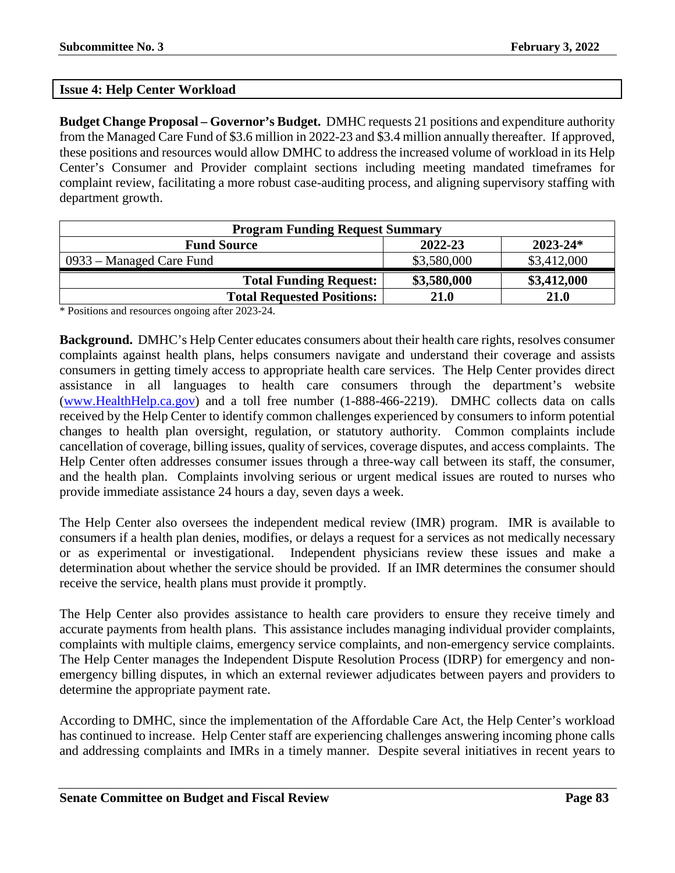## **Issue 4: Help Center Workload**

**Budget Change Proposal – Governor's Budget.** DMHC requests 21 positions and expenditure authority from the Managed Care Fund of \$3.6 million in 2022-23 and \$3.4 million annually thereafter. If approved, these positions and resources would allow DMHC to address the increased volume of workload in its Help Center's Consumer and Provider complaint sections including meeting mandated timeframes for complaint review, facilitating a more robust case-auditing process, and aligning supervisory staffing with department growth.

| <b>Program Funding Request Summary</b>        |             |             |  |  |  |
|-----------------------------------------------|-------------|-------------|--|--|--|
| 2022-23<br>$2023 - 24*$<br><b>Fund Source</b> |             |             |  |  |  |
| 0933 – Managed Care Fund                      | \$3,580,000 | \$3,412,000 |  |  |  |
| <b>Total Funding Request:</b>                 | \$3,580,000 | \$3,412,000 |  |  |  |
| <b>Total Requested Positions:</b>             | 21.0        | 21.0        |  |  |  |

\* Positions and resources ongoing after 2023-24.

**Background.** DMHC's Help Center educates consumers about their health care rights, resolves consumer complaints against health plans, helps consumers navigate and understand their coverage and assists consumers in getting timely access to appropriate health care services. The Help Center provides direct assistance in all languages to health care consumers through the department's website [\(www.HealthHelp.ca.gov\)](http://www.healthhelp.ca.gov/) and a toll free number (1-888-466-2219). DMHC collects data on calls received by the Help Center to identify common challenges experienced by consumers to inform potential changes to health plan oversight, regulation, or statutory authority. Common complaints include cancellation of coverage, billing issues, quality of services, coverage disputes, and access complaints. The Help Center often addresses consumer issues through a three-way call between its staff, the consumer, and the health plan. Complaints involving serious or urgent medical issues are routed to nurses who provide immediate assistance 24 hours a day, seven days a week.

The Help Center also oversees the independent medical review (IMR) program. IMR is available to consumers if a health plan denies, modifies, or delays a request for a services as not medically necessary or as experimental or investigational. Independent physicians review these issues and make a determination about whether the service should be provided. If an IMR determines the consumer should receive the service, health plans must provide it promptly.

The Help Center also provides assistance to health care providers to ensure they receive timely and accurate payments from health plans. This assistance includes managing individual provider complaints, complaints with multiple claims, emergency service complaints, and non-emergency service complaints. The Help Center manages the Independent Dispute Resolution Process (IDRP) for emergency and nonemergency billing disputes, in which an external reviewer adjudicates between payers and providers to determine the appropriate payment rate.

According to DMHC, since the implementation of the Affordable Care Act, the Help Center's workload has continued to increase. Help Center staff are experiencing challenges answering incoming phone calls and addressing complaints and IMRs in a timely manner. Despite several initiatives in recent years to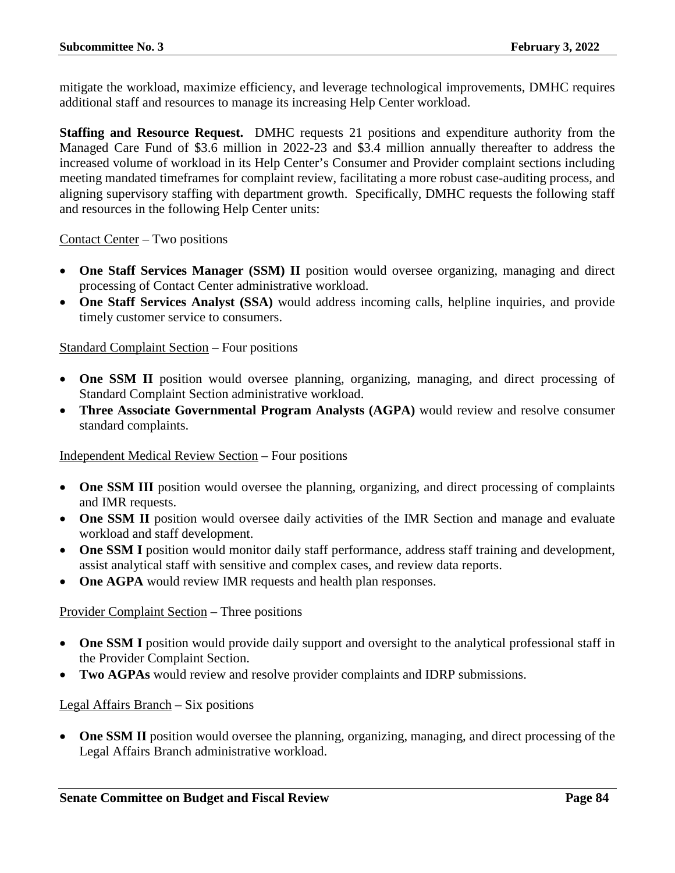mitigate the workload, maximize efficiency, and leverage technological improvements, DMHC requires additional staff and resources to manage its increasing Help Center workload.

**Staffing and Resource Request.** DMHC requests 21 positions and expenditure authority from the Managed Care Fund of \$3.6 million in 2022-23 and \$3.4 million annually thereafter to address the increased volume of workload in its Help Center's Consumer and Provider complaint sections including meeting mandated timeframes for complaint review, facilitating a more robust case-auditing process, and aligning supervisory staffing with department growth. Specifically, DMHC requests the following staff and resources in the following Help Center units:

Contact Center – Two positions

- **One Staff Services Manager (SSM) II** position would oversee organizing, managing and direct processing of Contact Center administrative workload.
- **One Staff Services Analyst (SSA)** would address incoming calls, helpline inquiries, and provide timely customer service to consumers.

### Standard Complaint Section – Four positions

- **One SSM II** position would oversee planning, organizing, managing, and direct processing of Standard Complaint Section administrative workload.
- **Three Associate Governmental Program Analysts (AGPA)** would review and resolve consumer standard complaints.

### Independent Medical Review Section – Four positions

- **One SSM III** position would oversee the planning, organizing, and direct processing of complaints and IMR requests.
- **One SSM II** position would oversee daily activities of the IMR Section and manage and evaluate workload and staff development.
- **One SSM I** position would monitor daily staff performance, address staff training and development, assist analytical staff with sensitive and complex cases, and review data reports.
- **One AGPA** would review IMR requests and health plan responses.

### Provider Complaint Section – Three positions

- **One SSM I** position would provide daily support and oversight to the analytical professional staff in the Provider Complaint Section.
- **Two AGPAs** would review and resolve provider complaints and IDRP submissions.

#### Legal Affairs Branch – Six positions

• **One SSM II** position would oversee the planning, organizing, managing, and direct processing of the Legal Affairs Branch administrative workload.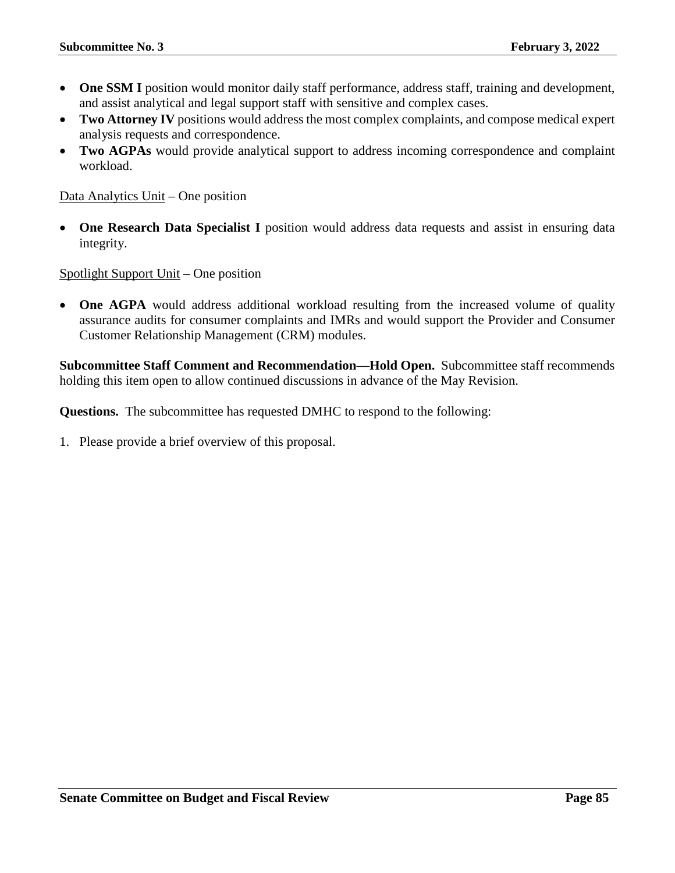- One SSM I position would monitor daily staff performance, address staff, training and development, and assist analytical and legal support staff with sensitive and complex cases.
- **Two Attorney IV** positions would address the most complex complaints, and compose medical expert analysis requests and correspondence.
- **Two AGPAs** would provide analytical support to address incoming correspondence and complaint workload.

Data Analytics Unit – One position

• **One Research Data Specialist I** position would address data requests and assist in ensuring data integrity.

Spotlight Support Unit – One position

• **One AGPA** would address additional workload resulting from the increased volume of quality assurance audits for consumer complaints and IMRs and would support the Provider and Consumer Customer Relationship Management (CRM) modules.

**Subcommittee Staff Comment and Recommendation—Hold Open.** Subcommittee staff recommends holding this item open to allow continued discussions in advance of the May Revision.

**Questions.** The subcommittee has requested DMHC to respond to the following: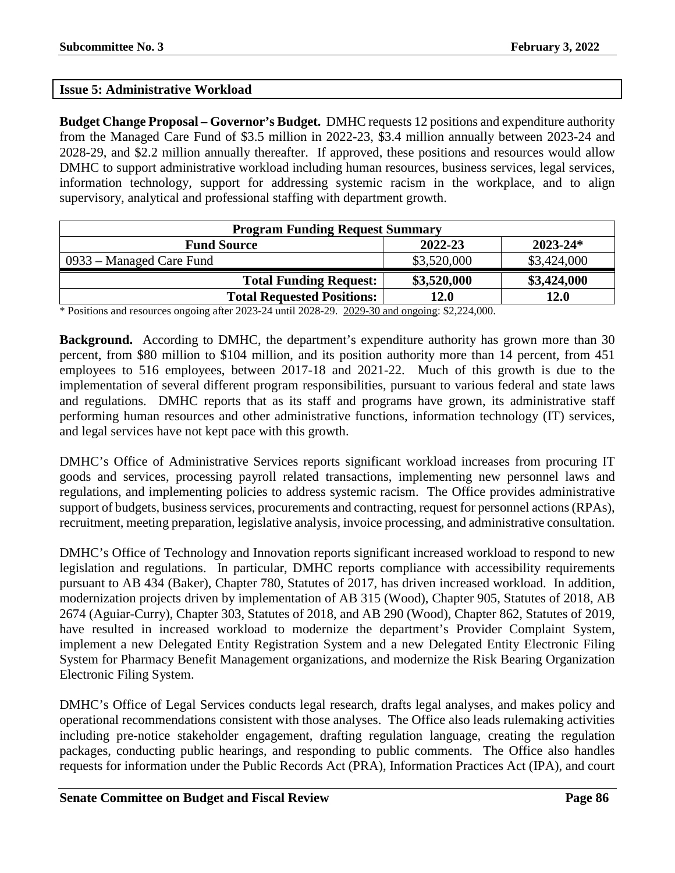## **Issue 5: Administrative Workload**

**Budget Change Proposal – Governor's Budget.** DMHC requests 12 positions and expenditure authority from the Managed Care Fund of \$3.5 million in 2022-23, \$3.4 million annually between 2023-24 and 2028-29, and \$2.2 million annually thereafter. If approved, these positions and resources would allow DMHC to support administrative workload including human resources, business services, legal services, information technology, support for addressing systemic racism in the workplace, and to align supervisory, analytical and professional staffing with department growth.

| <b>Program Funding Request Summary</b>        |             |             |  |  |  |
|-----------------------------------------------|-------------|-------------|--|--|--|
| $2023 - 24*$<br>2022-23<br><b>Fund Source</b> |             |             |  |  |  |
| 0933 – Managed Care Fund                      | \$3,520,000 | \$3,424,000 |  |  |  |
| <b>Total Funding Request:</b>                 | \$3,520,000 | \$3,424,000 |  |  |  |
| <b>Total Requested Positions:</b>             | 12.0        | 12.0        |  |  |  |

\* Positions and resources ongoing after 2023-24 until 2028-29. 2029-30 and ongoing: \$2,224,000.

**Background.** According to DMHC, the department's expenditure authority has grown more than 30 percent, from \$80 million to \$104 million, and its position authority more than 14 percent, from 451 employees to 516 employees, between 2017-18 and 2021-22. Much of this growth is due to the implementation of several different program responsibilities, pursuant to various federal and state laws and regulations. DMHC reports that as its staff and programs have grown, its administrative staff performing human resources and other administrative functions, information technology (IT) services, and legal services have not kept pace with this growth.

DMHC's Office of Administrative Services reports significant workload increases from procuring IT goods and services, processing payroll related transactions, implementing new personnel laws and regulations, and implementing policies to address systemic racism. The Office provides administrative support of budgets, business services, procurements and contracting, request for personnel actions (RPAs), recruitment, meeting preparation, legislative analysis, invoice processing, and administrative consultation.

DMHC's Office of Technology and Innovation reports significant increased workload to respond to new legislation and regulations. In particular, DMHC reports compliance with accessibility requirements pursuant to AB 434 (Baker), Chapter 780, Statutes of 2017, has driven increased workload. In addition, modernization projects driven by implementation of AB 315 (Wood), Chapter 905, Statutes of 2018, AB 2674 (Aguiar-Curry), Chapter 303, Statutes of 2018, and AB 290 (Wood), Chapter 862, Statutes of 2019, have resulted in increased workload to modernize the department's Provider Complaint System, implement a new Delegated Entity Registration System and a new Delegated Entity Electronic Filing System for Pharmacy Benefit Management organizations, and modernize the Risk Bearing Organization Electronic Filing System.

DMHC's Office of Legal Services conducts legal research, drafts legal analyses, and makes policy and operational recommendations consistent with those analyses. The Office also leads rulemaking activities including pre-notice stakeholder engagement, drafting regulation language, creating the regulation packages, conducting public hearings, and responding to public comments. The Office also handles requests for information under the Public Records Act (PRA), Information Practices Act (IPA), and court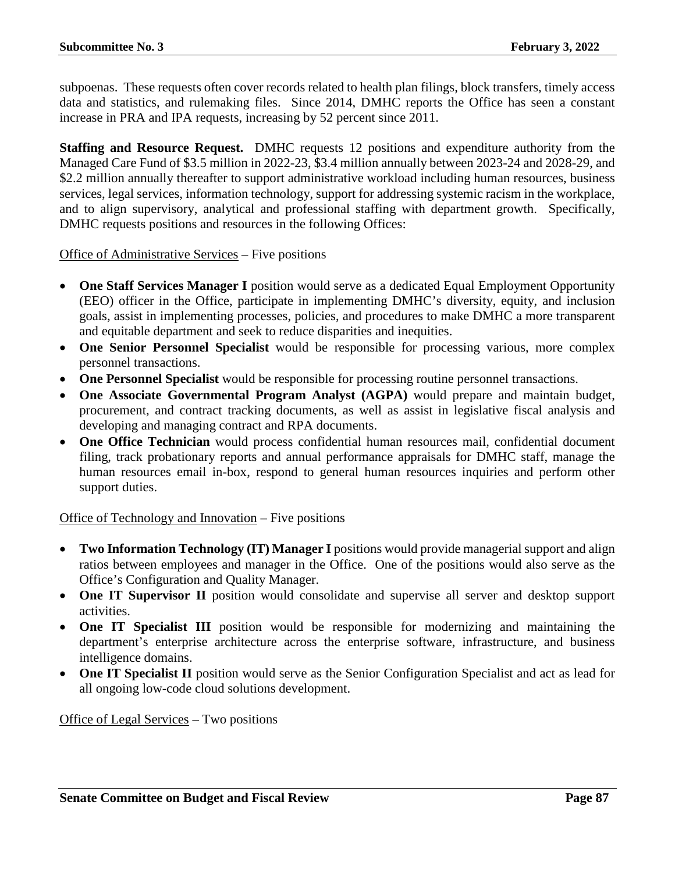subpoenas. These requests often cover records related to health plan filings, block transfers, timely access data and statistics, and rulemaking files. Since 2014, DMHC reports the Office has seen a constant increase in PRA and IPA requests, increasing by 52 percent since 2011.

**Staffing and Resource Request.** DMHC requests 12 positions and expenditure authority from the Managed Care Fund of \$3.5 million in 2022-23, \$3.4 million annually between 2023-24 and 2028-29, and \$2.2 million annually thereafter to support administrative workload including human resources, business services, legal services, information technology, support for addressing systemic racism in the workplace, and to align supervisory, analytical and professional staffing with department growth. Specifically, DMHC requests positions and resources in the following Offices:

Office of Administrative Services – Five positions

- **One Staff Services Manager I** position would serve as a dedicated Equal Employment Opportunity (EEO) officer in the Office, participate in implementing DMHC's diversity, equity, and inclusion goals, assist in implementing processes, policies, and procedures to make DMHC a more transparent and equitable department and seek to reduce disparities and inequities.
- **One Senior Personnel Specialist** would be responsible for processing various, more complex personnel transactions.
- **One Personnel Specialist** would be responsible for processing routine personnel transactions.
- **One Associate Governmental Program Analyst (AGPA)** would prepare and maintain budget, procurement, and contract tracking documents, as well as assist in legislative fiscal analysis and developing and managing contract and RPA documents.
- **One Office Technician** would process confidential human resources mail, confidential document filing, track probationary reports and annual performance appraisals for DMHC staff, manage the human resources email in-box, respond to general human resources inquiries and perform other support duties.

Office of Technology and Innovation – Five positions

- Two Information Technology (IT) Manager I positions would provide managerial support and align ratios between employees and manager in the Office. One of the positions would also serve as the Office's Configuration and Quality Manager.
- **One IT Supervisor II** position would consolidate and supervise all server and desktop support activities.
- **One IT Specialist III** position would be responsible for modernizing and maintaining the department's enterprise architecture across the enterprise software, infrastructure, and business intelligence domains.
- **One IT Specialist II** position would serve as the Senior Configuration Specialist and act as lead for all ongoing low-code cloud solutions development.

Office of Legal Services – Two positions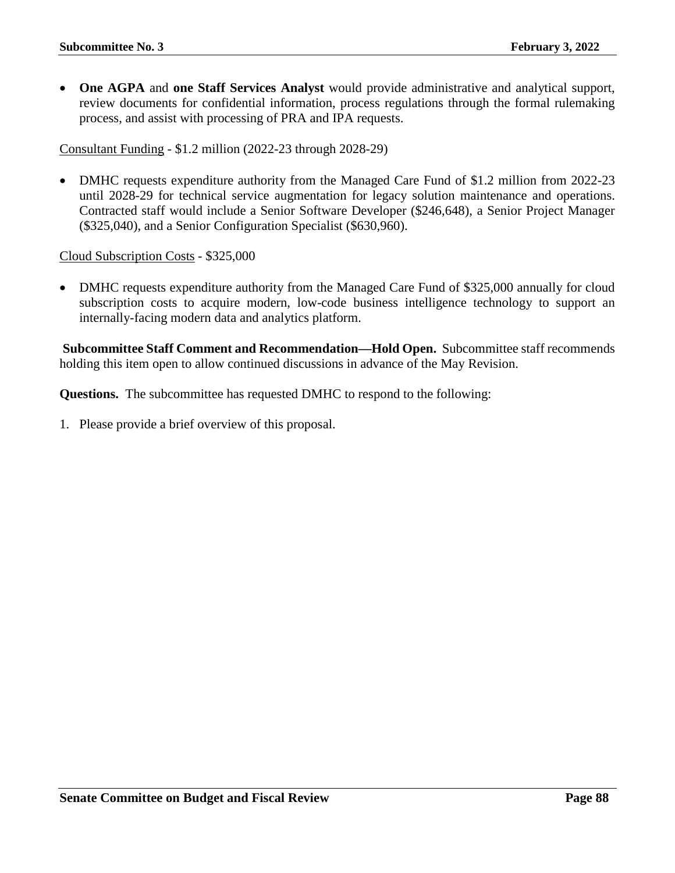• **One AGPA** and **one Staff Services Analyst** would provide administrative and analytical support, review documents for confidential information, process regulations through the formal rulemaking process, and assist with processing of PRA and IPA requests.

Consultant Funding - \$1.2 million (2022-23 through 2028-29)

• DMHC requests expenditure authority from the Managed Care Fund of \$1.2 million from 2022-23 until 2028-29 for technical service augmentation for legacy solution maintenance and operations. Contracted staff would include a Senior Software Developer (\$246,648), a Senior Project Manager (\$325,040), and a Senior Configuration Specialist (\$630,960).

Cloud Subscription Costs - \$325,000

• DMHC requests expenditure authority from the Managed Care Fund of \$325,000 annually for cloud subscription costs to acquire modern, low-code business intelligence technology to support an internally-facing modern data and analytics platform.

**Subcommittee Staff Comment and Recommendation—Hold Open.** Subcommittee staff recommends holding this item open to allow continued discussions in advance of the May Revision.

**Questions.** The subcommittee has requested DMHC to respond to the following: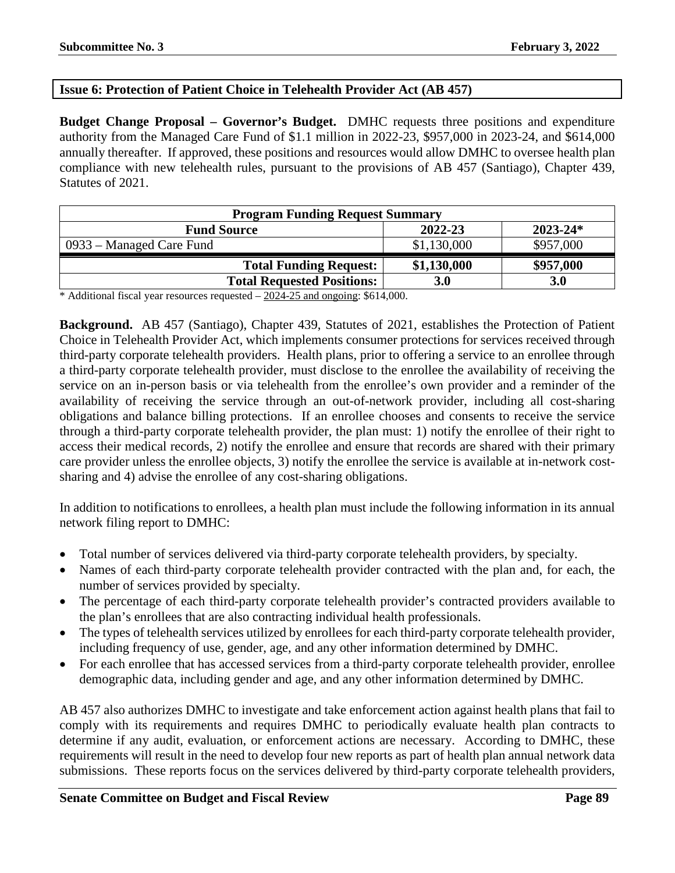## **Issue 6: Protection of Patient Choice in Telehealth Provider Act (AB 457)**

**Budget Change Proposal – Governor's Budget.** DMHC requests three positions and expenditure authority from the Managed Care Fund of \$1.1 million in 2022-23, \$957,000 in 2023-24, and \$614,000 annually thereafter. If approved, these positions and resources would allow DMHC to oversee health plan compliance with new telehealth rules, pursuant to the provisions of AB 457 (Santiago), Chapter 439, Statutes of 2021.

| <b>Program Funding Request Summary</b>        |             |            |  |  |  |
|-----------------------------------------------|-------------|------------|--|--|--|
| $2023 - 24*$<br>2022-23<br><b>Fund Source</b> |             |            |  |  |  |
| 0933 – Managed Care Fund                      | \$1,130,000 | \$957,000  |  |  |  |
| <b>Total Funding Request:</b>                 | \$1,130,000 | \$957,000  |  |  |  |
| <b>Total Requested Positions:</b>             | <b>3.0</b>  | <b>3.0</b> |  |  |  |

\* Additional fiscal year resources requested – 2024-25 and ongoing: \$614,000.

**Background.** AB 457 (Santiago), Chapter 439, Statutes of 2021, establishes the Protection of Patient Choice in Telehealth Provider Act, which implements consumer protections for services received through third-party corporate telehealth providers. Health plans, prior to offering a service to an enrollee through a third-party corporate telehealth provider, must disclose to the enrollee the availability of receiving the service on an in-person basis or via telehealth from the enrollee's own provider and a reminder of the availability of receiving the service through an out-of-network provider, including all cost-sharing obligations and balance billing protections. If an enrollee chooses and consents to receive the service through a third-party corporate telehealth provider, the plan must: 1) notify the enrollee of their right to access their medical records, 2) notify the enrollee and ensure that records are shared with their primary care provider unless the enrollee objects, 3) notify the enrollee the service is available at in-network costsharing and 4) advise the enrollee of any cost-sharing obligations.

In addition to notifications to enrollees, a health plan must include the following information in its annual network filing report to DMHC:

- Total number of services delivered via third-party corporate telehealth providers, by specialty.
- Names of each third-party corporate telehealth provider contracted with the plan and, for each, the number of services provided by specialty.
- The percentage of each third-party corporate telehealth provider's contracted providers available to the plan's enrollees that are also contracting individual health professionals.
- The types of telehealth services utilized by enrollees for each third-party corporate telehealth provider, including frequency of use, gender, age, and any other information determined by DMHC.
- For each enrollee that has accessed services from a third-party corporate telehealth provider, enrollee demographic data, including gender and age, and any other information determined by DMHC.

AB 457 also authorizes DMHC to investigate and take enforcement action against health plans that fail to comply with its requirements and requires DMHC to periodically evaluate health plan contracts to determine if any audit, evaluation, or enforcement actions are necessary. According to DMHC, these requirements will result in the need to develop four new reports as part of health plan annual network data submissions. These reports focus on the services delivered by third-party corporate telehealth providers,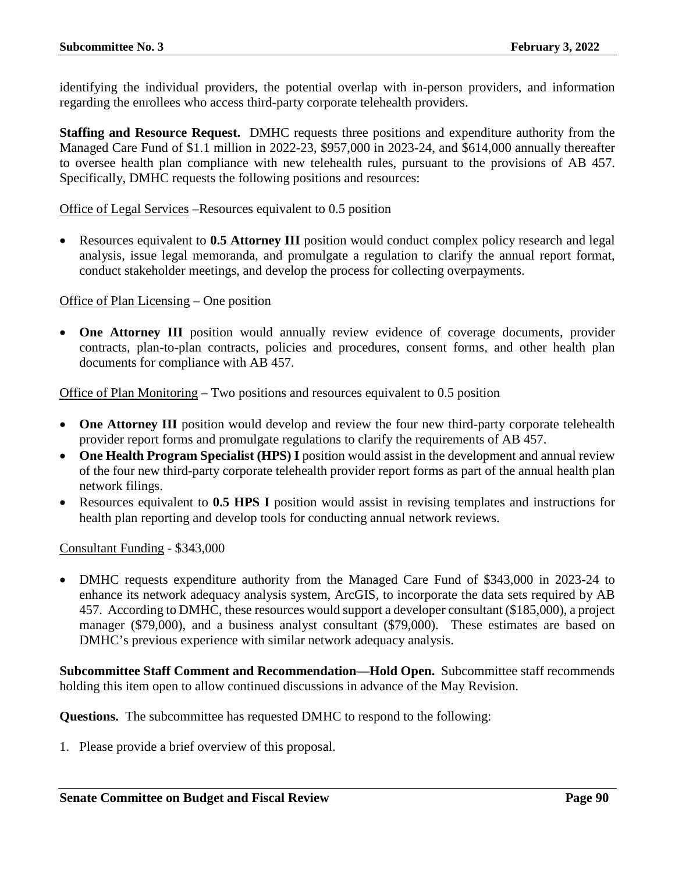identifying the individual providers, the potential overlap with in-person providers, and information regarding the enrollees who access third-party corporate telehealth providers.

**Staffing and Resource Request.** DMHC requests three positions and expenditure authority from the Managed Care Fund of \$1.1 million in 2022-23, \$957,000 in 2023-24, and \$614,000 annually thereafter to oversee health plan compliance with new telehealth rules, pursuant to the provisions of AB 457. Specifically, DMHC requests the following positions and resources:

Office of Legal Services –Resources equivalent to 0.5 position

• Resources equivalent to **0.5 Attorney III** position would conduct complex policy research and legal analysis, issue legal memoranda, and promulgate a regulation to clarify the annual report format, conduct stakeholder meetings, and develop the process for collecting overpayments.

#### Office of Plan Licensing – One position

• **One Attorney III** position would annually review evidence of coverage documents, provider contracts, plan-to-plan contracts, policies and procedures, consent forms, and other health plan documents for compliance with AB 457.

Office of Plan Monitoring – Two positions and resources equivalent to 0.5 position

- **One Attorney III** position would develop and review the four new third-party corporate telehealth provider report forms and promulgate regulations to clarify the requirements of AB 457.
- **One Health Program Specialist (HPS) I** position would assist in the development and annual review of the four new third-party corporate telehealth provider report forms as part of the annual health plan network filings.
- Resources equivalent to **0.5 HPS I** position would assist in revising templates and instructions for health plan reporting and develop tools for conducting annual network reviews.

Consultant Funding - \$343,000

• DMHC requests expenditure authority from the Managed Care Fund of \$343,000 in 2023-24 to enhance its network adequacy analysis system, ArcGIS, to incorporate the data sets required by AB 457. According to DMHC, these resources would support a developer consultant (\$185,000), a project manager (\$79,000), and a business analyst consultant (\$79,000). These estimates are based on DMHC's previous experience with similar network adequacy analysis.

**Subcommittee Staff Comment and Recommendation—Hold Open.** Subcommittee staff recommends holding this item open to allow continued discussions in advance of the May Revision.

**Questions.** The subcommittee has requested DMHC to respond to the following: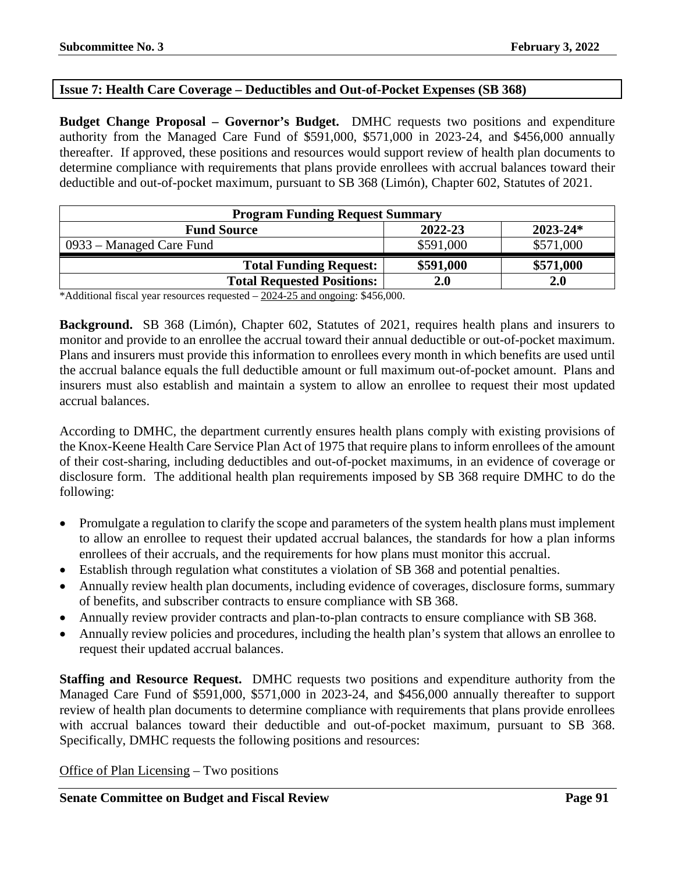## **Issue 7: Health Care Coverage – Deductibles and Out-of-Pocket Expenses (SB 368)**

**Budget Change Proposal – Governor's Budget.** DMHC requests two positions and expenditure authority from the Managed Care Fund of \$591,000, \$571,000 in 2023-24, and \$456,000 annually thereafter. If approved, these positions and resources would support review of health plan documents to determine compliance with requirements that plans provide enrollees with accrual balances toward their deductible and out-of-pocket maximum, pursuant to SB 368 (Limón), Chapter 602, Statutes of 2021.

| <b>Program Funding Request Summary</b>        |                 |  |  |  |  |
|-----------------------------------------------|-----------------|--|--|--|--|
| 2022-23<br>$2023 - 24*$<br><b>Fund Source</b> |                 |  |  |  |  |
| \$591,000                                     | \$571,000       |  |  |  |  |
| \$591,000                                     | \$571,000       |  |  |  |  |
| <b>2.0</b>                                    | 2.0             |  |  |  |  |
|                                               | $A + B + A + A$ |  |  |  |  |

\*Additional fiscal year resources requested – 2024-25 and ongoing: \$456,000.

**Background.** SB 368 (Limón), Chapter 602, Statutes of 2021, requires health plans and insurers to monitor and provide to an enrollee the accrual toward their annual deductible or out-of-pocket maximum. Plans and insurers must provide this information to enrollees every month in which benefits are used until the accrual balance equals the full deductible amount or full maximum out-of-pocket amount. Plans and insurers must also establish and maintain a system to allow an enrollee to request their most updated accrual balances.

According to DMHC, the department currently ensures health plans comply with existing provisions of the Knox-Keene Health Care Service Plan Act of 1975 that require plans to inform enrollees of the amount of their cost-sharing, including deductibles and out-of-pocket maximums, in an evidence of coverage or disclosure form. The additional health plan requirements imposed by SB 368 require DMHC to do the following:

- Promulgate a regulation to clarify the scope and parameters of the system health plans must implement to allow an enrollee to request their updated accrual balances, the standards for how a plan informs enrollees of their accruals, and the requirements for how plans must monitor this accrual.
- Establish through regulation what constitutes a violation of SB 368 and potential penalties.
- Annually review health plan documents, including evidence of coverages, disclosure forms, summary of benefits, and subscriber contracts to ensure compliance with SB 368.
- Annually review provider contracts and plan-to-plan contracts to ensure compliance with SB 368.
- Annually review policies and procedures, including the health plan's system that allows an enrollee to request their updated accrual balances.

**Staffing and Resource Request.** DMHC requests two positions and expenditure authority from the Managed Care Fund of \$591,000, \$571,000 in 2023-24, and \$456,000 annually thereafter to support review of health plan documents to determine compliance with requirements that plans provide enrollees with accrual balances toward their deductible and out-of-pocket maximum, pursuant to SB 368. Specifically, DMHC requests the following positions and resources:

Office of Plan Licensing – Two positions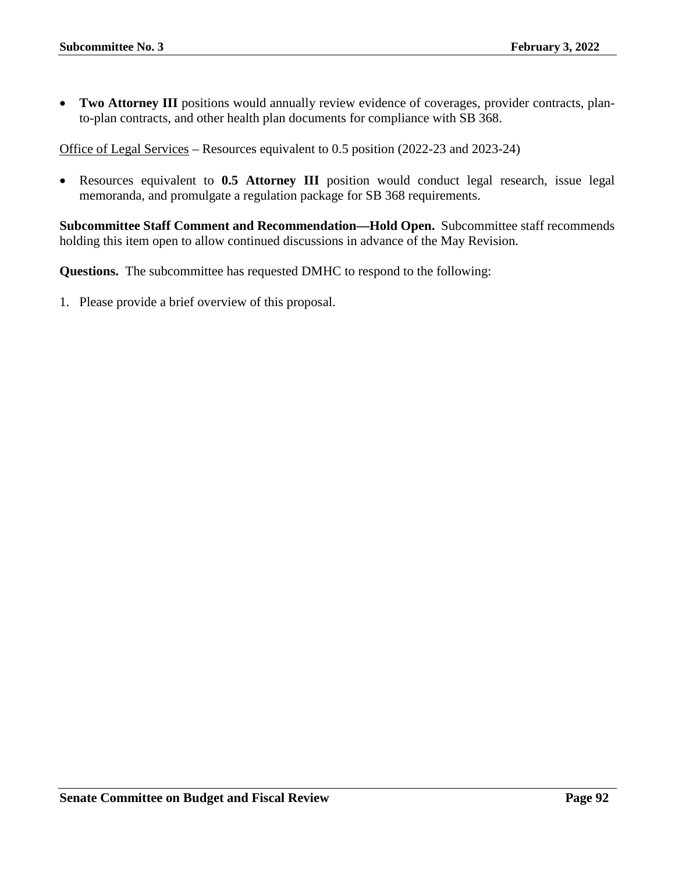• **Two Attorney III** positions would annually review evidence of coverages, provider contracts, planto-plan contracts, and other health plan documents for compliance with SB 368.

Office of Legal Services – Resources equivalent to 0.5 position (2022-23 and 2023-24)

• Resources equivalent to **0.5 Attorney III** position would conduct legal research, issue legal memoranda, and promulgate a regulation package for SB 368 requirements.

**Subcommittee Staff Comment and Recommendation—Hold Open.** Subcommittee staff recommends holding this item open to allow continued discussions in advance of the May Revision.

**Questions.** The subcommittee has requested DMHC to respond to the following: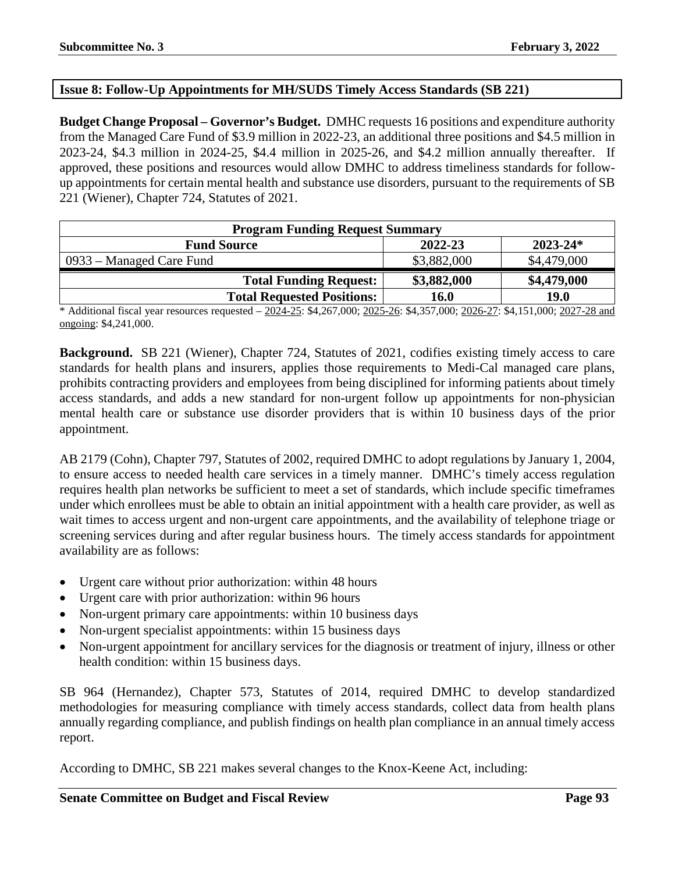## **Issue 8: Follow-Up Appointments for MH/SUDS Timely Access Standards (SB 221)**

**Budget Change Proposal – Governor's Budget.** DMHC requests 16 positions and expenditure authority from the Managed Care Fund of \$3.9 million in 2022-23, an additional three positions and \$4.5 million in 2023-24, \$4.3 million in 2024-25, \$4.4 million in 2025-26, and \$4.2 million annually thereafter. If approved, these positions and resources would allow DMHC to address timeliness standards for followup appointments for certain mental health and substance use disorders, pursuant to the requirements of SB 221 (Wiener), Chapter 724, Statutes of 2021.

| <b>Program Funding Request Summary</b>        |             |             |  |  |  |
|-----------------------------------------------|-------------|-------------|--|--|--|
| 2022-23<br>$2023 - 24*$<br><b>Fund Source</b> |             |             |  |  |  |
| 0933 – Managed Care Fund                      | \$3,882,000 | \$4,479,000 |  |  |  |
| <b>Total Funding Request:</b>                 | \$3,882,000 | \$4,479,000 |  |  |  |
| <b>Total Requested Positions:</b>             | 16.0        | <b>19.0</b> |  |  |  |

\* Additional fiscal year resources requested – 2024-25: \$4,267,000; 2025-26: \$4,357,000; 2026-27: \$4,151,000; 2027-28 and ongoing: \$4,241,000.

**Background.** SB 221 (Wiener), Chapter 724, Statutes of 2021, codifies existing timely access to care standards for health plans and insurers, applies those requirements to Medi-Cal managed care plans, prohibits contracting providers and employees from being disciplined for informing patients about timely access standards, and adds a new standard for non-urgent follow up appointments for non-physician mental health care or substance use disorder providers that is within 10 business days of the prior appointment.

AB 2179 (Cohn), Chapter 797, Statutes of 2002, required DMHC to adopt regulations by January 1, 2004, to ensure access to needed health care services in a timely manner. DMHC's timely access regulation requires health plan networks be sufficient to meet a set of standards, which include specific timeframes under which enrollees must be able to obtain an initial appointment with a health care provider, as well as wait times to access urgent and non-urgent care appointments, and the availability of telephone triage or screening services during and after regular business hours. The timely access standards for appointment availability are as follows:

- Urgent care without prior authorization: within 48 hours
- Urgent care with prior authorization: within 96 hours
- Non-urgent primary care appointments: within 10 business days
- Non-urgent specialist appointments: within 15 business days
- Non-urgent appointment for ancillary services for the diagnosis or treatment of injury, illness or other health condition: within 15 business days.

SB 964 (Hernandez), Chapter 573, Statutes of 2014, required DMHC to develop standardized methodologies for measuring compliance with timely access standards, collect data from health plans annually regarding compliance, and publish findings on health plan compliance in an annual timely access report.

According to DMHC, SB 221 makes several changes to the Knox-Keene Act, including: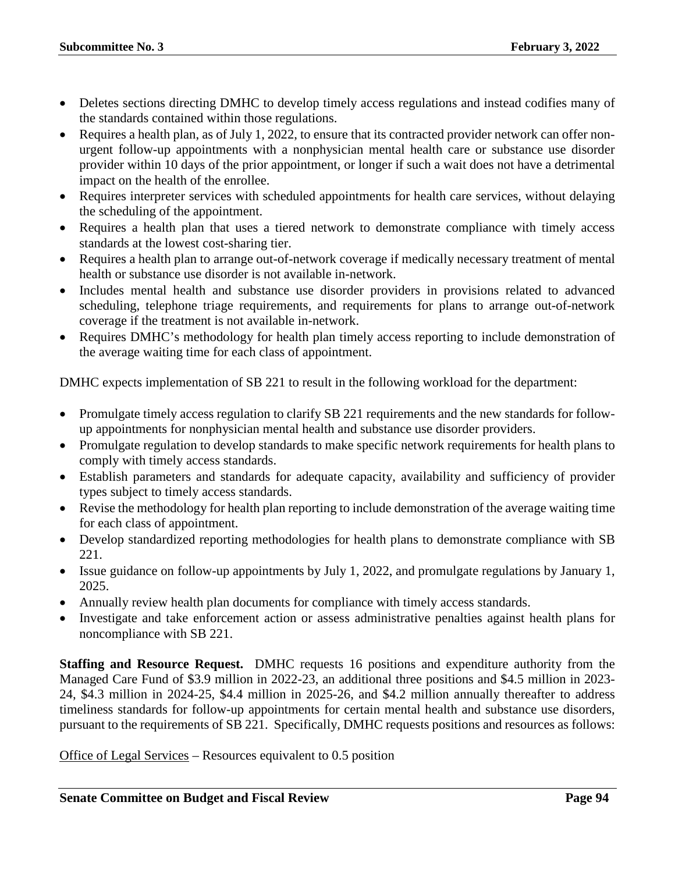- Deletes sections directing DMHC to develop timely access regulations and instead codifies many of the standards contained within those regulations.
- Requires a health plan, as of July 1, 2022, to ensure that its contracted provider network can offer nonurgent follow-up appointments with a nonphysician mental health care or substance use disorder provider within 10 days of the prior appointment, or longer if such a wait does not have a detrimental impact on the health of the enrollee.
- Requires interpreter services with scheduled appointments for health care services, without delaying the scheduling of the appointment.
- Requires a health plan that uses a tiered network to demonstrate compliance with timely access standards at the lowest cost-sharing tier.
- Requires a health plan to arrange out-of-network coverage if medically necessary treatment of mental health or substance use disorder is not available in-network.
- Includes mental health and substance use disorder providers in provisions related to advanced scheduling, telephone triage requirements, and requirements for plans to arrange out-of-network coverage if the treatment is not available in-network.
- Requires DMHC's methodology for health plan timely access reporting to include demonstration of the average waiting time for each class of appointment.

DMHC expects implementation of SB 221 to result in the following workload for the department:

- Promulgate timely access regulation to clarify SB 221 requirements and the new standards for followup appointments for nonphysician mental health and substance use disorder providers.
- Promulgate regulation to develop standards to make specific network requirements for health plans to comply with timely access standards.
- Establish parameters and standards for adequate capacity, availability and sufficiency of provider types subject to timely access standards.
- Revise the methodology for health plan reporting to include demonstration of the average waiting time for each class of appointment.
- Develop standardized reporting methodologies for health plans to demonstrate compliance with SB 221.
- Issue guidance on follow-up appointments by July 1, 2022, and promulgate regulations by January 1, 2025.
- Annually review health plan documents for compliance with timely access standards.
- Investigate and take enforcement action or assess administrative penalties against health plans for noncompliance with SB 221.

**Staffing and Resource Request.** DMHC requests 16 positions and expenditure authority from the Managed Care Fund of \$3.9 million in 2022-23, an additional three positions and \$4.5 million in 2023- 24, \$4.3 million in 2024-25, \$4.4 million in 2025-26, and \$4.2 million annually thereafter to address timeliness standards for follow-up appointments for certain mental health and substance use disorders, pursuant to the requirements of SB 221. Specifically, DMHC requests positions and resources as follows:

Office of Legal Services – Resources equivalent to 0.5 position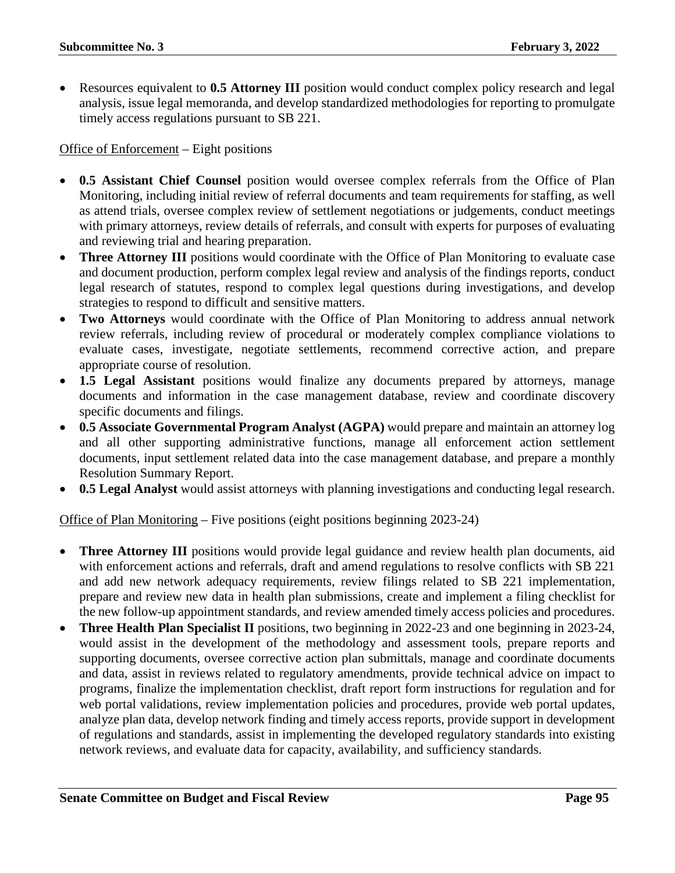• Resources equivalent to **0.5 Attorney III** position would conduct complex policy research and legal analysis, issue legal memoranda, and develop standardized methodologies for reporting to promulgate timely access regulations pursuant to SB 221.

Office of Enforcement – Eight positions

- **0.5 Assistant Chief Counsel** position would oversee complex referrals from the Office of Plan Monitoring, including initial review of referral documents and team requirements for staffing, as well as attend trials, oversee complex review of settlement negotiations or judgements, conduct meetings with primary attorneys, review details of referrals, and consult with experts for purposes of evaluating and reviewing trial and hearing preparation.
- **Three Attorney III** positions would coordinate with the Office of Plan Monitoring to evaluate case and document production, perform complex legal review and analysis of the findings reports, conduct legal research of statutes, respond to complex legal questions during investigations, and develop strategies to respond to difficult and sensitive matters.
- **Two Attorneys** would coordinate with the Office of Plan Monitoring to address annual network review referrals, including review of procedural or moderately complex compliance violations to evaluate cases, investigate, negotiate settlements, recommend corrective action, and prepare appropriate course of resolution.
- **1.5 Legal Assistant** positions would finalize any documents prepared by attorneys, manage documents and information in the case management database, review and coordinate discovery specific documents and filings.
- **0.5 Associate Governmental Program Analyst (AGPA)** would prepare and maintain an attorney log and all other supporting administrative functions, manage all enforcement action settlement documents, input settlement related data into the case management database, and prepare a monthly Resolution Summary Report.
- **0.5 Legal Analyst** would assist attorneys with planning investigations and conducting legal research.

Office of Plan Monitoring – Five positions (eight positions beginning 2023-24)

- **Three Attorney III** positions would provide legal guidance and review health plan documents, aid with enforcement actions and referrals, draft and amend regulations to resolve conflicts with SB 221 and add new network adequacy requirements, review filings related to SB 221 implementation, prepare and review new data in health plan submissions, create and implement a filing checklist for the new follow-up appointment standards, and review amended timely access policies and procedures.
- **Three Health Plan Specialist II** positions, two beginning in 2022-23 and one beginning in 2023-24, would assist in the development of the methodology and assessment tools, prepare reports and supporting documents, oversee corrective action plan submittals, manage and coordinate documents and data, assist in reviews related to regulatory amendments, provide technical advice on impact to programs, finalize the implementation checklist, draft report form instructions for regulation and for web portal validations, review implementation policies and procedures, provide web portal updates, analyze plan data, develop network finding and timely access reports, provide support in development of regulations and standards, assist in implementing the developed regulatory standards into existing network reviews, and evaluate data for capacity, availability, and sufficiency standards.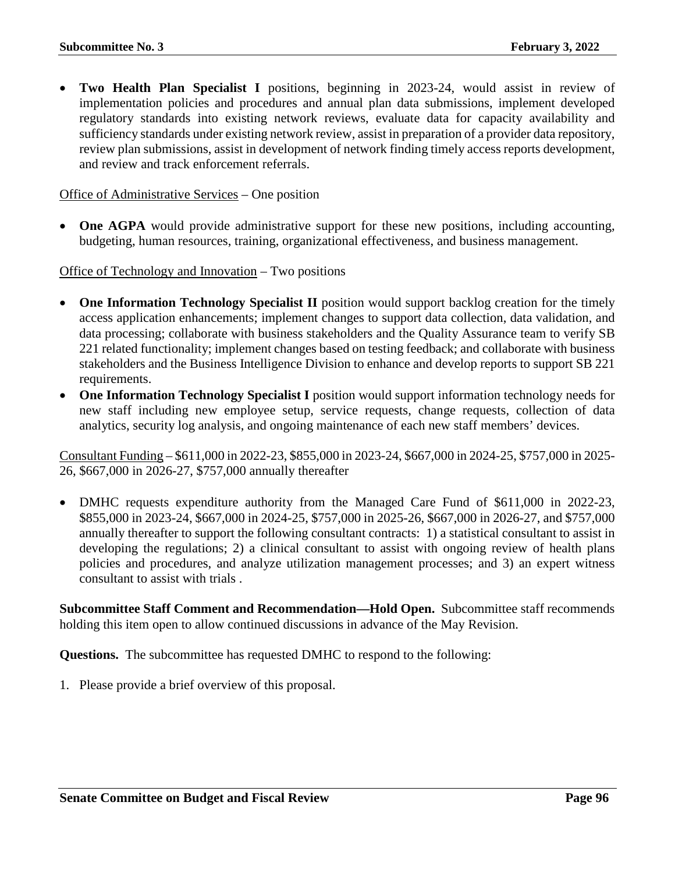• **Two Health Plan Specialist I** positions, beginning in 2023-24, would assist in review of implementation policies and procedures and annual plan data submissions, implement developed regulatory standards into existing network reviews, evaluate data for capacity availability and sufficiency standards under existing network review, assist in preparation of a provider data repository, review plan submissions, assist in development of network finding timely access reports development, and review and track enforcement referrals.

#### Office of Administrative Services – One position

• **One AGPA** would provide administrative support for these new positions, including accounting, budgeting, human resources, training, organizational effectiveness, and business management.

Office of Technology and Innovation – Two positions

- **One Information Technology Specialist II** position would support backlog creation for the timely access application enhancements; implement changes to support data collection, data validation, and data processing; collaborate with business stakeholders and the Quality Assurance team to verify SB 221 related functionality; implement changes based on testing feedback; and collaborate with business stakeholders and the Business Intelligence Division to enhance and develop reports to support SB 221 requirements.
- One Information Technology Specialist I position would support information technology needs for new staff including new employee setup, service requests, change requests, collection of data analytics, security log analysis, and ongoing maintenance of each new staff members' devices.

Consultant Funding – \$611,000 in 2022-23, \$855,000 in 2023-24, \$667,000 in 2024-25, \$757,000 in 2025- 26, \$667,000 in 2026-27, \$757,000 annually thereafter

• DMHC requests expenditure authority from the Managed Care Fund of \$611,000 in 2022-23, \$855,000 in 2023-24, \$667,000 in 2024-25, \$757,000 in 2025-26, \$667,000 in 2026-27, and \$757,000 annually thereafter to support the following consultant contracts: 1) a statistical consultant to assist in developing the regulations; 2) a clinical consultant to assist with ongoing review of health plans policies and procedures, and analyze utilization management processes; and 3) an expert witness consultant to assist with trials .

**Subcommittee Staff Comment and Recommendation—Hold Open.** Subcommittee staff recommends holding this item open to allow continued discussions in advance of the May Revision.

**Questions.** The subcommittee has requested DMHC to respond to the following: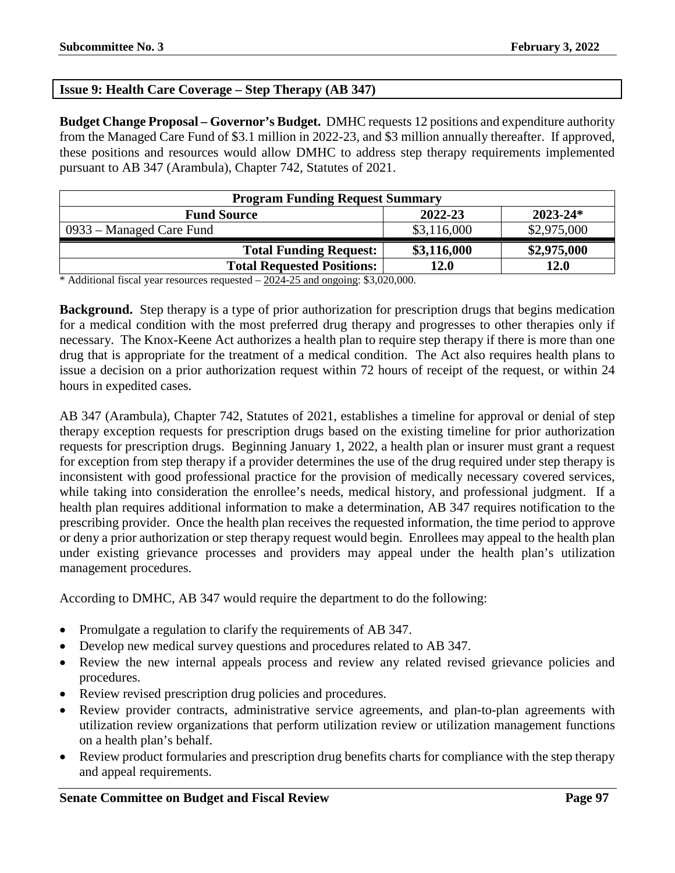## **Issue 9: Health Care Coverage – Step Therapy (AB 347)**

**Budget Change Proposal – Governor's Budget.** DMHC requests 12 positions and expenditure authority from the Managed Care Fund of \$3.1 million in 2022-23, and \$3 million annually thereafter. If approved, these positions and resources would allow DMHC to address step therapy requirements implemented pursuant to AB 347 (Arambula), Chapter 742, Statutes of 2021.

| <b>Program Funding Request Summary</b>        |             |  |  |  |  |
|-----------------------------------------------|-------------|--|--|--|--|
| $2023 - 24*$<br>2022-23<br><b>Fund Source</b> |             |  |  |  |  |
| \$3,116,000                                   | \$2,975,000 |  |  |  |  |
| \$3,116,000                                   | \$2,975,000 |  |  |  |  |
| 12.0                                          | 12.0        |  |  |  |  |
|                                               |             |  |  |  |  |

\* Additional fiscal year resources requested – 2024-25 and ongoing: \$3,020,000.

**Background.** Step therapy is a type of prior authorization for prescription drugs that begins medication for a medical condition with the most preferred drug therapy and progresses to other therapies only if necessary. The Knox-Keene Act authorizes a health plan to require step therapy if there is more than one drug that is appropriate for the treatment of a medical condition. The Act also requires health plans to issue a decision on a prior authorization request within 72 hours of receipt of the request, or within 24 hours in expedited cases.

AB 347 (Arambula), Chapter 742, Statutes of 2021, establishes a timeline for approval or denial of step therapy exception requests for prescription drugs based on the existing timeline for prior authorization requests for prescription drugs. Beginning January 1, 2022, a health plan or insurer must grant a request for exception from step therapy if a provider determines the use of the drug required under step therapy is inconsistent with good professional practice for the provision of medically necessary covered services, while taking into consideration the enrollee's needs, medical history, and professional judgment. If a health plan requires additional information to make a determination, AB 347 requires notification to the prescribing provider. Once the health plan receives the requested information, the time period to approve or deny a prior authorization or step therapy request would begin. Enrollees may appeal to the health plan under existing grievance processes and providers may appeal under the health plan's utilization management procedures.

According to DMHC, AB 347 would require the department to do the following:

- Promulgate a regulation to clarify the requirements of AB 347.
- Develop new medical survey questions and procedures related to AB 347.
- Review the new internal appeals process and review any related revised grievance policies and procedures.
- Review revised prescription drug policies and procedures.
- Review provider contracts, administrative service agreements, and plan-to-plan agreements with utilization review organizations that perform utilization review or utilization management functions on a health plan's behalf.
- Review product formularies and prescription drug benefits charts for compliance with the step therapy and appeal requirements.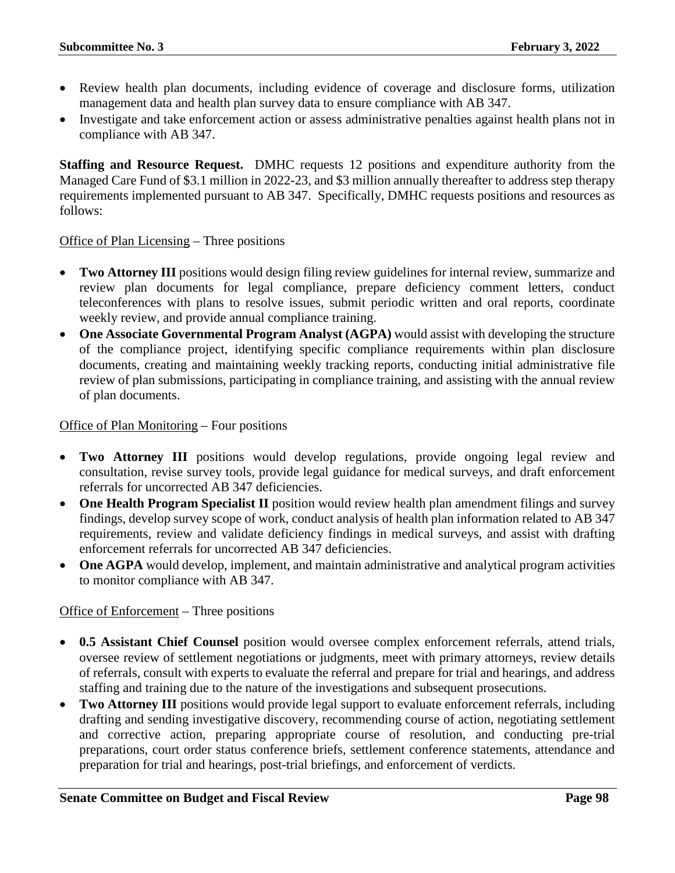- Review health plan documents, including evidence of coverage and disclosure forms, utilization management data and health plan survey data to ensure compliance with AB 347.
- Investigate and take enforcement action or assess administrative penalties against health plans not in compliance with AB 347.

**Staffing and Resource Request.** DMHC requests 12 positions and expenditure authority from the Managed Care Fund of \$3.1 million in 2022-23, and \$3 million annually thereafter to address step therapy requirements implemented pursuant to AB 347. Specifically, DMHC requests positions and resources as follows:

### Office of Plan Licensing – Three positions

- **Two Attorney III** positions would design filing review guidelines for internal review, summarize and review plan documents for legal compliance, prepare deficiency comment letters, conduct teleconferences with plans to resolve issues, submit periodic written and oral reports, coordinate weekly review, and provide annual compliance training.
- **One Associate Governmental Program Analyst (AGPA)** would assist with developing the structure of the compliance project, identifying specific compliance requirements within plan disclosure documents, creating and maintaining weekly tracking reports, conducting initial administrative file review of plan submissions, participating in compliance training, and assisting with the annual review of plan documents.

#### Office of Plan Monitoring – Four positions

- **Two Attorney III** positions would develop regulations, provide ongoing legal review and consultation, revise survey tools, provide legal guidance for medical surveys, and draft enforcement referrals for uncorrected AB 347 deficiencies.
- **One Health Program Specialist II** position would review health plan amendment filings and survey findings, develop survey scope of work, conduct analysis of health plan information related to AB 347 requirements, review and validate deficiency findings in medical surveys, and assist with drafting enforcement referrals for uncorrected AB 347 deficiencies.
- **One AGPA** would develop, implement, and maintain administrative and analytical program activities to monitor compliance with AB 347.

### Office of Enforcement – Three positions

- **0.5 Assistant Chief Counsel** position would oversee complex enforcement referrals, attend trials, oversee review of settlement negotiations or judgments, meet with primary attorneys, review details of referrals, consult with experts to evaluate the referral and prepare for trial and hearings, and address staffing and training due to the nature of the investigations and subsequent prosecutions.
- **Two Attorney III** positions would provide legal support to evaluate enforcement referrals, including drafting and sending investigative discovery, recommending course of action, negotiating settlement and corrective action, preparing appropriate course of resolution, and conducting pre-trial preparations, court order status conference briefs, settlement conference statements, attendance and preparation for trial and hearings, post-trial briefings, and enforcement of verdicts.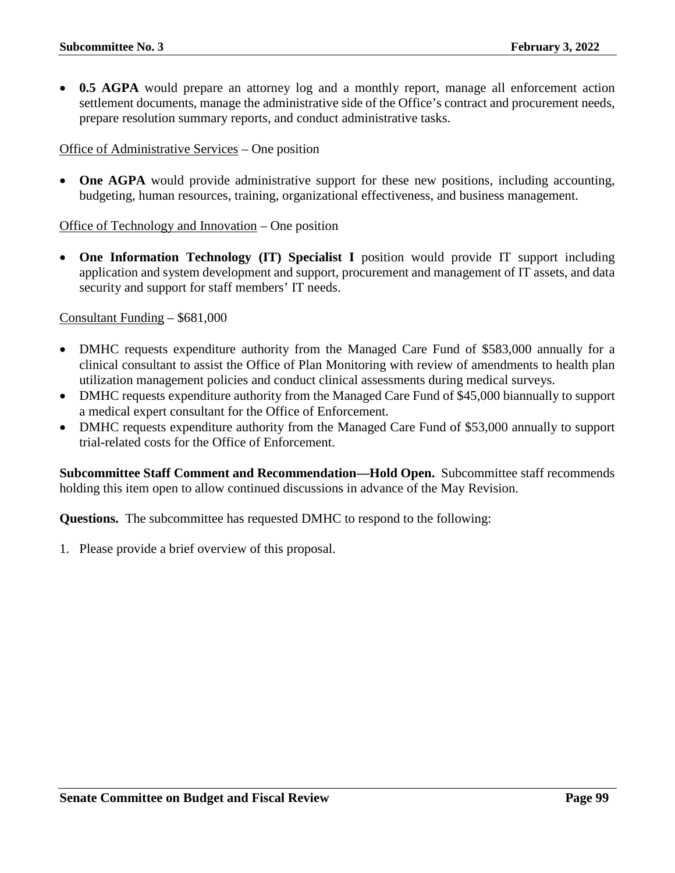**0.5 AGPA** would prepare an attorney log and a monthly report, manage all enforcement action settlement documents, manage the administrative side of the Office's contract and procurement needs, prepare resolution summary reports, and conduct administrative tasks.

## Office of Administrative Services – One position

• **One AGPA** would provide administrative support for these new positions, including accounting, budgeting, human resources, training, organizational effectiveness, and business management.

Office of Technology and Innovation – One position

• One Information Technology (IT) Specialist I position would provide IT support including application and system development and support, procurement and management of IT assets, and data security and support for staff members' IT needs.

Consultant Funding – \$681,000

- DMHC requests expenditure authority from the Managed Care Fund of \$583,000 annually for a clinical consultant to assist the Office of Plan Monitoring with review of amendments to health plan utilization management policies and conduct clinical assessments during medical surveys.
- DMHC requests expenditure authority from the Managed Care Fund of \$45,000 biannually to support a medical expert consultant for the Office of Enforcement.
- DMHC requests expenditure authority from the Managed Care Fund of \$53,000 annually to support trial-related costs for the Office of Enforcement.

**Subcommittee Staff Comment and Recommendation—Hold Open.** Subcommittee staff recommends holding this item open to allow continued discussions in advance of the May Revision.

**Questions.** The subcommittee has requested DMHC to respond to the following: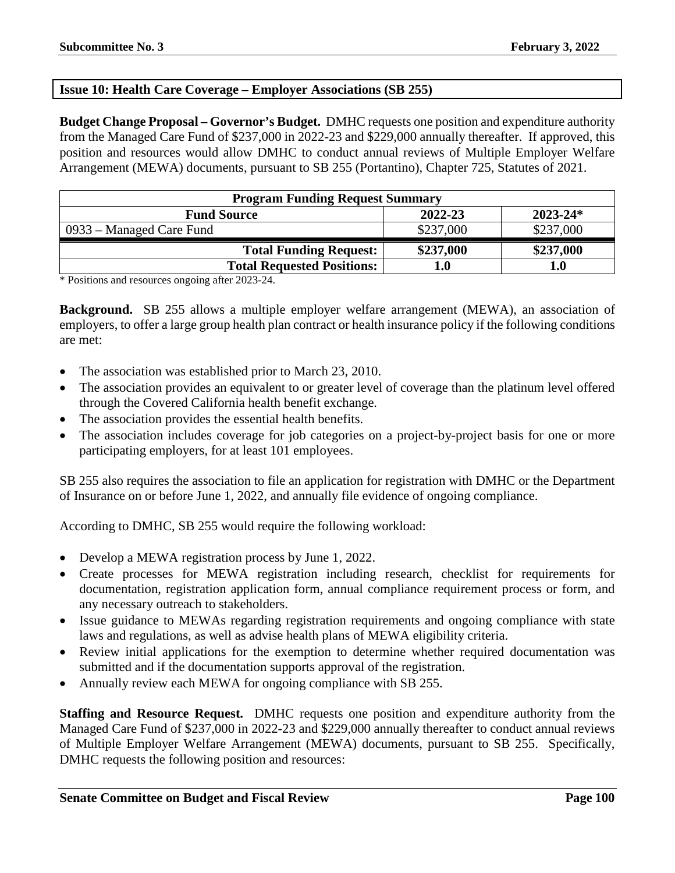## **Issue 10: Health Care Coverage – Employer Associations (SB 255)**

**Budget Change Proposal – Governor's Budget.** DMHC requests one position and expenditure authority from the Managed Care Fund of \$237,000 in 2022-23 and \$229,000 annually thereafter. If approved, this position and resources would allow DMHC to conduct annual reviews of Multiple Employer Welfare Arrangement (MEWA) documents, pursuant to SB 255 (Portantino), Chapter 725, Statutes of 2021.

| <b>Program Funding Request Summary</b>        |           |           |  |  |  |
|-----------------------------------------------|-----------|-----------|--|--|--|
| 2022-23<br>$2023 - 24*$<br><b>Fund Source</b> |           |           |  |  |  |
| 0933 – Managed Care Fund                      | \$237,000 | \$237,000 |  |  |  |
| <b>Total Funding Request:</b>                 | \$237,000 | \$237,000 |  |  |  |
| <b>Total Requested Positions:</b>             | L.O       | 1.0       |  |  |  |

\* Positions and resources ongoing after 2023-24.

**Background.** SB 255 allows a multiple employer welfare arrangement (MEWA), an association of employers, to offer a large group health plan contract or health insurance policy if the following conditions are met:

- The association was established prior to March 23, 2010.
- The association provides an equivalent to or greater level of coverage than the platinum level offered through the Covered California health benefit exchange.
- The association provides the essential health benefits.
- The association includes coverage for job categories on a project-by-project basis for one or more participating employers, for at least 101 employees.

SB 255 also requires the association to file an application for registration with DMHC or the Department of Insurance on or before June 1, 2022, and annually file evidence of ongoing compliance.

According to DMHC, SB 255 would require the following workload:

- Develop a MEWA registration process by June 1, 2022.
- Create processes for MEWA registration including research, checklist for requirements for documentation, registration application form, annual compliance requirement process or form, and any necessary outreach to stakeholders.
- Issue guidance to MEWAs regarding registration requirements and ongoing compliance with state laws and regulations, as well as advise health plans of MEWA eligibility criteria.
- Review initial applications for the exemption to determine whether required documentation was submitted and if the documentation supports approval of the registration.
- Annually review each MEWA for ongoing compliance with SB 255.

**Staffing and Resource Request.** DMHC requests one position and expenditure authority from the Managed Care Fund of \$237,000 in 2022-23 and \$229,000 annually thereafter to conduct annual reviews of Multiple Employer Welfare Arrangement (MEWA) documents, pursuant to SB 255. Specifically, DMHC requests the following position and resources: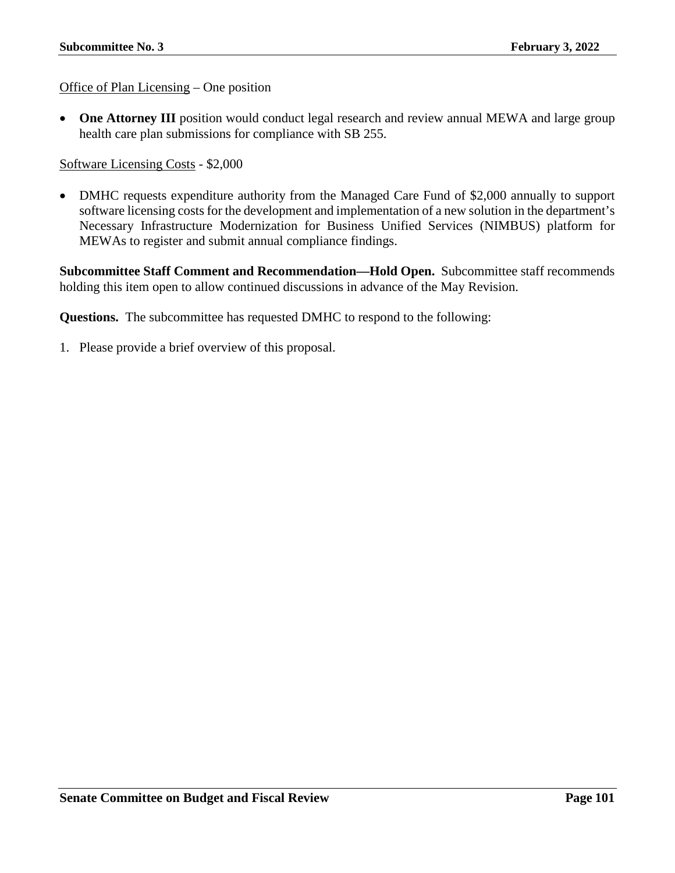Office of Plan Licensing – One position

• One Attorney III position would conduct legal research and review annual MEWA and large group health care plan submissions for compliance with SB 255.

Software Licensing Costs - \$2,000

• DMHC requests expenditure authority from the Managed Care Fund of \$2,000 annually to support software licensing costs for the development and implementation of a new solution in the department's Necessary Infrastructure Modernization for Business Unified Services (NIMBUS) platform for MEWAs to register and submit annual compliance findings.

**Subcommittee Staff Comment and Recommendation—Hold Open.** Subcommittee staff recommends holding this item open to allow continued discussions in advance of the May Revision.

**Questions.** The subcommittee has requested DMHC to respond to the following: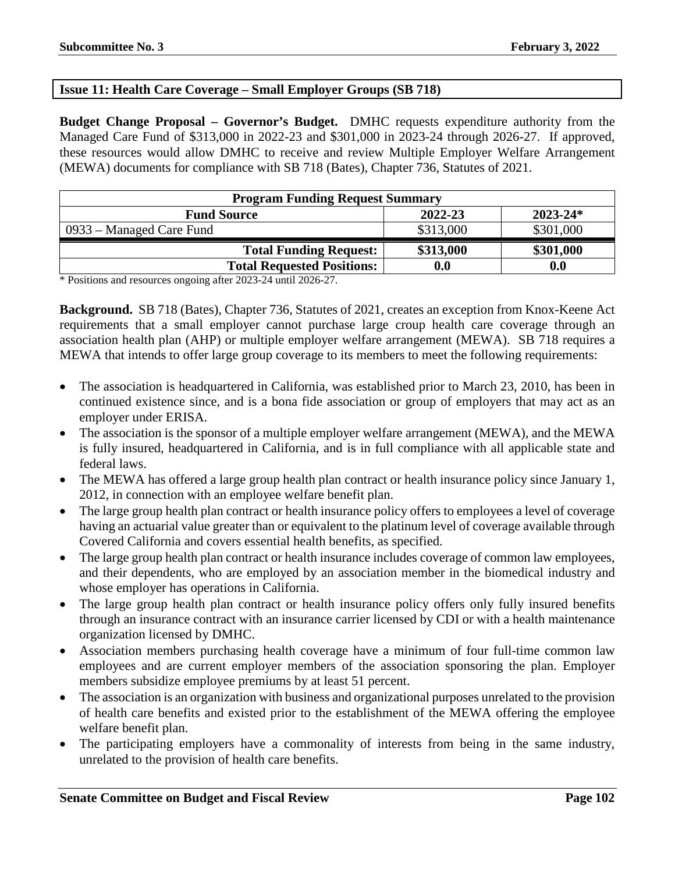## **Issue 11: Health Care Coverage – Small Employer Groups (SB 718)**

**Budget Change Proposal – Governor's Budget.** DMHC requests expenditure authority from the Managed Care Fund of \$313,000 in 2022-23 and \$301,000 in 2023-24 through 2026-27. If approved, these resources would allow DMHC to receive and review Multiple Employer Welfare Arrangement (MEWA) documents for compliance with SB 718 (Bates), Chapter 736, Statutes of 2021.

| <b>Program Funding Request Summary</b>        |                    |           |  |  |  |
|-----------------------------------------------|--------------------|-----------|--|--|--|
| 2022-23<br>$2023 - 24*$<br><b>Fund Source</b> |                    |           |  |  |  |
| 0933 – Managed Care Fund                      | \$313,000          | \$301,000 |  |  |  |
| <b>Total Funding Request:</b>                 | \$313,000          | \$301,000 |  |  |  |
| <b>Total Requested Positions:</b>             | $\boldsymbol{0.0}$ | 0.0       |  |  |  |

\* Positions and resources ongoing after 2023-24 until 2026-27.

**Background.** SB 718 (Bates), Chapter 736, Statutes of 2021, creates an exception from Knox-Keene Act requirements that a small employer cannot purchase large croup health care coverage through an association health plan (AHP) or multiple employer welfare arrangement (MEWA). SB 718 requires a MEWA that intends to offer large group coverage to its members to meet the following requirements:

- The association is headquartered in California, was established prior to March 23, 2010, has been in continued existence since, and is a bona fide association or group of employers that may act as an employer under ERISA.
- The association is the sponsor of a multiple employer welfare arrangement (MEWA), and the MEWA is fully insured, headquartered in California, and is in full compliance with all applicable state and federal laws.
- The MEWA has offered a large group health plan contract or health insurance policy since January 1, 2012, in connection with an employee welfare benefit plan.
- The large group health plan contract or health insurance policy offers to employees a level of coverage having an actuarial value greater than or equivalent to the platinum level of coverage available through Covered California and covers essential health benefits, as specified.
- The large group health plan contract or health insurance includes coverage of common law employees, and their dependents, who are employed by an association member in the biomedical industry and whose employer has operations in California.
- The large group health plan contract or health insurance policy offers only fully insured benefits through an insurance contract with an insurance carrier licensed by CDI or with a health maintenance organization licensed by DMHC.
- Association members purchasing health coverage have a minimum of four full-time common law employees and are current employer members of the association sponsoring the plan. Employer members subsidize employee premiums by at least 51 percent.
- The association is an organization with business and organizational purposes unrelated to the provision of health care benefits and existed prior to the establishment of the MEWA offering the employee welfare benefit plan.
- The participating employers have a commonality of interests from being in the same industry, unrelated to the provision of health care benefits.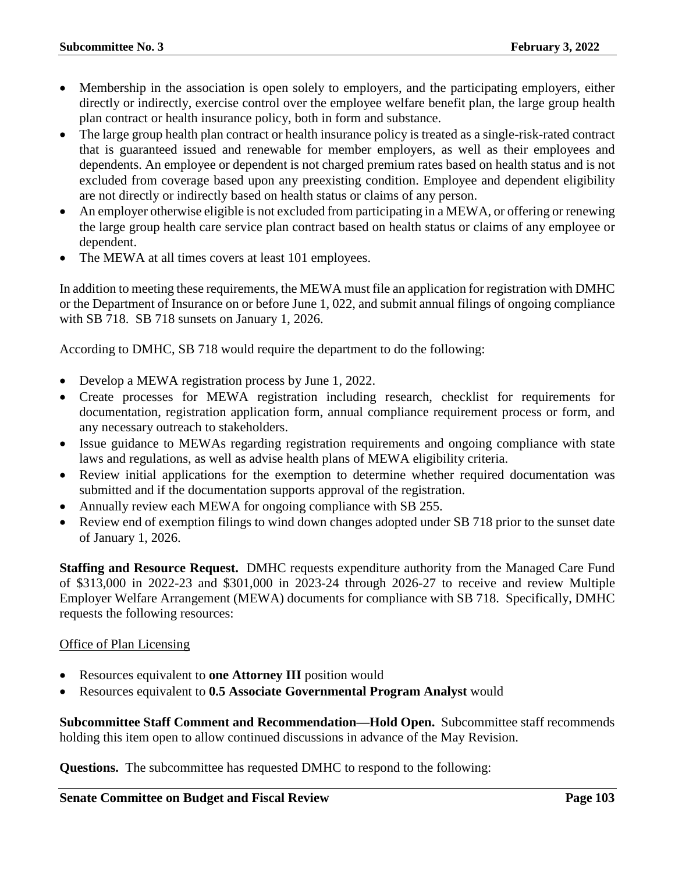- Membership in the association is open solely to employers, and the participating employers, either directly or indirectly, exercise control over the employee welfare benefit plan, the large group health plan contract or health insurance policy, both in form and substance.
- The large group health plan contract or health insurance policy is treated as a single-risk-rated contract that is guaranteed issued and renewable for member employers, as well as their employees and dependents. An employee or dependent is not charged premium rates based on health status and is not excluded from coverage based upon any preexisting condition. Employee and dependent eligibility are not directly or indirectly based on health status or claims of any person.
- An employer otherwise eligible is not excluded from participating in a MEWA, or offering or renewing the large group health care service plan contract based on health status or claims of any employee or dependent.
- The MEWA at all times covers at least 101 employees.

In addition to meeting these requirements, the MEWA must file an application for registration with DMHC or the Department of Insurance on or before June 1, 022, and submit annual filings of ongoing compliance with SB 718. SB 718 sunsets on January 1, 2026.

According to DMHC, SB 718 would require the department to do the following:

- Develop a MEWA registration process by June 1, 2022.
- Create processes for MEWA registration including research, checklist for requirements for documentation, registration application form, annual compliance requirement process or form, and any necessary outreach to stakeholders.
- Issue guidance to MEWAs regarding registration requirements and ongoing compliance with state laws and regulations, as well as advise health plans of MEWA eligibility criteria.
- Review initial applications for the exemption to determine whether required documentation was submitted and if the documentation supports approval of the registration.
- Annually review each MEWA for ongoing compliance with SB 255.
- Review end of exemption filings to wind down changes adopted under SB 718 prior to the sunset date of January 1, 2026.

**Staffing and Resource Request.** DMHC requests expenditure authority from the Managed Care Fund of \$313,000 in 2022-23 and \$301,000 in 2023-24 through 2026-27 to receive and review Multiple Employer Welfare Arrangement (MEWA) documents for compliance with SB 718. Specifically, DMHC requests the following resources:

### Office of Plan Licensing

- Resources equivalent to **one Attorney III** position would
- Resources equivalent to **0.5 Associate Governmental Program Analyst** would

**Subcommittee Staff Comment and Recommendation—Hold Open.** Subcommittee staff recommends holding this item open to allow continued discussions in advance of the May Revision.

**Questions.** The subcommittee has requested DMHC to respond to the following: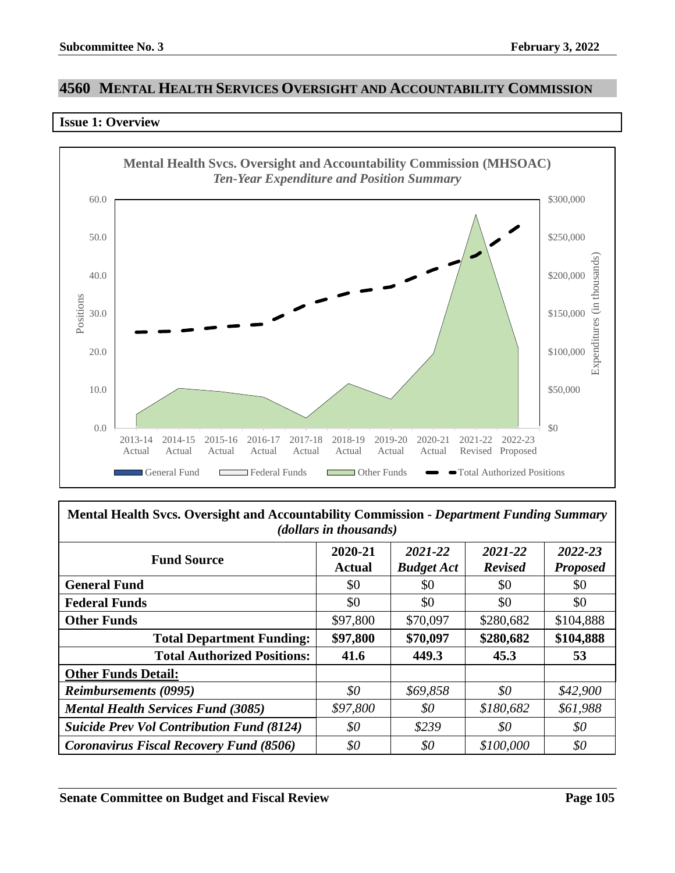# **4560 MENTAL HEALTH SERVICES OVERSIGHT AND ACCOUNTABILITY COMMISSION**

#### **Issue 1: Overview**



| Mental Health Svcs. Oversight and Accountability Commission - Department Funding Summary<br>( <i>dollars in thousands</i> ) |                          |                              |                           |                            |  |
|-----------------------------------------------------------------------------------------------------------------------------|--------------------------|------------------------------|---------------------------|----------------------------|--|
| <b>Fund Source</b>                                                                                                          | 2020-21<br><b>Actual</b> | 2021-22<br><b>Budget Act</b> | 2021-22<br><b>Revised</b> | 2022-23<br><b>Proposed</b> |  |
| <b>General Fund</b>                                                                                                         | \$0                      | \$0                          | \$0                       | \$0                        |  |
| <b>Federal Funds</b>                                                                                                        | \$0                      | \$0                          | \$0                       | \$0                        |  |
| <b>Other Funds</b>                                                                                                          | \$97,800                 | \$70,097                     | \$280,682                 | \$104,888                  |  |
| <b>Total Department Funding:</b>                                                                                            | \$97,800                 | \$70,097                     | \$280,682                 | \$104,888                  |  |
| <b>Total Authorized Positions:</b>                                                                                          | 41.6                     | 449.3                        | 45.3                      | 53                         |  |
| <b>Other Funds Detail:</b>                                                                                                  |                          |                              |                           |                            |  |
| <b>Reimbursements (0995)</b>                                                                                                | \$0                      | \$69,858                     | \$0                       | \$42,900                   |  |
| <b>Mental Health Services Fund (3085)</b>                                                                                   | \$97,800                 | \$0                          | \$180,682                 | \$61,988                   |  |
| <b>Suicide Prev Vol Contribution Fund (8124)</b>                                                                            | $\$0$                    | \$239                        | \$0                       | \$0                        |  |
| <b>Coronavirus Fiscal Recovery Fund (8506)</b>                                                                              | \$0                      | \$0                          | \$100,000                 | \$0                        |  |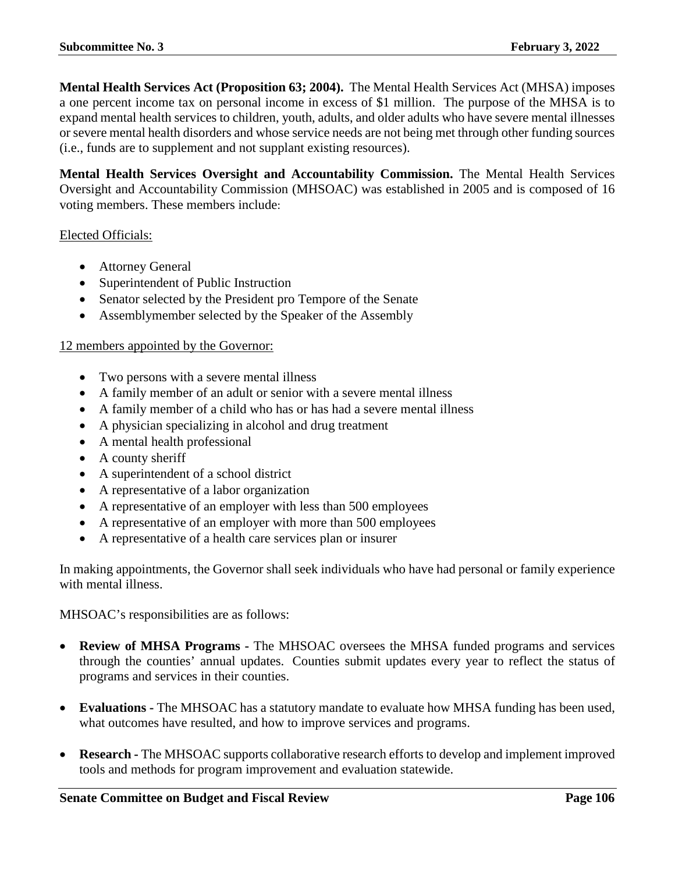**Mental Health Services Act (Proposition 63; 2004).** The Mental Health Services Act (MHSA) imposes a one percent income tax on personal income in excess of \$1 million. The purpose of the MHSA is to expand mental health services to children, youth, adults, and older adults who have severe mental illnesses or severe mental health disorders and whose service needs are not being met through other funding sources (i.e., funds are to supplement and not supplant existing resources).

**Mental Health Services Oversight and Accountability Commission.** The Mental Health Services Oversight and Accountability Commission (MHSOAC) was established in 2005 and is composed of 16 voting members. These members include:

### Elected Officials:

- Attorney General
- Superintendent of Public Instruction
- Senator selected by the President pro Tempore of the Senate
- Assemblymember selected by the Speaker of the Assembly

### 12 members appointed by the Governor:

- Two persons with a severe mental illness
- A family member of an adult or senior with a severe mental illness
- A family member of a child who has or has had a severe mental illness
- A physician specializing in alcohol and drug treatment
- A mental health professional
- A county sheriff
- A superintendent of a school district
- A representative of a labor organization
- A representative of an employer with less than 500 employees
- A representative of an employer with more than 500 employees
- A representative of a health care services plan or insurer

In making appointments, the Governor shall seek individuals who have had personal or family experience with mental illness.

MHSOAC's responsibilities are as follows:

- **Review of MHSA Programs -** The MHSOAC oversees the MHSA funded programs and services through the counties' annual updates. Counties submit updates every year to reflect the status of programs and services in their counties.
- **Evaluations -** The MHSOAC has a statutory mandate to evaluate how MHSA funding has been used, what outcomes have resulted, and how to improve services and programs.
- **Research -** The MHSOAC supports collaborative research efforts to develop and implement improved tools and methods for program improvement and evaluation statewide.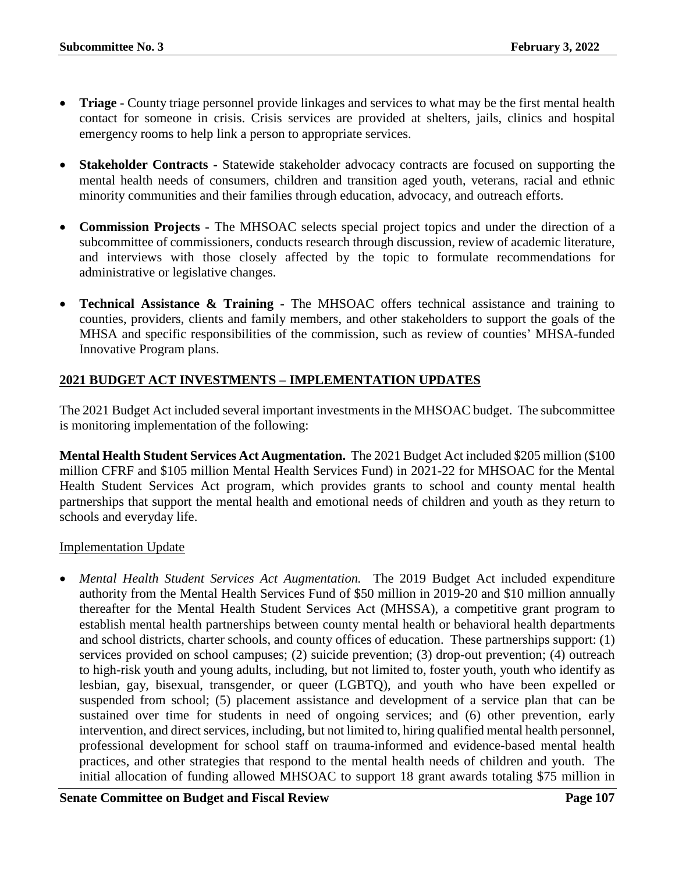- **Triage -** County triage personnel provide linkages and services to what may be the first mental health contact for someone in crisis. Crisis services are provided at shelters, jails, clinics and hospital emergency rooms to help link a person to appropriate services.
- **Stakeholder Contracts -** Statewide stakeholder advocacy contracts are focused on supporting the mental health needs of consumers, children and transition aged youth, veterans, racial and ethnic minority communities and their families through education, advocacy, and outreach efforts.
- **Commission Projects -** The MHSOAC selects special project topics and under the direction of a subcommittee of commissioners, conducts research through discussion, review of academic literature, and interviews with those closely affected by the topic to formulate recommendations for administrative or legislative changes.
- **Technical Assistance & Training -** The MHSOAC offers technical assistance and training to counties, providers, clients and family members, and other stakeholders to support the goals of the MHSA and specific responsibilities of the commission, such as review of counties' MHSA-funded Innovative Program plans.

# **2021 BUDGET ACT INVESTMENTS – IMPLEMENTATION UPDATES**

The 2021 Budget Act included several important investments in the MHSOAC budget. The subcommittee is monitoring implementation of the following:

**Mental Health Student Services Act Augmentation.** The 2021 Budget Act included \$205 million (\$100 million CFRF and \$105 million Mental Health Services Fund) in 2021-22 for MHSOAC for the Mental Health Student Services Act program, which provides grants to school and county mental health partnerships that support the mental health and emotional needs of children and youth as they return to schools and everyday life.

### Implementation Update

• *Mental Health Student Services Act Augmentation.* The 2019 Budget Act included expenditure authority from the Mental Health Services Fund of \$50 million in 2019-20 and \$10 million annually thereafter for the Mental Health Student Services Act (MHSSA), a competitive grant program to establish mental health partnerships between county mental health or behavioral health departments and school districts, charter schools, and county offices of education. These partnerships support: (1) services provided on school campuses; (2) suicide prevention; (3) drop-out prevention; (4) outreach to high-risk youth and young adults, including, but not limited to, foster youth, youth who identify as lesbian, gay, bisexual, transgender, or queer (LGBTQ), and youth who have been expelled or suspended from school; (5) placement assistance and development of a service plan that can be sustained over time for students in need of ongoing services; and (6) other prevention, early intervention, and direct services, including, but not limited to, hiring qualified mental health personnel, professional development for school staff on trauma-informed and evidence-based mental health practices, and other strategies that respond to the mental health needs of children and youth. The initial allocation of funding allowed MHSOAC to support 18 grant awards totaling \$75 million in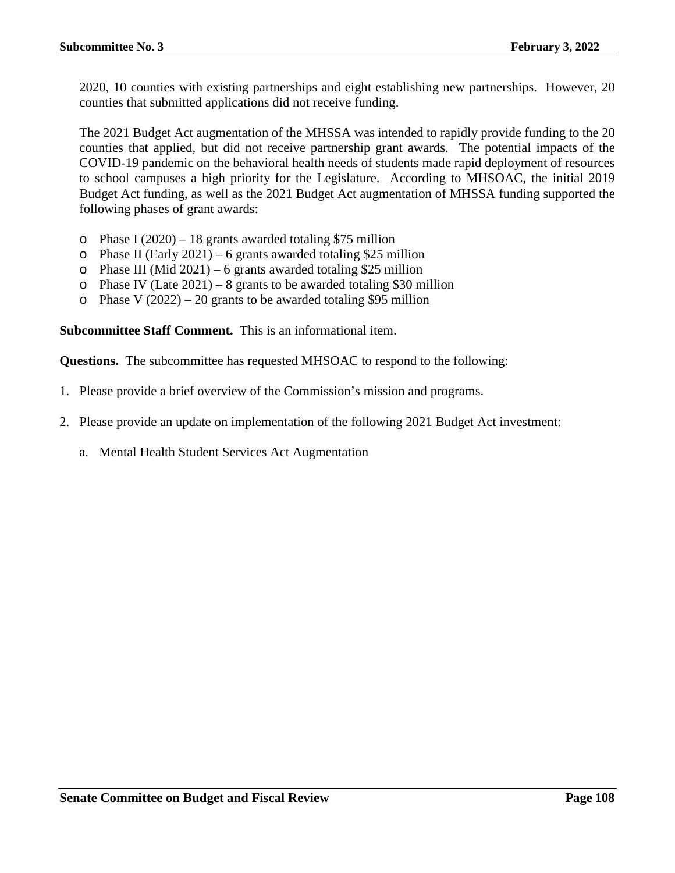2020, 10 counties with existing partnerships and eight establishing new partnerships. However, 20 counties that submitted applications did not receive funding.

The 2021 Budget Act augmentation of the MHSSA was intended to rapidly provide funding to the 20 counties that applied, but did not receive partnership grant awards. The potential impacts of the COVID-19 pandemic on the behavioral health needs of students made rapid deployment of resources to school campuses a high priority for the Legislature. According to MHSOAC, the initial 2019 Budget Act funding, as well as the 2021 Budget Act augmentation of MHSSA funding supported the following phases of grant awards:

- $\circ$  Phase I (2020) 18 grants awarded totaling \$75 million
- $\circ$  Phase II (Early 2021) 6 grants awarded totaling \$25 million
- $\circ$  Phase III (Mid 2021) 6 grants awarded totaling \$25 million
- $\circ$  Phase IV (Late 2021) 8 grants to be awarded totaling \$30 million
- $\circ$  Phase V (2022) 20 grants to be awarded totaling \$95 million

**Subcommittee Staff Comment.** This is an informational item.

**Questions.** The subcommittee has requested MHSOAC to respond to the following:

- 1. Please provide a brief overview of the Commission's mission and programs.
- 2. Please provide an update on implementation of the following 2021 Budget Act investment:
	- a. Mental Health Student Services Act Augmentation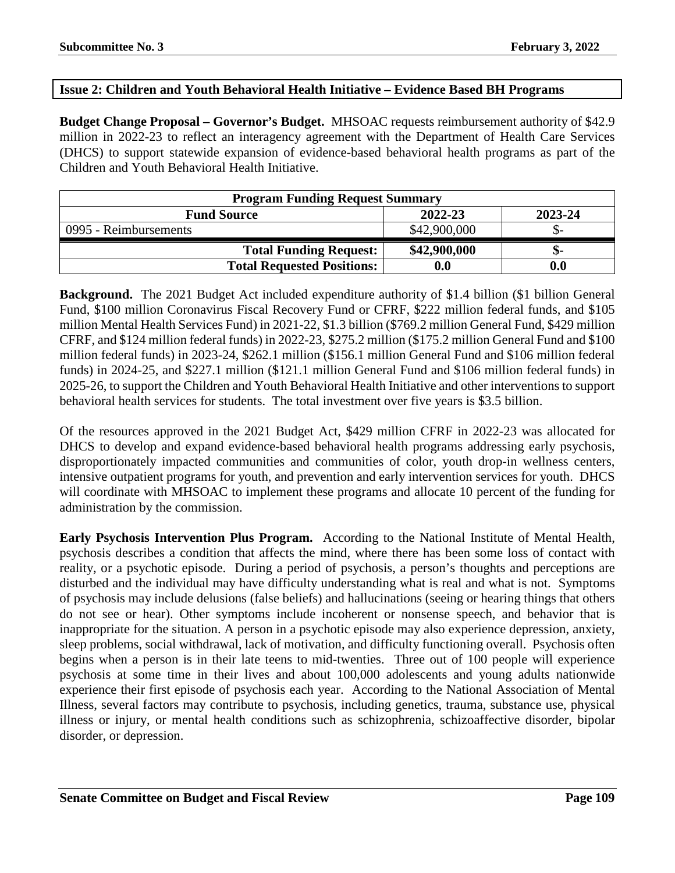## **Issue 2: Children and Youth Behavioral Health Initiative – Evidence Based BH Programs**

**Budget Change Proposal – Governor's Budget.** MHSOAC requests reimbursement authority of \$42.9 million in 2022-23 to reflect an interagency agreement with the Department of Health Care Services (DHCS) to support statewide expansion of evidence-based behavioral health programs as part of the Children and Youth Behavioral Health Initiative.

| <b>Program Funding Request Summary</b> |              |         |
|----------------------------------------|--------------|---------|
| <b>Fund Source</b>                     | 2022-23      | 2023-24 |
| 0995 - Reimbursements                  | \$42,900,000 |         |
| <b>Total Funding Request:</b>          | \$42,900,000 | ת-      |
| <b>Total Requested Positions:</b>      | 0.0          | 0.0     |

**Background.** The 2021 Budget Act included expenditure authority of \$1.4 billion (\$1 billion General Fund, \$100 million Coronavirus Fiscal Recovery Fund or CFRF, \$222 million federal funds, and \$105 million Mental Health Services Fund) in 2021-22, \$1.3 billion (\$769.2 million General Fund, \$429 million CFRF, and \$124 million federal funds) in 2022-23, \$275.2 million (\$175.2 million General Fund and \$100 million federal funds) in 2023-24, \$262.1 million (\$156.1 million General Fund and \$106 million federal funds) in 2024-25, and \$227.1 million (\$121.1 million General Fund and \$106 million federal funds) in 2025-26, to support the Children and Youth Behavioral Health Initiative and other interventions to support behavioral health services for students. The total investment over five years is \$3.5 billion.

Of the resources approved in the 2021 Budget Act, \$429 million CFRF in 2022-23 was allocated for DHCS to develop and expand evidence-based behavioral health programs addressing early psychosis, disproportionately impacted communities and communities of color, youth drop-in wellness centers, intensive outpatient programs for youth, and prevention and early intervention services for youth. DHCS will coordinate with MHSOAC to implement these programs and allocate 10 percent of the funding for administration by the commission.

**Early Psychosis Intervention Plus Program.** According to the National Institute of Mental Health, psychosis describes a condition that affects the mind, where there has been some loss of contact with reality, or a psychotic episode. During a period of psychosis, a person's thoughts and perceptions are disturbed and the individual may have difficulty understanding what is real and what is not. Symptoms of psychosis may include delusions (false beliefs) and hallucinations (seeing or hearing things that others do not see or hear). Other symptoms include incoherent or nonsense speech, and behavior that is inappropriate for the situation. A person in a psychotic episode may also experience depression, anxiety, sleep problems, social withdrawal, lack of motivation, and difficulty functioning overall. Psychosis often begins when a person is in their late teens to mid-twenties. Three out of 100 people will experience psychosis at some time in their lives and about 100,000 adolescents and young adults nationwide experience their first episode of psychosis each year. According to the National Association of Mental Illness, several factors may contribute to psychosis, including genetics, trauma, substance use, physical illness or injury, or mental health conditions such as schizophrenia, schizoaffective disorder, bipolar disorder, or depression.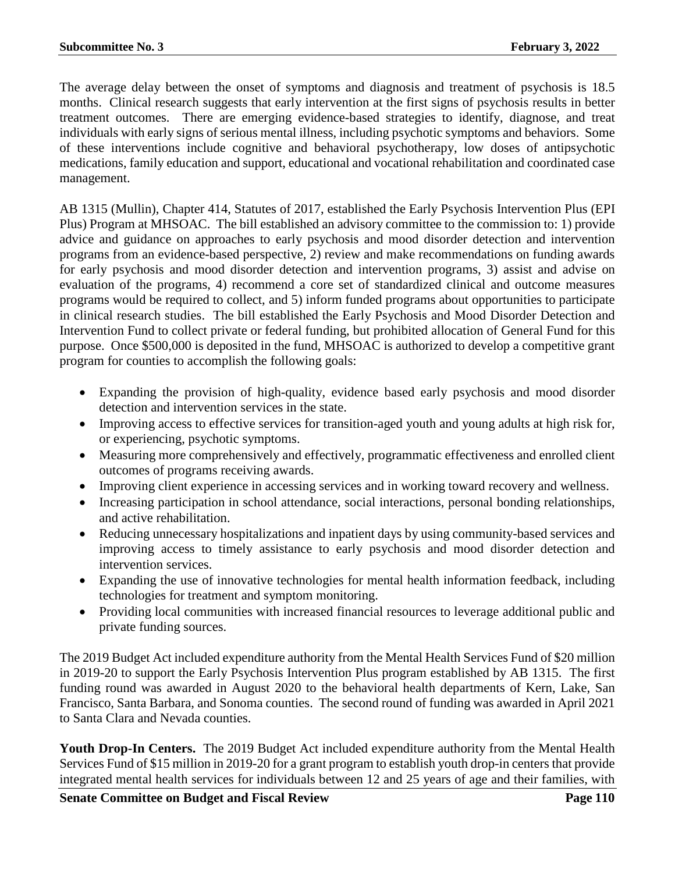The average delay between the onset of symptoms and diagnosis and treatment of psychosis is 18.5 months. Clinical research suggests that early intervention at the first signs of psychosis results in better treatment outcomes. There are emerging evidence-based strategies to identify, diagnose, and treat individuals with early signs of serious mental illness, including psychotic symptoms and behaviors. Some of these interventions include cognitive and behavioral psychotherapy, low doses of antipsychotic medications, family education and support, educational and vocational rehabilitation and coordinated case management.

AB 1315 (Mullin), Chapter 414, Statutes of 2017, established the Early Psychosis Intervention Plus (EPI Plus) Program at MHSOAC. The bill established an advisory committee to the commission to: 1) provide advice and guidance on approaches to early psychosis and mood disorder detection and intervention programs from an evidence-based perspective, 2) review and make recommendations on funding awards for early psychosis and mood disorder detection and intervention programs, 3) assist and advise on evaluation of the programs, 4) recommend a core set of standardized clinical and outcome measures programs would be required to collect, and 5) inform funded programs about opportunities to participate in clinical research studies. The bill established the Early Psychosis and Mood Disorder Detection and Intervention Fund to collect private or federal funding, but prohibited allocation of General Fund for this purpose. Once \$500,000 is deposited in the fund, MHSOAC is authorized to develop a competitive grant program for counties to accomplish the following goals:

- Expanding the provision of high-quality, evidence based early psychosis and mood disorder detection and intervention services in the state.
- Improving access to effective services for transition-aged youth and young adults at high risk for, or experiencing, psychotic symptoms.
- Measuring more comprehensively and effectively, programmatic effectiveness and enrolled client outcomes of programs receiving awards.
- Improving client experience in accessing services and in working toward recovery and wellness.
- Increasing participation in school attendance, social interactions, personal bonding relationships, and active rehabilitation.
- Reducing unnecessary hospitalizations and inpatient days by using community-based services and improving access to timely assistance to early psychosis and mood disorder detection and intervention services.
- Expanding the use of innovative technologies for mental health information feedback, including technologies for treatment and symptom monitoring.
- Providing local communities with increased financial resources to leverage additional public and private funding sources.

The 2019 Budget Act included expenditure authority from the Mental Health Services Fund of \$20 million in 2019-20 to support the Early Psychosis Intervention Plus program established by AB 1315. The first funding round was awarded in August 2020 to the behavioral health departments of Kern, Lake, San Francisco, Santa Barbara, and Sonoma counties. The second round of funding was awarded in April 2021 to Santa Clara and Nevada counties.

**Youth Drop-In Centers.** The 2019 Budget Act included expenditure authority from the Mental Health Services Fund of \$15 million in 2019-20 for a grant program to establish youth drop-in centers that provide integrated mental health services for individuals between 12 and 25 years of age and their families, with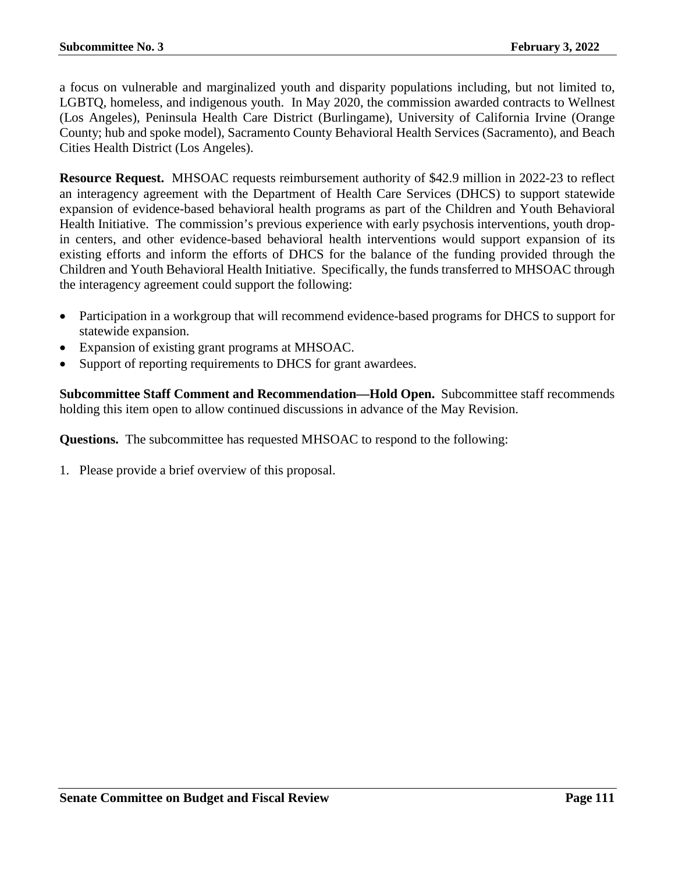a focus on vulnerable and marginalized youth and disparity populations including, but not limited to, LGBTQ, homeless, and indigenous youth. In May 2020, the commission awarded contracts to Wellnest (Los Angeles), Peninsula Health Care District (Burlingame), University of California Irvine (Orange County; hub and spoke model), Sacramento County Behavioral Health Services (Sacramento), and Beach Cities Health District (Los Angeles).

**Resource Request.** MHSOAC requests reimbursement authority of \$42.9 million in 2022-23 to reflect an interagency agreement with the Department of Health Care Services (DHCS) to support statewide expansion of evidence-based behavioral health programs as part of the Children and Youth Behavioral Health Initiative. The commission's previous experience with early psychosis interventions, youth dropin centers, and other evidence-based behavioral health interventions would support expansion of its existing efforts and inform the efforts of DHCS for the balance of the funding provided through the Children and Youth Behavioral Health Initiative. Specifically, the funds transferred to MHSOAC through the interagency agreement could support the following:

- Participation in a workgroup that will recommend evidence-based programs for DHCS to support for statewide expansion.
- Expansion of existing grant programs at MHSOAC.
- Support of reporting requirements to DHCS for grant awardees.

**Subcommittee Staff Comment and Recommendation—Hold Open.** Subcommittee staff recommends holding this item open to allow continued discussions in advance of the May Revision.

**Questions.** The subcommittee has requested MHSOAC to respond to the following:

1. Please provide a brief overview of this proposal.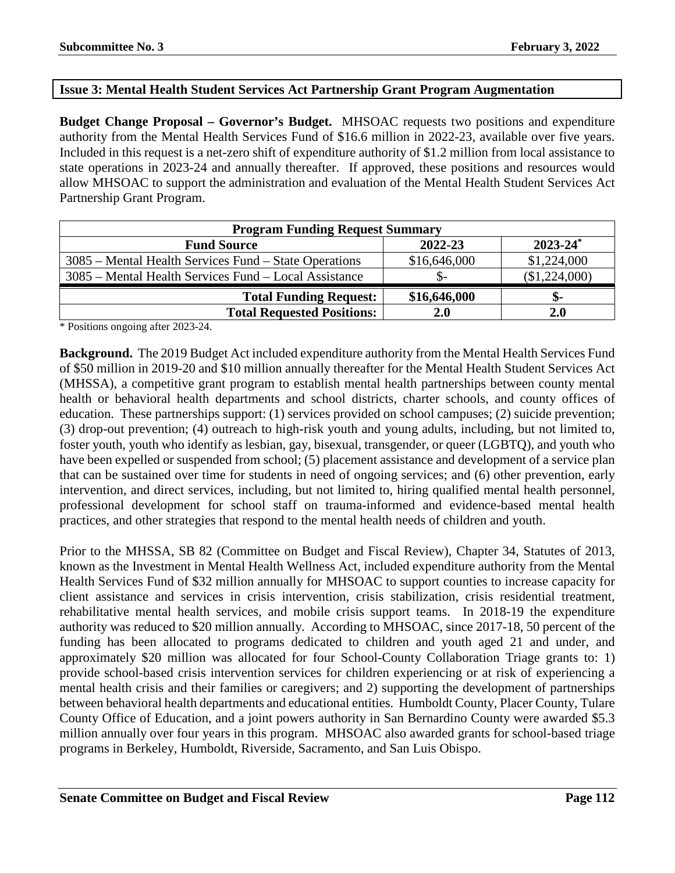## **Issue 3: Mental Health Student Services Act Partnership Grant Program Augmentation**

**Budget Change Proposal – Governor's Budget.** MHSOAC requests two positions and expenditure authority from the Mental Health Services Fund of \$16.6 million in 2022-23, available over five years. Included in this request is a net-zero shift of expenditure authority of \$1.2 million from local assistance to state operations in 2023-24 and annually thereafter. If approved, these positions and resources would allow MHSOAC to support the administration and evaluation of the Mental Health Student Services Act Partnership Grant Program.

| <b>Program Funding Request Summary</b>                |              |               |  |
|-------------------------------------------------------|--------------|---------------|--|
| <b>Fund Source</b>                                    | 2022-23      | $2023 - 24^*$ |  |
| 3085 – Mental Health Services Fund – State Operations | \$16,646,000 | \$1,224,000   |  |
| 3085 – Mental Health Services Fund – Local Assistance |              | (\$1,224,000) |  |
| <b>Total Funding Request:</b>                         | \$16,646,000 | \$-           |  |
| <b>Total Requested Positions:</b>                     | 2.0          | <b>2.0</b>    |  |

\* Positions ongoing after 2023-24.

**Background.** The 2019 Budget Act included expenditure authority from the Mental Health Services Fund of \$50 million in 2019-20 and \$10 million annually thereafter for the Mental Health Student Services Act (MHSSA), a competitive grant program to establish mental health partnerships between county mental health or behavioral health departments and school districts, charter schools, and county offices of education. These partnerships support: (1) services provided on school campuses; (2) suicide prevention; (3) drop-out prevention; (4) outreach to high-risk youth and young adults, including, but not limited to, foster youth, youth who identify as lesbian, gay, bisexual, transgender, or queer (LGBTQ), and youth who have been expelled or suspended from school; (5) placement assistance and development of a service plan that can be sustained over time for students in need of ongoing services; and (6) other prevention, early intervention, and direct services, including, but not limited to, hiring qualified mental health personnel, professional development for school staff on trauma-informed and evidence-based mental health practices, and other strategies that respond to the mental health needs of children and youth.

Prior to the MHSSA, SB 82 (Committee on Budget and Fiscal Review), Chapter 34, Statutes of 2013, known as the Investment in Mental Health Wellness Act, included expenditure authority from the Mental Health Services Fund of \$32 million annually for MHSOAC to support counties to increase capacity for client assistance and services in crisis intervention, crisis stabilization, crisis residential treatment, rehabilitative mental health services, and mobile crisis support teams. In 2018-19 the expenditure authority was reduced to \$20 million annually. According to MHSOAC, since 2017-18, 50 percent of the funding has been allocated to programs dedicated to children and youth aged 21 and under, and approximately \$20 million was allocated for four School-County Collaboration Triage grants to: 1) provide school-based crisis intervention services for children experiencing or at risk of experiencing a mental health crisis and their families or caregivers; and 2) supporting the development of partnerships between behavioral health departments and educational entities. Humboldt County, Placer County, Tulare County Office of Education, and a joint powers authority in San Bernardino County were awarded \$5.3 million annually over four years in this program. MHSOAC also awarded grants for school-based triage programs in Berkeley, Humboldt, Riverside, Sacramento, and San Luis Obispo.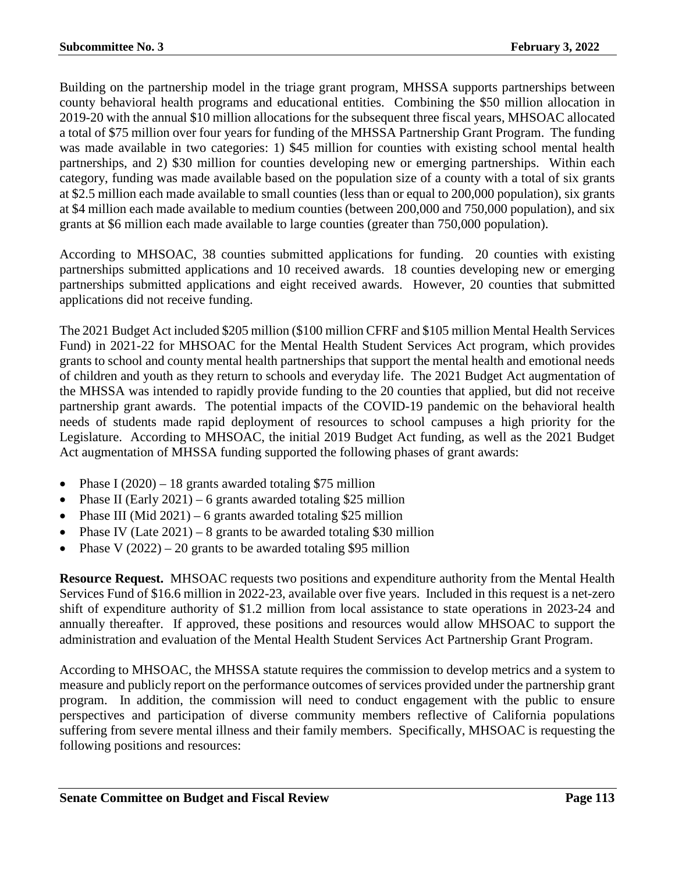Building on the partnership model in the triage grant program, MHSSA supports partnerships between county behavioral health programs and educational entities. Combining the \$50 million allocation in 2019-20 with the annual \$10 million allocations for the subsequent three fiscal years, MHSOAC allocated a total of \$75 million over four years for funding of the MHSSA Partnership Grant Program. The funding was made available in two categories: 1) \$45 million for counties with existing school mental health partnerships, and 2) \$30 million for counties developing new or emerging partnerships. Within each category, funding was made available based on the population size of a county with a total of six grants at \$2.5 million each made available to small counties (less than or equal to 200,000 population), six grants at \$4 million each made available to medium counties (between 200,000 and 750,000 population), and six grants at \$6 million each made available to large counties (greater than 750,000 population).

According to MHSOAC, 38 counties submitted applications for funding. 20 counties with existing partnerships submitted applications and 10 received awards. 18 counties developing new or emerging partnerships submitted applications and eight received awards. However, 20 counties that submitted applications did not receive funding.

The 2021 Budget Act included \$205 million (\$100 million CFRF and \$105 million Mental Health Services Fund) in 2021-22 for MHSOAC for the Mental Health Student Services Act program, which provides grants to school and county mental health partnerships that support the mental health and emotional needs of children and youth as they return to schools and everyday life. The 2021 Budget Act augmentation of the MHSSA was intended to rapidly provide funding to the 20 counties that applied, but did not receive partnership grant awards. The potential impacts of the COVID-19 pandemic on the behavioral health needs of students made rapid deployment of resources to school campuses a high priority for the Legislature. According to MHSOAC, the initial 2019 Budget Act funding, as well as the 2021 Budget Act augmentation of MHSSA funding supported the following phases of grant awards:

- Phase I  $(2020) 18$  grants awarded totaling \$75 million
- Phase II (Early 2021) 6 grants awarded totaling \$25 million
- Phase III (Mid 2021) 6 grants awarded totaling \$25 million
- Phase IV (Late  $2021$ ) 8 grants to be awarded totaling \$30 million
- Phase V  $(2022) 20$  grants to be awarded totaling \$95 million

**Resource Request.** MHSOAC requests two positions and expenditure authority from the Mental Health Services Fund of \$16.6 million in 2022-23, available over five years. Included in this request is a net-zero shift of expenditure authority of \$1.2 million from local assistance to state operations in 2023-24 and annually thereafter. If approved, these positions and resources would allow MHSOAC to support the administration and evaluation of the Mental Health Student Services Act Partnership Grant Program.

According to MHSOAC, the MHSSA statute requires the commission to develop metrics and a system to measure and publicly report on the performance outcomes of services provided under the partnership grant program. In addition, the commission will need to conduct engagement with the public to ensure perspectives and participation of diverse community members reflective of California populations suffering from severe mental illness and their family members. Specifically, MHSOAC is requesting the following positions and resources: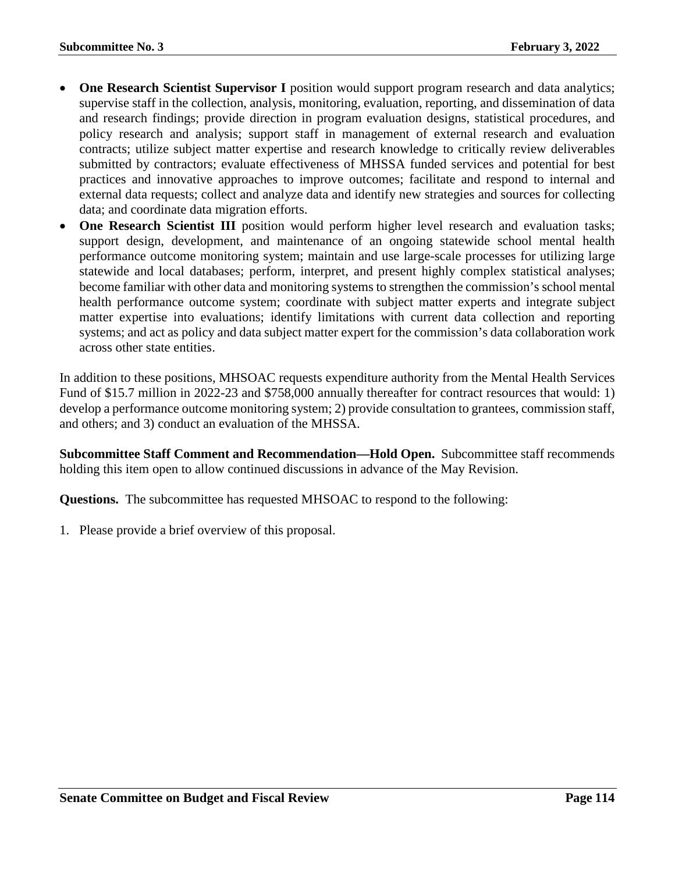- **One Research Scientist Supervisor I** position would support program research and data analytics; supervise staff in the collection, analysis, monitoring, evaluation, reporting, and dissemination of data and research findings; provide direction in program evaluation designs, statistical procedures, and policy research and analysis; support staff in management of external research and evaluation contracts; utilize subject matter expertise and research knowledge to critically review deliverables submitted by contractors; evaluate effectiveness of MHSSA funded services and potential for best practices and innovative approaches to improve outcomes; facilitate and respond to internal and external data requests; collect and analyze data and identify new strategies and sources for collecting data; and coordinate data migration efforts.
- **One Research Scientist III** position would perform higher level research and evaluation tasks; support design, development, and maintenance of an ongoing statewide school mental health performance outcome monitoring system; maintain and use large-scale processes for utilizing large statewide and local databases; perform, interpret, and present highly complex statistical analyses; become familiar with other data and monitoring systems to strengthen the commission's school mental health performance outcome system; coordinate with subject matter experts and integrate subject matter expertise into evaluations; identify limitations with current data collection and reporting systems; and act as policy and data subject matter expert for the commission's data collaboration work across other state entities.

In addition to these positions, MHSOAC requests expenditure authority from the Mental Health Services Fund of \$15.7 million in 2022-23 and \$758,000 annually thereafter for contract resources that would: 1) develop a performance outcome monitoring system; 2) provide consultation to grantees, commission staff, and others; and 3) conduct an evaluation of the MHSSA.

**Subcommittee Staff Comment and Recommendation—Hold Open.** Subcommittee staff recommends holding this item open to allow continued discussions in advance of the May Revision.

**Questions.** The subcommittee has requested MHSOAC to respond to the following:

1. Please provide a brief overview of this proposal.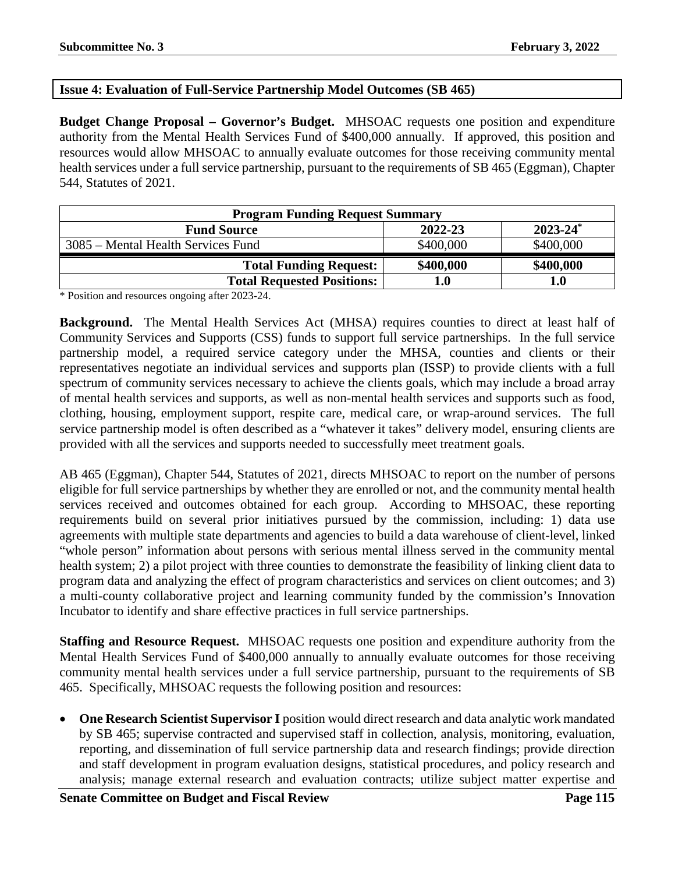# **Issue 4: Evaluation of Full-Service Partnership Model Outcomes (SB 465)**

**Budget Change Proposal – Governor's Budget.** MHSOAC requests one position and expenditure authority from the Mental Health Services Fund of \$400,000 annually. If approved, this position and resources would allow MHSOAC to annually evaluate outcomes for those receiving community mental health services under a full service partnership, pursuant to the requirements of SB 465 (Eggman), Chapter 544, Statutes of 2021.

| <b>Program Funding Request Summary</b> |           |               |  |
|----------------------------------------|-----------|---------------|--|
| <b>Fund Source</b>                     | 2022-23   | $2023 - 24^*$ |  |
| 3085 – Mental Health Services Fund     | \$400,000 | \$400,000     |  |
| <b>Total Funding Request:</b>          | \$400,000 | \$400,000     |  |
| <b>Total Requested Positions:</b>      | l.0       | 1.0           |  |

\* Position and resources ongoing after 2023-24.

**Background.** The Mental Health Services Act (MHSA) requires counties to direct at least half of Community Services and Supports (CSS) funds to support full service partnerships. In the full service partnership model, a required service category under the MHSA, counties and clients or their representatives negotiate an individual services and supports plan (ISSP) to provide clients with a full spectrum of community services necessary to achieve the clients goals, which may include a broad array of mental health services and supports, as well as non-mental health services and supports such as food, clothing, housing, employment support, respite care, medical care, or wrap-around services. The full service partnership model is often described as a "whatever it takes" delivery model, ensuring clients are provided with all the services and supports needed to successfully meet treatment goals.

AB 465 (Eggman), Chapter 544, Statutes of 2021, directs MHSOAC to report on the number of persons eligible for full service partnerships by whether they are enrolled or not, and the community mental health services received and outcomes obtained for each group. According to MHSOAC, these reporting requirements build on several prior initiatives pursued by the commission, including: 1) data use agreements with multiple state departments and agencies to build a data warehouse of client-level, linked "whole person" information about persons with serious mental illness served in the community mental health system; 2) a pilot project with three counties to demonstrate the feasibility of linking client data to program data and analyzing the effect of program characteristics and services on client outcomes; and 3) a multi-county collaborative project and learning community funded by the commission's Innovation Incubator to identify and share effective practices in full service partnerships.

**Staffing and Resource Request.** MHSOAC requests one position and expenditure authority from the Mental Health Services Fund of \$400,000 annually to annually evaluate outcomes for those receiving community mental health services under a full service partnership, pursuant to the requirements of SB 465. Specifically, MHSOAC requests the following position and resources:

• **One Research Scientist Supervisor I** position would direct research and data analytic work mandated by SB 465; supervise contracted and supervised staff in collection, analysis, monitoring, evaluation, reporting, and dissemination of full service partnership data and research findings; provide direction and staff development in program evaluation designs, statistical procedures, and policy research and analysis; manage external research and evaluation contracts; utilize subject matter expertise and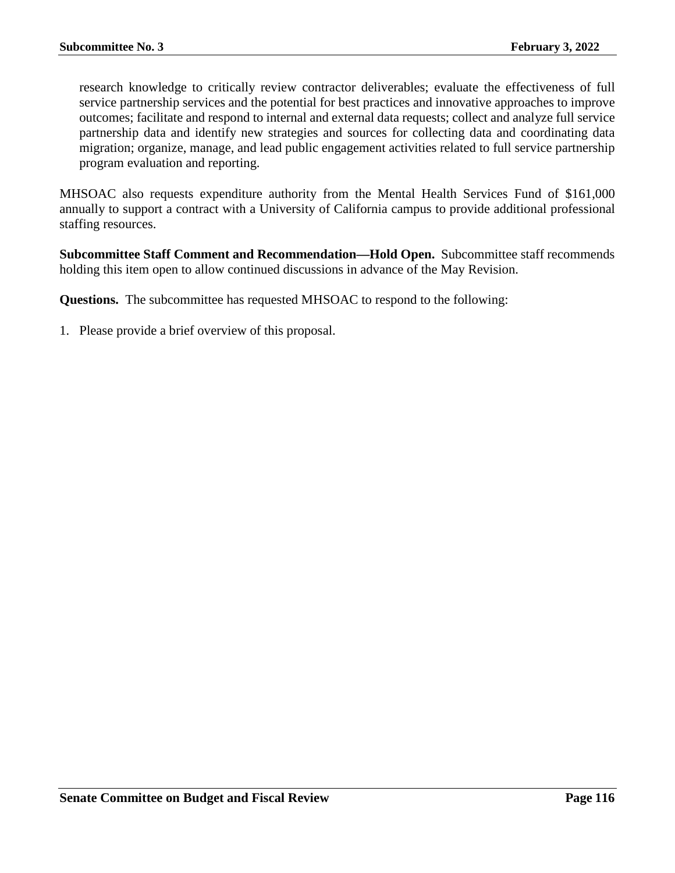research knowledge to critically review contractor deliverables; evaluate the effectiveness of full service partnership services and the potential for best practices and innovative approaches to improve outcomes; facilitate and respond to internal and external data requests; collect and analyze full service partnership data and identify new strategies and sources for collecting data and coordinating data migration; organize, manage, and lead public engagement activities related to full service partnership program evaluation and reporting.

MHSOAC also requests expenditure authority from the Mental Health Services Fund of \$161,000 annually to support a contract with a University of California campus to provide additional professional staffing resources.

**Subcommittee Staff Comment and Recommendation—Hold Open.** Subcommittee staff recommends holding this item open to allow continued discussions in advance of the May Revision.

**Questions.** The subcommittee has requested MHSOAC to respond to the following:

1. Please provide a brief overview of this proposal.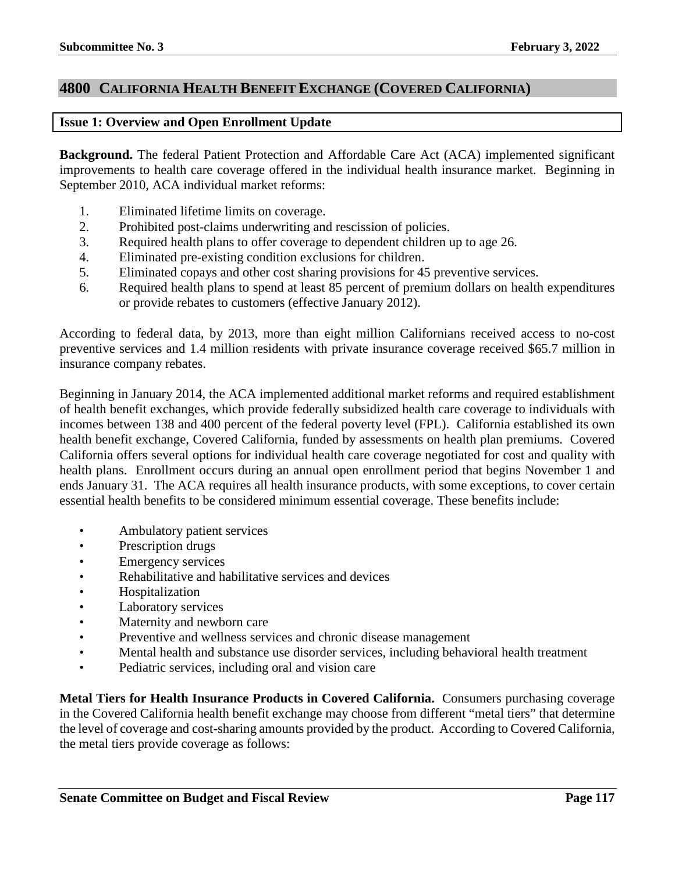## **4800 CALIFORNIA HEALTH BENEFIT EXCHANGE (COVERED CALIFORNIA)**

#### **Issue 1: Overview and Open Enrollment Update**

**Background.** The federal Patient Protection and Affordable Care Act (ACA) implemented significant improvements to health care coverage offered in the individual health insurance market. Beginning in September 2010, ACA individual market reforms:

- 1. Eliminated lifetime limits on coverage.
- 2. Prohibited post-claims underwriting and rescission of policies.
- 3. Required health plans to offer coverage to dependent children up to age 26.
- 4. Eliminated pre-existing condition exclusions for children.
- 5. Eliminated copays and other cost sharing provisions for 45 preventive services.
- 6. Required health plans to spend at least 85 percent of premium dollars on health expenditures or provide rebates to customers (effective January 2012).

According to federal data, by 2013, more than eight million Californians received access to no-cost preventive services and 1.4 million residents with private insurance coverage received \$65.7 million in insurance company rebates.

Beginning in January 2014, the ACA implemented additional market reforms and required establishment of health benefit exchanges, which provide federally subsidized health care coverage to individuals with incomes between 138 and 400 percent of the federal poverty level (FPL). California established its own health benefit exchange, Covered California, funded by assessments on health plan premiums. Covered California offers several options for individual health care coverage negotiated for cost and quality with health plans. Enrollment occurs during an annual open enrollment period that begins November 1 and ends January 31. The ACA requires all health insurance products, with some exceptions, to cover certain essential health benefits to be considered minimum essential coverage. These benefits include:

- Ambulatory patient services
- Prescription drugs
- Emergency services
- Rehabilitative and habilitative services and devices
- Hospitalization
- Laboratory services
- Maternity and newborn care
- Preventive and wellness services and chronic disease management
- Mental health and substance use disorder services, including behavioral health treatment
- Pediatric services, including oral and vision care

**Metal Tiers for Health Insurance Products in Covered California.** Consumers purchasing coverage in the Covered California health benefit exchange may choose from different "metal tiers" that determine the level of coverage and cost-sharing amounts provided by the product. According to Covered California, the metal tiers provide coverage as follows: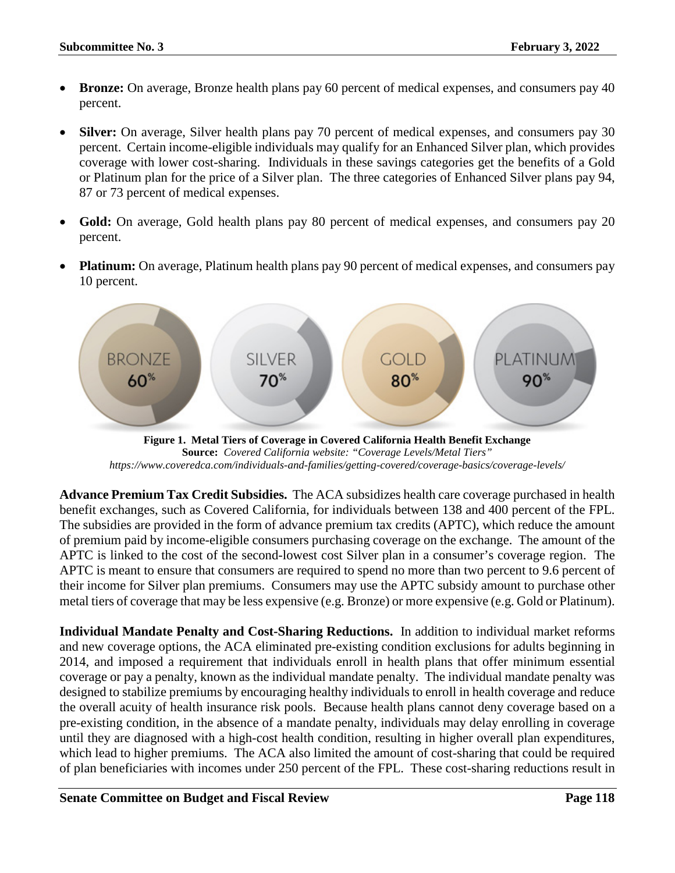- **Bronze:** On average, Bronze health plans pay 60 percent of medical expenses, and consumers pay 40 percent.
- **Silver:** On average, Silver health plans pay 70 percent of medical expenses, and consumers pay 30 percent. Certain income-eligible individuals may qualify for an Enhanced Silver plan, which provides coverage with lower cost-sharing. Individuals in these savings categories get the benefits of a Gold or Platinum plan for the price of a Silver plan. The three categories of Enhanced Silver plans pay 94, 87 or 73 percent of medical expenses.
- **Gold:** On average, Gold health plans pay 80 percent of medical expenses, and consumers pay 20 percent.
- **Platinum:** On average, Platinum health plans pay 90 percent of medical expenses, and consumers pay 10 percent.



**Figure 1. Metal Tiers of Coverage in Covered California Health Benefit Exchange Source:** *Covered California website: "Coverage Levels/Metal Tiers" https://www.coveredca.com/individuals-and-families/getting-covered/coverage-basics/coverage-levels/*

**Advance Premium Tax Credit Subsidies.** The ACA subsidizes health care coverage purchased in health benefit exchanges, such as Covered California, for individuals between 138 and 400 percent of the FPL. The subsidies are provided in the form of advance premium tax credits (APTC), which reduce the amount of premium paid by income-eligible consumers purchasing coverage on the exchange. The amount of the APTC is linked to the cost of the second-lowest cost Silver plan in a consumer's coverage region. The APTC is meant to ensure that consumers are required to spend no more than two percent to 9.6 percent of their income for Silver plan premiums. Consumers may use the APTC subsidy amount to purchase other metal tiers of coverage that may be less expensive (e.g. Bronze) or more expensive (e.g. Gold or Platinum).

**Individual Mandate Penalty and Cost-Sharing Reductions.** In addition to individual market reforms and new coverage options, the ACA eliminated pre-existing condition exclusions for adults beginning in 2014, and imposed a requirement that individuals enroll in health plans that offer minimum essential coverage or pay a penalty, known as the individual mandate penalty. The individual mandate penalty was designed to stabilize premiums by encouraging healthy individuals to enroll in health coverage and reduce the overall acuity of health insurance risk pools. Because health plans cannot deny coverage based on a pre-existing condition, in the absence of a mandate penalty, individuals may delay enrolling in coverage until they are diagnosed with a high-cost health condition, resulting in higher overall plan expenditures, which lead to higher premiums. The ACA also limited the amount of cost-sharing that could be required of plan beneficiaries with incomes under 250 percent of the FPL. These cost-sharing reductions result in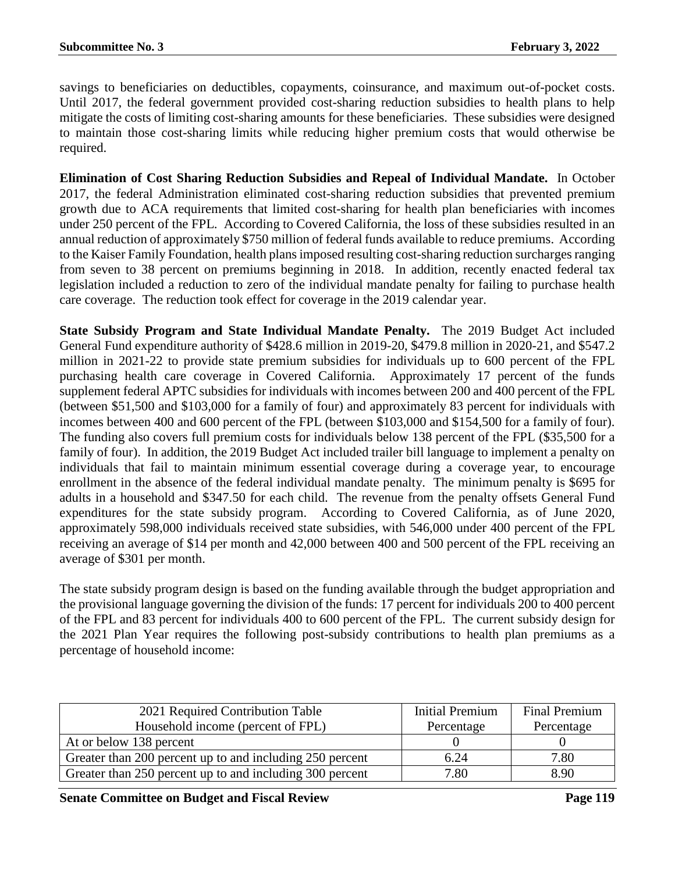savings to beneficiaries on deductibles, copayments, coinsurance, and maximum out-of-pocket costs. Until 2017, the federal government provided cost-sharing reduction subsidies to health plans to help mitigate the costs of limiting cost-sharing amounts for these beneficiaries. These subsidies were designed to maintain those cost-sharing limits while reducing higher premium costs that would otherwise be required.

**Elimination of Cost Sharing Reduction Subsidies and Repeal of Individual Mandate.** In October 2017, the federal Administration eliminated cost-sharing reduction subsidies that prevented premium growth due to ACA requirements that limited cost-sharing for health plan beneficiaries with incomes under 250 percent of the FPL. According to Covered California, the loss of these subsidies resulted in an annual reduction of approximately \$750 million of federal funds available to reduce premiums. According to the Kaiser Family Foundation, health plans imposed resulting cost-sharing reduction surcharges ranging from seven to 38 percent on premiums beginning in 2018. In addition, recently enacted federal tax legislation included a reduction to zero of the individual mandate penalty for failing to purchase health care coverage. The reduction took effect for coverage in the 2019 calendar year.

**State Subsidy Program and State Individual Mandate Penalty.** The 2019 Budget Act included General Fund expenditure authority of \$428.6 million in 2019-20, \$479.8 million in 2020-21, and \$547.2 million in 2021-22 to provide state premium subsidies for individuals up to 600 percent of the FPL purchasing health care coverage in Covered California. Approximately 17 percent of the funds supplement federal APTC subsidies for individuals with incomes between 200 and 400 percent of the FPL (between \$51,500 and \$103,000 for a family of four) and approximately 83 percent for individuals with incomes between 400 and 600 percent of the FPL (between \$103,000 and \$154,500 for a family of four). The funding also covers full premium costs for individuals below 138 percent of the FPL (\$35,500 for a family of four). In addition, the 2019 Budget Act included trailer bill language to implement a penalty on individuals that fail to maintain minimum essential coverage during a coverage year, to encourage enrollment in the absence of the federal individual mandate penalty. The minimum penalty is \$695 for adults in a household and \$347.50 for each child. The revenue from the penalty offsets General Fund expenditures for the state subsidy program. According to Covered California, as of June 2020, approximately 598,000 individuals received state subsidies, with 546,000 under 400 percent of the FPL receiving an average of \$14 per month and 42,000 between 400 and 500 percent of the FPL receiving an average of \$301 per month.

The state subsidy program design is based on the funding available through the budget appropriation and the provisional language governing the division of the funds: 17 percent for individuals 200 to 400 percent of the FPL and 83 percent for individuals 400 to 600 percent of the FPL. The current subsidy design for the 2021 Plan Year requires the following post-subsidy contributions to health plan premiums as a percentage of household income:

| 2021 Required Contribution Table                         | Initial Premium | <b>Final Premium</b> |
|----------------------------------------------------------|-----------------|----------------------|
| Household income (percent of FPL)                        | Percentage      | Percentage           |
| At or below 138 percent                                  |                 |                      |
| Greater than 200 percent up to and including 250 percent | 6.24            | 7.80                 |
| Greater than 250 percent up to and including 300 percent | 7.80            | 8.90                 |

**Senate Committee on Budget and Fiscal Review <b>Page 119 Page 119**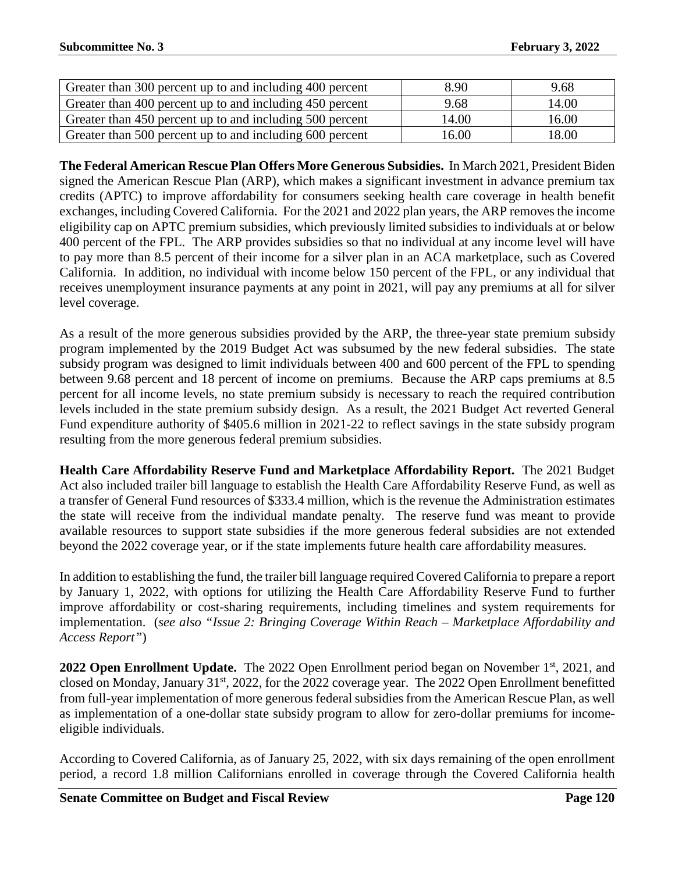| Greater than 300 percent up to and including 400 percent | 8.90  | 9.68  |
|----------------------------------------------------------|-------|-------|
| Greater than 400 percent up to and including 450 percent | 9.68  | 14.00 |
| Greater than 450 percent up to and including 500 percent | 14.00 | 16.00 |
| Greater than 500 percent up to and including 600 percent | 16.00 | 18.00 |

**The Federal American Rescue Plan Offers More Generous Subsidies.** In March 2021, President Biden signed the American Rescue Plan (ARP), which makes a significant investment in advance premium tax credits (APTC) to improve affordability for consumers seeking health care coverage in health benefit exchanges, including Covered California. For the 2021 and 2022 plan years, the ARP removes the income eligibility cap on APTC premium subsidies, which previously limited subsidies to individuals at or below 400 percent of the FPL. The ARP provides subsidies so that no individual at any income level will have to pay more than 8.5 percent of their income for a silver plan in an ACA marketplace, such as Covered California. In addition, no individual with income below 150 percent of the FPL, or any individual that receives unemployment insurance payments at any point in 2021, will pay any premiums at all for silver level coverage.

As a result of the more generous subsidies provided by the ARP, the three-year state premium subsidy program implemented by the 2019 Budget Act was subsumed by the new federal subsidies. The state subsidy program was designed to limit individuals between 400 and 600 percent of the FPL to spending between 9.68 percent and 18 percent of income on premiums. Because the ARP caps premiums at 8.5 percent for all income levels, no state premium subsidy is necessary to reach the required contribution levels included in the state premium subsidy design. As a result, the 2021 Budget Act reverted General Fund expenditure authority of \$405.6 million in 2021-22 to reflect savings in the state subsidy program resulting from the more generous federal premium subsidies.

**Health Care Affordability Reserve Fund and Marketplace Affordability Report.** The 2021 Budget Act also included trailer bill language to establish the Health Care Affordability Reserve Fund, as well as a transfer of General Fund resources of \$333.4 million, which is the revenue the Administration estimates the state will receive from the individual mandate penalty. The reserve fund was meant to provide available resources to support state subsidies if the more generous federal subsidies are not extended beyond the 2022 coverage year, or if the state implements future health care affordability measures.

In addition to establishing the fund, the trailer bill language required Covered California to prepare a report by January 1, 2022, with options for utilizing the Health Care Affordability Reserve Fund to further improve affordability or cost-sharing requirements, including timelines and system requirements for implementation. (*see also "Issue 2: Bringing Coverage Within Reach – Marketplace Affordability and Access Report"*)

2022 Open Enrollment Update. The 2022 Open Enrollment period began on November 1<sup>st</sup>, 2021, and closed on Monday, January 31<sup>st</sup>, 2022, for the 2022 coverage year. The 2022 Open Enrollment benefitted from full-year implementation of more generous federal subsidies from the American Rescue Plan, as well as implementation of a one-dollar state subsidy program to allow for zero-dollar premiums for incomeeligible individuals.

According to Covered California, as of January 25, 2022, with six days remaining of the open enrollment period, a record 1.8 million Californians enrolled in coverage through the Covered California health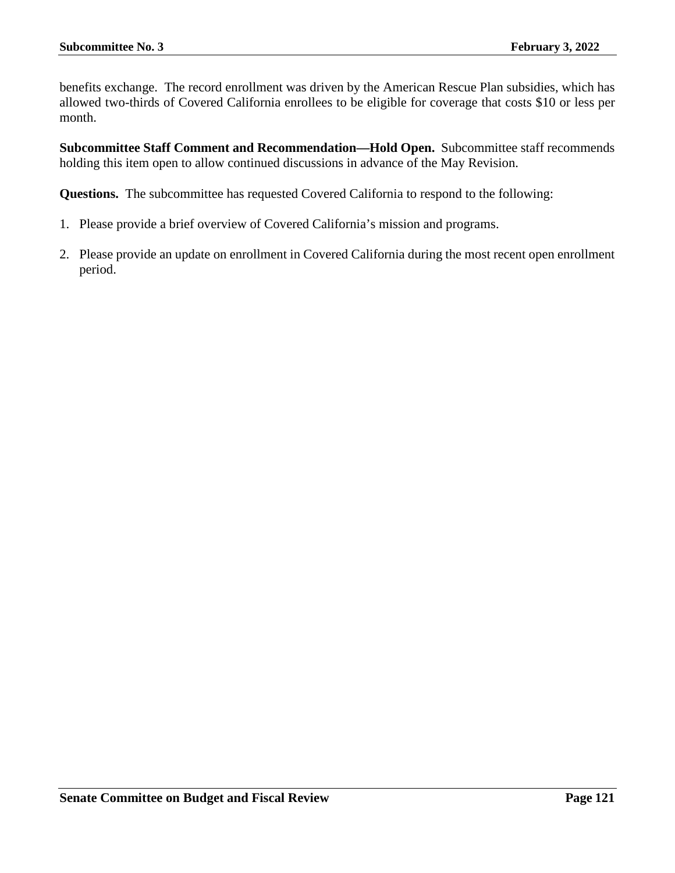benefits exchange. The record enrollment was driven by the American Rescue Plan subsidies, which has allowed two-thirds of Covered California enrollees to be eligible for coverage that costs \$10 or less per month.

**Subcommittee Staff Comment and Recommendation—Hold Open.** Subcommittee staff recommends holding this item open to allow continued discussions in advance of the May Revision.

**Questions.** The subcommittee has requested Covered California to respond to the following:

- 1. Please provide a brief overview of Covered California's mission and programs.
- 2. Please provide an update on enrollment in Covered California during the most recent open enrollment period.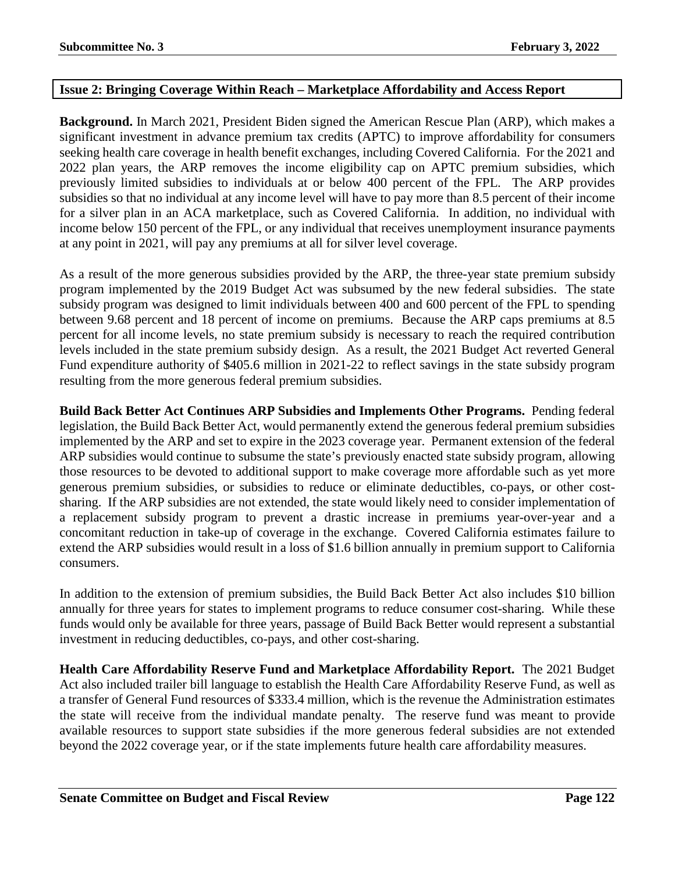## **Issue 2: Bringing Coverage Within Reach – Marketplace Affordability and Access Report**

**Background.** In March 2021, President Biden signed the American Rescue Plan (ARP), which makes a significant investment in advance premium tax credits (APTC) to improve affordability for consumers seeking health care coverage in health benefit exchanges, including Covered California. For the 2021 and 2022 plan years, the ARP removes the income eligibility cap on APTC premium subsidies, which previously limited subsidies to individuals at or below 400 percent of the FPL. The ARP provides subsidies so that no individual at any income level will have to pay more than 8.5 percent of their income for a silver plan in an ACA marketplace, such as Covered California. In addition, no individual with income below 150 percent of the FPL, or any individual that receives unemployment insurance payments at any point in 2021, will pay any premiums at all for silver level coverage.

As a result of the more generous subsidies provided by the ARP, the three-year state premium subsidy program implemented by the 2019 Budget Act was subsumed by the new federal subsidies. The state subsidy program was designed to limit individuals between 400 and 600 percent of the FPL to spending between 9.68 percent and 18 percent of income on premiums. Because the ARP caps premiums at 8.5 percent for all income levels, no state premium subsidy is necessary to reach the required contribution levels included in the state premium subsidy design. As a result, the 2021 Budget Act reverted General Fund expenditure authority of \$405.6 million in 2021-22 to reflect savings in the state subsidy program resulting from the more generous federal premium subsidies.

**Build Back Better Act Continues ARP Subsidies and Implements Other Programs.** Pending federal legislation, the Build Back Better Act, would permanently extend the generous federal premium subsidies implemented by the ARP and set to expire in the 2023 coverage year. Permanent extension of the federal ARP subsidies would continue to subsume the state's previously enacted state subsidy program, allowing those resources to be devoted to additional support to make coverage more affordable such as yet more generous premium subsidies, or subsidies to reduce or eliminate deductibles, co-pays, or other costsharing. If the ARP subsidies are not extended, the state would likely need to consider implementation of a replacement subsidy program to prevent a drastic increase in premiums year-over-year and a concomitant reduction in take-up of coverage in the exchange. Covered California estimates failure to extend the ARP subsidies would result in a loss of \$1.6 billion annually in premium support to California consumers.

In addition to the extension of premium subsidies, the Build Back Better Act also includes \$10 billion annually for three years for states to implement programs to reduce consumer cost-sharing. While these funds would only be available for three years, passage of Build Back Better would represent a substantial investment in reducing deductibles, co-pays, and other cost-sharing.

**Health Care Affordability Reserve Fund and Marketplace Affordability Report.** The 2021 Budget Act also included trailer bill language to establish the Health Care Affordability Reserve Fund, as well as a transfer of General Fund resources of \$333.4 million, which is the revenue the Administration estimates the state will receive from the individual mandate penalty. The reserve fund was meant to provide available resources to support state subsidies if the more generous federal subsidies are not extended beyond the 2022 coverage year, or if the state implements future health care affordability measures.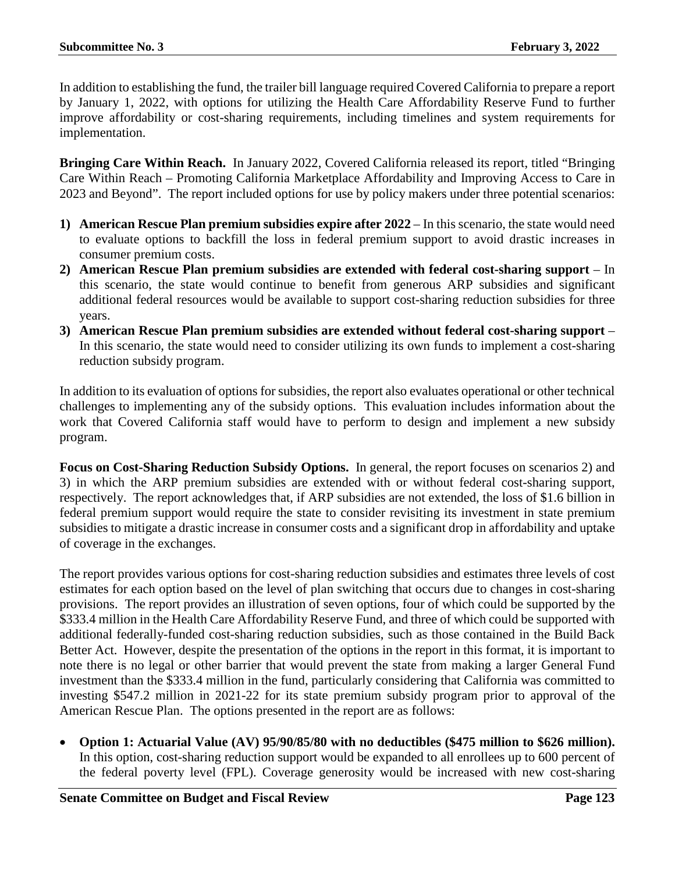In addition to establishing the fund, the trailer bill language required Covered California to prepare a report by January 1, 2022, with options for utilizing the Health Care Affordability Reserve Fund to further improve affordability or cost-sharing requirements, including timelines and system requirements for implementation.

**Bringing Care Within Reach.** In January 2022, Covered California released its report, titled "Bringing Care Within Reach – Promoting California Marketplace Affordability and Improving Access to Care in 2023 and Beyond". The report included options for use by policy makers under three potential scenarios:

- **1) American Rescue Plan premium subsidies expire after 2022** In this scenario, the state would need to evaluate options to backfill the loss in federal premium support to avoid drastic increases in consumer premium costs.
- **2) American Rescue Plan premium subsidies are extended with federal cost-sharing support** In this scenario, the state would continue to benefit from generous ARP subsidies and significant additional federal resources would be available to support cost-sharing reduction subsidies for three years.
- **3) American Rescue Plan premium subsidies are extended without federal cost-sharing support** In this scenario, the state would need to consider utilizing its own funds to implement a cost-sharing reduction subsidy program.

In addition to its evaluation of options for subsidies, the report also evaluates operational or other technical challenges to implementing any of the subsidy options. This evaluation includes information about the work that Covered California staff would have to perform to design and implement a new subsidy program.

**Focus on Cost-Sharing Reduction Subsidy Options.** In general, the report focuses on scenarios 2) and 3) in which the ARP premium subsidies are extended with or without federal cost-sharing support, respectively. The report acknowledges that, if ARP subsidies are not extended, the loss of \$1.6 billion in federal premium support would require the state to consider revisiting its investment in state premium subsidies to mitigate a drastic increase in consumer costs and a significant drop in affordability and uptake of coverage in the exchanges.

The report provides various options for cost-sharing reduction subsidies and estimates three levels of cost estimates for each option based on the level of plan switching that occurs due to changes in cost-sharing provisions. The report provides an illustration of seven options, four of which could be supported by the \$333.4 million in the Health Care Affordability Reserve Fund, and three of which could be supported with additional federally-funded cost-sharing reduction subsidies, such as those contained in the Build Back Better Act. However, despite the presentation of the options in the report in this format, it is important to note there is no legal or other barrier that would prevent the state from making a larger General Fund investment than the \$333.4 million in the fund, particularly considering that California was committed to investing \$547.2 million in 2021-22 for its state premium subsidy program prior to approval of the American Rescue Plan. The options presented in the report are as follows:

• **Option 1: Actuarial Value (AV) 95/90/85/80 with no deductibles (\$475 million to \$626 million).**  In this option, cost-sharing reduction support would be expanded to all enrollees up to 600 percent of the federal poverty level (FPL). Coverage generosity would be increased with new cost-sharing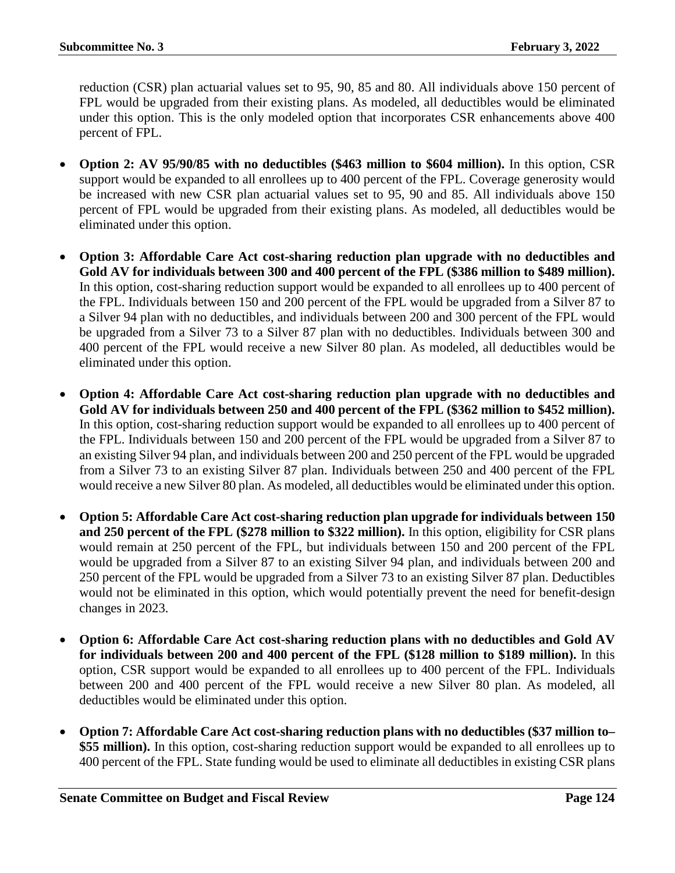reduction (CSR) plan actuarial values set to 95, 90, 85 and 80. All individuals above 150 percent of FPL would be upgraded from their existing plans. As modeled, all deductibles would be eliminated under this option. This is the only modeled option that incorporates CSR enhancements above 400 percent of FPL.

- **Option 2: AV 95/90/85 with no deductibles (\$463 million to \$604 million).** In this option, CSR support would be expanded to all enrollees up to 400 percent of the FPL. Coverage generosity would be increased with new CSR plan actuarial values set to 95, 90 and 85. All individuals above 150 percent of FPL would be upgraded from their existing plans. As modeled, all deductibles would be eliminated under this option.
- **Option 3: Affordable Care Act cost-sharing reduction plan upgrade with no deductibles and Gold AV for individuals between 300 and 400 percent of the FPL (\$386 million to \$489 million).** In this option, cost-sharing reduction support would be expanded to all enrollees up to 400 percent of the FPL. Individuals between 150 and 200 percent of the FPL would be upgraded from a Silver 87 to a Silver 94 plan with no deductibles, and individuals between 200 and 300 percent of the FPL would be upgraded from a Silver 73 to a Silver 87 plan with no deductibles. Individuals between 300 and 400 percent of the FPL would receive a new Silver 80 plan. As modeled, all deductibles would be eliminated under this option.
- **Option 4: Affordable Care Act cost-sharing reduction plan upgrade with no deductibles and Gold AV for individuals between 250 and 400 percent of the FPL (\$362 million to \$452 million).**  In this option, cost-sharing reduction support would be expanded to all enrollees up to 400 percent of the FPL. Individuals between 150 and 200 percent of the FPL would be upgraded from a Silver 87 to an existing Silver 94 plan, and individuals between 200 and 250 percent of the FPL would be upgraded from a Silver 73 to an existing Silver 87 plan. Individuals between 250 and 400 percent of the FPL would receive a new Silver 80 plan. As modeled, all deductibles would be eliminated under this option.
- **Option 5: Affordable Care Act cost-sharing reduction plan upgrade for individuals between 150 and 250 percent of the FPL (\$278 million to \$322 million).** In this option, eligibility for CSR plans would remain at 250 percent of the FPL, but individuals between 150 and 200 percent of the FPL would be upgraded from a Silver 87 to an existing Silver 94 plan, and individuals between 200 and 250 percent of the FPL would be upgraded from a Silver 73 to an existing Silver 87 plan. Deductibles would not be eliminated in this option, which would potentially prevent the need for benefit-design changes in 2023.
- **Option 6: Affordable Care Act cost-sharing reduction plans with no deductibles and Gold AV for individuals between 200 and 400 percent of the FPL (\$128 million to \$189 million).** In this option, CSR support would be expanded to all enrollees up to 400 percent of the FPL. Individuals between 200 and 400 percent of the FPL would receive a new Silver 80 plan. As modeled, all deductibles would be eliminated under this option.
- **Option 7: Affordable Care Act cost-sharing reduction plans with no deductibles (\$37 million to–** \$55 million). In this option, cost-sharing reduction support would be expanded to all enrollees up to 400 percent of the FPL. State funding would be used to eliminate all deductibles in existing CSR plans